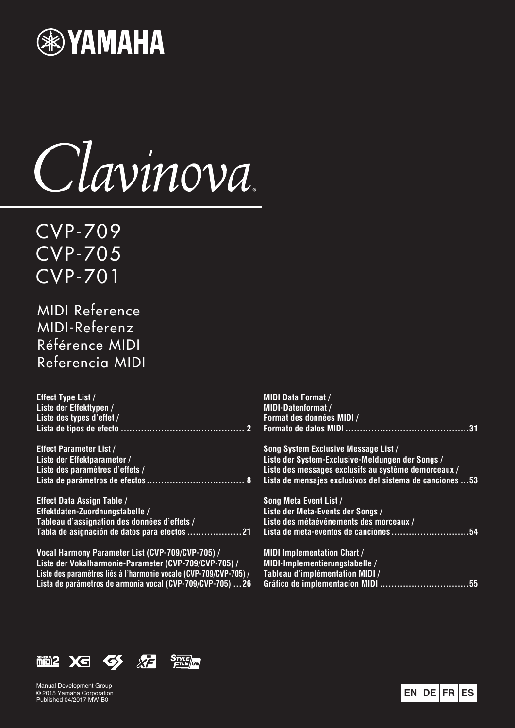

Clavinova

CVP-709 CVP-705 CVP-701

MIDI Reference MIDI-Referenz Référence MIDI Referencia MIDI

| <b>Effect Type List /</b>                             | <b>MIDI Data Format /</b>                                |
|-------------------------------------------------------|----------------------------------------------------------|
| Liste der Effekttypen /                               | <b>MIDI-Datenformat /</b>                                |
| Liste des types d'effet /                             | Format des données MIDI /                                |
|                                                       |                                                          |
| <b>Effect Parameter List /</b>                        | Song System Exclusive Message List /                     |
| Liste der Effektparameter /                           | Liste der System-Exclusive-Meldungen der Songs /         |
| Liste des paramètres d'effets /                       | Liste des messages exclusifs au système demorceaux /     |
|                                                       | Lista de mensajes exclusivos del sistema de canciones 53 |
| <b>Effect Data Assign Table /</b>                     | Song Meta Event List /                                   |
| Effektdaten-Zuordnungstabelle /                       | Liste der Meta-Events der Songs /                        |
| Tableau d'assignation des données d'effets /          | Liste des métaévénements des morceaux /                  |
|                                                       | Lista de meta-eventos de canciones<br>. 54               |
| Vocal Harmony Parameter List (CVP-709/CVP-705) /      | <b>MIDI Implementation Chart /</b>                       |
| Liste der Vokalharmonie-Parameter (CVP-709/CVP-705) / | <b>MIDI-Implementierungstabelle /</b>                    |

**Tableau d'implémentation MIDI /** 

**[Liste der Vokalharmonie-Parameter \(CVP-709/CVP-705\) /](#page-25-0)  Liste des paramètres liés à l'harmonie vocale (CVP-709/CVP-705) / Lista de parámetros de armonía vocal (CVP-709/CVP-705) ...26**

**EN DE FR ES** Manual Development Group © 2015 Yamaha Corporation Published 04/2017 MW-B0

**<b> iiii2 Xd <>>** <>>  $S$ *TYLE* 



**[Gráfico de implementacíon MIDI ...............................55](#page-54-0)**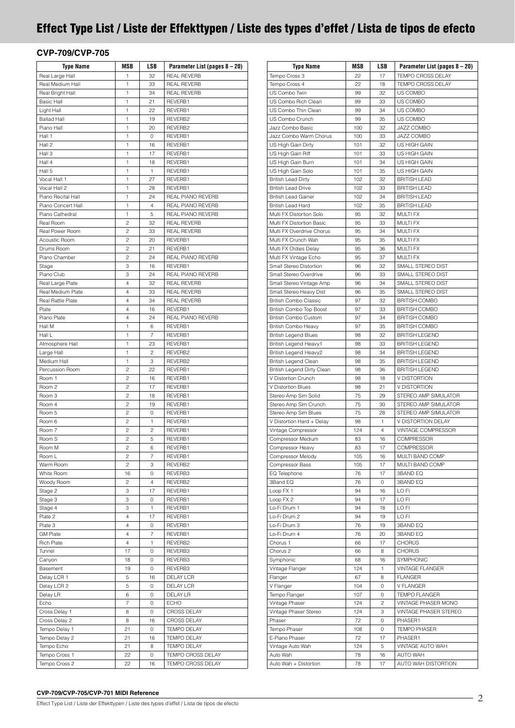# <span id="page-1-0"></span>**Effect Type List / Liste der Effekttypen / Liste des types d'effet / Lista de tipos de efecto**

### **CVP-709/CVP-705**

| <b>Type Name</b>         | MSB            | LSB            | Parameter List (pages 8 - 20) |
|--------------------------|----------------|----------------|-------------------------------|
| Real Large Hall          | 1              | 32             | <b>REAL REVERB</b>            |
| Real Medium Hall         | $\mathbf{1}$   | 33             | <b>REAL REVERB</b>            |
| Real Bright Hall         | 1              | 34             | <b>REAL REVERB</b>            |
| <b>Basic Hall</b>        | 1              | 21             | REVERB1                       |
| Light Hall               | 1              | 22             | REVERB1                       |
| <b>Ballad Hall</b>       | 1              | 19             | REVERB2                       |
| Piano Hall               | 1              | 20             | REVERB2                       |
| Hall 1                   | 1              | 0              | REVERB1                       |
| Hall 2                   | 1              | 16             | REVERB1                       |
| Hall 3                   | 1              | 17             | REVERB1                       |
| Hall 4                   | 1              | 18             | REVERB1                       |
| Hall 5                   | 1              | 1              | REVERB1                       |
|                          |                |                |                               |
| Vocal Hall 1             | 1              | 27             | REVERB1                       |
| Vocal Hall 2             | 1              | 28             | REVERB1                       |
| Piano Recital Hall       | 1              | 24             | REAL PIANO REVERB             |
| Piano Concert Hall       | 1              | $\overline{4}$ | REAL PIANO REVERB             |
| Piano Cathedral          | 1              | 5              | REAL PIANO REVERB             |
| Real Room                | 2              | 32             | <b>REAL REVERB</b>            |
| Real Power Room          | $\overline{c}$ | 33             | <b>REAL REVERB</b>            |
| Acoustic Room            | 2              | 20             | REVERB1                       |
| Drums Room               | $\overline{c}$ | 21             | REVERB1                       |
| Piano Chamber            | $\overline{c}$ | 24             | REAL PIANO REVERB             |
| Stage                    | 3              | 16             | REVERB1                       |
| Piano Club               | 3              | 24             | REAL PIANO REVERB             |
| Real Large Plate         | $\overline{4}$ | 32             | <b>REAL REVERB</b>            |
| Real Medium Plate        | 4              | 33             | <b>REAL REVERB</b>            |
| <b>Real Rattle Plate</b> | 4              | 34             | <b>REAL REVERB</b>            |
| Plate                    | $\overline{4}$ | 16             | REVERB1                       |
| Piano Plate              | 4              | 24             | REAL PIANO REVERB             |
| Hall M                   | 1              | 6              | REVERB1                       |
| Hall L                   | 1              | $\overline{7}$ | REVERB1                       |
| Atmosphere Hall          | 1              | 23             | REVERB1                       |
| Large Hall               | 1              | $\overline{c}$ | REVERB2                       |
| Medium Hall              | 1              | 3              | REVERB2                       |
| Percussion Room          | 2              | 22             | REVERB1                       |
| Room 1                   | $\overline{c}$ | 16             | REVERB1                       |
| Room <sub>2</sub>        | $\overline{c}$ | 17             | REVERB1                       |
| Room <sub>3</sub>        |                |                | REVERB1                       |
|                          | 2              | 18             |                               |
| Room 4                   | $\overline{c}$ | 19             | REVERB1                       |
| Room 5                   | 2              | 0              | REVERB1                       |
| Room 6                   | 2              | 1              | REVERB1                       |
| Room 7                   | $\overline{c}$ | 2              | REVERB1                       |
| Room S                   | 2              | 5              | REVERB1                       |
| Room M                   | 2              | 6              | REVERB1                       |
| Room L                   | 2              | 7              | REVERB1                       |
| Warm Room                | 2              | 3              | REVERB2                       |
| White Room               | 16             | 0              | REVERB3                       |
| Woody Room               | 2              | 4              | REVERB2                       |
| Stage 2                  | 3              | 17             | REVERB1                       |
| Stage 3                  | 3              | 0              | REVERB1                       |
| Stage 4                  | 3              | 1              | REVERB1                       |
| Plate 2                  | 4              | 17             | REVERB1                       |
| Plate 3                  | 4              | 0              | REVERB1                       |
| <b>GM Plate</b>          | 4              | 7              | REVERB1                       |
| <b>Rich Plate</b>        | $\overline{4}$ | 1              | REVERB2                       |
| Tunnel                   | 17             | 0              | REVERB3                       |
| Canyon                   | 18             | 0              | REVERB3                       |
| Basement                 | 19             | 0              | REVERB3                       |
| Delay LCR 1              | 5              | 16             | DELAY LCR                     |
|                          |                |                |                               |
| Delay LCR 2              | 5              | 0              | DELAY LCR                     |
| Delay LR                 | 6              | 0              | <b>DELAY LR</b>               |
| Echo                     | 7              | 0              | <b>ECHO</b>                   |
| Cross Delay 1            | 8              | 0              | CROSS DELAY                   |
| Cross Delay 2            | 8              | 16             | <b>CROSS DELAY</b>            |
| Tempo Delay 1            | 21             | 0              | TEMPO DELAY                   |
| Tempo Delay 2            | 21             | 16             | <b>TEMPO DELAY</b>            |
| Tempo Echo               | 21             | 8              | <b>TEMPO DELAY</b>            |
| Tempo Cross 1            | 22             | 0              | TEMPO CROSS DELAY             |
| Tempo Cross 2            | 22             | 16             | TEMPO CROSS DELAY             |

| <b>Type Name</b>                                        | MSB        | LSB                 | Parameter List (pages 8 - 20)              |
|---------------------------------------------------------|------------|---------------------|--------------------------------------------|
| Tempo Cross 3                                           | 22         | 17                  | TEMPO CROSS DELAY                          |
| Tempo Cross 4                                           | 22         | 18                  | TEMPO CROSS DELAY                          |
| US Combo Twin                                           | 99         | 32                  | US COMBO                                   |
| US Combo Rich Clean                                     | 99         | 33                  | US COMBO                                   |
| US Combo Thin Clean                                     | 99         | 34                  | US COMBO                                   |
| US Combo Crunch                                         | 99         | 35                  | US COMBO                                   |
| Jazz Combo Basic                                        | 100        | 32                  | JAZZ COMBO                                 |
| Jazz Combo Warm Chorus                                  | 100        | 33                  | JAZZ COMBO                                 |
| US High Gain Dirty                                      | 101        | 32                  | US HIGH GAIN                               |
| US High Gain Riff                                       | 101        | 33                  | US HIGH GAIN                               |
| US High Gain Burn                                       | 101        | 34                  | US HIGH GAIN                               |
| US High Gain Solo                                       | 101        | 35                  | US HIGH GAIN                               |
| <b>British Lead Dirty</b>                               | 102        | 32                  | <b>BRITISH LEAD</b>                        |
| <b>British Lead Drive</b><br><b>British Lead Gainer</b> | 102<br>102 | 33<br>34            | <b>BRITISH LEAD</b><br><b>BRITISH LEAD</b> |
| <b>British Lead Hard</b>                                | 102        | 35                  | <b>BRITISH LEAD</b>                        |
| Multi FX Distortion Solo                                | 95         | 32                  | <b>MULTI FX</b>                            |
| Multi FX Distortion Basic                               | 95         | 33                  | <b>MULTI FX</b>                            |
| Multi FX Overdrive Chorus                               | 95         | 34                  | <b>MULTI FX</b>                            |
| Multi FX Crunch Wah                                     | 95         | 35                  | <b>MULTI FX</b>                            |
| Multi FX Oldies Delay                                   | 95         | 36                  | <b>MULTI FX</b>                            |
| Multi FX Vintage Echo                                   | 95         | 37                  | <b>MULTI FX</b>                            |
| Small Stereo Distortion                                 | 96         | 32                  | SMALL STEREO DIST                          |
| Small Stereo Overdrive                                  | 96         | 33                  | SMALL STEREO DIST                          |
| Small Stereo Vintage Amp                                | 96         | 34                  | SMALL STEREO DIST                          |
| Small Stereo Heavy Dist                                 | 96         | 35                  | SMALL STEREO DIST                          |
| <b>British Combo Classic</b>                            | 97         | 32                  | <b>BRITISH COMBO</b>                       |
| British Combo Top Boost                                 | 97         | 33                  | <b>BRITISH COMBO</b>                       |
| <b>British Combo Custom</b>                             | 97         | 34                  | <b>BRITISH COMBO</b>                       |
| <b>British Combo Heavy</b>                              | 97         | 35                  | <b>BRITISH COMBO</b>                       |
| <b>British Legend Blues</b>                             | 98         | 32                  | <b>BRITISH LEGEND</b>                      |
| British Legend Heavy1                                   | 98         | 33                  | <b>BRITISH LEGEND</b>                      |
| British Legend Heavy2                                   | 98         | 34                  | <b>BRITISH LEGEND</b>                      |
| British Legend Clean                                    | 98         | 35                  | <b>BRITISH LEGEND</b>                      |
| British Legend Dirty Clean                              | 98         | 36                  | <b>BRITISH LEGEND</b>                      |
| V Distortion Crunch                                     | 98         | 18                  | V DISTORTION                               |
| V Distortion Blues                                      | 98         | 21                  | V DISTORTION                               |
| Stereo Amp Sim Solid                                    | 75         | 29                  | STEREO AMP SIMULATOR                       |
| Stereo Amp Sim Crunch                                   | 75         | 30                  | STEREO AMP SIMULATOR                       |
| Stereo Amp Sim Blues                                    | 75         | 28                  | STEREO AMP SIMULATOR                       |
| V Distortion Hard + Delay<br>Vintage Compressor         | 98<br>124  | 1<br>$\overline{4}$ | V DISTORTION DELAY<br>VINTAGE COMPRESSOR   |
| Compressor Medium                                       | 83         | 16                  | <b>COMPRESSOR</b>                          |
| Compressor Heavy                                        | 83         | 17                  | COMPRESSOR                                 |
| Compressor Melody                                       | 105        | 16                  | MULTI BAND COMP                            |
| Compressor Bass                                         | 105        | 17                  | MULTI BAND COMP                            |
| EQ Telephone                                            | 76         | 17                  | 3BAND EQ                                   |
| 3Band EQ                                                | 76         | 0                   | 3BAND EQ                                   |
| Loop FX 1                                               | 94         | 16                  | LO FI                                      |
| Loop FX 2                                               | 94         | 17                  | LO FI                                      |
| Lo-Fi Drum 1                                            | 94         | 18                  | LO FI                                      |
| Lo-Fi Drum 2                                            | 94         | 19                  | LO FI                                      |
| Lo-Fi Drum 3                                            | 76         | 19                  | 3BAND EQ                                   |
| Lo-Fi Drum 4                                            | 76         | 20                  | 3BAND EQ                                   |
| Chorus 1                                                | 66         | 17                  | <b>CHORUS</b>                              |
| Chorus <sub>2</sub>                                     | 66         | 8                   | <b>CHORUS</b>                              |
| Symphonic                                               | 68         | 16                  | SYMPHONIC                                  |
| Vintage Flanger                                         | 124        | 1                   | <b>VINTAGE FLANGER</b>                     |
| Flanger                                                 | 67         | 8                   | <b>FLANGER</b>                             |
| V Flanger                                               | 104        | 0                   | <b>V FLANGER</b>                           |
| Tempo Flanger                                           | 107        | 0                   | <b>TEMPO FLANGER</b>                       |
| Vintage Phaser                                          | 124        | 2                   | VINTAGE PHASER MONO                        |
| Vintage Phaser Stereo                                   | 124        | 3                   | VINTAGE PHASER STEREO                      |
| Phaser                                                  | 72         | 0                   | PHASER1                                    |
| Tempo Phaser                                            | 108        | 0                   | <b>TEMPO PHASER</b>                        |
| E-Piano Phaser                                          | 72         | 17                  | PHASER1                                    |
| Vintage Auto Wah                                        | 124        | 5                   | VINTAGE AUTO WAH                           |
| Auto Wah                                                | 78         | 16                  | AUTO WAH                                   |
| Auto Wah + Distortion                                   | 78         | 17                  | AUTO WAH DISTORTION                        |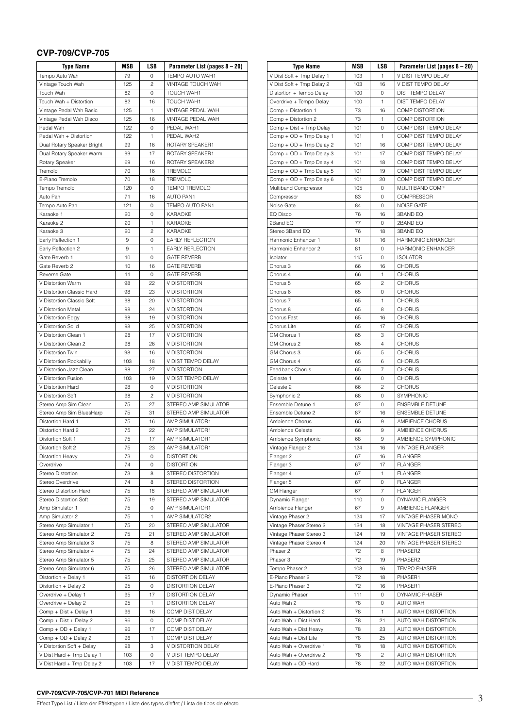# **CVP-709/CVP-705**

| <b>Type Name</b>                      | MSB      | LSB            | Parameter List (pages 8 - 20)       |
|---------------------------------------|----------|----------------|-------------------------------------|
| Tempo Auto Wah                        | 79       | 0              | TEMPO AUTO WAH1                     |
| Vintage Touch Wah                     | 125      | 2              | VINTAGE TOUCH WAH                   |
| Touch Wah                             | 82       | 0              | TOUCH WAH1                          |
| Touch Wah + Distortion                | 82       | 16             | <b>TOUCH WAH1</b>                   |
| Vintage Pedal Wah Basic               | 125      | 1              | VINTAGE PEDAL WAH                   |
| Vintage Pedal Wah Disco               | 125      | 16             | <b>VINTAGE PEDAL WAH</b>            |
| Pedal Wah                             | 122      | 0              | PEDAL WAH1                          |
| Pedal Wah + Distortion                | 122      | 1              | PEDAL WAH2                          |
| Dual Rotary Speaker Bright            | 99       | 16             | ROTARY SPEAKER1                     |
| Dual Rotary Speaker Warm              | 99       | 17             | ROTARY SPEAKER1                     |
| Rotary Speaker                        | 69       | 16             | ROTARY SPEAKER2                     |
| Tremolo                               | 70       | 16             | <b>TREMOLO</b>                      |
| E-Piano Tremolo                       | 70       | 18             | <b>TREMOLO</b>                      |
| Tempo Tremolo                         | 120      | 0              | <b>TEMPO TREMOLO</b>                |
| Auto Pan                              | 71       | 16             | <b>AUTO PAN1</b>                    |
| Tempo Auto Pan                        | 121      | 0              | TEMPO AUTO PAN1                     |
| Karaoke 1                             | 20       | 0              | <b>KARAOKE</b>                      |
| Karaoke 2                             | 20       | 1              | KARAOKE                             |
| Karaoke 3                             | 20       | $\overline{c}$ | <b>KARAOKE</b>                      |
| Early Reflection 1                    | 9        | 0              | EARLY REFLECTION                    |
| Early Reflection 2                    | 9        | 1              | EARLY REFLECTION                    |
| Gate Reverb 1                         | 10       | 0              | <b>GATE REVERB</b>                  |
| Gate Reverb 2                         | 10       | 16             | <b>GATE REVERB</b>                  |
| <b>Reverse Gate</b>                   | 11       | 0              | <b>GATE REVERB</b>                  |
| V Distortion Warm                     | 98       | 22             | V DISTORTION                        |
| V Distortion Classic Hard             | 98       | 23             | V DISTORTION                        |
| V Distortion Classic Soft             | 98       | 20             | V DISTORTION                        |
| V Distortion Metal                    | 98       | 24             | V DISTORTION                        |
| V Distortion Edgy                     | 98       | 19             | V DISTORTION                        |
| V Distortion Solid                    | 98       | 25             | V DISTORTION                        |
| V Distortion Clean 1                  | 98       | 17             | V DISTORTION                        |
| V Distortion Clean 2                  | 98       | 26             | V DISTORTION                        |
| V Distortion Twin                     | 98       | 16             | V DISTORTION                        |
| V Distortion Rockabilly               | 103      | 18             | V DIST TEMPO DELAY                  |
| V Distortion Jazz Clean               | 98       | 27             | V DISTORTION                        |
| V Distortion Fusion                   | 103      | 19             | V DIST TEMPO DELAY                  |
| V Distortion Hard                     | 98       | $\mathbf 0$    | V DISTORTION                        |
| V Distortion Soft                     | 98       | 2              | V DISTORTION                        |
| Stereo Amp Sim Clean                  | 75       | 27             | STEREO AMP SIMULATOR                |
| Stereo Amp Sim BluesHarp              | 75       | 31             | STEREO AMP SIMULATOR                |
| Distortion Hard 1                     | 75       | 16             | AMP SIMULATOR1                      |
| Distortion Hard 2                     | 75       | 22             | AMP SIMULATOR1                      |
| Distortion Soft 1                     | 75       | 17             | AMP SIMULATOR1                      |
| Distortion Soft 2<br>Distortion Heavy | 75<br>73 | 23<br>0        | AMP SIMULATOR1<br><b>DISTORTION</b> |
| Overdrive                             | 74       | 0              | <b>DISTORTION</b>                   |
| Stereo Distortion                     | 73       | 8              | STEREO DISTORTION                   |
| Stereo Overdrive                      | 74       | 8              | STEREO DISTORTION                   |
| Stereo Distortion Hard                | 75       | 18             | STEREO AMP SIMULATOR                |
| Stereo Distortion Soft                | 75       | 19             | STEREO AMP SIMULATOR                |
| Amp Simulator 1                       | 75       | 0              | AMP SIMULATOR1                      |
| Amp Simulator 2                       | 75       | 1              | AMP SIMULATOR2                      |
| Stereo Amp Simulator 1                | 75       | 20             | STEREO AMP SIMULATOR                |
| Stereo Amp Simulator 2                | 75       | 21             | STEREO AMP SIMULATOR                |
| Stereo Amp Simulator 3                | 75       | 8              | STEREO AMP SIMULATOR                |
| Stereo Amp Simulator 4                | 75       | 24             | STEREO AMP SIMULATOR                |
| Stereo Amp Simulator 5                | 75       | 25             | STEREO AMP SIMULATOR                |
| Stereo Amp Simulator 6                | 75       | 26             | STEREO AMP SIMULATOR                |
| Distortion + Delay 1                  | 95       | 16             | <b>DISTORTION DELAY</b>             |
| Distortion + Delay 2                  | 95       | 0              | DISTORTION DELAY                    |
| Overdrive + Delay 1                   | 95       | 17             | DISTORTION DELAY                    |
| Overdrive + Delay 2                   | 95       | $\mathbf{1}$   | DISTORTION DELAY                    |
| Comp + Dist + Delay 1                 | 96       | 16             | COMP DIST DELAY                     |
| Comp + Dist + Delay 2                 | 96       | 0              | COMP DIST DELAY                     |
| Comp + OD + Delay 1                   | 96       | 17             | COMP DIST DELAY                     |
| Comp + OD + Delay 2                   | 96       | 1              | COMP DIST DELAY                     |
| V Distortion Soft + Delay             | 98       | 3              | V DISTORTION DELAY                  |
| V Dist Hard + Tmp Delay 1             | 103      | 0              | V DIST TEMPO DELAY                  |
| V Dist Hard + Tmp Delay 2             | 103      | 17             | V DIST TEMPO DELAY                  |

| <b>Type Name</b>                                   | MSB        | LSB            | Parameter List (pages 8 – 20)                  |
|----------------------------------------------------|------------|----------------|------------------------------------------------|
| V Dist Soft + Tmp Delay 1                          | 103        | 1              | V DIST TEMPO DELAY                             |
| V Dist Soft + Tmp Delay 2                          | 103        | 16             | V DIST TEMPO DELAY                             |
| Distortion + Tempo Delay                           | 100        | 0              | <b>DIST TEMPO DELAY</b>                        |
| Overdrive + Tempo Delay                            | 100        | $\mathbf{1}$   | DIST TEMPO DELAY                               |
| Comp + Distortion 1                                | 73         | 16             | COMP DISTORTION                                |
| Comp + Distortion 2                                | 73         | 1              | <b>COMP DISTORTION</b>                         |
| Comp + Dist + Tmp Delay                            | 101        | 0              | COMP DIST TEMPO DELAY                          |
| Comp + OD + Tmp Delay 1                            | 101        | 1              | COMP DIST TEMPO DELAY                          |
| Comp + OD + Tmp Delay 2                            | 101        | 16             | COMP DIST TEMPO DELAY                          |
| Comp + OD + Tmp Delay 3                            | 101        | 17             | COMP DIST TEMPO DELAY                          |
| Comp + OD + Tmp Delay 4                            | 101<br>101 | 18             | COMP DIST TEMPO DELAY                          |
| Comp + OD + Tmp Delay 5<br>Comp + OD + Tmp Delay 6 |            | 19<br>20       | COMP DIST TEMPO DELAY<br>COMP DIST TEMPO DELAY |
| Multiband Compressor                               | 101<br>105 | 0              | MULTI BAND COMP                                |
| Compressor                                         | 83         | 0              | <b>COMPRESSOR</b>                              |
| Noise Gate                                         | 84         | 0              | <b>NOISE GATE</b>                              |
| EQ Disco                                           | 76         | 16             | 3BAND EQ                                       |
| 2Band EQ                                           | 77         | 0              | 2BAND EQ                                       |
| Stereo 3Band EQ                                    | 76         | 18             | 3BAND EQ                                       |
| Harmonic Enhancer 1                                | 81         | 16             | HARMONIC ENHANCER                              |
| Harmonic Enhancer 2                                | 81         | 0              | <b>HARMONIC ENHANCER</b>                       |
| Isolator                                           | 115        | 0              | <b>ISOLATOR</b>                                |
| Chorus 3                                           | 66         | 16             | <b>CHORUS</b>                                  |
| Chorus 4                                           | 66         | 1              | <b>CHORUS</b>                                  |
| Chorus 5                                           | 65         | $\overline{c}$ | <b>CHORUS</b>                                  |
| Chorus 6                                           | 65         | 0              | <b>CHORUS</b>                                  |
| Chorus 7                                           | 65         | 1              | <b>CHORUS</b>                                  |
| Chorus 8                                           | 65         | 8              | <b>CHORUS</b>                                  |
| Chorus Fast                                        | 65         | 16             | <b>CHORUS</b>                                  |
| Chorus Lite                                        | 65         | 17             | <b>CHORUS</b>                                  |
| GM Chorus 1                                        | 65         | 3              | <b>CHORUS</b>                                  |
| GM Chorus 2                                        | 65         | 4              | <b>CHORUS</b>                                  |
| GM Chorus 3                                        | 65         | 5              | <b>CHORUS</b>                                  |
| GM Chorus 4                                        | 65         | 6              | <b>CHORUS</b>                                  |
| Feedback Chorus                                    | 65         | 7              | <b>CHORUS</b>                                  |
| Celeste 1                                          | 66         | 0              | <b>CHORUS</b>                                  |
| Celeste 2                                          | 66         | 2              | <b>CHORUS</b>                                  |
| Symphonic 2<br>Ensemble Detune 1                   | 68<br>87   | 0<br>0         | SYMPHONIC<br><b>ENSEMBLE DETUNE</b>            |
| Ensemble Detune 2                                  | 87         | 16             | <b>ENSEMBLE DETUNE</b>                         |
| Ambience Chorus                                    | 65         | 9              | AMBIENCE CHORUS                                |
| Ambience Celeste                                   | 66         | 9              | AMBIENCE CHORUS                                |
| Ambience Symphonic                                 | 68         | 9              | AMBIENCE SYMPHONIC                             |
| Vintage Flanger 2                                  | 124        | 16             | VINTAGE FLANGER                                |
| Flanger 2                                          | 67         | 16             | <b>FLANGER</b>                                 |
| Flanger 3                                          | 67         | 17             | <b>FLANGER</b>                                 |
| Flanger 4                                          | 67         | $\mathbf{1}$   | <b>FLANGER</b>                                 |
| Flanger 5                                          | 67         | 0              | <b>FLANGER</b>                                 |
| <b>GM Flanger</b>                                  | 67         | $\overline{7}$ | <b>FLANGER</b>                                 |
| Dynamic Flanger                                    | 110        | 0              | DYNAMIC FLANGER                                |
| Ambience Flanger                                   | 67         | 9              | AMBIENCE FLANGER                               |
| Vintage Phaser 2                                   | 124        | 17             | VINTAGE PHASER MONO                            |
| Vintage Phaser Stereo 2                            | 124        | 18             | VINTAGE PHASER STEREO                          |
| Vintage Phaser Stereo 3                            | 124        | 19             | VINTAGE PHASER STEREO                          |
| Vintage Phaser Stereo 4                            | 124        | 20             | VINTAGE PHASER STEREO                          |
| Phaser 2                                           | 72         | 8              | PHASER2                                        |
| Phaser 3                                           | 72         | 19             | PHASER2                                        |
| Tempo Phaser 2                                     | 108        | 16             | <b>TEMPO PHASER</b>                            |
| E-Piano Phaser 2                                   | 72         | 18             | PHASER1                                        |
| E-Piano Phaser 3                                   | 72         | 16             | PHASER1                                        |
| Dynamic Phaser                                     | 111        | 0              | DYNAMIC PHASER                                 |
| Auto Wah 2                                         | 78         | 0              | <b>AUTO WAH</b>                                |
| Auto Wah + Distortion 2                            | 78         | 1<br>21        | AUTO WAH DISTORTION<br>AUTO WAH DISTORTION     |
| Auto Wah + Dist Hard                               | 78         |                | AUTO WAH DISTORTION                            |
| Auto Wah + Dist Heavy<br>Auto Wah + Dist Lite      | 78<br>78   | 23<br>25       | AUTO WAH DISTORTION                            |
| Auto Wah + Overdrive 1                             | 78         | 18             | AUTO WAH DISTORTION                            |
| Auto Wah + Overdrive 2                             | 78         | $\overline{c}$ | AUTO WAH DISTORTION                            |
| Auto Wah + OD Hard                                 | 78         | 22             | AUTO WAH DISTORTION                            |
|                                                    |            |                |                                                |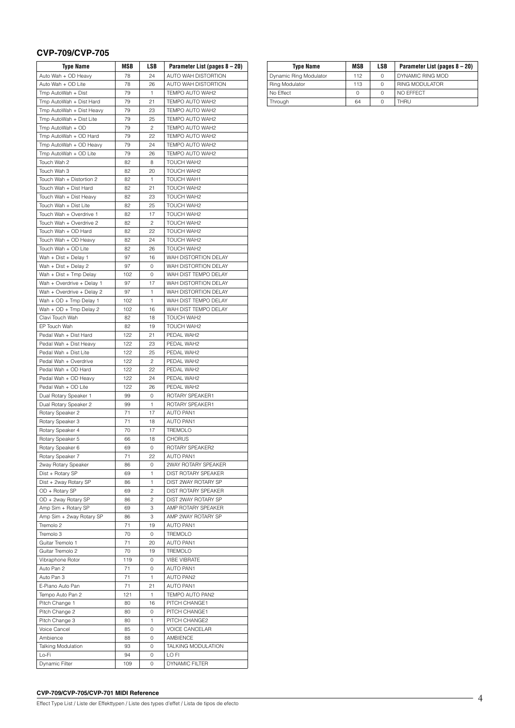# **CVP-709/CVP-705**

| <b>Type Name</b>                                  | MSB      | LSB          | Parameter List (pages 8 – 20)          |
|---------------------------------------------------|----------|--------------|----------------------------------------|
| Auto Wah + OD Heavy                               | 78       | 24           | AUTO WAH DISTORTION                    |
| Auto Wah + OD Lite                                | 78       | 26           | AUTO WAH DISTORTION                    |
| Tmp AutoWah + Dist                                | 79       | $\mathbf{1}$ | TEMPO AUTO WAH2                        |
| Tmp AutoWah + Dist Hard                           | 79       | 21           | TEMPO AUTO WAH2                        |
| Tmp AutoWah + Dist Heavy                          | 79       | 23           | TEMPO AUTO WAH2                        |
| Tmp AutoWah + Dist Lite                           | 79       | 25           | TEMPO AUTO WAH2                        |
| Tmp AutoWah + OD                                  | 79       | 2            | TEMPO AUTO WAH2                        |
| Tmp AutoWah + OD Hard                             | 79       | 22           | TEMPO AUTO WAH2                        |
| Tmp AutoWah + OD Heavy                            | 79       | 24           | TEMPO AUTO WAH2                        |
| Tmp AutoWah + OD Lite                             | 79       | 26           | TEMPO AUTO WAH2                        |
| Touch Wah 2                                       | 82       | 8            | TOUCH WAH2                             |
| Touch Wah 3                                       | 82       | 20           | TOUCH WAH2                             |
| Touch Wah + Distortion 2<br>Touch Wah + Dist Hard | 82<br>82 | 1<br>21      | TOUCH WAH1<br>TOUCH WAH2               |
| Touch Wah + Dist Heavy                            | 82       | 23           | TOUCH WAH2                             |
| Touch Wah + Dist Lite                             | 82       | 25           | TOUCH WAH2                             |
| Touch Wah + Overdrive 1                           | 82       | 17           | TOUCH WAH2                             |
| Touch Wah + Overdrive 2                           | 82       | 2            | TOUCH WAH2                             |
| Touch Wah + OD Hard                               | 82       | 22           | TOUCH WAH2                             |
| Touch Wah + OD Heavy                              | 82       | 24           | TOUCH WAH2                             |
| Touch Wah + OD Lite                               | 82       | 26           | TOUCH WAH2                             |
| Wah + Dist + Delay 1                              | 97       | 16           | WAH DISTORTION DELAY                   |
| Wah + Dist + Delay 2                              | 97       | 0            | WAH DISTORTION DELAY                   |
| Wah + Dist + Tmp Delay                            | 102      | 0            | WAH DIST TEMPO DELAY                   |
| Wah + Overdrive + Delay 1                         | 97       | 17           | WAH DISTORTION DELAY                   |
| Wah + Overdrive + Delay 2                         | 97       | 1            | WAH DISTORTION DELAY                   |
| Wah + OD + Tmp Delay 1                            | 102      | 1            | WAH DIST TEMPO DELAY                   |
| Wah + OD + Tmp Delay 2                            | 102      | 16           | WAH DIST TEMPO DELAY                   |
| Clavi Touch Wah                                   | 82       | 18           | TOUCH WAH2                             |
| EP Touch Wah                                      | 82       | 19           | TOUCH WAH2                             |
| Pedal Wah + Dist Hard                             | 122      | 21           | PEDAL WAH2                             |
| Pedal Wah + Dist Heavy                            | 122      | 23           | PEDAL WAH2                             |
| Pedal Wah + Dist Lite                             | 122      | 25           | PEDAL WAH2                             |
| Pedal Wah + Overdrive                             | 122      | 2            | PEDAL WAH2                             |
| Pedal Wah + OD Hard                               | 122      | 22           | PEDAL WAH2                             |
| Pedal Wah + OD Heavy                              | 122      | 24           | PEDAL WAH2                             |
| Pedal Wah + OD Lite                               | 122      | 26           | PEDAL WAH2                             |
| Dual Rotary Speaker 1                             | 99       | 0            | ROTARY SPEAKER1                        |
| Dual Rotary Speaker 2                             | 99       | 1            | ROTARY SPEAKER1                        |
| Rotary Speaker 2                                  | 71       | 17           | <b>AUTO PAN1</b>                       |
| Rotary Speaker 3                                  | 71       | 18           | <b>AUTO PAN1</b>                       |
| Rotary Speaker 4                                  | 70       | 17           | TREMOLO                                |
| Rotary Speaker 5                                  | 66       | 18           | <b>CHORUS</b>                          |
| Rotary Speaker 6                                  | 69       | 0            | ROTARY SPEAKER2                        |
| Rotary Speaker 7                                  | 71       | 22           | <b>AUTO PAN1</b>                       |
| 2way Rotary Speaker                               | 86       | 0            | 2WAY ROTARY SPEAKER                    |
| Dist + Rotary SP                                  | 69       | 1            | DIST ROTARY SPEAKER                    |
| Dist + 2way Rotary SP                             | 86       | 1            | DIST 2WAY ROTARY SP                    |
| OD + Rotary SP                                    | 69       | 2            | DIST ROTARY SPEAKER                    |
| OD + 2way Rotary SP                               | 86       | 2            | DIST 2WAY ROTARY SP                    |
| Amp Sim + Rotary SP                               | 69       | 3            | AMP ROTARY SPEAKER                     |
| Amp Sim + 2way Rotary SP<br>Tremolo 2             | 86       | 3            | AMP 2WAY ROTARY SP<br><b>AUTO PAN1</b> |
|                                                   | 71       | 19           |                                        |
| Tremolo 3<br>Guitar Tremolo 1                     | 70<br>71 | 0<br>20      | TREMOLO<br><b>AUTO PAN1</b>            |
| Guitar Tremolo 2                                  | 70       | 19           | <b>TREMOLO</b>                         |
| Vibraphone Rotor                                  | 119      | 0            | <b>VIBE VIBRATE</b>                    |
| Auto Pan 2                                        | 71       | 0            | <b>AUTO PAN1</b>                       |
| Auto Pan 3                                        | 71       | $\mathbf{1}$ | <b>AUTO PAN2</b>                       |
| E-Piano Auto Pan                                  | 71       | 21           | AUTO PAN1                              |
| Tempo Auto Pan 2                                  | 121      | 1            | TEMPO AUTO PAN2                        |
| Pitch Change 1                                    | 80       | 16           | PITCH CHANGE1                          |
| Pitch Change 2                                    | 80       | 0            | PITCH CHANGE1                          |
| Pitch Change 3                                    | 80       | 1            | PITCH CHANGE2                          |
| Voice Cancel                                      | 85       | 0            | <b>VOICE CANCELAR</b>                  |
| Ambience                                          | 88       | 0            | AMBIENCE                               |
| <b>Talking Modulation</b>                         | 93       | 0            | TALKING MODULATION                     |
| Lo-Fi                                             | 94       | 0            | LO FI                                  |
| Dynamic Filter                                    | 109      | 0            | <b>DYNAMIC FILTER</b>                  |

| <b>Type Name</b>       | MSB | LSB | Parameter List (pages 8 – 20) |
|------------------------|-----|-----|-------------------------------|
| Dynamic Ring Modulator | 112 | O   | DYNAMIC RING MOD              |
| Ring Modulator         | 113 |     | <b>RING MODULATOR</b>         |
| No Effect              | 0   | O   | NO EFFECT                     |
| Through                | 64  |     | <b>THRU</b>                   |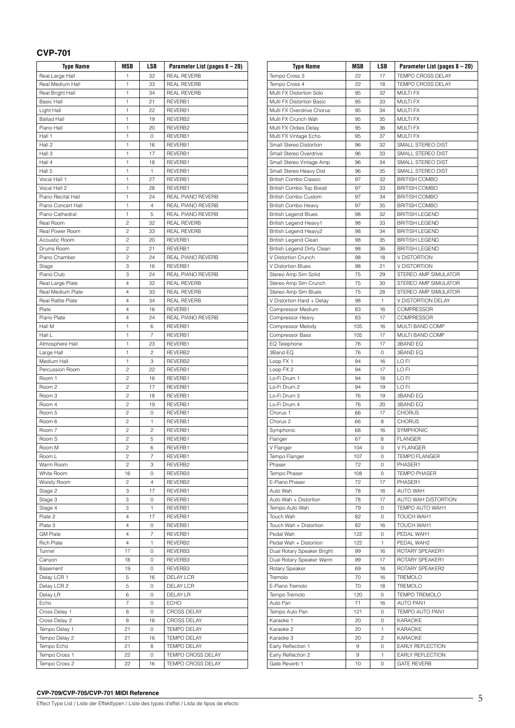### **CVP-701**

| <b>Type Name</b>         | MSB            | LSB            | Parameter List (pages 8 – 20) |
|--------------------------|----------------|----------------|-------------------------------|
| Real Large Hall          | 1              | 32             | <b>REAL REVERB</b>            |
| Real Medium Hall         | 1              | 33             | <b>REAL REVERB</b>            |
| Real Bright Hall         | 1              | 34             | <b>REAL REVERB</b>            |
| <b>Basic Hall</b>        | 1              | 21             | REVERB1                       |
| Light Hall               | 1              | 22             | REVERB1                       |
| <b>Ballad Hall</b>       | 1              | 19             | REVERB2                       |
| Piano Hall               | 1              | 20             | REVERB2                       |
|                          |                |                |                               |
| Hall 1                   | 1              | 0              | REVERB1                       |
| Hall 2                   | 1              | 16             | REVERB1                       |
| Hall 3                   | 1              | 17             | REVERB1                       |
| Hall 4                   | 1              | 18             | REVERB1                       |
| Hall 5                   | 1              | 1              | REVERB1                       |
| Vocal Hall 1             | 1              | 27             | REVERB1                       |
| Vocal Hall 2             | 1              | 28             | REVERB1                       |
| Piano Recital Hall       | 1              | 24             | REAL PIANO REVERB             |
| Piano Concert Hall       | 1              | 4              | REAL PIANO REVERB             |
| Piano Cathedral          | 1              | 5              | REAL PIANO REVERB             |
| Real Room                | 2              | 32             | <b>REAL REVERB</b>            |
| Real Power Room          | $\overline{c}$ | 33             | <b>REAL REVERB</b>            |
| Acoustic Room            | $\overline{c}$ | 20             | REVERB1                       |
| Drums Room               | 2              | 21             | REVERB1                       |
| Piano Chamber            | $\overline{c}$ | 24             | REAL PIANO REVERB             |
|                          |                |                |                               |
| Stage                    | 3              | 16             | REVERB1                       |
| Piano Club               | 3              | 24             | REAL PIANO REVERB             |
| Real Large Plate         | 4              | 32             | <b>REAL REVERB</b>            |
| Real Medium Plate        | 4              | 33             | <b>REAL REVERB</b>            |
| <b>Real Rattle Plate</b> | $\overline{4}$ | 34             | <b>REAL REVERB</b>            |
| Plate                    | 4              | 16             | REVERB1                       |
| Piano Plate              | 4              | 24             | REAL PIANO REVERB             |
| Hall M                   | 1              | 6              | REVERB1                       |
| Hall L                   | 1              | $\overline{7}$ | REVERB1                       |
| Atmosphere Hall          | 1              | 23             | REVERB1                       |
| Large Hall               | 1              | 2              | REVERB2                       |
| Medium Hall              | 1              | 3              | REVERB2                       |
| Percussion Room          | $\overline{c}$ | 22             | REVERB1                       |
|                          |                |                |                               |
| Room 1                   | 2              | 16             | REVERB1                       |
| Room 2                   | $\overline{c}$ | 17             | REVERB1                       |
| Room 3                   | $\overline{c}$ | 18             | REVERB1                       |
| Room 4                   | 2              | 19             | REVERB1                       |
| Room 5                   | $\overline{c}$ | $\mathbf 0$    | REVERB1                       |
| Room 6                   | $\overline{c}$ | 1              | REVERB1                       |
| Room 7                   | 2              | 2              | REVERB1                       |
| Room S                   | $\overline{c}$ | 5              | REVERB1                       |
| Room M                   | $\overline{c}$ | 6              | REVERB1                       |
| Room L                   | 2              | 7              | REVERB1                       |
| Warm Room                | $\overline{c}$ | 3              | REVERB2                       |
| White Room               | 16             | 0              | REVERB3                       |
| Woody Room               | 2              | $\overline{4}$ | REVERB2                       |
| Stage 2                  | 3              | 17             | REVERB1                       |
| Stage 3                  | 3              | 0              | REVERB1                       |
|                          |                |                |                               |
| Stage 4                  | 3              | 1              | REVERB1                       |
| Plate 2                  | 4              | 17             | REVERB1                       |
| Plate 3                  | 4              | 0              | REVERB1                       |
| <b>GM Plate</b>          | 4              | 7              | REVERB1                       |
| <b>Rich Plate</b>        | $\overline{4}$ | 1              | REVERB2                       |
| Tunnel                   | 17             | 0              | REVERB3                       |
| Canyon                   | 18             | 0              | REVERB3                       |
| Basement                 | 19             | 0              | REVERB3                       |
| Delay LCR 1              | 5              | 16             | <b>DELAY LCR</b>              |
| Delay LCR 2              | 5              | 0              | DELAY LCR                     |
| Delay LR                 | 6              | 0              | <b>DELAY LR</b>               |
| Echo                     | 7              | 0              | <b>ECHO</b>                   |
|                          |                |                |                               |
| Cross Delay 1            | 8              | 0              | CROSS DELAY                   |
| Cross Delay 2            | 8              | 16             | <b>CROSS DELAY</b>            |
| Tempo Delay 1            | 21             | 0              | <b>TEMPO DELAY</b>            |
| Tempo Delay 2            | 21             | 16             | <b>TEMPO DELAY</b>            |
| Tempo Echo               | 21             | 8              | <b>TEMPO DELAY</b>            |
| Tempo Cross 1            | 22             | 0              | TEMPO CROSS DELAY             |
| Tempo Cross 2            | 22             | 16             | TEMPO CROSS DELAY             |

| <b>Type Name</b>                                  | MSB      | LSB          | Parameter List (pages 8 - 20)          |
|---------------------------------------------------|----------|--------------|----------------------------------------|
| Tempo Cross 3                                     | 22       | 17           | TEMPO CROSS DELAY                      |
| Tempo Cross 4                                     | 22       | 18           | TEMPO CROSS DELAY                      |
| Multi FX Distortion Solo                          | 95       | 32           | <b>MULTI FX</b>                        |
| Multi FX Distortion Basic                         | 95       | 33           | <b>MULTI FX</b>                        |
| Multi FX Overdrive Chorus                         | 95       | 34           | <b>MULTI FX</b>                        |
| Multi FX Crunch Wah                               | 95       | 35           | <b>MULTI FX</b>                        |
| Multi FX Oldies Delay                             | 95       | 36           | <b>MULTI FX</b>                        |
| Multi FX Vintage Echo                             | 95<br>96 | 37           | <b>MULTI FX</b>                        |
| Small Stereo Distortion<br>Small Stereo Overdrive | 96       | 32<br>33     | SMALL STEREO DIST<br>SMALL STEREO DIST |
| Small Stereo Vintage Amp                          | 96       | 34           | SMALL STEREO DIST                      |
| Small Stereo Heavy Dist                           | 96       | 35           | SMALL STEREO DIST                      |
| <b>British Combo Classic</b>                      | 97       | 32           | <b>BRITISH COMBO</b>                   |
| British Combo Top Boost                           | 97       | 33           | <b>BRITISH COMBO</b>                   |
| <b>British Combo Custom</b>                       | 97       | 34           | <b>BRITISH COMBO</b>                   |
| British Combo Heavy                               | 97       | 35           | <b>BRITISH COMBO</b>                   |
| <b>British Legend Blues</b>                       | 98       | 32           | <b>BRITISH LEGEND</b>                  |
| British Legend Heavy1                             | 98       | 33           | <b>BRITISH LEGEND</b>                  |
| British Legend Heavy2                             | 98       | 34           | <b>BRITISH LEGEND</b>                  |
| <b>British Legend Clean</b>                       | 98       | 35           | <b>BRITISH LEGEND</b>                  |
| British Legend Dirty Clean                        | 98       | 36           | <b>BRITISH LEGEND</b>                  |
| V Distortion Crunch                               | 98       | 18           | V DISTORTION                           |
| V Distortion Blues                                | 98       | 21           | V DISTORTION                           |
| Stereo Amp Sim Solid                              | 75       | 29           | STEREO AMP SIMULATOR                   |
| Stereo Amp Sim Crunch                             | 75       | 30           | STEREO AMP SIMULATOR                   |
| Stereo Amp Sim Blues                              | 75       | 28           | STEREO AMP SIMULATOR                   |
| V Distortion Hard + Delay                         | 98       | 1            | V DISTORTION DELAY                     |
| Compressor Medium                                 | 83       | 16           | <b>COMPRESSOR</b>                      |
| Compressor Heavy                                  | 83       | 17           | COMPRESSOR                             |
| Compressor Melody                                 | 105      | 16           | MULTI BAND COMP                        |
| Compressor Bass                                   | 105      | 17           | MULTI BAND COMP                        |
| EQ Telephone                                      | 76       | 17           | <b>3BAND EQ</b>                        |
| 3Band EQ                                          | 76       | 0            | 3BAND EQ                               |
| Loop FX 1                                         | 94       | 16           | LO FI                                  |
| Loop FX 2<br>Lo-Fi Drum 1                         | 94<br>94 | 17<br>18     | LO FI<br>LO FI                         |
| Lo-Fi Drum 2                                      | 94       | 19           | LO FI                                  |
| Lo-Fi Drum 3                                      | 76       | 19           | 3BAND EQ                               |
| Lo-Fi Drum 4                                      | 76       | 20           | 3BAND EQ                               |
| Chorus 1                                          | 66       | 17           | <b>CHORUS</b>                          |
| Chorus <sub>2</sub>                               | 66       | 8            | <b>CHORUS</b>                          |
| Symphonic                                         | 68       | 16           | SYMPHONIC                              |
| Flanger                                           | 67       | 8            | <b>FLANGER</b>                         |
| V Flanger                                         | 104      | 0            | <b>V FLANGER</b>                       |
| Tempo Flanger                                     | 107      | 0            | <b>TEMPO FLANGER</b>                   |
| Phaser                                            | 72       | 0            | PHASER1                                |
| Tempo Phaser                                      | 108      | 0            | <b>TEMPO PHASER</b>                    |
| E-Piano Phaser                                    | 72       | 17           | PHASER1                                |
| Auto Wah                                          | 78       | 16           | <b>AUTO WAH</b>                        |
| Auto Wah + Distortion                             | 78       | 17           | AUTO WAH DISTORTION                    |
| Tempo Auto Wah                                    | 79       | 0            | TEMPO AUTO WAH1                        |
| Touch Wah                                         | 82       | 0            | TOUCH WAH1                             |
| Touch Wah + Distortion                            | 82       | 16           | TOUCH WAH1                             |
| Pedal Wah                                         | 122      | 0            | PEDAL WAH1                             |
| Pedal Wah + Distortion                            | 122      | $\mathbf{1}$ | PEDAL WAH2                             |
| Dual Rotary Speaker Bright                        | 99       | 16           | ROTARY SPEAKER1                        |
| Dual Rotary Speaker Warm                          | 99<br>69 | 17<br>16     | ROTARY SPEAKER1<br>ROTARY SPEAKER2     |
| Rotary Speaker<br>Tremolo                         | 70       | 16           | <b>TREMOLO</b>                         |
| E-Piano Tremolo                                   | 70       | 18           | TREMOLO                                |
| Tempo Tremolo                                     | 120      | 0            | <b>TEMPO TREMOLO</b>                   |
| Auto Pan                                          | 71       | 16           | AUTO PAN1                              |
| Tempo Auto Pan                                    | 121      | 0            | TEMPO AUTO PAN1                        |
| Karaoke 1                                         | 20       | 0            | KARAOKE                                |
| Karaoke 2                                         | 20       | 1            | KARAOKE                                |
| Karaoke 3                                         | 20       | 2            | KARAOKE                                |
| Early Reflection 1                                | 9        | 0            | EARLY REFLECTION                       |
| Early Reflection 2                                | 9        | 1            | EARLY REFLECTION                       |
| Gate Reverb 1                                     | 10       | 0            | <b>GATE REVERB</b>                     |
|                                                   |          |              |                                        |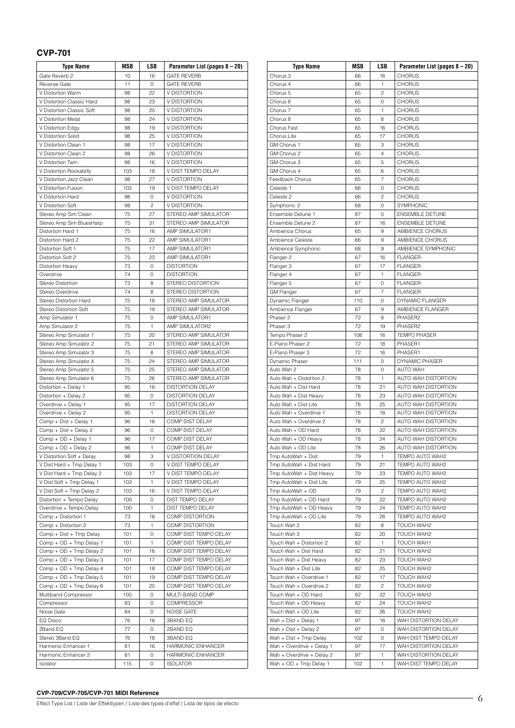### **CVP-701**

| <b>Type Name</b>                               | MSB       | LSB            | Parameter List (pages 8 - 20)                 |
|------------------------------------------------|-----------|----------------|-----------------------------------------------|
| Gate Reverb 2                                  | 10        | 16             | <b>GATE REVERB</b>                            |
| <b>Reverse Gate</b>                            | 11        | 0              | <b>GATE REVERB</b>                            |
| V Distortion Warm                              | 98        | 22             | V DISTORTION                                  |
| V Distortion Classic Hard                      | 98        | 23             | V DISTORTION                                  |
| V Distortion Classic Soft                      | 98        | 20             | V DISTORTION                                  |
| V Distortion Metal                             | 98        | 24             | V DISTORTION                                  |
| V Distortion Edgy                              | 98        | 19             | <b>V DISTORTION</b>                           |
| V Distortion Solid                             | 98        | 25             | V DISTORTION                                  |
| V Distortion Clean 1                           | 98        | 17             | V DISTORTION                                  |
| V Distortion Clean 2                           | 98        | 26             | V DISTORTION                                  |
| V Distortion Twin                              | 98        | 16             | V DISTORTION                                  |
| V Distortion Rockabilly                        | 103       | 18             | V DIST TEMPO DELAY<br>V DISTORTION            |
| V Distortion Jazz Clean<br>V Distortion Fusion | 98<br>103 | 27<br>19       | V DIST TEMPO DELAY                            |
| V Distortion Hard                              | 98        | 0              | V DISTORTION                                  |
| V Distortion Soft                              | 98        | $\overline{c}$ | V DISTORTION                                  |
| Stereo Amp Sim Clean                           | 75        | 27             | STEREO AMP SIMULATOR                          |
| Stereo Amp Sim BluesHarp                       | 75        | 31             | STEREO AMP SIMULATOR                          |
| Distortion Hard 1                              | 75        | 16             | AMP SIMULATOR1                                |
| Distortion Hard 2                              | 75        | 22             | AMP SIMULATOR1                                |
| Distortion Soft 1                              | 75        | 17             | AMP SIMULATOR1                                |
| Distortion Soft 2                              | 75        | 23             | AMP SIMULATOR1                                |
| Distortion Heavy                               | 73        | 0              | <b>DISTORTION</b>                             |
| Overdrive                                      | 74        | 0              | <b>DISTORTION</b>                             |
| <b>Stereo Distortion</b>                       | 73        | 8              | <b>STEREO DISTORTION</b>                      |
| Stereo Overdrive                               | 74        | 8              | <b>STEREO DISTORTION</b>                      |
| Stereo Distortion Hard                         | 75        | 18             | STEREO AMP SIMULATOR                          |
| Stereo Distortion Soft                         | 75        | 19             | STEREO AMP SIMULATOR                          |
| Amp Simulator 1                                | 75        | 0              | AMP SIMULATOR1                                |
| Amp Simulator 2                                | 75        | 1              | AMP SIMULATOR2                                |
| Stereo Amp Simulator 1                         | 75        | 20             | STEREO AMP SIMULATOR                          |
| Stereo Amp Simulator 2                         | 75        | 21             | STEREO AMP SIMULATOR                          |
| Stereo Amp Simulator 3                         | 75        | 8              | STEREO AMP SIMULATOR                          |
| Stereo Amp Simulator 4                         | 75        | 24             | STEREO AMP SIMULATOR                          |
| Stereo Amp Simulator 5                         | 75        | 25             | STEREO AMP SIMULATOR                          |
| Stereo Amp Simulator 6                         | 75        | 26             | STEREO AMP SIMULATOR                          |
| Distortion + Delay 1                           | 95        | 16             | <b>DISTORTION DELAY</b>                       |
| Distortion + Delay 2                           | 95        | 0              | DISTORTION DELAY                              |
| Overdrive + Delay 1                            | 95        | 17<br>1        | <b>DISTORTION DELAY</b><br>DISTORTION DELAY   |
| Overdrive + Delay 2<br>Comp + Dist + Delay 1   | 95<br>96  | 16             | COMP DIST DELAY                               |
| Comp + Dist + Delay 2                          | 96        | 0              | COMP DIST DELAY                               |
| Comp + OD + Delay 1                            | 96        | 17             | COMP DIST DELAY                               |
| Comp + OD + Delay 2                            | 96        | 1              | COMP DIST DELAY                               |
| V Distortion Soft + Delay                      | 98        | 3              | V DISTORTION DELAY                            |
| V Dist Hard + Tmp Delay 1                      | 103       | 0              | V DIST TEMPO DELAY                            |
| V Dist Hard + Tmp Delay 2                      | 103       | 17             | V DIST TEMPO DELAY                            |
| V Dist Soft + Tmp Delay 1                      | 103       | 1              | V DIST TEMPO DELAY                            |
| V Dist Soft + Tmp Delay 2                      | 103       | 16             | V DIST TEMPO DELAY                            |
| Distortion + Tempo Delay                       | 100       | 0              | DIST TEMPO DELAY                              |
| Overdrive + Tempo Delay                        | 100       | 1              | DIST TEMPO DELAY                              |
| Comp + Distortion 1                            | 73        | 16             | COMP DISTORTION                               |
| Comp + Distortion 2                            | 73        | $\mathbf{1}$   | COMP DISTORTION                               |
| Comp + Dist + Tmp Delay                        | 101       | 0              | COMP DIST TEMPO DELAY                         |
| Comp + OD + Tmp Delay 1                        | 101       | $\mathbf{1}$   | COMP DIST TEMPO DELAY                         |
| Comp + OD + Tmp Delay 2                        | 101       | 16             | COMP DIST TEMPO DELAY                         |
| Comp + OD + Tmp Delay 3                        | 101       | 17             | COMP DIST TEMPO DELAY                         |
| Comp + OD + Tmp Delay 4                        | 101       | 18             | COMP DIST TEMPO DELAY                         |
| Comp + OD + Tmp Delay 5                        | 101       | 19             | COMP DIST TEMPO DELAY                         |
| Comp + OD + Tmp Delay 6                        | 101       | 20             | COMP DIST TEMPO DELAY                         |
| Multiband Compressor                           | 105       | 0              | MULTI BAND COMP                               |
| Compressor                                     | 83        | 0              | <b>COMPRESSOR</b>                             |
| Noise Gate                                     | 84        | 0              | <b>NOISE GATE</b>                             |
| EQ Disco                                       | 76        | 16             | <b>3BAND EQ</b>                               |
| 2Band EQ                                       | 77        | 0              | 2BAND EQ                                      |
| Stereo 3Band EQ<br>Harmonic Enhancer 1         | 76<br>81  | 18<br>16       | 3BAND EQ                                      |
| Harmonic Enhancer 2                            | 81        | 0              | HARMONIC ENHANCER<br><b>HARMONIC ENHANCER</b> |
| Isolator                                       | 115       | 0              | <b>ISOLATOR</b>                               |
|                                                |           |                |                                               |

| <b>Type Name</b>                              | MSB      | LSB            | Parameter List (pages 8 – 20)       |
|-----------------------------------------------|----------|----------------|-------------------------------------|
| Chorus 3                                      | 66       | 16             | <b>CHORUS</b>                       |
| Chorus 4                                      | 66       | 1              | <b>CHORUS</b>                       |
| Chorus 5                                      | 65       | $\overline{c}$ | <b>CHORUS</b>                       |
| Chorus <sub>6</sub>                           | 65       | 0              | <b>CHORUS</b>                       |
| Chorus <sub>7</sub>                           | 65       | 1              | <b>CHORUS</b>                       |
| Chorus 8                                      | 65       | 8              | <b>CHORUS</b>                       |
| Chorus Fast                                   | 65       | 16             | <b>CHORUS</b>                       |
| Chorus Lite                                   | 65       | 17             | <b>CHORUS</b>                       |
| GM Chorus 1                                   | 65       | 3              | <b>CHORUS</b>                       |
| GM Chorus 2                                   | 65       | $\overline{4}$ | <b>CHORUS</b>                       |
| GM Chorus 3                                   | 65       | 5              | <b>CHORUS</b>                       |
| GM Chorus 4                                   | 65       | 6              | <b>CHORUS</b>                       |
| Feedback Chorus                               | 65       | 7              | <b>CHORUS</b>                       |
| Celeste 1                                     | 66       | 0              | <b>CHORUS</b>                       |
| Celeste 2                                     | 66       | 2              | <b>CHORUS</b>                       |
| Symphonic 2<br>Ensemble Detune 1              | 68<br>87 | 0<br>0         | SYMPHONIC<br><b>ENSEMBLE DETUNE</b> |
| Ensemble Detune 2                             | 87       | 16             | <b>ENSEMBLE DETUNE</b>              |
| Ambience Chorus                               | 65       | 9              | AMBIENCE CHORUS                     |
| Ambience Celeste                              | 66       | 9              | AMBIENCE CHORUS                     |
| Ambience Symphonic                            | 68       | 9              | AMBIENCE SYMPHONIC                  |
| Flanger 2                                     | 67       | 16             | <b>FLANGER</b>                      |
| Flanger 3                                     | 67       | 17             | <b>FLANGER</b>                      |
| Flanger 4                                     | 67       | 1              | <b>FLANGER</b>                      |
| Flanger 5                                     | 67       | 0              | <b>FLANGER</b>                      |
| <b>GM Flanger</b>                             | 67       | 7              | <b>FLANGER</b>                      |
| Dynamic Flanger                               | 110      | 0              | DYNAMIC FLANGER                     |
| Ambience Flanger                              | 67       | 9              | AMBIENCE FLANGER                    |
| Phaser 2                                      | 72       | 8              | PHASER2                             |
| Phaser 3                                      | 72       | 19             | PHASER2                             |
| Tempo Phaser 2                                | 108      | 16             | <b>TEMPO PHASER</b>                 |
| E-Piano Phaser 2                              | 72       | 18             | PHASER1                             |
| E-Piano Phaser 3                              | 72       | 16             | PHASER1                             |
| Dynamic Phaser                                | 111      | 0              | <b>DYNAMIC PHASER</b>               |
| Auto Wah 2                                    | 78       | 0              | <b>AUTO WAH</b>                     |
| Auto Wah + Distortion 2                       | 78       | 1              | AUTO WAH DISTORTION                 |
| Auto Wah + Dist Hard                          | 78       | 21             | AUTO WAH DISTORTION                 |
| Auto Wah + Dist Heavy                         | 78       | 23             | AUTO WAH DISTORTION                 |
| Auto Wah + Dist Lite                          | 78       | 25             | AUTO WAH DISTORTION                 |
| Auto Wah + Overdrive 1                        | 78       | 18             | AUTO WAH DISTORTION                 |
| Auto Wah + Overdrive 2                        | 78       | 2              | AUTO WAH DISTORTION                 |
| Auto Wah + OD Hard                            | 78       | 22             | AUTO WAH DISTORTION                 |
| Auto Wah + OD Heavy                           | 78       | 24             | AUTO WAH DISTORTION                 |
| Auto Wah + OD Lite                            | 78       | 26             | AUTO WAH DISTORTION                 |
| Tmp AutoWah + Dist<br>Tmp AutoWah + Dist Hard | 79<br>79 | 1<br>21        | TEMPO AUTO WAH2<br>TEMPO AUTO WAH2  |
| Tmp AutoWah + Dist Heavy                      | 79       | 23             | TEMPO AUTO WAH2                     |
| Tmp AutoWah + Dist Lite                       | 79       | 25             | TEMPO AUTO WAH2                     |
| Tmp AutoWah + OD                              | 79       | 2              | TEMPO AUTO WAH2                     |
| Tmp AutoWah + OD Hard                         | 79       | 22             | TEMPO AUTO WAH2                     |
| Tmp AutoWah + OD Heavy                        | 79       | 24             | TEMPO AUTO WAH2                     |
| Tmp AutoWah + OD Lite                         | 79       | 26             | TEMPO AUTO WAH2                     |
| Touch Wah 2                                   | 82       | 8              | TOUCH WAH2                          |
| Touch Wah 3                                   | 82       | 20             | TOUCH WAH2                          |
| Touch Wah + Distortion 2                      | 82       | $\mathbf{1}$   | TOUCH WAH1                          |
| Touch Wah + Dist Hard                         | 82       | 21             | TOUCH WAH2                          |
| Touch Wah + Dist Heavy                        | 82       | 23             | TOUCH WAH2                          |
| Touch Wah + Dist Lite                         | 82       | 25             | TOUCH WAH2                          |
| Touch Wah + Overdrive 1                       | 82       | 17             | TOUCH WAH2                          |
| Touch Wah + Overdrive 2                       | 82       | 2              | TOUCH WAH2                          |
| Touch Wah + OD Hard                           | 82       | 22             | TOUCH WAH2                          |
| Touch Wah + OD Heavy                          | 82       | 24             | TOUCH WAH2                          |
| Touch Wah + OD Lite                           | 82       | 26             | TOUCH WAH2                          |
| Wah + Dist + Delay 1                          | 97       | 16             | WAH DISTORTION DELAY                |
| Wah + Dist + Delay 2                          | 97       | 0              | WAH DISTORTION DELAY                |
| Wah + Dist + Tmp Delay                        | 102      | 0              | WAH DIST TEMPO DELAY                |
| Wah + Overdrive + Delay 1                     | 97       | 17             | WAH DISTORTION DELAY                |
| Wah + Overdrive + Delay 2                     | 97       | 1              | WAH DISTORTION DELAY                |
| Wah + OD + Tmp Delay 1                        | 102      | 1              | WAH DIST TEMPO DELAY                |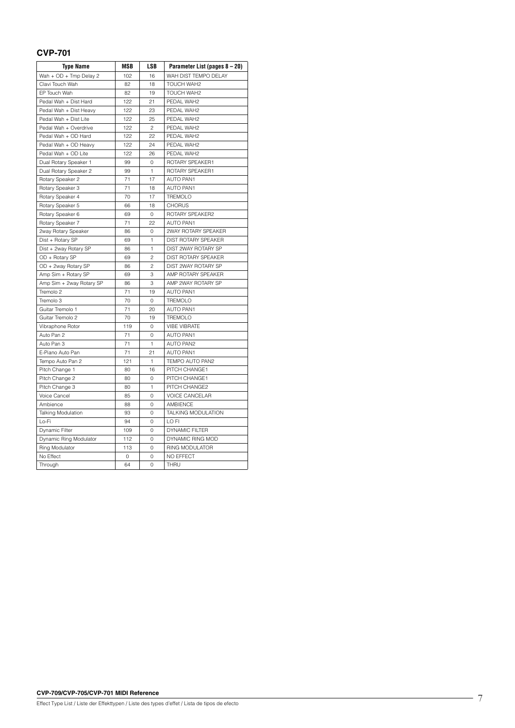### **CVP-701**

| <b>Type Name</b>          | MSB | LSB            | Parameter List (pages 8 - 20) |
|---------------------------|-----|----------------|-------------------------------|
| Wah + OD + Tmp Delay 2    | 102 | 16             | WAH DIST TEMPO DELAY          |
| Clavi Touch Wah           | 82  | 18             | <b>TOUCH WAH2</b>             |
| EP Touch Wah              | 82  | 19             | TOUCH WAH2                    |
| Pedal Wah + Dist Hard     | 122 | 21             | PEDAL WAH2                    |
| Pedal Wah + Dist Heavy    | 122 | 23             | PEDAL WAH2                    |
| Pedal Wah + Dist Lite     | 122 | 25             | PEDAL WAH2                    |
| Pedal Wah + Overdrive     | 122 | $\overline{c}$ | PEDAL WAH2                    |
| Pedal Wah + OD Hard       | 122 | 22             | PEDAL WAH2                    |
| Pedal Wah + OD Heavy      | 122 | 24             | PEDAL WAH2                    |
| Pedal Wah + OD Lite       | 122 | 26             | PEDAL WAH2                    |
| Dual Rotary Speaker 1     | 99  | 0              | ROTARY SPEAKER1               |
| Dual Rotary Speaker 2     | 99  | 1              | ROTARY SPEAKER1               |
| Rotary Speaker 2          | 71  | 17             | <b>AUTO PAN1</b>              |
| Rotary Speaker 3          | 71  | 18             | <b>AUTO PAN1</b>              |
| Rotary Speaker 4          | 70  | 17             | <b>TREMOLO</b>                |
| Rotary Speaker 5          | 66  | 18             | <b>CHORUS</b>                 |
| Rotary Speaker 6          | 69  | 0              | ROTARY SPEAKER2               |
| Rotary Speaker 7          | 71  | 22             | AUTO PAN1                     |
| 2way Rotary Speaker       | 86  | 0              | 2WAY ROTARY SPEAKER           |
| Dist + Rotary SP          | 69  | $\mathbf{1}$   | DIST ROTARY SPEAKER           |
| Dist + 2way Rotary SP     | 86  | 1              | DIST 2WAY ROTARY SP           |
| OD + Rotary SP            | 69  | $\overline{c}$ | <b>DIST ROTARY SPEAKER</b>    |
| OD + 2way Rotary SP       | 86  | $\overline{c}$ | DIST 2WAY ROTARY SP           |
| Amp Sim + Rotary SP       | 69  | 3              | AMP ROTARY SPEAKER            |
| Amp Sim + 2way Rotary SP  | 86  | 3              | AMP 2WAY ROTARY SP            |
| Tremolo <sub>2</sub>      | 71  | 19             | <b>AUTO PAN1</b>              |
| Tremolo 3                 | 70  | $\Omega$       | <b>TREMOLO</b>                |
| Guitar Tremolo 1          | 71  | 20             | <b>AUTO PAN1</b>              |
| Guitar Tremolo 2          | 70  | 19             | <b>TREMOLO</b>                |
| Vibraphone Rotor          | 119 | $\Omega$       | <b>VIBE VIBRATE</b>           |
| Auto Pan 2                | 71  | 0              | <b>AUTO PAN1</b>              |
| Auto Pan 3                | 71  | 1              | <b>AUTO PAN2</b>              |
| E-Piano Auto Pan          | 71  | 21             | <b>AUTO PAN1</b>              |
| Tempo Auto Pan 2          | 121 | 1              | TEMPO AUTO PAN2               |
| Pitch Change 1            | 80  | 16             | PITCH CHANGE1                 |
| Pitch Change 2            | 80  | 0              | PITCH CHANGE1                 |
| Pitch Change 3            | 80  | $\mathbf{1}$   | PITCH CHANGE2                 |
| <b>Voice Cancel</b>       | 85  | 0              | <b>VOICE CANCELAR</b>         |
| Ambience                  | 88  | 0              | <b>AMBIENCE</b>               |
| <b>Talking Modulation</b> | 93  | 0              | TALKING MODULATION            |
| Lo-Fi                     | 94  | 0              | LO FI                         |
| Dynamic Filter            | 109 | 0              | <b>DYNAMIC FILTER</b>         |
| Dynamic Ring Modulator    | 112 | 0              | DYNAMIC RING MOD              |
| Ring Modulator            | 113 | 0              | <b>RING MODULATOR</b>         |
| No Effect                 | 0   | 0              | NO EFFECT                     |
| Through                   | 64  | 0              | THRU                          |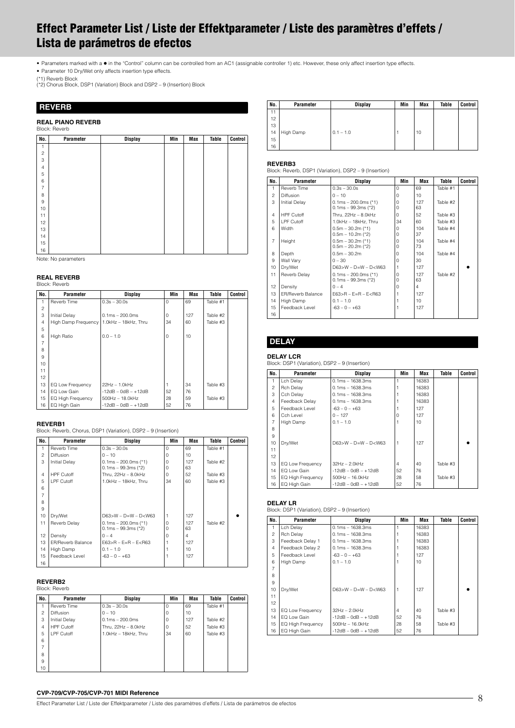# <span id="page-7-0"></span>**Effect Parameter List / Liste der Effektparameter / Liste des paramètres d'effets / Lista de parámetros de efectos**

• Parameters marked with a  $\bullet$  in the "Control" column can be controlled from an AC1 (assignable controller 1) etc. However, these only affect insertion type effects.

• Parameter 10 Dry/Wet only affects insertion type effects.

(\*1) Reverb Block (\*2) Chorus Block, DSP1 (Variation) Block and DSP2 – 9 (Insertion) Block

### <span id="page-7-1"></span>**REVERB**

### **REAL PIANO REVERB**

|                | Block: Reverb |                |     |     |       |         |
|----------------|---------------|----------------|-----|-----|-------|---------|
| No.            | Parameter     | <b>Display</b> | Min | Max | Table | Control |
| 1              |               |                |     |     |       |         |
| $\overline{c}$ |               |                |     |     |       |         |
| 3              |               |                |     |     |       |         |
| $\overline{4}$ |               |                |     |     |       |         |
| 5              |               |                |     |     |       |         |
| 6              |               |                |     |     |       |         |
| $\overline{7}$ |               |                |     |     |       |         |
| 8              |               |                |     |     |       |         |
| $\hbox{9}$     |               |                |     |     |       |         |
| 10             |               |                |     |     |       |         |
| 11             |               |                |     |     |       |         |
| 12             |               |                |     |     |       |         |
| 13             |               |                |     |     |       |         |
| 14             |               |                |     |     |       |         |
| 15             |               |                |     |     |       |         |
| 16             |               |                |     |     |       |         |

Note: No parameters

### **REAL REVERB**

| Block: Reverb |  |
|---------------|--|
|               |  |

| No.            | Parameter           | <b>Display</b>        | Min      | <b>Max</b> | Table    | Control |
|----------------|---------------------|-----------------------|----------|------------|----------|---------|
| 1              | Reverb Time         | $0.3s - 30.0s$        | $\Omega$ | 69         | Table #1 |         |
| $\overline{c}$ |                     |                       |          |            |          |         |
| 3              | Initial Delay       | $0.1ms - 200.0ms$     | O        | 127        | Table #2 |         |
| $\overline{4}$ | High Damp Frequency | 1.0kHz - 18kHz, Thru  | 34       | 60         | Table #3 |         |
| 5              |                     |                       |          |            |          |         |
| 6              | <b>High Ratio</b>   | $0.0 - 1.0$           | $\Omega$ | 10         |          |         |
| $\overline{7}$ |                     |                       |          |            |          |         |
| 8              |                     |                       |          |            |          |         |
| 9              |                     |                       |          |            |          |         |
| 10             |                     |                       |          |            |          |         |
| 11             |                     |                       |          |            |          |         |
| 12             |                     |                       |          |            |          |         |
| 13             | EQ Low Frequency    | 22Hz - 1.0kHz         |          | 34         | Table #3 |         |
| 14             | EQ Low Gain         | $-12dB - OdB - +12dB$ | 52       | 76         |          |         |
| 15             | EQ High Frequency   | 500Hz - 18.0kHz       | 28       | 59         | Table #3 |         |
| 16             | EQ High Gain        | $-12dB - 0dB - +12dB$ | 52       | 76         |          |         |

### **REVERB1**

Block: Reverb, Chorus, DSP1 (Variation), DSP2 – 9 (Insertion)

| No.            | Parameter                | Display                                            | Min           | Max       | Table    | Control |
|----------------|--------------------------|----------------------------------------------------|---------------|-----------|----------|---------|
| 1              | Reverb Time              | $0.3s - 30.0s$                                     | $\Omega$      | 69        | Table #1 |         |
| $\overline{c}$ | <b>Diffusion</b>         | $0 - 10$                                           | $\Omega$      | 10        |          |         |
| 3              | Initial Delay            | $0.1$ ms $-$ 200.0ms (*1)<br>$0.1ms - 99.3ms$ (*2) | $\Omega$<br>0 | 127<br>63 | Table #2 |         |
| $\overline{4}$ | <b>HPF Cutoff</b>        | Thru. 22Hz - 8.0kHz                                | $\Omega$      | 52        | Table #3 |         |
| 5              | LPF Cutoff               | 1.0kHz - 18kHz, Thru                               | 34            | 60        | Table #3 |         |
| 6              |                          |                                                    |               |           |          |         |
| $\overline{7}$ |                          |                                                    |               |           |          |         |
| 8              |                          |                                                    |               |           |          |         |
| 9              |                          |                                                    |               |           |          |         |
| 10             | Dry/Wet                  | $D63>W - D=W - D< W63$                             | 1             | 127       |          |         |
| 11             | Reverb Delay             | $0.1ms - 200.0ms$ (*1)                             | $\Omega$      | 127       | Table #2 |         |
|                |                          | $0.1ms - 99.3ms$ (*2)                              | $\Omega$      | 63        |          |         |
| 12             | Density                  | $0 - 4$                                            | $\Omega$      | 4         |          |         |
| 13             | <b>ER/Reverb Balance</b> | $E63 > R - E = R - E < R63$                        |               | 127       |          |         |
| 14             | High Damp                | $0.1 - 1.0$                                        |               | 10        |          |         |
| 15             | Feedback Level           | $-63 - 0 - +63$                                    |               | 127       |          |         |
| 16             |                          |                                                    |               |           |          |         |

### **REVERB2**

|                | <b>Block: Reverb</b> |                       |          |            |              |         |
|----------------|----------------------|-----------------------|----------|------------|--------------|---------|
| No.            | Parameter            | <b>Display</b>        | Min      | <b>Max</b> | <b>Table</b> | Control |
|                | Reverb Time          | $0.3s - 30.0s$        | $\Omega$ | 69         | Table #1     |         |
| $\overline{c}$ | Diffusion            | $0 - 10$              | 0        | 10         |              |         |
| 3              | <b>Initial Delay</b> | $0.1ms - 200.0ms$     | 0        | 127        | Table #2     |         |
| $\overline{4}$ | <b>HPF Cutoff</b>    | Thru, $22Hz - 8.0kHz$ | 0        | 52         | Table #3     |         |
| 5              | LPF Cutoff           | 1.0kHz - 18kHz, Thru  | 34       | 60         | Table #3     |         |
| 6              |                      |                       |          |            |              |         |
| $\overline{7}$ |                      |                       |          |            |              |         |
| 8              |                      |                       |          |            |              |         |
| 9              |                      |                       |          |            |              |         |
| 10             |                      |                       |          |            |              |         |

| No. | Parameter | <b>Display</b> | Min | <b>Max</b> | Table | Control |
|-----|-----------|----------------|-----|------------|-------|---------|
| 11  |           |                |     |            |       |         |
| 12  |           |                |     |            |       |         |
| 13  |           |                |     |            |       |         |
| 14  | High Damp | $0.1 - 1.0$    |     | 10         |       |         |
| 15  |           |                |     |            |       |         |
| 16  |           |                |     |            |       |         |

### **REVERB3**

Block: Reverb, DSP1 (Variation), DSP2 – 9 (Insertion)

| No.            | Parameter                | Display                                         | Min                  | Max             | Table    | <b>Control</b> |
|----------------|--------------------------|-------------------------------------------------|----------------------|-----------------|----------|----------------|
| 1              | Reverb Time              | $0.3s - 30.0s$                                  | $\Omega$             | 69              | Table #1 |                |
| $\overline{c}$ | <b>Diffusion</b>         | $0 - 10$                                        | $\Omega$             | 10              |          |                |
| 3              | <b>Initial Delay</b>     | $0.1ms - 200.0ms$ (*1)<br>$0.1ms - 99.3ms$ (*2) | $\Omega$<br>$\Omega$ | 127<br>63       | Table #2 |                |
| $\overline{4}$ | <b>HPF Cutoff</b>        | Thru. 22Hz - 8.0kHz                             | $\Omega$             | 52              | Table #3 |                |
| 5              | LPF Cutoff               | 1.0kHz - 18kHz. Thru                            | 34                   | 60              | Table #3 |                |
| 6              | Width                    | $0.5m - 30.2m$ (*1)<br>$0.5m - 10.2m$ (*2)      | $\Omega$<br>$\Omega$ | 104<br>37       | Table #4 |                |
| $\overline{7}$ | Height                   | $0.5m - 30.2m$ (*1)<br>$0.5m - 20.2m$ (*2)      | 0<br>$\Omega$        | 104<br>73       | Table #4 |                |
| 8              | Depth                    | $0.5m - 30.2m$                                  | $\Omega$             | 104             | Table #4 |                |
| 9              | Wall Vary                | $0 - 30$                                        | $\Omega$             | 30              |          |                |
| 10             | Dry/Wet                  | $D63 > W - D=W - D < W63$                       |                      | 127             |          |                |
| 11             | Reverb Delay             | $0.1ms - 200.0ms$ (*1)<br>$0.1ms - 99.3ms$ (*2) | $\Omega$<br>$\Omega$ | 127<br>63       | Table #2 |                |
| 12             | Density                  | $0 - 4$                                         | $\Omega$             | 4               |          |                |
| 13             | <b>ER/Reverb Balance</b> | $F63 > B - F = R - F < R63$                     |                      | 127             |          |                |
| 14             | High Damp                | $0.1 - 1.0$                                     |                      | 10 <sup>1</sup> |          |                |
| 15<br>16       | Feedback Level           | $-63 - 0 - +63$                                 |                      | 127             |          |                |

# **DELAY**

### **DELAY LCR**  Block: DSP1 (Variation), DSP2 – 9 (Insertion)

| No.            | Parameter                | Display                | Min            | Max   | Table    | Control |
|----------------|--------------------------|------------------------|----------------|-------|----------|---------|
| 1.             | Lch Delay                | $0.1ms - 1638.3ms$     |                | 16383 |          |         |
| 2              | <b>Rch Delay</b>         | $0.1ms - 1638.3ms$     |                | 16383 |          |         |
| 3              | Cch Delay                | $0.1ms - 1638.3ms$     |                | 16383 |          |         |
| $\overline{4}$ | Feedback Delay           | $0.1ms - 1638.3ms$     |                | 16383 |          |         |
| 5              | Feedback Level           | $-63 - 0 - +63$        |                | 127   |          |         |
| 6              | Cch Level                | $0 - 127$              | O              | 127   |          |         |
| $\overline{7}$ | High Damp                | $0.1 - 1.0$            |                | 10    |          |         |
| R              |                          |                        |                |       |          |         |
| 9              |                          |                        |                |       |          |         |
| 10             | Dry/Wet                  | $D63>W - D=W - D< W63$ |                | 127   |          |         |
| 11             |                          |                        |                |       |          |         |
| 12             |                          |                        |                |       |          |         |
| 13             | EQ Low Frequency         | $32Hz - 2.0kHz$        | $\overline{4}$ | 40    | Table #3 |         |
| 14             | EQ Low Gain              | $-12dB - 0dB - +12dB$  | 52             | 76    |          |         |
| 15             | <b>EQ High Frequency</b> | 500Hz - 16.0kHz        | 28             | 58    | Table #3 |         |
| 16             | EQ High Gain             | $-12dB - OdB - +12dB$  | 52             | 76    |          |         |

### **DELAY LR**

| Block: DSP1 (Variation), DSP2 - 9 (Insertion) |  |  |  |
|-----------------------------------------------|--|--|--|
|-----------------------------------------------|--|--|--|

| No.            | Parameter                | Display                    | Min | Max   | Table    | Control |
|----------------|--------------------------|----------------------------|-----|-------|----------|---------|
| 1              | Lch Delay                | $0.1ms - 1638.3ms$         |     | 16383 |          |         |
| $\mathfrak{p}$ | <b>Rch Delay</b>         | $0.1ms - 1638.3ms$         |     | 16383 |          |         |
| 3              | Feedback Delay 1         | $0.1ms - 1638.3ms$         |     | 16383 |          |         |
| $\overline{4}$ | Feedback Delay 2         | $0.1ms - 1638.3ms$         |     | 16383 |          |         |
| 5              | Feedback Level           | $-63 - 0 - +63$            |     | 127   |          |         |
| 6              | High Damp                | $0.1 - 1.0$                |     | 10    |          |         |
|                |                          |                            |     |       |          |         |
| 8              |                          |                            |     |       |          |         |
| 9              |                          |                            |     |       |          |         |
| 10             | Dry/Wet                  | $D63 > W - D=W - D <$ W63  | 1   | 127   |          |         |
| 11             |                          |                            |     |       |          |         |
| 12             |                          |                            |     |       |          |         |
| 13             | EQ Low Frequency         | $32Hz - 2.0kHz$            | 4   | 40    | Table #3 |         |
| 14             | EQ Low Gain              | $-12$ dB $-$ 0dB $ +12$ dB | 52  | 76    |          |         |
| 15             | <b>EQ High Frequency</b> | $500$ Hz $- 16.0$ kHz      | 28  | 58    | Table #3 |         |
| 16             | EQ High Gain             | $-12$ dB $-$ 0dB $ +12$ dB | 52  | 76    |          |         |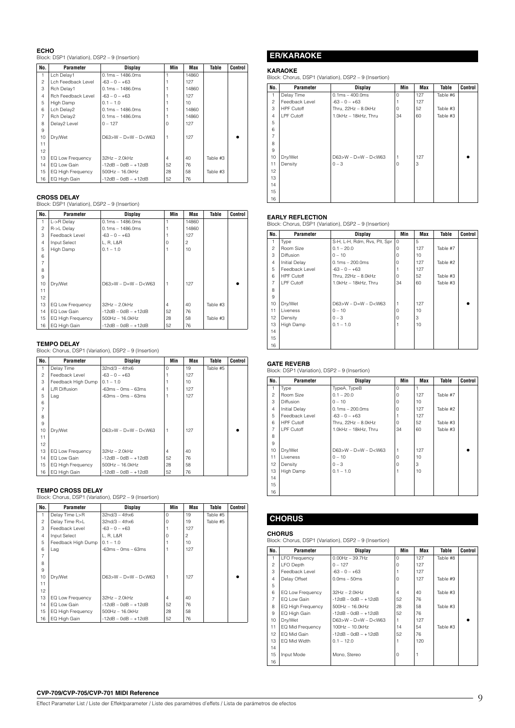### **ECHO**

Block: DSP1 (Variation), DSP2 – 9 (Insertion)

| No.            | Parameter          | Display                   | Min            | Max   | Table    | Control |
|----------------|--------------------|---------------------------|----------------|-------|----------|---------|
|                | Lch Delay1         | $0.1ms - 1486.0ms$        |                | 14860 |          |         |
| $\overline{c}$ | Lch Feedback Level | $-63 - 0 - +63$           |                | 127   |          |         |
| 3              | Rch Delay1         | $0.1ms - 1486.0ms$        |                | 14860 |          |         |
| $\overline{4}$ | Rch Feedback Level | $-63 - 0 - +63$           |                | 127   |          |         |
| 5              | High Damp          | $0.1 - 1.0$               |                | 10    |          |         |
| 6              | Lch Delay2         | $0.1ms - 1486.0ms$        |                | 14860 |          |         |
| $\overline{7}$ | Rch Delay2         | $0.1ms - 1486.0ms$        |                | 14860 |          |         |
| 8              | Delay2 Level       | $0 - 127$                 | O              | 127   |          |         |
| 9              |                    |                           |                |       |          |         |
| 10             | Dry/Wet            | $D63 > W - D=W - D <$ W63 |                | 127   |          |         |
| 11             |                    |                           |                |       |          |         |
| 12             |                    |                           |                |       |          |         |
| 13             | EQ Low Frequency   | $32Hz - 2.0kHz$           | $\overline{4}$ | 40    | Table #3 |         |
| 14             | EQ Low Gain        | $-12dB - OdB - +12dB$     | 52             | 76    |          |         |
| 15             | EQ High Frequency  | $500Hz - 16.0kHz$         | 28             | 58    | Table #3 |         |
| 16             | EQ High Gain       | $-12dB - 0dB - +12dB$     | 52             | 76    |          |         |

### **CROSS DELAY**

Block: DSP1 (Variation), DSP2 – 9 (Insertion)

| No.            | Parameter                | <b>Display</b>            | Min            | Max   | Table    | Control |
|----------------|--------------------------|---------------------------|----------------|-------|----------|---------|
| 1              | L->R Delay               | $0.1ms - 1486.0ms$        |                | 14860 |          |         |
| $\overline{c}$ | R->L Delay               | $0.1ms - 1486.0ms$        |                | 14860 |          |         |
| 3              | Feedback Level           | $-63 - 0 - +63$           |                | 127   |          |         |
| $\overline{4}$ | Input Select             | L, R, L&R                 | O              | 2     |          |         |
| 5              | High Damp                | $0.1 - 1.0$               |                | 10    |          |         |
| 6              |                          |                           |                |       |          |         |
| $\overline{7}$ |                          |                           |                |       |          |         |
| 8              |                          |                           |                |       |          |         |
| 9              |                          |                           |                |       |          |         |
| 10             | Dry/Wet                  | $D63 > W - D=W - D <$ W63 |                | 127   |          |         |
| 11             |                          |                           |                |       |          |         |
| 12             |                          |                           |                |       |          |         |
| 13             | EQ Low Frequency         | $32Hz - 2.0kHz$           | $\overline{4}$ | 40    | Table #3 |         |
| 14             | EQ Low Gain              | $-12dB - 0dB - +12dB$     | 52             | 76    |          |         |
| 15             | <b>EQ High Frequency</b> | 500Hz - 16.0kHz           | 28             | 58    | Table #3 |         |
| 16             | EQ High Gain             | $-12dB - OdB - +12dB$     | 52             | 76    |          |         |

**TEMPO DELAY**  Block: Chorus, DSP1 (Variation), DSP2 – 9 (Insertion)

| No.            | <b>Parameter</b>         | <b>Display</b>         | Min            | Max | Table    | Control |
|----------------|--------------------------|------------------------|----------------|-----|----------|---------|
|                | Delay Time               | $32n d/3 - 4thx6$      | $\Omega$       | 19  | Table #5 |         |
| $\overline{c}$ | Feedback Level           | $-63 - 0 - +63$        |                | 127 |          |         |
| 3              | Feedback High Dump       | $0.1 - 1.0$            |                | 10  |          |         |
| $\overline{4}$ | L/R Diffusion            | $-63ms - 0ms - 63ms$   |                | 127 |          |         |
| 5              | Lag                      | $-63ms - 0ms - 63ms$   |                | 127 |          |         |
| 6              |                          |                        |                |     |          |         |
| $\overline{7}$ |                          |                        |                |     |          |         |
| 8              |                          |                        |                |     |          |         |
| 9              |                          |                        |                |     |          |         |
| 10             | Dry/Wet                  | $D63>W - D=W - D< W63$ | 1              | 127 |          |         |
| 11             |                          |                        |                |     |          |         |
| 12             |                          |                        |                |     |          |         |
| 13             | EQ Low Frequency         | $32Hz - 2.0kHz$        | $\overline{4}$ | 40  |          |         |
| 14             | EQ Low Gain              | $-12dB - 0dB - +12dB$  | 52             | 76  |          |         |
| 15             | <b>EQ High Frequency</b> | $500Hz - 16.0kHz$      | 28             | 58  |          |         |
| 16             | EQ High Gain             | $-12dB - 0dB - +12dB$  | 52             | 76  |          |         |

### **TEMPO CROSS DELAY**

Block: Chorus, DSP1 (Variation), DSP2 – 9 (Insertion)

| No.            | Parameter          | <b>Display</b>         | Min            | Max            | <b>Table</b> | Control |
|----------------|--------------------|------------------------|----------------|----------------|--------------|---------|
| 1              | Delay Time L>R     | $32n d/3 - 4thx6$      | $\Omega$       | 19             | Table #5     |         |
| $\overline{c}$ | Delay Time R>L     | $32n d/3 - 4thx6$      | $\Omega$       | 19             | Table #5     |         |
| 3              | Feedback Level     | $-63 - 0 - +63$        |                | 127            |              |         |
| $\overline{4}$ | Input Select       | L, R, L&R              | $\Omega$       | $\overline{c}$ |              |         |
| 5              | Feedback High Dump | $0.1 - 1.0$            |                | 10             |              |         |
| 6              | Lag                | $-63ms - 0ms - 63ms$   |                | 127            |              |         |
| 7              |                    |                        |                |                |              |         |
| 8              |                    |                        |                |                |              |         |
| 9              |                    |                        |                |                |              |         |
| 10             | Dry/Wet            | $D63>W - D=W - D< W63$ | $\overline{1}$ | 127            |              |         |
| 11             |                    |                        |                |                |              |         |
| 12             |                    |                        |                |                |              |         |
| 13             | EQ Low Frequency   | $32Hz - 2.0kHz$        | $\overline{4}$ | 40             |              |         |
| 14             | EQ Low Gain        | $-12dB - OdB - +12dB$  | 52             | 76             |              |         |
| 15             | EQ High Frequency  | 500Hz - 16.0kHz        | 28             | 58             |              |         |
| 16             | EQ High Gain       | $-12dB - 0dB - +12dB$  | 52             | 76             |              |         |

# **ER/KARAOKE**

### **KARAOKE**

Block: Chorus, DSP1 (Variation), DSP2 – 9 (Insertion)

| No.            | Parameter         | <b>Display</b>         | Min      | <b>Max</b> | Table    | <b>Control</b> |
|----------------|-------------------|------------------------|----------|------------|----------|----------------|
| 1              | Delay Time        | $0.1ms - 400.0ms$      | 0        | 127        | Table #6 |                |
| $\overline{c}$ | Feedback Level    | $-63 - 0 - +63$        |          | 127        |          |                |
| 3              | <b>HPF Cutoff</b> | Thru, 22Hz - 8.0kHz    | $\Omega$ | 52         | Table #3 |                |
| $\overline{4}$ | LPF Cutoff        | 1.0kHz - 18kHz, Thru   | 34       | 60         | Table #3 |                |
| 5              |                   |                        |          |            |          |                |
| 6              |                   |                        |          |            |          |                |
| $\overline{7}$ |                   |                        |          |            |          |                |
| 8              |                   |                        |          |            |          |                |
| 9              |                   |                        |          |            |          |                |
| 10             | Dry/Wet           | $D63>W - D=W - D< W63$ |          | 127        |          |                |
| 11             | Density           | $0 - 3$                | $\Omega$ | 3          |          |                |
| 12             |                   |                        |          |            |          |                |
| 13             |                   |                        |          |            |          |                |
| 14             |                   |                        |          |            |          |                |
| 15             |                   |                        |          |            |          |                |
| 16             |                   |                        |          |            |          |                |

**EARLY REFLECTION**<br>Block: Chorus, DSP1 (Variation), DSP2 – 9 (Insertion)

| No.            | <b>Parameter</b>     | <b>Display</b>               | Min      | Max             | Table    | <b>Control</b> |
|----------------|----------------------|------------------------------|----------|-----------------|----------|----------------|
| 1              | Type                 | S-H, L-H, Rdm, Rvs, Plt, Spr | $\Omega$ | 5               |          |                |
| $\mathfrak{p}$ | Room Size            | $0.1 - 20.0$                 | $\Omega$ | 127             | Table #7 |                |
| 3              | Diffusion            | $0 - 10$                     | $\Omega$ | 10 <sup>1</sup> |          |                |
| $\overline{4}$ | <b>Initial Delay</b> | $0.1ms - 200.0ms$            | $\Omega$ | 127             | Table #2 |                |
| 5              | Feedback Level       | $-63 - 0 - +63$              |          | 127             |          |                |
| 6              | <b>HPF Cutoff</b>    | Thru, 22Hz - 8.0kHz          | $\Omega$ | 52              | Table #3 |                |
| 7              | LPF Cutoff           | 1.0kHz - 18kHz, Thru         | 34       | 60              | Table #3 |                |
| 8              |                      |                              |          |                 |          |                |
| 9              |                      |                              |          |                 |          |                |
| 10             | Dry/Wet              | $D63 > W - D = W - D < W63$  |          | 127             |          |                |
| 11             | Liveness             | $0 - 10$                     | $\Omega$ | 10 <sup>1</sup> |          |                |
| 12             | Density              | $0 - 3$                      | $\Omega$ | 3               |          |                |
| 13             | High Damp            | $0.1 - 1.0$                  |          | 10              |          |                |
| 14             |                      |                              |          |                 |          |                |
| 15             |                      |                              |          |                 |          |                |
| 16             |                      |                              |          |                 |          |                |

### **GATE REVERB**

Block: DSP1 (Variation), DSP2 – 9 (Insertion)

| No.            | Parameter            | <b>Display</b>              | Min      | Max | Table    | Control |
|----------------|----------------------|-----------------------------|----------|-----|----------|---------|
| 1              | Type                 | TypeA, TypeB                | 0        |     |          |         |
| $\overline{c}$ | Room Size            | $0.1 - 20.0$                | $\Omega$ | 127 | Table #7 |         |
| 3              | Diffusion            | $0 - 10$                    | $\Omega$ | 10  |          |         |
| $\overline{4}$ | <b>Initial Delay</b> | $0.1ms - 200.0ms$           | $\Omega$ | 127 | Table #2 |         |
| 5              | Feedback Level       | $-63 - 0 - +63$             |          | 127 |          |         |
| 6              | <b>HPF Cutoff</b>    | Thru, 22Hz - 8.0kHz         | $\Omega$ | 52  | Table #3 |         |
| $\overline{7}$ | LPF Cutoff           | 1.0kHz - 18kHz. Thru        | 34       | 60  | Table #3 |         |
| 8              |                      |                             |          |     |          |         |
| 9              |                      |                             |          |     |          |         |
| 10             | Dry/Wet              | $D63 > W - D = W - D < W63$ |          | 127 |          |         |
| 11             | Liveness             | $0 - 10$                    | $\Omega$ | 10  |          |         |
| 12             | Density              | $0 - 3$                     | $\Omega$ | 3   |          |         |
| 13             | High Damp            | $0.1 - 1.0$                 |          | 10  |          |         |
| 14             |                      |                             |          |     |          |         |
| 15             |                      |                             |          |     |          |         |
| 16             |                      |                             |          |     |          |         |

# **CHORUS**

### **CHORUS**

Block: Chorus, DSP1 (Variation), DSP2 – 9 (Insertion)

| No.            | Parameter            | <b>Display</b>            | Min            | Max | Table    | <b>Control</b> |
|----------------|----------------------|---------------------------|----------------|-----|----------|----------------|
| 1              | <b>LFO</b> Frequency | $0.00$ Hz $-$ 39.7Hz      | $\Omega$       | 127 | Table #8 |                |
| $\mathfrak{p}$ | LFO Depth            | $0 - 127$                 | $\Omega$       | 127 |          |                |
| 3              | Feedback Level       | $-63 - 0 - +63$           |                | 127 |          |                |
| $\overline{4}$ | Delay Offset         | $0.0ms - 50ms$            | $\Omega$       | 127 | Table #9 |                |
| 5              |                      |                           |                |     |          |                |
| 6              | EQ Low Frequency     | $32Hz - 2.0kHz$           | $\overline{4}$ | 40  | Table #3 |                |
| $\overline{7}$ | EQ Low Gain          | $-12dB - OdB - +12dB$     | 52             | 76  |          |                |
| 8              | EQ High Frequency    | 500Hz - 16.0kHz           | 28             | 58  | Table #3 |                |
| 9              | EQ High Gain         | $-12dB - OdB - +12dB$     | 52             | 76  |          |                |
| 10             | Dry/Wet              | $D63 > W - D=W - D < W63$ |                | 127 |          |                |
| 11             | EQ Mid Frequency     | 100Hz - 10.0kHz           | 14             | 54  | Table #3 |                |
| 12             | EQ Mid Gain          | $-12dB - OdB - +12dB$     | 52             | 76  |          |                |
| 13             | EQ Mid Width         | $0.1 - 12.0$              |                | 120 |          |                |
| 14             |                      |                           |                |     |          |                |
| 15             | Input Mode           | Mono, Stereo              | $\Omega$       |     |          |                |
| 16             |                      |                           |                |     |          |                |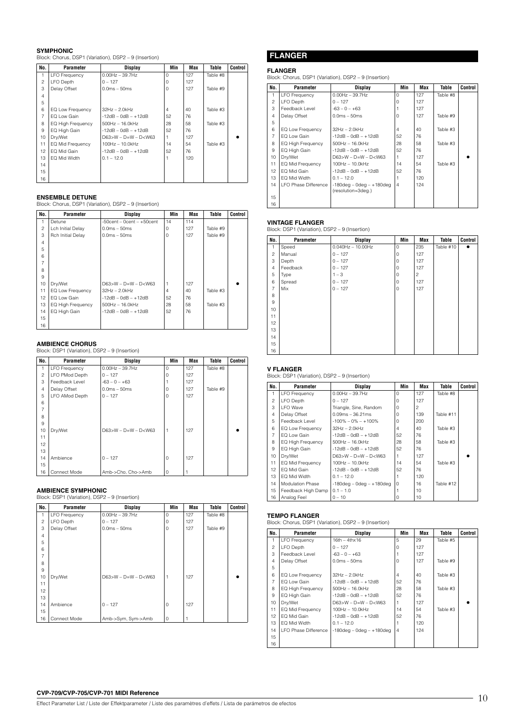### **SYMPHONIC**

Block: Chorus, DSP1 (Variation), DSP2 – 9 (Insertion)

| No.            | Parameter            | <b>Display</b>              | Min      | Max | <b>Table</b> | Control |
|----------------|----------------------|-----------------------------|----------|-----|--------------|---------|
| 1              | <b>LFO Frequency</b> | $0.00$ Hz $-$ 39.7Hz        | $\Omega$ | 127 | Table #8     |         |
| $\overline{c}$ | <b>LFO</b> Depth     | $0 - 127$                   | $\Omega$ | 127 |              |         |
| 3              | Delay Offset         | $0.0ms - 50ms$              | O        | 127 | Table #9     |         |
| $\overline{4}$ |                      |                             |          |     |              |         |
| 5              |                      |                             |          |     |              |         |
| 6              | EQ Low Frequency     | $32Hz - 2.0kHz$             | 4        | 40  | Table #3     |         |
| $\overline{7}$ | FO Low Gain          | $-12$ dB $-$ 0dB $ +12$ dB  | 52       | 76  |              |         |
| 8              | EQ High Frequency    | 500Hz - 16.0kHz             | 28       | 58  | Table #3     |         |
| 9              | EQ High Gain         | $-12$ dB $-$ 0dB $ +12$ dB  | 52       | 76  |              |         |
| 10             | Dry/Wet              | $D63 > W - D = W - D < W63$ |          | 127 |              |         |
| 11             | EQ Mid Frequency     | 100Hz - 10.0kHz             | 14       | 54  | Table #3     |         |
| 12             | EQ Mid Gain          | $-12$ dB $-$ 0dB $ +12$ dB  | 52       | 76  |              |         |
| 13             | EQ Mid Width         | $0.1 - 12.0$                |          | 120 |              |         |
| 14             |                      |                             |          |     |              |         |
| 15             |                      |                             |          |     |              |         |
| 16             |                      |                             |          |     |              |         |

### **ENSEMBLE DETUNE**

Block: Chorus, DSP1 (Variation), DSP2 – 9 (Insertion)

| No.            | Parameter                | <b>Display</b>                  | Min            | Max | Table    | Control |
|----------------|--------------------------|---------------------------------|----------------|-----|----------|---------|
|                | Detune                   | $-50$ cent – 0cent – $+50$ cent | 14             | 114 |          |         |
| $\overline{c}$ | Lch Initial Delay        | $0.0ms - 50ms$                  | 0              | 127 | Table #9 |         |
| 3              | Rch Initial Delay        | $0.0ms - 50ms$                  | 0              | 127 | Table #9 |         |
| $\overline{4}$ |                          |                                 |                |     |          |         |
| 5              |                          |                                 |                |     |          |         |
| 6              |                          |                                 |                |     |          |         |
| $\overline{7}$ |                          |                                 |                |     |          |         |
| 8              |                          |                                 |                |     |          |         |
| 9              |                          |                                 |                |     |          |         |
| 10             | Dry/Wet                  | $D63>W - D=W - D< W63$          |                | 127 |          |         |
| 11             | EQ Low Frequency         | $32Hz - 2.0kHz$                 | $\overline{4}$ | 40  | Table #3 |         |
| 12             | EQ Low Gain              | $-12dB - 0dB - +12dB$           | 52             | 76  |          |         |
| 13             | <b>EQ High Frequency</b> | $500$ Hz $- 16.0$ kHz           | 28             | 58  | Table #3 |         |
| 14             | EQ High Gain             | $-12dB - OdB - +12dB$           | 52             | 76  |          |         |
| 15             |                          |                                 |                |     |          |         |
| 16             |                          |                                 |                |     |          |         |

**AMBIENCE CHORUS**  Block: DSP1 (Variation), DSP2 – 9 (Insertion)

| No.            | Parameter            | <b>Display</b>         | Min      | <b>Max</b> | Table    | Control |
|----------------|----------------------|------------------------|----------|------------|----------|---------|
|                | <b>LFO Frequency</b> | $0.00$ Hz $-$ 39.7Hz   | 0        | 127        | Table #8 |         |
| $\overline{c}$ | LFO PMod Depth       | $0 - 127$              | $\Omega$ | 127        |          |         |
| 3              | Feedback Level       | $-63 - 0 - +63$        |          | 127        |          |         |
| $\overline{4}$ | Delay Offset         | $0.0ms - 50ms$         | $\Omega$ | 127        | Table #9 |         |
| 5              | LFO AMod Depth       | $0 - 127$              | 0        | 127        |          |         |
| 6              |                      |                        |          |            |          |         |
| $\overline{7}$ |                      |                        |          |            |          |         |
| 8              |                      |                        |          |            |          |         |
| 9              |                      |                        |          |            |          |         |
| 10             | Dry/Wet              | $D63>W - D=W - D< W63$ |          | 127        |          |         |
| 11             |                      |                        |          |            |          |         |
| 12             |                      |                        |          |            |          |         |
| 13             |                      |                        |          |            |          |         |
| 14             | Ambience             | $0 - 127$              | 0        | 127        |          |         |
| 15             |                      |                        |          |            |          |         |
| 16             | Connect Mode         | Amb->Cho, Cho->Amb     | 0        |            |          |         |

**AMBIENCE SYMPHONIC**  Block: DSP1 (Variation), DSP2 – 9 (Insertion)

| No.            | Parameter            | <b>Display</b>         | Min            | <b>Max</b> | Table    | Control |
|----------------|----------------------|------------------------|----------------|------------|----------|---------|
| 1              | <b>LFO Frequency</b> | $0.00$ Hz $-$ 39.7Hz   | $\Omega$       | 127        | Table #8 |         |
| $\overline{c}$ | <b>LFO Depth</b>     | $0 - 127$              | $\mathbf 0$    | 127        |          |         |
| 3              | Delay Offset         | $0.0ms - 50ms$         | $\mathbf 0$    | 127        | Table #9 |         |
| 4              |                      |                        |                |            |          |         |
| 5              |                      |                        |                |            |          |         |
| 6              |                      |                        |                |            |          |         |
| 7              |                      |                        |                |            |          |         |
| 8              |                      |                        |                |            |          |         |
| 9              |                      |                        |                |            |          |         |
| 10             | Dry/Wet              | $D63>W - D=W - D< W63$ | $\overline{1}$ | 127        |          |         |
| 11             |                      |                        |                |            |          |         |
| 12             |                      |                        |                |            |          |         |
| 13             |                      |                        |                |            |          |         |
| 14             | Ambience             | $0 - 127$              | $\circ$        | 127        |          |         |
| 15             |                      |                        |                |            |          |         |
| 16             | Connect Mode         | Amb->Sym, Sym->Amb     | $\circ$        |            |          |         |

### **FLANGER**

### **FLANGER**

Block: Chorus, DSP1 (Variation), DSP2 – 9 (Insertion)

| No.            | Parameter            | Display                                              | Min            | Max | Table    | Control |
|----------------|----------------------|------------------------------------------------------|----------------|-----|----------|---------|
| 1.             | <b>LFO Frequency</b> | $0.00Hz - 39.7Hz$                                    | $\Omega$       | 127 | Table #8 |         |
| $\mathfrak{p}$ | LFO Depth            | $0 - 127$                                            | O              | 127 |          |         |
| 3              | Feedback Level       | $-63 - 0 - +63$                                      |                | 127 |          |         |
| 4              | Delay Offset         | $0.0ms - 50ms$                                       | O              | 127 | Table #9 |         |
| 5              |                      |                                                      |                |     |          |         |
| 6              | EQ Low Frequency     | $32Hz - 2.0kHz$                                      | $\overline{4}$ | 40  | Table #3 |         |
| $\overline{7}$ | EQ Low Gain          | $-12dB - OdB - +12dB$                                | 52             | 76  |          |         |
| 8              | EQ High Frequency    | $500Hz - 16.0kHz$                                    | 28             | 58  | Table #3 |         |
| 9              | EQ High Gain         | $-12dB - OdB - +12dB$                                | 52             | 76  |          |         |
| 10             | Dry/Wet              | $D63>W - D=W - D< W63$                               |                | 127 |          |         |
| 11             | EQ Mid Frequency     | $100Hz - 10.0kHz$                                    | 14             | 54  | Table #3 |         |
| 12             | EQ Mid Gain          | $-12dB - 0dB - +12dB$                                | 52             | 76  |          |         |
| 13             | EQ Mid Width         | $0.1 - 12.0$                                         |                | 120 |          |         |
| 14             | LFO Phase Difference | $-180$ deg – 0deg – $+180$ deg<br>(resolution=3deg.) | $\overline{4}$ | 124 |          |         |
| 15             |                      |                                                      |                |     |          |         |
| 16             |                      |                                                      |                |     |          |         |

### **VINTAGE FLANGER**

Block: DSP1 (Variation), DSP2 – 9 (Insertion)

| No.            | Parameter | <b>Display</b>          | Min            | Max            | Table     | Control |
|----------------|-----------|-------------------------|----------------|----------------|-----------|---------|
| 1              | Speed     | $0.040$ Hz $- 10.00$ Hz | $\mathbf 0$    | 235            | Table #10 |         |
| $\overline{c}$ | Manual    | $0 - 127$               | $\overline{0}$ | 127            |           |         |
| 3              | Depth     | $0 - 127$               | $\mathbf 0$    | 127            |           |         |
| $\overline{4}$ | Feedback  | $0 - 127$               | $\mathbf 0$    | 127            |           |         |
| 5              | Type      | $1 - 3$                 | 0              | $\overline{c}$ |           |         |
| 6              | Spread    | $0 - 127$               | 0              | 127            |           |         |
| $\overline{7}$ | Mix       | $0 - 127$               | $\mathbf 0$    | 127            |           |         |
| 8              |           |                         |                |                |           |         |
| 9              |           |                         |                |                |           |         |
| 10             |           |                         |                |                |           |         |
| 11             |           |                         |                |                |           |         |
| 12             |           |                         |                |                |           |         |
| 13             |           |                         |                |                |           |         |
| 14             |           |                         |                |                |           |         |
| 15             |           |                         |                |                |           |         |
| 16             |           |                         |                |                |           |         |

### **V FLANGER**

Block: DSP1 (Variation), DSP2 – 9 (Insertion)

| No.            | Parameter               | Display                        | Min            | Max | Table     | <b>Control</b> |
|----------------|-------------------------|--------------------------------|----------------|-----|-----------|----------------|
| 1              | <b>LFO Frequency</b>    | $0.00Hz - 39.7Hz$              | $\Omega$       | 127 | Table #8  |                |
| $\overline{c}$ | LFO Depth               | $0 - 127$                      | $\Omega$       | 127 |           |                |
| 3              | LFO Wave                | Triangle, Sine, Random         | $\Omega$       | 2   |           |                |
| $\overline{4}$ | Delay Offset            | $0.09ms - 36.21ms$             | $\Omega$       | 139 | Table #11 |                |
| 5              | Feedback Level          | $-100\% - 0\% - +100\%$        | $\Omega$       | 200 |           |                |
| 6              | EQ Low Frequency        | $32Hz - 2.0kHz$                | $\overline{4}$ | 40  | Table #3  |                |
| $\overline{7}$ | FO Low Gain             | $-12$ dB $-$ 0dB $ +12$ dB     | 52             | 76  |           |                |
| 8              | EQ High Frequency       | $500$ Hz $- 16.0$ kHz          | 28             | 58  | Table #3  |                |
| 9              | EQ High Gain            | $-12$ dB $-$ 0dB $ +12$ dB     | 52             | 76  |           |                |
| 10             | Drv/Wet                 | $D63 > W - D=W - D < W63$      |                | 127 |           |                |
| 11             | EQ Mid Frequency        | 100Hz - 10.0kHz                | 14             | 54  | Table #3  |                |
| 12             | FO Mid Gain             | $-12$ dB $-$ 0dB $ +12$ dB     | 52             | 76  |           |                |
| 13             | FO Mid Width            | $0.1 - 12.0$                   |                | 120 |           |                |
| 14             | <b>Modulation Phase</b> | $-180$ deg – 0deg – $+180$ deg | $\Omega$       | 16  | Table #12 |                |
| 15             | Feedback High Damp      | $0.1 - 1.0$                    |                | 10  |           |                |
| 16             | Analog Feel             | $0 - 10$                       | $\Omega$       | 10  |           |                |

**TEMPO FLANGER**  Block: Chorus, DSP1 (Variation), DSP2 – 9 (Insertion)

| No.            | Parameter            | Display                        | Min            | Max | Table    | Control |
|----------------|----------------------|--------------------------------|----------------|-----|----------|---------|
| 1              | <b>LFO Frequency</b> | $16th - 4thx16$                | 5              | 29  | Table #5 |         |
| $\mathfrak{p}$ | <b>LFO Depth</b>     | $0 - 127$                      | $\Omega$       | 127 |          |         |
| 3              | Feedback Level       | $-63 - 0 - +63$                |                | 127 |          |         |
| $\overline{4}$ | Delay Offset         | $0.0ms - 50ms$                 | $\Omega$       | 127 | Table #9 |         |
| 5              |                      |                                |                |     |          |         |
| 6              | EQ Low Frequency     | $32Hz - 2.0kHz$                | 4              | 40  | Table #3 |         |
| $\overline{7}$ | EQ Low Gain          | $-12dB - OdB - +12dB$          | 52             | 76  |          |         |
| 8              | EQ High Frequency    | 500Hz - 16.0kHz                | 28             | 58  | Table #3 |         |
| 9              | EQ High Gain         | $-12dB - OdB - +12dB$          | 52             | 76  |          |         |
| 10             | Dry/Wet              | $D63>W - D=W - D< W63$         |                | 127 |          |         |
| 11             | EQ Mid Frequency     | 100Hz - 10.0kHz                | 14             | 54  | Table #3 |         |
| 12             | EQ Mid Gain          | $-12dB - OdB - +12dB$          | 52             | 76  |          |         |
| 13             | EQ Mid Width         | $0.1 - 12.0$                   |                | 120 |          |         |
| 14             | LFO Phase Difference | $-180$ deg – 0deg – $+180$ deg | $\overline{4}$ | 124 |          |         |
| 15             |                      |                                |                |     |          |         |
| 16             |                      |                                |                |     |          |         |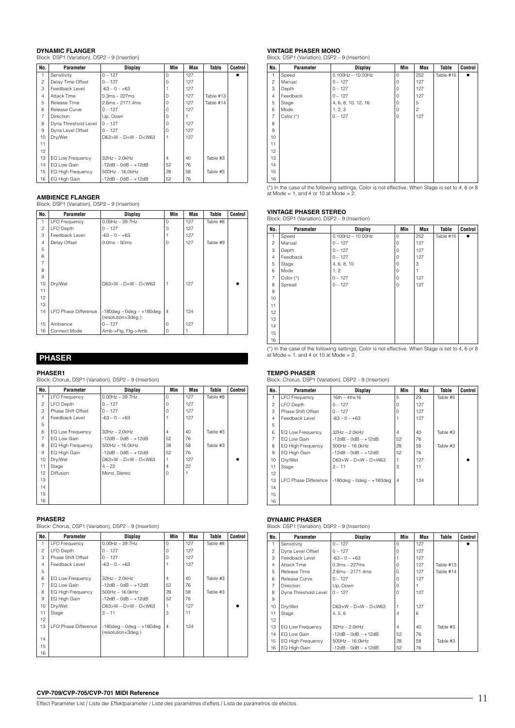### **DYNAMIC FLANGER**

Block: DSP1 (Variation), DSP2 – 9 (Insertion)

| No.            | Parameter            | Display                     | Min            | Max | Table     | Control |
|----------------|----------------------|-----------------------------|----------------|-----|-----------|---------|
| 1              | Sensitivity          | $0 - 127$                   | $\cap$         | 127 |           |         |
| $\overline{c}$ | Delay Time Offset    | $0 - 127$                   | $\Omega$       | 127 |           |         |
| 3              | Feedback Level       | $-63 - 0 - +63$             |                | 127 |           |         |
| $\overline{4}$ | Attack Time          | $0.3ms - 227ms$             | U              | 127 | Table #13 |         |
| 5              | Release Time         | $2.6ms - 2171.4ms$          | U              | 127 | Table #14 |         |
| 6              | Release Curve        | $0 - 127$                   | U              | 127 |           |         |
| $\overline{7}$ | <b>Direction</b>     | Up, Down                    | O              |     |           |         |
| 8              | Dyna Threshold Level | $0 - 127$                   | $\Omega$       | 127 |           |         |
| 9              | Dyna Level Offset    | $0 - 127$                   | O              | 127 |           |         |
| 10             | Dry/Wet              | $D63 > W - D = W - D < W63$ |                | 127 |           |         |
| 11             |                      |                             |                |     |           |         |
| 12             |                      |                             |                |     |           |         |
| 13             | EQ Low Frequency     | $32Hz - 2.0kHz$             | $\overline{4}$ | 40  | Table #3  |         |
| 14             | EQ Low Gain          | $-12dB - OdB - +12dB$       | 52             | 76  |           |         |
| 15             | EQ High Frequency    | 500Hz - 16.0kHz             | 28             | 58  | Table #3  |         |
| 16             | EQ High Gain         | $-12dB - OdB - +12dB$       | 52             | 76  |           |         |

### **AMBIENCE FLANGER**

Block: DSP1 (Variation), DSP2 – 9 (Insertion)

| No.            | Parameter            | <b>Display</b>                                       | Min            | Max | Table    | Control |
|----------------|----------------------|------------------------------------------------------|----------------|-----|----------|---------|
|                | <b>LFO Frequency</b> | $0.00Hz - 39.7Hz$                                    | $\Omega$       | 127 | Table #8 |         |
| $\overline{c}$ | <b>LFO Depth</b>     | $0 - 127$                                            | $\Omega$       | 127 |          |         |
| 3              | Feedback Level       | $-63 - 0 - +63$                                      |                | 127 |          |         |
| $\overline{4}$ | Delay Offset         | $0.0ms - 50ms$                                       | 0              | 127 | Table #9 |         |
| 5              |                      |                                                      |                |     |          |         |
| 6              |                      |                                                      |                |     |          |         |
| 7              |                      |                                                      |                |     |          |         |
| 8              |                      |                                                      |                |     |          |         |
| 9              |                      |                                                      |                |     |          |         |
| 10             | Dry/Wet              | $D63 > W - D=W - D <$ W63                            | 1              | 127 |          |         |
| 11             |                      |                                                      |                |     |          |         |
| 12             |                      |                                                      |                |     |          |         |
| 13             |                      |                                                      |                |     |          |         |
| 14             | LFO Phase Difference | $-180$ deg - 0deg - $+180$ deg<br>(resolution=3deg.) | $\overline{4}$ | 124 |          |         |
| 15             | Ambience             | $0 - 127$                                            | 0              | 127 |          |         |
| 16             | Connect Mode         | Amb->Flg, Flg->Amb                                   | 0              |     |          |         |

### **PHASER**

**PHASER1**  Block: Chorus, DSP1 (Variation), DSP2 – 9 (Insertion)

| No.            | Parameter                | Display                | Min            | Max | Table    | Control |
|----------------|--------------------------|------------------------|----------------|-----|----------|---------|
| 1              | <b>LFO Frequency</b>     | $0.00Hz - 39.7Hz$      | $\Omega$       | 127 | Table #8 |         |
| $\overline{c}$ | LFO Depth                | $0 - 127$              | $\Omega$       | 127 |          |         |
| 3              | Phase Shift Offset       | $0 - 127$              | $\Omega$       | 127 |          |         |
| $\overline{4}$ | Feedback Level           | $-63 - 0 - +63$        |                | 127 |          |         |
| 5              |                          |                        |                |     |          |         |
| 6              | EQ Low Frequency         | $32Hz - 2.0kHz$        | 4              | 40  | Table #3 |         |
| $\overline{7}$ | EQ Low Gain              | $-12dB - 0dB - +12dB$  | 52             | 76  |          |         |
| 8              | <b>EQ High Frequency</b> | $500$ Hz $- 16.0$ kHz  | 28             | 58  | Table #3 |         |
| 9              | EQ High Gain             | $-12dB - 0dB - +12dB$  | 52             | 76  |          |         |
| 10             | Dry/Wet                  | $D63>W - D=W - D< W63$ |                | 127 |          |         |
| 11             | Stage                    | $4 - 22$               | $\overline{4}$ | 22  |          |         |
| 12             | Diffusion                | Mono, Stereo           | $\Omega$       |     |          |         |
| 13             |                          |                        |                |     |          |         |
| 14             |                          |                        |                |     |          |         |
| 15             |                          |                        |                |     |          |         |
| 16             |                          |                        |                |     |          |         |

### **PHASER2**

Block: Chorus, DSP1 (Variation), DSP2 – 9 (Insertion)

| No.            | Parameter            | Display                                              | Min            | Max | Table    | Control |
|----------------|----------------------|------------------------------------------------------|----------------|-----|----------|---------|
| 1              | <b>LFO</b> Frequency | $0.00$ Hz $-$ 39.7Hz                                 | $\Omega$       | 127 | Table #8 |         |
| $\overline{c}$ | LFO Depth            | $0 - 127$                                            | $\Omega$       | 127 |          |         |
| 3              | Phase Shift Offset   | $0 - 127$                                            | $\Omega$       | 127 |          |         |
| $\overline{4}$ | Feedback Level       | $-63 - 0 - +63$                                      |                | 127 |          |         |
| 5              |                      |                                                      |                |     |          |         |
| 6              | EQ Low Frequency     | 32Hz - 2.0kHz                                        | 4              | 40  | Table #3 |         |
| $\overline{7}$ | EQ Low Gain          | $-12dB - OdB - +12dB$                                | 52             | 76  |          |         |
| 8              | EQ High Frequency    | 500Hz - 16.0kHz                                      | 28             | 58  | Table #3 |         |
| 9              | EQ High Gain         | $-12dB - OdB - +12dB$                                | 52             | 76  |          |         |
| 10             | Dry/Wet              | $D63>W - D=W - D< W63$                               |                | 127 |          |         |
| 11             | Stage                | $3 - 11$                                             | 3              | 11  |          |         |
| 12             |                      |                                                      |                |     |          |         |
| 13             | LFO Phase Difference | $-180$ deg – 0deg – $+180$ deg<br>(resolution=3deg.) | $\overline{4}$ | 124 |          |         |
| 14             |                      |                                                      |                |     |          |         |
| 15             |                      |                                                      |                |     |          |         |
| 16             |                      |                                                      |                |     |          |         |

**VINTAGE PHASER MONO**  Block: DSP1 (Variation), DSP2 – 9 (Insertion)

| No.            | Parameter   | <b>Display</b>      | Min                 | Max            | Table     | Control   |
|----------------|-------------|---------------------|---------------------|----------------|-----------|-----------|
| 1              | Speed       | $0.100Hz - 10.00Hz$ | $\mathsf{O}\xspace$ | 252            | Table #15 | $\bullet$ |
| 2              | Manual      | $0 - 127$           | $\circ$             | 127            |           |           |
| 3              | Depth       | $0 - 127$           | $\circ$             | 127            |           |           |
| $\overline{4}$ | Feedback    | $0 - 127$           | $\circ$             | 127            |           |           |
| 5              | Stage       | 4, 6, 8, 10, 12, 16 | $\circ$             | 5              |           |           |
| 6              | Mode        | 1, 2, 3             | $\mathbf 0$         | $\overline{c}$ |           |           |
| $\overline{7}$ | Color $(*)$ | $0 - 127$           | $\mathsf{O}\xspace$ | 127            |           |           |
| 8              |             |                     |                     |                |           |           |
| 9              |             |                     |                     |                |           |           |
| 10             |             |                     |                     |                |           |           |
| 11             |             |                     |                     |                |           |           |
| 12             |             |                     |                     |                |           |           |
| 13             |             |                     |                     |                |           |           |
| 14             |             |                     |                     |                |           |           |
| 15             |             |                     |                     |                |           |           |
| 16             |             |                     |                     |                |           |           |

(\*) In the case of the following settings, Color is not effective. When Stage is set to 4, 6 or 8 at Mode = 1, and 4 or 10 at Mode = 2.

### **VINTAGE PHASER STEREO**<br>Block: DSP1 (Variation), DSP2 – 9 (Insertion) Block: DSP1 (Variation),

| No.            | Parameter   | <b>Display</b>      | Min         | Max | Table     | Control |
|----------------|-------------|---------------------|-------------|-----|-----------|---------|
| 1              | Speed       | $0.100Hz - 10.00Hz$ | $\mathbf 0$ | 252 | Table #15 | ٠       |
| $\overline{c}$ | Manual      | $0 - 127$           | 0           | 127 |           |         |
| 3              | Depth       | $0 - 127$           | $\mathbf 0$ | 127 |           |         |
| $\overline{4}$ | Feedback    | $0 - 127$           | $\mathbf 0$ | 127 |           |         |
| 5              | Stage       | 4, 6, 8, 10         | $\mathbf 0$ | 3   |           |         |
| 6              | Mode        | 1, 2                | $\mathbf 0$ |     |           |         |
| $\overline{7}$ | Color $(*)$ | $0 - 127$           | $\mathbf 0$ | 127 |           |         |
| 8              | Spread      | $0 - 127$           | $\mathbf 0$ | 127 |           |         |
| 9              |             |                     |             |     |           |         |
| 10             |             |                     |             |     |           |         |
| 11             |             |                     |             |     |           |         |
| 12             |             |                     |             |     |           |         |
| 13             |             |                     |             |     |           |         |
| 14             |             |                     |             |     |           |         |
| 15             |             |                     |             |     |           |         |
| 16             |             |                     |             |     |           |         |

(\*) In the case of the following settings, Color is not effective. When Stage is set to 4, 6 or 8 at Mode = 1, and 4 or 10 at Mode = 2.

### **TEMPO PHASER**

Block: Chorus, DSP1 (Variation), DSP2 – 9 (Insertion)

| No.            | <b>Parameter</b>     | <b>Display</b>             | Min            | <b>Max</b> | Table    | <b>Control</b> |
|----------------|----------------------|----------------------------|----------------|------------|----------|----------------|
| 1.             | <b>LFO</b> Frequency | $16th - 4thx16$            | 5              | 29         | Table #5 |                |
| 2              | LFO Depth            | $0 - 127$                  | $\Omega$       | 127        |          |                |
| 3              | Phase Shift Offset   | $0 - 127$                  | $\Omega$       | 127        |          |                |
| $\overline{4}$ | Feedback Level       | $-63 - 0 - +63$            |                | 127        |          |                |
| 5              |                      |                            |                |            |          |                |
| 6              | EQ Low Frequency     | 32Hz - 2.0kHz              | 4              | 40         | Table #3 |                |
| $\overline{7}$ | EQ Low Gain          | $-12dB - OdB - +12dB$      | 52             | 76         |          |                |
| 8              | EQ High Frequency    | 500Hz - 16.0kHz            | 28             | 58         | Table #3 |                |
| 9              | EQ High Gain         | $-12dB - OdB - +12dB$      | 52             | 76         |          |                |
| 10             | Dry/Wet              | $D63>W - D=W - D< W63$     |                | 127        |          |                |
| 11             | Stage                | $3 - 11$                   | 3              | 11         |          |                |
| 12             |                      |                            |                |            |          |                |
| 13             | LFO Phase Difference | $-180deg - 0deg - +180deg$ | $\overline{4}$ | 124        |          |                |
| 14             |                      |                            |                |            |          |                |
| 15             |                      |                            |                |            |          |                |
| 16             |                      |                            |                |            |          |                |

### **DYNAMIC PHASER**

| Block: DSP1 (Variation), DSP2 - 9 (Insertion) |  |
|-----------------------------------------------|--|
|-----------------------------------------------|--|

| No.            | Parameter                | Display                     | Min      | Max | Table     | Control |
|----------------|--------------------------|-----------------------------|----------|-----|-----------|---------|
|                |                          |                             |          |     |           |         |
| 1              | Sensitivity              | $0 - 127$                   | $\Omega$ | 127 |           |         |
| $\overline{c}$ | Dyna Level Offset        | $0 - 127$                   | O        | 127 |           |         |
| 3              | Feedback Level           | $-63 - 0 - +63$             |          | 127 |           |         |
| $\overline{4}$ | Attack Time              | $0.3ms - 227ms$             | U        | 127 | Table #13 |         |
| 5              | Release Time             | $2.6ms - 2171.4ms$          | O        | 127 | Table #14 |         |
| 6              | Release Curve            | $0 - 127$                   | O        | 127 |           |         |
| 7              | <b>Direction</b>         | Up, Down                    | O        |     |           |         |
| 8              | Dyna Threshold Level     | $0 - 127$                   | O        | 127 |           |         |
| 9              |                          |                             |          |     |           |         |
| 10             | Dry/Wet                  | $D63 > W - D = W - D < W63$ |          | 127 |           |         |
| 11             | Stage                    | 4, 5, 6                     | 4        | 6   |           |         |
| 12             |                          |                             |          |     |           |         |
| 13             | EQ Low Frequency         | $32Hz - 2.0kHz$             | 4        | 40  | Table #3  |         |
| 14             | EQ Low Gain              | $-12dB - 0dB - +12dB$       | 52       | 76  |           |         |
| 15             | <b>EQ High Frequency</b> | $500$ Hz $- 16.0$ kHz       | 28       | 58  | Table #3  |         |
| 16             | EQ High Gain             | $-12dB - OdB - +12dB$       | 52       | 76  |           |         |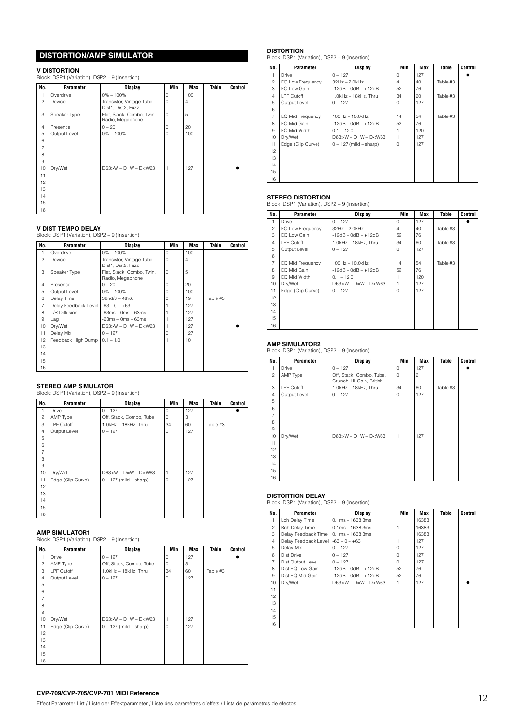# **DISTORTION/AMP SIMULATOR**

### **V DISTORTION**

Block: DSP1 (Variation), DSP2 – 9 (Insertion)

| No.            | Parameter    | <b>Display</b>                                  | Min | Max            | Table | Control |
|----------------|--------------|-------------------------------------------------|-----|----------------|-------|---------|
|                | Overdrive    | $0\% - 100\%$                                   | 0   | 100            |       |         |
| $\overline{c}$ | Device       | Transistor, Vintage Tube,<br>Dist1, Dist2, Fuzz | 0   | $\overline{4}$ |       |         |
| 3              | Speaker Type | Flat, Stack, Combo, Twin,<br>Radio, Megaphone   | 0   | 5              |       |         |
| $\overline{4}$ | Presence     | $0 - 20$                                        | 0   | 20             |       |         |
| 5              | Output Level | $0\% - 100\%$                                   | 0   | 100            |       |         |
| 6              |              |                                                 |     |                |       |         |
| $\overline{7}$ |              |                                                 |     |                |       |         |
| 8              |              |                                                 |     |                |       |         |
| 9              |              |                                                 |     |                |       |         |
| 10             | Dry/Wet      | $D63>W - D=W - D< W63$                          | 1   | 127            |       |         |
| 11             |              |                                                 |     |                |       |         |
| 12             |              |                                                 |     |                |       |         |
| 13             |              |                                                 |     |                |       |         |
| 14             |              |                                                 |     |                |       |         |
| 15             |              |                                                 |     |                |       |         |
| 16             |              |                                                 |     |                |       |         |

### **V DIST TEMPO DELAY**

Block: DSP1 (Variation), DSP2 – 9 (Insertion)

| No.            | Parameter            | <b>Display</b>                                  | Min      | <b>Max</b> | Table    | Control |
|----------------|----------------------|-------------------------------------------------|----------|------------|----------|---------|
| 1              | Overdrive            | $0\% - 100\%$                                   | $\Omega$ | 100        |          |         |
| $\mathfrak{p}$ | Device               | Transistor, Vintage Tube,<br>Dist1, Dist2, Fuzz | $\Omega$ | 4          |          |         |
| 3              | Speaker Type         | Flat, Stack, Combo, Twin,<br>Radio, Megaphone   | 0        | 5          |          |         |
| $\overline{4}$ | Presence             | $0 - 20$                                        | 0        | 20         |          |         |
| 5              | Output Level         | $0\% - 100\%$                                   | $\Omega$ | 100        |          |         |
| 6              | Delay Time           | $32nd/3 - 4thx6$                                | $\Omega$ | 19         | Table #5 |         |
| $\overline{7}$ | Delay Feedback Level | $-63 - 0 - +63$                                 |          | 127        |          |         |
| 8              | L/R Diffusion        | $-63ms - 0ms - 63ms$                            |          | 127        |          |         |
| 9              | Lag                  | $-63ms - 0ms - 63ms$                            |          | 127        |          |         |
| 10             | Dry/Wet              | $D63>W - D=W - D< W63$                          |          | 127        |          |         |
| 11             | Delay Mix            | $0 - 127$                                       | $\Omega$ | 127        |          |         |
| 12             | Feedback High Dump   | $0.1 - 1.0$                                     |          | 10         |          |         |
| 13             |                      |                                                 |          |            |          |         |
| 14             |                      |                                                 |          |            |          |         |
| 15             |                      |                                                 |          |            |          |         |
| 16             |                      |                                                 |          |            |          |         |

**STEREO AMP SIMULATOR**  Block: DSP1 (Variation), DSP2 – 9 (Insertion)

| No.            | Parameter         | <b>Display</b>             | Min | Max | Table    | Control |
|----------------|-------------------|----------------------------|-----|-----|----------|---------|
| 1              | <b>Drive</b>      | $0 - 127$                  | 0   | 127 |          |         |
| $\overline{c}$ | AMP Type          | Off, Stack, Combo, Tube    | 0   | 3   |          |         |
| 3              | LPF Cutoff        | 1.0kHz - 18kHz, Thru       | 34  | 60  | Table #3 |         |
| $\overline{4}$ | Output Level      | $0 - 127$                  | 0   | 127 |          |         |
| 5              |                   |                            |     |     |          |         |
| 6              |                   |                            |     |     |          |         |
| $\overline{7}$ |                   |                            |     |     |          |         |
| 8              |                   |                            |     |     |          |         |
| 9              |                   |                            |     |     |          |         |
| 10             | Dry/Wet           | $D63>W - D=W - D< W63$     |     | 127 |          |         |
| 11             | Edge (Clip Curve) | $0 - 127$ (mild $-$ sharp) | 0   | 127 |          |         |
| 12             |                   |                            |     |     |          |         |
| 13             |                   |                            |     |     |          |         |
| 14             |                   |                            |     |     |          |         |
| 15             |                   |                            |     |     |          |         |
| 16             |                   |                            |     |     |          |         |

**AMP SIMULATOR1**  Block: DSP1 (Variation), DSP2 – 9 (Insertion)

| No.            | Parameter         | <b>Display</b>             | Min      | Max | Table    | Control |
|----------------|-------------------|----------------------------|----------|-----|----------|---------|
| 1              | <b>Drive</b>      | $0 - 127$                  | $\Omega$ | 127 |          |         |
| $\overline{c}$ | AMP Type          | Off, Stack, Combo, Tube    | 0        | 3   |          |         |
| 3              | LPF Cutoff        | 1.0kHz - 18kHz, Thru       | 34       | 60  | Table #3 |         |
| $\overline{4}$ | Output Level      | $0 - 127$                  | $\Omega$ | 127 |          |         |
| 5              |                   |                            |          |     |          |         |
| 6              |                   |                            |          |     |          |         |
| $\overline{7}$ |                   |                            |          |     |          |         |
| 8              |                   |                            |          |     |          |         |
| 9              |                   |                            |          |     |          |         |
| 10             | Dry/Wet           | $D63>W - D=W - D< W63$     |          | 127 |          |         |
| 11             | Edge (Clip Curve) | $0 - 127$ (mild $-$ sharp) | $\Omega$ | 127 |          |         |
| 12             |                   |                            |          |     |          |         |
| 13             |                   |                            |          |     |          |         |
| 14             |                   |                            |          |     |          |         |
| 15             |                   |                            |          |     |          |         |
| 16             |                   |                            |          |     |          |         |

**DISTORTION**  Block: DSP1 (Variation), DSP2 – 9 (Insertion)

| No.            | Parameter               | <b>Display</b>             | Min      | Max | Table    | <b>Control</b> |
|----------------|-------------------------|----------------------------|----------|-----|----------|----------------|
| 1              | Drive                   | $0 - 127$                  | $\Omega$ | 127 |          |                |
| $\mathfrak{p}$ | EQ Low Frequency        | $32Hz - 2.0kHz$            | 4        | 40  | Table #3 |                |
| 3              | EQ Low Gain             | $-12dB - OdB - +12dB$      | 52       | 76  |          |                |
| $\overline{4}$ | LPF Cutoff              | 1.0kHz - 18kHz. Thru       | 34       | 60  | Table #3 |                |
| 5              | Output Level            | $0 - 127$                  | 0        | 127 |          |                |
| 6              |                         |                            |          |     |          |                |
| $\overline{7}$ | <b>EQ Mid Frequency</b> | 100Hz - 10.0kHz            | 14       | 54  | Table #3 |                |
| 8              | EQ Mid Gain             | $-12dB - OdB - +12dB$      | 52       | 76  |          |                |
| 9              | EQ Mid Width            | $0.1 - 12.0$               |          | 120 |          |                |
| 10             | Dry/Wet                 | $D63>W - D=W - D< W63$     | 1        | 127 |          |                |
| 11             | Edge (Clip Curve)       | $0 - 127$ (mild $-$ sharp) | 0        | 127 |          |                |
| 12             |                         |                            |          |     |          |                |
| 13             |                         |                            |          |     |          |                |
| 14             |                         |                            |          |     |          |                |
| 15             |                         |                            |          |     |          |                |
| 16             |                         |                            |          |     |          |                |

**STEREO DISTORTION**  Block: DSP1 (Variation), DSP2 – 9 (Insertion)

| No.            | Parameter         | <b>Display</b>         | Min            | Max | Table    | <b>Control</b> |
|----------------|-------------------|------------------------|----------------|-----|----------|----------------|
|                | Drive             | $0 - 127$              | O              | 127 |          |                |
| 2              | EQ Low Frequency  | $32Hz - 2.0kHz$        | $\overline{4}$ | 40  | Table #3 |                |
| 3              | EQ Low Gain       | $-12dB - OdB - +12dB$  | 52             | 76  |          |                |
| 4              | LPF Cutoff        | 1.0kHz - 18kHz, Thru   | 34             | 60  | Table #3 |                |
| 5              | Output Level      | $0 - 127$              | $\Omega$       | 127 |          |                |
| 6              |                   |                        |                |     |          |                |
| $\overline{7}$ | EQ Mid Frequency  | 100Hz - 10.0kHz        | 14             | 54  | Table #3 |                |
| 8              | EQ Mid Gain       | $-12dB - 0dB - +12dB$  | 52             | 76  |          |                |
| 9              | EQ Mid Width      | $0.1 - 12.0$           |                | 120 |          |                |
| 10             | Dry/Wet           | $D63>W - D=W - D< W63$ |                | 127 |          |                |
| 11             | Edge (Clip Curve) | $0 - 127$              | O              | 127 |          |                |
| 12             |                   |                        |                |     |          |                |
| 13             |                   |                        |                |     |          |                |
| 14             |                   |                        |                |     |          |                |
| 15             |                   |                        |                |     |          |                |
| 16             |                   |                        |                |     |          |                |

**AMP SIMULATOR2** Block: DSP1 (Variation), DSP2 – 9 (Insertion)

| No.            | Parameter    | <b>Display</b>                                       | Min            | <b>Max</b> | Table    | Control |
|----------------|--------------|------------------------------------------------------|----------------|------------|----------|---------|
| 1              | Drive        | $0 - 127$                                            | $\circ$        | 127        |          |         |
| $\overline{c}$ | AMP Type     | Off, Stack, Combo, Tube,<br>Crunch, Hi-Gain, British | 0              | 6          |          |         |
| 3              | LPF Cutoff   | 1.0kHz - 18kHz, Thru                                 | 34             | 60         | Table #3 |         |
| $\overline{4}$ | Output Level | $0 - 127$                                            | 0              | 127        |          |         |
| 5              |              |                                                      |                |            |          |         |
| 6              |              |                                                      |                |            |          |         |
| $\overline{7}$ |              |                                                      |                |            |          |         |
| 8              |              |                                                      |                |            |          |         |
| 9              |              |                                                      |                |            |          |         |
| 10             | Dry/Wet      | $D63>W - D=W - D< W63$                               | $\overline{1}$ | 127        |          |         |
| 11             |              |                                                      |                |            |          |         |
| 12             |              |                                                      |                |            |          |         |
| 13             |              |                                                      |                |            |          |         |
| 14             |              |                                                      |                |            |          |         |
| 15             |              |                                                      |                |            |          |         |
| 16             |              |                                                      |                |            |          |         |

**DISTORTION DELAY**  Block: DSP1 (Variation), DSP2 – 9 (Insertion)

| No.            | Parameter            | <b>Display</b>         | Min      | Max   | Table | Control |
|----------------|----------------------|------------------------|----------|-------|-------|---------|
| 1              | Lch Delay Time       | $0.1ms - 1638.3ms$     |          | 16383 |       |         |
| $\overline{c}$ | Rch Delay Time       | $0.1ms - 1638.3ms$     |          | 16383 |       |         |
| 3              | Delay Feedback Time  | $0.1ms - 1638.3ms$     |          | 16383 |       |         |
| $\overline{4}$ | Delay Feedback Level | $-63 - 0 - +63$        |          | 127   |       |         |
| 5              | Delay Mix            | $0 - 127$              | $\Omega$ | 127   |       |         |
| 6              | Dist Drive           | $0 - 127$              | $\Omega$ | 127   |       |         |
| $\overline{7}$ | Dist Output Level    | $0 - 127$              | $\Omega$ | 127   |       |         |
| 8              | Dist EQ Low Gain     | $-12dB - 0dB - +12dB$  | 52       | 76    |       |         |
| 9              | Dist EQ Mid Gain     | $-12dB - OdB - +12dB$  | 52       | 76    |       |         |
| 10             | Dry/Wet              | $D63>W - D=W - D< W63$ |          | 127   |       |         |
| 11             |                      |                        |          |       |       |         |
| 12             |                      |                        |          |       |       |         |
| 13             |                      |                        |          |       |       |         |
| 14             |                      |                        |          |       |       |         |
| 15             |                      |                        |          |       |       |         |
| 16             |                      |                        |          |       |       |         |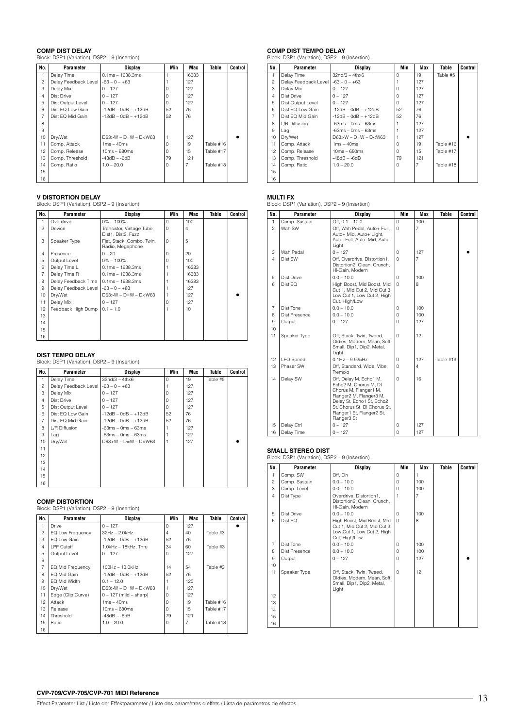**COMP DIST DELAY**  Block: DSP1 (Variation), DSP2 – 9 (Insertion)

| No.            | Parameter            | <b>Display</b>         | Min      | Max   | Table     | Control |
|----------------|----------------------|------------------------|----------|-------|-----------|---------|
| 1              | Delay Time           | $0.1ms - 1638.3ms$     |          | 16383 |           |         |
| $\overline{c}$ | Delay Feedback Level | $-63 - 0 - +63$        |          | 127   |           |         |
| 3              | Delay Mix            | $0 - 127$              | $\Omega$ | 127   |           |         |
| $\overline{4}$ | Dist Drive           | $0 - 127$              | $\Omega$ | 127   |           |         |
| 5              | Dist Output Level    | $0 - 127$              | $\Omega$ | 127   |           |         |
| 6              | Dist EQ Low Gain     | $-12dB - 0dB - +12dB$  | 52       | 76    |           |         |
| $\overline{7}$ | Dist EQ Mid Gain     | $-12dB - OdB - +12dB$  | 52       | 76    |           |         |
| 8              |                      |                        |          |       |           |         |
| 9              |                      |                        |          |       |           |         |
| 10             | Dry/Wet              | $D63>W - D=W - D< W63$ | 1        | 127   |           |         |
| 11             | Comp. Attack         | $1ms - 40ms$           | $\Omega$ | 19    | Table #16 |         |
| 12             | Comp. Release        | $10ms - 680ms$         | $\Omega$ | 15    | Table #17 |         |
| 13             | Comp. Threshold      | $-48dB - -6dB$         | 79       | 121   |           |         |
| 14             | Comp. Ratio          | $1.0 - 20.0$           | $\Omega$ | 7     | Table #18 |         |
| 15             |                      |                        |          |       |           |         |
| 16             |                      |                        |          |       |           |         |

**V DISTORTION DELAY**  Block: DSP1 (Variation), DSP2 – 9 (Insertion)

| No.            | Parameter            | Display                                         | Min      | Max   | Table | Control |
|----------------|----------------------|-------------------------------------------------|----------|-------|-------|---------|
| 1              | Overdrive            | $0\% - 100\%$                                   | $\Omega$ | 100   |       |         |
| $\overline{c}$ | Device               | Transistor, Vintage Tube,<br>Dist1, Dist2, Fuzz | $\Omega$ | 4     |       |         |
| 3              | Speaker Type         | Flat, Stack, Combo, Twin,<br>Radio, Megaphone   | $\Omega$ | 5     |       |         |
| $\overline{4}$ | Presence             | $0 - 20$                                        | O        | 20    |       |         |
| 5              | Output Level         | $0\% - 100\%$                                   | U        | 100   |       |         |
| 6              | Delay Time L         | $0.1ms - 1638.3ms$                              |          | 16383 |       |         |
| 7              | Delay Time R         | $0.1ms - 1638.3ms$                              |          | 16383 |       |         |
| 8              | Delay Feedback Time  | $0.1ms - 1638.3ms$                              |          | 16383 |       |         |
| 9              | Delay Feedback Level | $-63 - 0 - +63$                                 |          | 127   |       |         |
| 10             | Dry/Wet              | $D63>W - D=W - D< W63$                          |          | 127   |       |         |
| 11             | Delay Mix            | $0 - 127$                                       | Ω        | 127   |       |         |
| 12             | Feedback High Dump   | $0.1 - 1.0$                                     |          | 10    |       |         |
| 13             |                      |                                                 |          |       |       |         |
| 14             |                      |                                                 |          |       |       |         |
| 15             |                      |                                                 |          |       |       |         |
| 16             |                      |                                                 |          |       |       |         |

### **DIST TEMPO DELAY**

Block: DSP1 (Variation), DSP2 – 9 (Insertion)

| No.            | Parameter            | <b>Display</b>              | Min      | <b>Max</b> | Table    | <b>Control</b> |
|----------------|----------------------|-----------------------------|----------|------------|----------|----------------|
| 1              | Delay Time           | $32n d/3 - 4thx6$           | $\Omega$ | 19         | Table #5 |                |
| $\overline{c}$ | Delay Feedback Level | $-63 - 0 - +63$             |          | 127        |          |                |
| 3              | Delay Mix            | $0 - 127$                   | U        | 127        |          |                |
| $\overline{4}$ | Dist Drive           | $0 - 127$                   | U        | 127        |          |                |
| 5              | Dist Output Level    | $0 - 127$                   | U        | 127        |          |                |
| 6              | Dist EQ Low Gain     | $-12dB - OdB - +12dB$       | 52       | 76         |          |                |
| $\overline{7}$ | Dist EQ Mid Gain     | $-12dB - OdB - +12dB$       | 52       | 76         |          |                |
| 8              | L/R Diffusion        | $-63ms - 0ms - 63ms$        |          | 127        |          |                |
| 9              | Lag                  | $-63ms - 0ms - 63ms$        |          | 127        |          |                |
| 10             | Dry/Wet              | $D63 > W - D = W - D < W63$ |          | 127        |          |                |
| 11             |                      |                             |          |            |          |                |
| 12             |                      |                             |          |            |          |                |
| 13             |                      |                             |          |            |          |                |
| 14             |                      |                             |          |            |          |                |
| 15             |                      |                             |          |            |          |                |
| 16             |                      |                             |          |            |          |                |

**COMP DISTORTION** Block: DSP1 (Variation), DSP2 – 9 (Insertion)

| No.            | Parameter         | Display                    | Min            | Max | Table     | Control |
|----------------|-------------------|----------------------------|----------------|-----|-----------|---------|
| 1              | Drive             | $0 - 127$                  | $\Omega$       | 127 |           |         |
| 2              | EQ Low Frequency  | 32Hz - 2.0kHz              | $\overline{4}$ | 40  | Table #3  |         |
| 3              | EQ Low Gain       | $-12dB - OdB - +12dB$      | 52             | 76  |           |         |
| $\overline{4}$ | LPF Cutoff        | 1.0kHz - 18kHz, Thru       | 34             | 60  | Table #3  |         |
| 5              | Output Level      | $0 - 127$                  | $\mathbf 0$    | 127 |           |         |
| 6              |                   |                            |                |     |           |         |
| $\overline{7}$ | EQ Mid Frequency  | 100Hz - 10.0kHz            | 14             | 54  | Table #3  |         |
| 8              | EQ Mid Gain       | $-12dB - 0dB - +12dB$      | 52             | 76  |           |         |
| 9              | EQ Mid Width      | $0.1 - 12.0$               |                | 120 |           |         |
| 10             | Dry/Wet           | $D63>W - D=W - D< W63$     |                | 127 |           |         |
| 11             | Edge (Clip Curve) | $0 - 127$ (mild $-$ sharp) | $\Omega$       | 127 |           |         |
| 12             | Attack            | $1ms - 40ms$               | $\Omega$       | 19  | Table #16 |         |
| 13             | Release           | $10ms - 680ms$             | $\Omega$       | 15  | Table #17 |         |
| 14             | Threshold         | $-48dB - -6dB$             | 79             | 121 |           |         |
| 15             | Ratio             | $1.0 - 20.0$               | $\Omega$       | 7   | Table #18 |         |
| 16             |                   |                            |                |     |           |         |

# **COMP DIST TEMPO DELAY** Block: DSP1 (Variation), DSP2 – 9 (Insertion)

| No.            | Parameter            | Display                                                                    | Min      | Max            | Table     | Control |
|----------------|----------------------|----------------------------------------------------------------------------|----------|----------------|-----------|---------|
| 1              | Delay Time           | $32n d/3 - 4thx6$                                                          | $\Omega$ | 19             | Table #5  |         |
| $\overline{c}$ | Delay Feedback Level | $-63 - 0 - +63$                                                            |          | 127            |           |         |
| 3              | Delay Mix            | $0 - 127$                                                                  | $\Omega$ | 127            |           |         |
| $\overline{4}$ | Dist Drive           | $0 - 127$                                                                  | $\Omega$ | 127            |           |         |
| 5              | Dist Output Level    | $0 - 127$                                                                  | $\Omega$ | 127            |           |         |
| 6              | Dist EQ Low Gain     | $-12dB - OdB - +12dB$                                                      | 52       | 76             |           |         |
| 7              | Dist EQ Mid Gain     | $-12dB - OdB - +12dB$                                                      | 52       | 76             |           |         |
| 8              | L/R Diffusion        | $-63ms - 0ms - 63ms$                                                       |          | 127            |           |         |
| 9              | Lag                  | $-63ms - 0ms - 63ms$                                                       |          | 127            |           |         |
| 10             | Drv/Wet              | D63>W - D=W - D <w63< td=""><td></td><td>127</td><td></td><td></td></w63<> |          | 127            |           |         |
| 11             | Comp. Attack         | $1ms - 40ms$                                                               | $\Omega$ | 19             | Table #16 |         |
| 12             | Comp. Release        | $10ms - 680ms$                                                             | $\Omega$ | 15             | Table #17 |         |
| 13             | Comp. Threshold      | $-48dB - -6dB$                                                             | 79       | 121            |           |         |
| 14             | Comp. Ratio          | $1.0 - 20.0$                                                               | 0        | $\overline{7}$ | Table #18 |         |
| 15             |                      |                                                                            |          |                |           |         |
| 16             |                      |                                                                            |          |                |           |         |

**MULTI FX** Block: DSP1 (Variation), DSP2 – 9 (Insertion)

| No.            | Parameter        | <b>Display</b>                                                                                                                                                                                               | Min            | Max            | Table     | <b>Control</b> |
|----------------|------------------|--------------------------------------------------------------------------------------------------------------------------------------------------------------------------------------------------------------|----------------|----------------|-----------|----------------|
| 1              | Comp. Sustain    | Off. $0.1 - 10.0$                                                                                                                                                                                            | $\Omega$       | 100            |           |                |
| $\mathfrak{p}$ | Wah SW           | Off, Wah Pedal, Auto+ Full,<br>Auto+ Mid, Auto+ Light,<br>Auto- Full, Auto- Mid, Auto-<br>Light                                                                                                              | $\Omega$       | $\overline{7}$ |           |                |
| 3              | Wah Pedal        | $0 - 127$                                                                                                                                                                                                    | $\circ$        | 127            |           |                |
| 4              | Dist SW          | Off, Overdrive, Distortion1,<br>Distortion2, Clean, Crunch,<br>Hi-Gain, Modern                                                                                                                               | $\Omega$       | $\overline{7}$ |           |                |
| 5              | Dist Drive       | $0.0 - 10.0$                                                                                                                                                                                                 | $\Omega$       | 100            |           |                |
| 6              | Dist FO          | High Boost, Mid Boost, Mid<br>Cut 1, Mid Cut 2, Mid Cut 3,<br>Low Cut 1, Low Cut 2, High<br>Cut, High/Low                                                                                                    | $\Omega$       | 8              |           |                |
| $\overline{7}$ | Dist Tone        | $0.0 - 10.0$                                                                                                                                                                                                 | 0              | 100            |           |                |
| 8              | Dist Presence    | $0.0 - 10.0$                                                                                                                                                                                                 | $\Omega$       | 100            |           |                |
| 9              | Output           | $0 - 127$                                                                                                                                                                                                    | $\Omega$       | 127            |           |                |
| 10             |                  |                                                                                                                                                                                                              |                |                |           |                |
| 11             | Speaker Type     | Off, Stack, Twin, Tweed,<br>Oldies, Modern, Mean, Soft,<br>Small, Dip1, Dip2, Metal,<br>Light                                                                                                                | $\Omega$       | 12             |           |                |
| 12             | <b>LFO</b> Speed | $0.1Hz - 9.925Hz$                                                                                                                                                                                            | $\Omega$       | 127            | Table #19 |                |
| 13             | Phaser SW        | Off, Standard, Wide, Vibe,<br>Tremolo                                                                                                                                                                        | $\Omega$       | 4              |           |                |
| 14             | Delay SW         | Off, Delay M, Echo1 M,<br>Echo2 M, Chorus M, DI<br>Chorus M, Flanger1 M,<br>Flanger2 M, Flanger3 M,<br>Delay St, Echo1 St, Echo2<br>St, Chorus St, DI Chorus St,<br>Flanger1 St, Flanger2 St,<br>Flanger3 St | $\Omega$       | 16             |           |                |
| 15             | Delay Ctrl       | $0 - 127$                                                                                                                                                                                                    | 0              | 127            |           |                |
| 16             | Delay Time       | $0 - 127$                                                                                                                                                                                                    | $\overline{0}$ | 127            |           |                |

**SMALL STEREO DIST**  Block: DSP1 (Variation), DSP2 – 9 (Insertion)

| No.            | <b>Parameter</b> | <b>Display</b>                                                                                            | Min         | Max            | Table | Control |
|----------------|------------------|-----------------------------------------------------------------------------------------------------------|-------------|----------------|-------|---------|
| 1              | Comp. SW         | Off, On                                                                                                   | $\Omega$    | 1              |       |         |
| 2              | Comp. Sustain    | $0.0 - 10.0$                                                                                              | 0           | 100            |       |         |
| 3              | Comp. Level      | $0.0 - 10.0$                                                                                              | 0           | 100            |       |         |
| 4              | Dist Type        | Overdrive, Distortion1.<br>Distortion2, Clean, Crunch,<br>Hi-Gain, Modern                                 | 1           | $\overline{7}$ |       |         |
| 5              | Dist Drive       | $0.0 - 10.0$                                                                                              | $\Omega$    | 100            |       |         |
| 6              | Dist EQ          | High Boost, Mid Boost, Mid<br>Cut 1, Mid Cut 2, Mid Cut 3,<br>Low Cut 1, Low Cut 2, High<br>Cut, High/Low | $\Omega$    | 8              |       |         |
| $\overline{7}$ | Dist Tone        | $0.0 - 10.0$                                                                                              | $\mathbf 0$ | 100            |       |         |
| 8              | Dist Presence    | $0.0 - 10.0$                                                                                              | $\Omega$    | 100            |       |         |
| 9              | Output           | $0 - 127$                                                                                                 | $\mathbf 0$ | 127            |       |         |
| 10             |                  |                                                                                                           |             |                |       |         |
| 11             | Speaker Type     | Off. Stack. Twin. Tweed.<br>Oldies, Modern, Mean, Soft,<br>Small, Dip1, Dip2, Metal,<br>Light             | $\Omega$    | 12             |       |         |
| 12             |                  |                                                                                                           |             |                |       |         |
| 13             |                  |                                                                                                           |             |                |       |         |
| 14             |                  |                                                                                                           |             |                |       |         |
| 15             |                  |                                                                                                           |             |                |       |         |
| 16             |                  |                                                                                                           |             |                |       |         |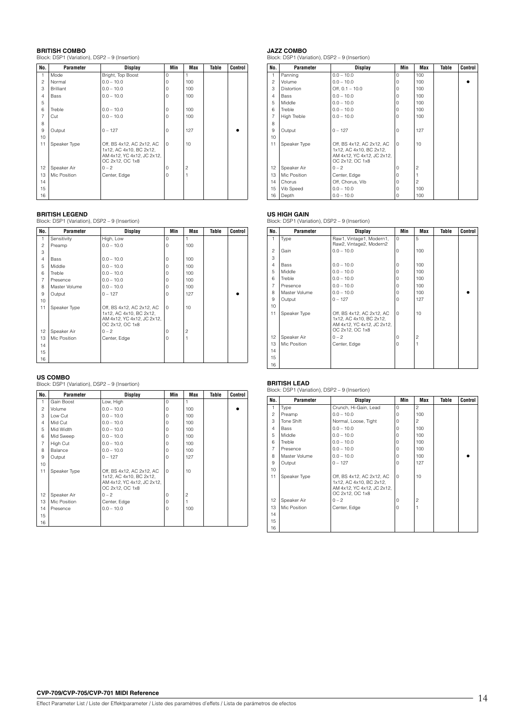**BRITISH COMBO** Block: DSP1 (Variation), DSP2 – 9 (Insertion)

| No.            | Parameter        | <b>Display</b>                                                                                        | Min         | <b>Max</b>     | Table | Control |
|----------------|------------------|-------------------------------------------------------------------------------------------------------|-------------|----------------|-------|---------|
| 1              | Mode             | Bright, Top Boost                                                                                     | 0           |                |       |         |
| $\overline{c}$ | Normal           | $0.0 - 10.0$                                                                                          | 0           | 100            |       |         |
| 3              | <b>Brilliant</b> | $0.0 - 10.0$                                                                                          | $\Omega$    | 100            |       |         |
| $\overline{4}$ | Bass             | $0.0 - 10.0$                                                                                          | 0           | 100            |       |         |
| 5              |                  |                                                                                                       |             |                |       |         |
| 6              | Treble           | $0.0 - 10.0$                                                                                          | $\Omega$    | 100            |       |         |
| $\overline{7}$ | Cut              | $0.0 - 10.0$                                                                                          | 0           | 100            |       |         |
| 8              |                  |                                                                                                       |             |                |       |         |
| 9              | Output           | $0 - 127$                                                                                             | 0           | 127            |       |         |
| 10             |                  |                                                                                                       |             |                |       |         |
| 11             | Speaker Type     | Off, BS 4x12, AC 2x12, AC<br>1x12, AC 4x10, BC 2x12,<br>AM 4x12, YC 4x12, JC 2x12,<br>OC 2x12, OC 1x8 | $\mathbf 0$ | 10             |       |         |
| 12             | Speaker Air      | $0 - 2$                                                                                               | 0           | $\overline{c}$ |       |         |
| 13             | Mic Position     | Center, Edge                                                                                          | 0           | 1              |       |         |
| 14             |                  |                                                                                                       |             |                |       |         |
| 15             |                  |                                                                                                       |             |                |       |         |
| 16             |                  |                                                                                                       |             |                |       |         |

**BRITISH LEGEND**  Block: DSP1 (Variation), DSP2 – 9 (Insertion)

| No.            | Parameter     | <b>Display</b>                                                                                        | Min         | <b>Max</b>     | Table | Control |
|----------------|---------------|-------------------------------------------------------------------------------------------------------|-------------|----------------|-------|---------|
| 1              | Sensitivity   | High, Low                                                                                             | $\Omega$    |                |       |         |
| $\overline{c}$ | Preamp        | $0.0 - 10.0$                                                                                          | 0           | 100            |       |         |
| 3              |               |                                                                                                       |             |                |       |         |
| $\overline{4}$ | Bass          | $0.0 - 10.0$                                                                                          | $\Omega$    | 100            |       |         |
| 5              | Middle        | $0.0 - 10.0$                                                                                          | $\Omega$    | 100            |       |         |
| 6              | Treble        | $0.0 - 10.0$                                                                                          | $\Omega$    | 100            |       |         |
| $\overline{7}$ | Presence      | $0.0 - 10.0$                                                                                          | 0           | 100            |       |         |
| 8              | Master Volume | $0.0 - 10.0$                                                                                          | 0           | 100            |       |         |
| 9              | Output        | $0 - 127$                                                                                             | 0           | 127            |       |         |
| 10             |               |                                                                                                       |             |                |       |         |
| 11             | Speaker Type  | Off, BS 4x12, AC 2x12, AC<br>1x12, AC 4x10, BC 2x12,<br>AM 4x12, YC 4x12, JC 2x12,<br>OC 2x12, OC 1x8 | $\mathbf 0$ | 10             |       |         |
| 12             | Speaker Air   | $0 - 2$                                                                                               | 0           | $\overline{c}$ |       |         |
| 13             | Mic Position  | Center, Edge                                                                                          | 0           |                |       |         |
| 14             |               |                                                                                                       |             |                |       |         |
| 15             |               |                                                                                                       |             |                |       |         |
| 16             |               |                                                                                                       |             |                |       |         |

**US COMBO** Block: DSP1 (Variation), DSP2 – 9 (Insertion)

| No.            | Parameter    | Display                                                                                               | Min         | <b>Max</b>     | Table | Control |
|----------------|--------------|-------------------------------------------------------------------------------------------------------|-------------|----------------|-------|---------|
| 1              | Gain Boost   | Low, High                                                                                             | 0           |                |       |         |
| $\overline{c}$ | Volume       | $0.0 - 10.0$                                                                                          | 0           | 100            |       |         |
| 3              | Low Cut      | $0.0 - 10.0$                                                                                          | 0           | 100            |       |         |
| $\overline{4}$ | Mid Cut      | $0.0 - 10.0$                                                                                          | $\Omega$    | 100            |       |         |
| 5              | Mid Width    | $0.0 - 10.0$                                                                                          | $\Omega$    | 100            |       |         |
| 6              | Mid Sweep    | $0.0 - 10.0$                                                                                          | 0           | 100            |       |         |
| $\overline{7}$ | High Cut     | $0.0 - 10.0$                                                                                          | $\Omega$    | 100            |       |         |
| 8              | Balance      | $0.0 - 10.0$                                                                                          | $\Omega$    | 100            |       |         |
| 9              | Output       | $0 - 127$                                                                                             | 0           | 127            |       |         |
| 10             |              |                                                                                                       |             |                |       |         |
| 11             | Speaker Type | Off, BS 4x12, AC 2x12, AC<br>1x12, AC 4x10, BC 2x12,<br>AM 4x12, YC 4x12, JC 2x12,<br>OC 2x12, OC 1x8 | $\mathbf 0$ | 10             |       |         |
| 12             | Speaker Air  | $0 - 2$                                                                                               | $\Omega$    | $\overline{c}$ |       |         |
| 13             | Mic Position | Center, Edge                                                                                          | $\Omega$    |                |       |         |
| 14             | Presence     | $0.0 - 10.0$                                                                                          | 0           | 100            |       |         |
| 15             |              |                                                                                                       |             |                |       |         |
| 16             |              |                                                                                                       |             |                |       |         |

**JAZZ COMBO** Block: DSP1 (Variation), DSP2 – 9 (Insertion)

| No.            | <b>Parameter</b>   | Display                                                                                               | Min         | <b>Max</b>     | Table | <b>Control</b> |
|----------------|--------------------|-------------------------------------------------------------------------------------------------------|-------------|----------------|-------|----------------|
| 1              | Panning            | $0.0 - 10.0$                                                                                          | $\Omega$    | 100            |       |                |
| $\mathfrak{p}$ | Volume             | $0.0 - 10.0$                                                                                          | $\Omega$    | 100            |       |                |
| 3              | <b>Distortion</b>  | Off, $0.1 - 10.0$                                                                                     | 0           | 100            |       |                |
| $\overline{4}$ | Bass               | $0.0 - 10.0$                                                                                          | $\Omega$    | 100            |       |                |
| 5              | Middle             | $0.0 - 10.0$                                                                                          | $\Omega$    | 100            |       |                |
| 6              | Treble             | $0.0 - 10.0$                                                                                          | $\Omega$    | 100            |       |                |
| $\overline{7}$ | <b>High Treble</b> | $0.0 - 10.0$                                                                                          | $\Omega$    | 100            |       |                |
| 8              |                    |                                                                                                       |             |                |       |                |
| 9              | Output             | $0 - 127$                                                                                             | $\Omega$    | 127            |       |                |
| 10             |                    |                                                                                                       |             |                |       |                |
| 11             | Speaker Type       | Off, BS 4x12, AC 2x12, AC<br>1x12, AC 4x10, BC 2x12,<br>AM 4x12, YC 4x12, JC 2x12,<br>OC 2x12, OC 1x8 | $\Omega$    | 10             |       |                |
| 12             | Speaker Air        | $0 - 2$                                                                                               | $\Omega$    | $\overline{c}$ |       |                |
| 13             | Mic Position       | Center, Edge                                                                                          | $\Omega$    |                |       |                |
| 14             | Chorus             | Off, Chorus, Vib                                                                                      | $\Omega$    | $\overline{c}$ |       |                |
| 15             | Vib Speed          | $0.0 - 10.0$                                                                                          | $\mathbf 0$ | 100            |       |                |
| 16             | Depth              | $0.0 - 10.0$                                                                                          | $\circ$     | 100            |       |                |

**US HIGH GAIN** Block: DSP1 (Variation), DSP2 – 9 (Insertion)

| No.            | Parameter     | Display                                                                                               | Min      | Max            | Table | <b>Control</b> |
|----------------|---------------|-------------------------------------------------------------------------------------------------------|----------|----------------|-------|----------------|
| 1              | Type          | Raw1, Vintage1, Modern1,<br>Raw2, Vintage2, Modern2                                                   | $\Omega$ | 5              |       |                |
| 2              | Gain          | $0.0 - 10.0$                                                                                          | 0        | 100            |       |                |
| 3              |               |                                                                                                       |          |                |       |                |
| $\overline{4}$ | Bass          | $0.0 - 10.0$                                                                                          | 0        | 100            |       |                |
| 5              | Middle        | $0.0 - 10.0$                                                                                          | $\Omega$ | 100            |       |                |
| 6              | Treble        | $0.0 - 10.0$                                                                                          | $\Omega$ | 100            |       |                |
| $\overline{7}$ | Presence      | $0.0 - 10.0$                                                                                          | $\Omega$ | 100            |       |                |
| 8              | Master Volume | $0.0 - 10.0$                                                                                          | 0        | 100            |       |                |
| 9              | Output        | $0 - 127$                                                                                             | $\Omega$ | 127            |       |                |
| 10             |               |                                                                                                       |          |                |       |                |
| 11             | Speaker Type  | Off, BS 4x12, AC 2x12, AC<br>1x12, AC 4x10, BC 2x12,<br>AM 4x12, YC 4x12, JC 2x12,<br>OC 2x12, OC 1x8 | $\Omega$ | 10             |       |                |
| 12             | Speaker Air   | $0 - 2$                                                                                               | $\Omega$ | $\overline{c}$ |       |                |
| 13             | Mic Position  | Center, Edge                                                                                          | $\Omega$ | 1              |       |                |
| 14             |               |                                                                                                       |          |                |       |                |
| 15             |               |                                                                                                       |          |                |       |                |
| 16             |               |                                                                                                       |          |                |       |                |

**BRITISH LEAD** Block: DSP1 (Variation), DSP2 – 9 (Insertion)

| No.            | Parameter     | Display                                                                                               | Min         | Max            | Table | <b>Control</b> |
|----------------|---------------|-------------------------------------------------------------------------------------------------------|-------------|----------------|-------|----------------|
| 1              | Type          | Crunch, Hi-Gain, Lead                                                                                 | $\mathbf 0$ | $\overline{c}$ |       |                |
| 2              | Preamp        | $0.0 - 10.0$                                                                                          | 0           | 100            |       |                |
| 3              | Tone Shift    | Normal, Loose, Tight                                                                                  | $\Omega$    | 2              |       |                |
| 4              | Bass          | $0.0 - 10.0$                                                                                          | 0           | 100            |       |                |
| 5              | Middle        | $0.0 - 10.0$                                                                                          | 0           | 100            |       |                |
| 6              | Treble        | $0.0 - 10.0$                                                                                          | $\Omega$    | 100            |       |                |
| $\overline{7}$ | Presence      | $0.0 - 10.0$                                                                                          | $\Omega$    | 100            |       |                |
| 8              | Master Volume | $0.0 - 10.0$                                                                                          | 0           | 100            |       |                |
| 9              | Output        | $0 - 127$                                                                                             | $\Omega$    | 127            |       |                |
| 10             |               |                                                                                                       |             |                |       |                |
| 11             | Speaker Type  | Off, BS 4x12, AC 2x12, AC<br>1x12, AC 4x10, BC 2x12,<br>AM 4x12, YC 4x12, JC 2x12,<br>OC 2x12, OC 1x8 | 0           | 10             |       |                |
| 12             | Speaker Air   | $0 - 2$                                                                                               | $\Omega$    | 2              |       |                |
| 13             | Mic Position  | Center, Edge                                                                                          | $\Omega$    |                |       |                |
| 14             |               |                                                                                                       |             |                |       |                |
| 15             |               |                                                                                                       |             |                |       |                |
| 16             |               |                                                                                                       |             |                |       |                |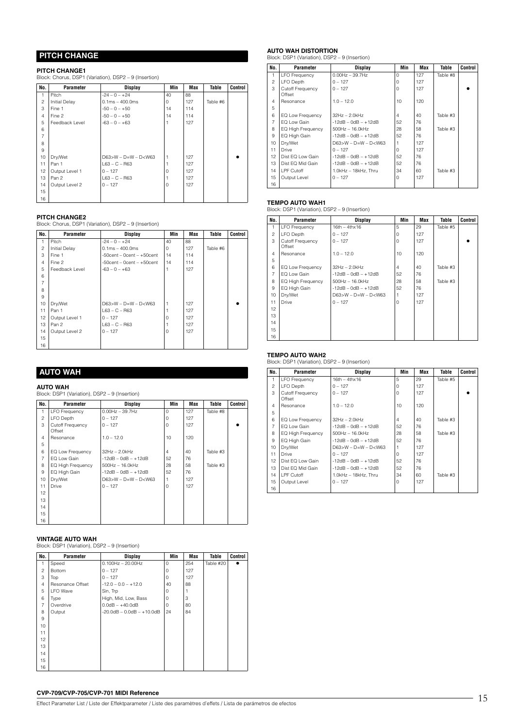# **PITCH CHANGE**

### **PITCH CHANGE1**

Block: Chorus, DSP1 (Variation), DSP2 – 9 (Insertion)

| No.            | Parameter            | <b>Display</b>         | Min      | <b>Max</b> | Table    | Control |
|----------------|----------------------|------------------------|----------|------------|----------|---------|
| 1              | Pitch                | $-24 - 0 - +24$        | 40       | 88         |          |         |
| $\overline{c}$ | <b>Initial Delay</b> | $0.1ms - 400.0ms$      | $\Omega$ | 127        | Table #6 |         |
| 3              | Fine 1               | $-50 - 0 - +50$        | 14       | 114        |          |         |
| $\overline{4}$ | Fine 2               | $-50 - 0 - +50$        | 14       | 114        |          |         |
| 5              | Feedback Level       | $-63 - 0 - +63$        |          | 127        |          |         |
| 6              |                      |                        |          |            |          |         |
| $\overline{7}$ |                      |                        |          |            |          |         |
| 8              |                      |                        |          |            |          |         |
| 9              |                      |                        |          |            |          |         |
| 10             | Dry/Wet              | $D63>W - D=W - D< W63$ | 1        | 127        |          |         |
| 11             | Pan 1                | $L63 - C - R63$        |          | 127        |          |         |
| 12             | Output Level 1       | $0 - 127$              | $\Omega$ | 127        |          |         |
| 13             | Pan 2                | $L63 - C - R63$        |          | 127        |          |         |
| 14             | Output Level 2       | $0 - 127$              | $\Omega$ | 127        |          |         |
| 15             |                      |                        |          |            |          |         |
| 16             |                      |                        |          |            |          |         |

**PITCH CHANGE2** Block: Chorus, DSP1 (Variation), DSP2 – 9 (Insertion)

| No.            | Parameter            | <b>Display</b>                  | Min         | Max | Table    | Control |
|----------------|----------------------|---------------------------------|-------------|-----|----------|---------|
| 1              | Pitch                | $-24 - 0 - +24$                 | 40          | 88  |          |         |
| $\overline{c}$ | <b>Initial Delay</b> | $0.1ms - 400.0ms$               | $\mathbf 0$ | 127 | Table #6 |         |
| 3              | Fine 1               | $-50$ cent – 0cent – $+50$ cent | 14          | 114 |          |         |
| $\overline{4}$ | Fine 2               | $-50$ cent – 0cent – $+50$ cent | 14          | 114 |          |         |
| 5              | Feedback Level       | $-63 - 0 - +63$                 |             | 127 |          |         |
| 6              |                      |                                 |             |     |          |         |
| $\overline{7}$ |                      |                                 |             |     |          |         |
| 8              |                      |                                 |             |     |          |         |
| 9              |                      |                                 |             |     |          |         |
| 10             | Dry/Wet              | $D63>W - D=W - D< W63$          |             | 127 |          |         |
| 11             | Pan 1                | $L63 - C - R63$                 |             | 127 |          |         |
| 12             | Output Level 1       | $0 - 127$                       | $\Omega$    | 127 |          |         |
| 13             | Pan 2                | $L63 - C - R63$                 |             | 127 |          |         |
| 14             | Output Level 2       | $0 - 127$                       | $\Omega$    | 127 |          |         |
| 15             |                      |                                 |             |     |          |         |
| 16             |                      |                                 |             |     |          |         |

# **AUTO WAH**

**AUTO WAH**  Block: DSP1 (Variation), DSP2 – 9 (Insertion)

| No.            | Parameter                  | <b>Display</b>         | Min            | Max | Table    | Control |
|----------------|----------------------------|------------------------|----------------|-----|----------|---------|
| 1              | <b>LFO</b> Frequency       | $0.00$ Hz $-$ 39.7Hz   | $\Omega$       | 127 | Table #8 |         |
| $\overline{c}$ | LFO Depth                  | $0 - 127$              | $\mathbf 0$    | 127 |          |         |
| 3              | Cutoff Frequency<br>Offset | $0 - 127$              | $\Omega$       | 127 |          |         |
| $\overline{4}$ | Resonance                  | $1.0 - 12.0$           | 10             | 120 |          |         |
| 5              |                            |                        |                |     |          |         |
| 6              | EQ Low Frequency           | 32Hz - 2.0kHz          | $\overline{4}$ | 40  | Table #3 |         |
| $\overline{7}$ | EQ Low Gain                | $-12dB - OdB - +12dB$  | 52             | 76  |          |         |
| 8              | EQ High Frequency          | 500Hz - 16.0kHz        | 28             | 58  | Table #3 |         |
| 9              | EQ High Gain               | $-12dB - OdB - +12dB$  | 52             | 76  |          |         |
| 10             | Dry/Wet                    | $D63>W - D=W - D< W63$ |                | 127 |          |         |
| 11             | Drive                      | $0 - 127$              | 0              | 127 |          |         |
| 12             |                            |                        |                |     |          |         |
| 13             |                            |                        |                |     |          |         |
| 14             |                            |                        |                |     |          |         |
| 15             |                            |                        |                |     |          |         |
| 16             |                            |                        |                |     |          |         |

**VINTAGE AUTO WAH**  Block: DSP1 (Variation), DSP2 – 9 (Insertion)

| No.            | Parameter        | <b>Display</b>                     | Min      | Max | Table     | Control   |
|----------------|------------------|------------------------------------|----------|-----|-----------|-----------|
| 1              | Speed            | $0.100$ Hz $- 20.00$ Hz            | $\Omega$ | 254 | Table #20 | $\bullet$ |
| 2              | <b>Bottom</b>    | $0 - 127$                          | $\Omega$ | 127 |           |           |
| 3              | Top              | $0 - 127$                          | 0        | 127 |           |           |
| 4              | Resonance Offset | $-12.0 - 0.0 - +12.0$              | 40       | 88  |           |           |
| 5              | <b>LFO</b> Wave  | Sin, Trp                           | $\Omega$ |     |           |           |
| 6              | Type             | High, Mid, Low, Bass               | $\Omega$ | 3   |           |           |
| $\overline{7}$ | Overdrive        | $0.0dB - +40.0dB$                  | $\Omega$ | 80  |           |           |
| 8              | Output           | $-20.0$ dB $- 0.0$ dB $- +10.0$ dB | 24       | 84  |           |           |
| 9              |                  |                                    |          |     |           |           |
| 10             |                  |                                    |          |     |           |           |
| 11             |                  |                                    |          |     |           |           |
| 12             |                  |                                    |          |     |           |           |
| 13             |                  |                                    |          |     |           |           |
| 14             |                  |                                    |          |     |           |           |
| 15             |                  |                                    |          |     |           |           |
| 16             |                  |                                    |          |     |           |           |

# **AUTO WAH DISTORTION** Block: DSP1 (Variation), DSP2 – 9 (Insertion)

| No.             | Parameter                  | <b>Display</b>         | Min      | Max | Table    | Control |
|-----------------|----------------------------|------------------------|----------|-----|----------|---------|
| 1.              | <b>LFO Frequency</b>       | $0.00$ Hz $-$ 39.7Hz   | $\Omega$ | 127 | Table #8 |         |
| $\mathfrak{p}$  | LFO Depth                  | $0 - 127$              | $\Omega$ | 127 |          |         |
| 3               | Cutoff Frequency<br>Offset | $0 - 127$              | $\Omega$ | 127 |          |         |
| $\overline{4}$  | Resonance                  | $1.0 - 12.0$           | 10       | 120 |          |         |
| 5               |                            |                        |          |     |          |         |
| 6               | EQ Low Frequency           | 32Hz - 2.0kHz          | 4        | 40  | Table #3 |         |
| $\overline{7}$  | EQ Low Gain                | $-12dB - OdB - +12dB$  | 52       | 76  |          |         |
| 8               | EQ High Frequency          | 500Hz - 16.0kHz        | 28       | 58  | Table #3 |         |
| 9               | EQ High Gain               | $-12dB - OdB - +12dB$  | 52       | 76  |          |         |
| 10              | Dry/Wet                    | $D63>W - D=W - D< W63$ |          | 127 |          |         |
| 11              | Drive                      | $0 - 127$              | $\Omega$ | 127 |          |         |
| 12 <sup>2</sup> | Dist EQ Low Gain           | $-12dB - OdB - +12dB$  | 52       | 76  |          |         |
| 13              | Dist EQ Mid Gain           | $-12dB - OdB - +12dB$  | 52       | 76  |          |         |
| 14              | LPF Cutoff                 | 1.0kHz - 18kHz, Thru   | 34       | 60  | Table #3 |         |
| 15              | Output Level               | $0 - 127$              | $\Omega$ | 127 |          |         |
| 16              |                            |                        |          |     |          |         |

**TEMPO AUTO WAH1**  Block: DSP1 (Variation), DSP2 – 9 (Insertion)

| No.            | Parameter                  | <b>Display</b>         | Min            | Max | Table    | Control |
|----------------|----------------------------|------------------------|----------------|-----|----------|---------|
|                |                            |                        |                |     |          |         |
| 1              | <b>LFO</b> Frequency       | $16th - 4thx16$        | 5              | 29  | Table #5 |         |
| $\mathfrak{p}$ | LFO Depth                  | $0 - 127$              | $\Omega$       | 127 |          |         |
| 3              | Cutoff Frequency<br>Offset | $0 - 127$              | $\circ$        | 127 |          |         |
| $\overline{4}$ | Resonance                  | $1.0 - 12.0$           | 10             | 120 |          |         |
| 5              |                            |                        |                |     |          |         |
| 6              | EQ Low Frequency           | $32Hz - 2.0kHz$        | $\overline{4}$ | 40  | Table #3 |         |
| $\overline{7}$ | EQ Low Gain                | $-12dB - OdB - +12dB$  | 52             | 76  |          |         |
| 8              | <b>EQ High Frequency</b>   | $500$ Hz $- 16.0$ kHz  | 28             | 58  | Table #3 |         |
| 9              | EQ High Gain               | $-12dB - OdB - +12dB$  | 52             | 76  |          |         |
| 10             | Dry/Wet                    | $D63>W - D=W - D< W63$ |                | 127 |          |         |
| 11             | Drive                      | $0 - 127$              | 0              | 127 |          |         |
| 12             |                            |                        |                |     |          |         |
| 13             |                            |                        |                |     |          |         |
| 14             |                            |                        |                |     |          |         |
| 15             |                            |                        |                |     |          |         |
| 16             |                            |                        |                |     |          |         |

### **TEMPO AUTO WAH2**

Block: DSP1 (Variation), DSP2 – 9 (Insertion)

| No.             | Parameter                         | Display                   | Min            | Max | Table    | Control |
|-----------------|-----------------------------------|---------------------------|----------------|-----|----------|---------|
| 1               | <b>LFO</b> Frequency              | $16th - 4thx16$           | 5              | 29  | Table #5 |         |
| $\overline{c}$  | LFO Depth                         | $0 - 127$                 | O              | 127 |          |         |
| 3               | <b>Cutoff Frequency</b><br>Offset | $0 - 127$                 | $\Omega$       | 127 |          |         |
| 4               | Resonance                         | $1.0 - 12.0$              | 10             | 120 |          |         |
| 5               |                                   |                           |                |     |          |         |
| 6               | EQ Low Frequency                  | $32Hz - 2.0kHz$           | $\overline{4}$ | 40  | Table #3 |         |
| 7               | EQ Low Gain                       | $-12dB - OdB - +12dB$     | 52             | 76  |          |         |
| 8               | EQ High Frequency                 | $500Hz - 16.0kHz$         | 28             | 58  | Table #3 |         |
| 9               | EQ High Gain                      | $-12dB - OdB - +12dB$     | 52             | 76  |          |         |
| 10              | Dry/Wet                           | $D63 > W - D=W - D < W63$ |                | 127 |          |         |
| 11              | Drive                             | $0 - 127$                 | $\Omega$       | 127 |          |         |
| 12 <sup>2</sup> | Dist EQ Low Gain                  | $-12dB - OdB - +12dB$     | 52             | 76  |          |         |
| 13              | Dist EQ Mid Gain                  | $-12dB - OdB - +12dB$     | 52             | 76  |          |         |
| 14              | LPF Cutoff                        | 1.0kHz - 18kHz. Thru      | 34             | 60  | Table #3 |         |
| 15              | Output Level                      | $0 - 127$                 | $\Omega$       | 127 |          |         |
| 16              |                                   |                           |                |     |          |         |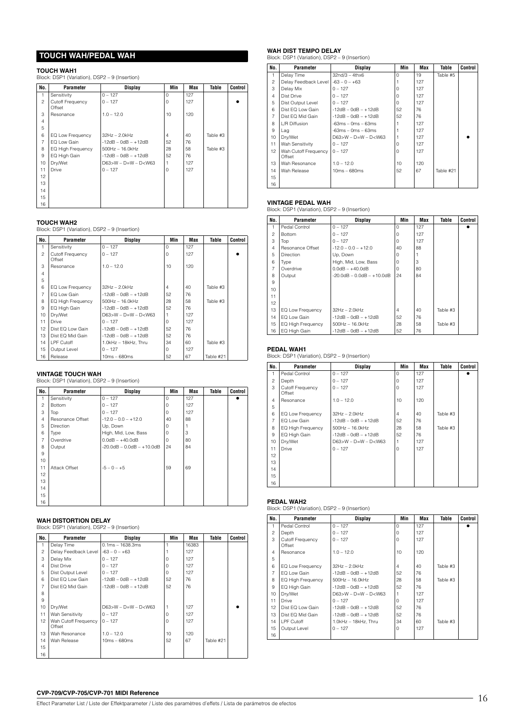### **TOUCH WAH/PEDAL WAH**

### **TOUCH WAH1**

Block: DSP1 (Variation), DSP2 – 9 (Insertion)

| No.            | Parameter                  | <b>Display</b>         | Min      | Max | Table    | Control |
|----------------|----------------------------|------------------------|----------|-----|----------|---------|
| 1              | Sensitivity                | $0 - 127$              | $\Omega$ | 127 |          |         |
| $\overline{c}$ | Cutoff Frequency<br>Offset | $0 - 127$              | $\Omega$ | 127 |          |         |
| 3              | Resonance                  | $1.0 - 12.0$           | 10       | 120 |          |         |
| $\overline{4}$ |                            |                        |          |     |          |         |
| 5              |                            |                        |          |     |          |         |
| 6              | EQ Low Frequency           | 32Hz - 2.0kHz          | 4        | 40  | Table #3 |         |
| $\overline{7}$ | EQ Low Gain                | $-12dB - OdB - +12dB$  | 52       | 76  |          |         |
| 8              | EQ High Frequency          | 500Hz - 16.0kHz        | 28       | 58  | Table #3 |         |
| 9              | EQ High Gain               | $-12dB - OdB - +12dB$  | 52       | 76  |          |         |
| 10             | Dry/Wet                    | $D63>W - D=W - D< W63$ |          | 127 |          |         |
| 11             | Drive                      | $0 - 127$              | $\Omega$ | 127 |          |         |
| 12             |                            |                        |          |     |          |         |
| 13             |                            |                        |          |     |          |         |
| 14             |                            |                        |          |     |          |         |
| 15             |                            |                        |          |     |          |         |
| 16             |                            |                        |          |     |          |         |

### **TOUCH WAH2**

Block: DSP1 (Variation), DSP2 – 9 (Insertion)

| No.            | Parameter                  | Display                | Min             | Max | Table     | Control |
|----------------|----------------------------|------------------------|-----------------|-----|-----------|---------|
|                | Sensitivity                | $0 - 127$              | $\Omega$        | 127 |           |         |
| $\overline{c}$ | Cutoff Frequency<br>Offset | $0 - 127$              | $\Omega$        | 127 |           |         |
| 3              | Resonance                  | $1.0 - 12.0$           | 10 <sup>1</sup> | 120 |           |         |
| $\overline{4}$ |                            |                        |                 |     |           |         |
| 5              |                            |                        |                 |     |           |         |
| 6              | EQ Low Frequency           | $32Hz - 2.0kHz$        | $\overline{4}$  | 40  | Table #3  |         |
| $\overline{7}$ | EQ Low Gain                | $-12dB - OdB - +12dB$  | 52              | 76  |           |         |
| 8              | EQ High Frequency          | 500Hz - 16.0kHz        | 28              | 58  | Table #3  |         |
| 9              | EQ High Gain               | $-12dB - OdB - +12dB$  | 52              | 76  |           |         |
| 10             | Dry/Wet                    | $D63>W - D=W - D< W63$ |                 | 127 |           |         |
| 11             | Drive                      | $0 - 127$              | $\Omega$        | 127 |           |         |
| 12             | Dist EQ Low Gain           | $-12dB - OdB - +12dB$  | 52              | 76  |           |         |
| 13             | Dist EQ Mid Gain           | $-12dB - 0dB - +12dB$  | 52              | 76  |           |         |
| 14             | LPF Cutoff                 | 1.0kHz - 18kHz, Thru   | 34              | 60  | Table #3  |         |
| 15             | Output Level               | $0 - 127$              | $\Omega$        | 127 |           |         |
| 16             | Release                    | $10ms - 680ms$         | 52              | 67  | Table #21 |         |

### **VINTAGE TOUCH WAH**

Block: DSP1 (Variation), DSP2 – 9 (Insertion) **No. Parameter Display Min Max Table Control**

| NU.            | Parameter        | pispiay                            | IVITI    | мах | Table | vullitul |
|----------------|------------------|------------------------------------|----------|-----|-------|----------|
| 1              | Sensitivity      | $0 - 127$                          | $\Omega$ | 127 |       |          |
| $\overline{c}$ | <b>Bottom</b>    | $0 - 127$                          | $\Omega$ | 127 |       |          |
| 3              | Top              | $0 - 127$                          | 0        | 127 |       |          |
| $\overline{4}$ | Resonance Offset | $-12.0 - 0.0 - +12.0$              | 40       | 88  |       |          |
| 5              | <b>Direction</b> | Up, Down                           | 0        |     |       |          |
| 6              | Type             | High, Mid, Low, Bass               | 0        | 3   |       |          |
| $\overline{7}$ | Overdrive        | $0.0dB - +40.0dB$                  | 0        | 80  |       |          |
| 8              | Output           | $-20.0$ dB $- 0.0$ dB $- +10.0$ dB | 24       | 84  |       |          |
| 9              |                  |                                    |          |     |       |          |
| 10             |                  |                                    |          |     |       |          |
| 11             | Attack Offset    | $-5 - 0 - +5$                      | 59       | 69  |       |          |
| 12             |                  |                                    |          |     |       |          |
| 13             |                  |                                    |          |     |       |          |
| 14             |                  |                                    |          |     |       |          |
| 15             |                  |                                    |          |     |       |          |
| 16             |                  |                                    |          |     |       |          |

**WAH DISTORTION DELAY** Block: DSP1 (Variation), DSP2 – 9 (Insertion)

| No.            | Parameter                      | <b>Display</b>         | Min      | Max   | Table     | Control |
|----------------|--------------------------------|------------------------|----------|-------|-----------|---------|
| 1              | Delay Time                     | $0.1ms - 1638.3ms$     |          | 16383 |           |         |
| $\overline{c}$ | Delay Feedback Level           | $-63 - 0 - +63$        |          | 127   |           |         |
| 3              | Delay Mix                      | $0 - 127$              | $\Omega$ | 127   |           |         |
| $\overline{4}$ | Dist Drive                     | $0 - 127$              | $\Omega$ | 127   |           |         |
| 5              | Dist Output Level              | $0 - 127$              | $\Omega$ | 127   |           |         |
| 6              | Dist EQ Low Gain               | $-12dB - 0dB - +12dB$  | 52       | 76    |           |         |
| $\overline{7}$ | Dist EQ Mid Gain               | $-12dB - OdB - +12dB$  | 52       | 76    |           |         |
| 8              |                                |                        |          |       |           |         |
| 9              |                                |                        |          |       |           |         |
| 10             | Dry/Wet                        | $D63>W - D=W - D< W63$ |          | 127   |           |         |
| 11             | Wah Sensitivity                | $0 - 127$              | $\Omega$ | 127   |           |         |
| 12             | Wah Cutoff Frequency<br>Offset | $0 - 127$              | $\Omega$ | 127   |           |         |
| 13             | Wah Resonance                  | $1.0 - 12.0$           | 10       | 120   |           |         |
| 14             | Wah Release                    | $10ms - 680ms$         | 52       | 67    | Table #21 |         |
| 15             |                                |                        |          |       |           |         |
| 16             |                                |                        |          |       |           |         |

# **WAH DIST TEMPO DELAY** Block: DSP1 (Variation), DSP2 – 9 (Insertion)

| No.            | <b>Parameter</b>               | Display                                                                    | Min      | Max | Table     | Control |
|----------------|--------------------------------|----------------------------------------------------------------------------|----------|-----|-----------|---------|
| 1              | Delay Time                     | $32n d/3 - 4thx6$                                                          | $\Omega$ | 19  | Table #5  |         |
| 2              | Delay Feedback Level           | $-63 - 0 - +63$                                                            |          | 127 |           |         |
| 3              | Delay Mix                      | $0 - 127$                                                                  | $\Omega$ | 127 |           |         |
| $\overline{4}$ | Dist Drive                     | $0 - 127$                                                                  | $\Omega$ | 127 |           |         |
| 5              | Dist Output Level              | $0 - 127$                                                                  | $\Omega$ | 127 |           |         |
| 6              | Dist EQ Low Gain               | $-12dB - OdB - +12dB$                                                      | 52       | 76  |           |         |
| $\overline{7}$ | Dist EQ Mid Gain               | $-12dB - OdB - +12dB$                                                      | 52       | 76  |           |         |
| 8              | L/R Diffusion                  | $-63ms - 0ms - 63ms$                                                       |          | 127 |           |         |
| 9              | Lag                            | $-63ms - 0ms - 63ms$                                                       |          | 127 |           |         |
| 10             | Dry/Wet                        | D63>W - D=W - D <w63< td=""><td></td><td>127</td><td></td><td></td></w63<> |          | 127 |           |         |
| 11             | Wah Sensitivity                | $0 - 127$                                                                  | $\Omega$ | 127 |           |         |
| 12             | Wah Cutoff Frequency<br>Offset | $0 - 127$                                                                  | 0        | 127 |           |         |
| 13             | Wah Resonance                  | $1.0 - 12.0$                                                               | 10       | 120 |           |         |
| 14             | Wah Release                    | $10ms - 680ms$                                                             | 52       | 67  | Table #21 |         |
| 15             |                                |                                                                            |          |     |           |         |
| 16             |                                |                                                                            |          |     |           |         |

**VINTAGE PEDAL WAH** Block: DSP1 (Variation), DSP2 – 9 (Insertion)

| No.            | Parameter                | Display                            | Min            | Max | Table    | Control |
|----------------|--------------------------|------------------------------------|----------------|-----|----------|---------|
| 1              | Pedal Control            | $0 - 127$                          | $\Omega$       | 127 |          |         |
| $\mathfrak{p}$ | Bottom                   | $0 - 127$                          | $\Omega$       | 127 |          |         |
| 3              | Top                      | $0 - 127$                          | $\Omega$       | 127 |          |         |
| $\overline{4}$ | Resonance Offset         | $-12.0 - 0.0 - +12.0$              | 40             | 88  |          |         |
| 5              | <b>Direction</b>         | Up, Down                           | $\Omega$       |     |          |         |
| 6              | Type                     | High, Mid, Low, Bass               | 0              | 3   |          |         |
| $\overline{7}$ | Overdrive                | $0.0dB - +40.0dB$                  | 0              | 80  |          |         |
| 8              | Output                   | $-20.0$ dB $- 0.0$ dB $- +10.0$ dB | 24             | 84  |          |         |
| 9              |                          |                                    |                |     |          |         |
| 10             |                          |                                    |                |     |          |         |
| 11             |                          |                                    |                |     |          |         |
| 12             |                          |                                    |                |     |          |         |
| 13             | EQ Low Frequency         | $32Hz - 2.0kHz$                    | $\overline{4}$ | 40  | Table #3 |         |
| 14             | EQ Low Gain              | $-12dB - 0dB - +12dB$              | 52             | 76  |          |         |
| 15             | <b>EQ High Frequency</b> | $500$ Hz $- 16.0$ kHz              | 28             | 58  | Table #3 |         |
| 16             | EQ High Gain             | $-12dB - OdB - +12dB$              | 52             | 76  |          |         |

### **PEDAL WAH1**

Block: DSP1 (Variation), DSP2 – 9 (Insertion)

| No.            | <b>Parameter</b>           | <b>Display</b>            | Min            | Max | Table    | Control |
|----------------|----------------------------|---------------------------|----------------|-----|----------|---------|
| 1.             | Pedal Control              | $0 - 127$                 | 0              | 127 |          |         |
| $\overline{c}$ | Depth                      | $0 - 127$                 | $\Omega$       | 127 |          |         |
| 3              | Cutoff Frequency<br>Offset | $0 - 127$                 | 0              | 127 |          |         |
| $\overline{4}$ | Resonance                  | $1.0 - 12.0$              | 10             | 120 |          |         |
| 5              |                            |                           |                |     |          |         |
| 6              | EQ Low Frequency           | $32Hz - 2.0kHz$           | $\overline{4}$ | 40  | Table #3 |         |
| $\overline{7}$ | EQ Low Gain                | $-12dB - OdB - +12dB$     | 52             | 76  |          |         |
| 8              | EQ High Frequency          | $500$ Hz $- 16.0$ kHz     | 28             | 58  | Table #3 |         |
| 9              | EQ High Gain               | $-12dB - OdB - +12dB$     | 52             | 76  |          |         |
| 10             | Dry/Wet                    | $D63 > W - D=W - D < W63$ |                | 127 |          |         |
| 11             | Drive                      | $0 - 127$                 | $\Omega$       | 127 |          |         |
| 12             |                            |                           |                |     |          |         |
| 13             |                            |                           |                |     |          |         |
| 14             |                            |                           |                |     |          |         |
| 15             |                            |                           |                |     |          |         |
| 16             |                            |                           |                |     |          |         |

**PEDAL WAH2** Block: DSP1 (Variation), DSP2 – 9 (Insertion)

| No.            | Parameter                  | Display                    | Min            | Max | Table    | Control |
|----------------|----------------------------|----------------------------|----------------|-----|----------|---------|
| 1              | Pedal Control              | $0 - 127$                  | $\Omega$       | 127 |          |         |
| 2              | Depth                      | $0 - 127$                  | $\Omega$       | 127 |          |         |
| 3              | Cutoff Frequency<br>Offset | $0 - 127$                  | $\Omega$       | 127 |          |         |
| $\overline{4}$ | Resonance                  | $1.0 - 12.0$               | 10             | 120 |          |         |
| 5              |                            |                            |                |     |          |         |
| 6              | EQ Low Frequency           | $32Hz - 2.0kHz$            | $\overline{4}$ | 40  | Table #3 |         |
| $\overline{7}$ | EQ Low Gain                | $-12$ dB $-$ 0dB $ +12$ dB | 52             | 76  |          |         |
| 8              | <b>EQ High Frequency</b>   | $500$ Hz $- 16.0$ kHz      | 28             | 58  | Table #3 |         |
| 9              | EQ High Gain               | $-12dB - OdB - +12dB$      | 52             | 76  |          |         |
| 10             | Dry/Wet                    | $D63>W - D=W - D< W63$     |                | 127 |          |         |
| 11             | <b>Drive</b>               | $0 - 127$                  | $\Omega$       | 127 |          |         |
| 12             | Dist EQ Low Gain           | $-12dB - 0dB - +12dB$      | 52             | 76  |          |         |
| 13             | Dist EQ Mid Gain           | $-12dB - OdB - +12dB$      | 52             | 76  |          |         |
| 14             | LPF Cutoff                 | 1.0kHz - 18kHz, Thru       | 34             | 60  | Table #3 |         |
| 15             | Output Level               | $0 - 127$                  | $\Omega$       | 127 |          |         |
| 16             |                            |                            |                |     |          |         |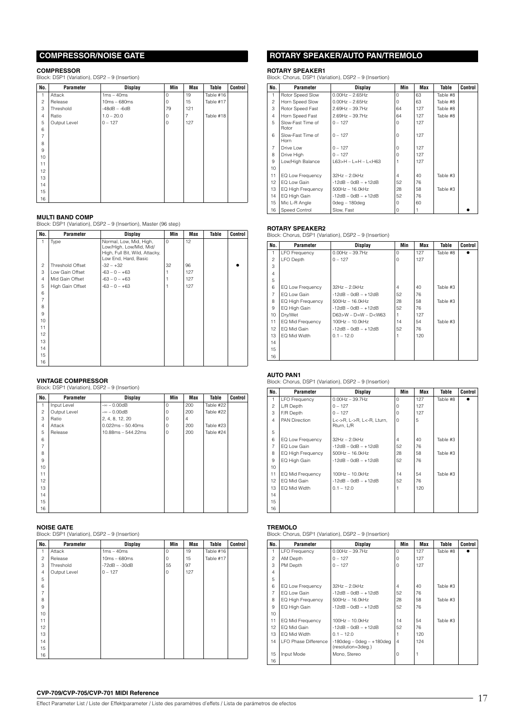### **COMPRESSOR/NOISE GATE**

### **COMPRESSOR**

Block: DSP1 (Variation), DSP2 – 9 (Insertion)

| No.            | Parameter    | <b>Display</b> | Min         | Max            | Table     | Control |
|----------------|--------------|----------------|-------------|----------------|-----------|---------|
| 1              | Attack       | $1ms - 40ms$   | 0           | 19             | Table #16 |         |
| $\overline{c}$ | Release      | $10ms - 680ms$ | 0           | 15             | Table #17 |         |
| 3              | Threshold    | $-48dB - -6dB$ | 79          | 121            |           |         |
| $\overline{4}$ | Ratio        | $1.0 - 20.0$   | $\mathbf 0$ | $\overline{7}$ | Table #18 |         |
| 5              | Output Level | $0 - 127$      | $\circ$     | 127            |           |         |
| 6              |              |                |             |                |           |         |
| $\overline{7}$ |              |                |             |                |           |         |
| 8              |              |                |             |                |           |         |
| 9              |              |                |             |                |           |         |
| 10             |              |                |             |                |           |         |
| 11             |              |                |             |                |           |         |
| 12             |              |                |             |                |           |         |
| 13             |              |                |             |                |           |         |
| 14             |              |                |             |                |           |         |
| 15             |              |                |             |                |           |         |
| 16             |              |                |             |                |           |         |

**MULTI BAND COMP** Block: DSP1 (Variation), DSP2 – 9 (Insertion), Master (96 step)

| No.            | Parameter        | <b>Display</b>                                                                                               | Min     | <b>Max</b> | Table | Control |
|----------------|------------------|--------------------------------------------------------------------------------------------------------------|---------|------------|-------|---------|
| 1              | Type             | Normal, Low, Mid, High,<br>Low/High, Low/Mid, Mid/<br>High, Full Bit, Wild, Attacky,<br>Low End, Hard, Basic | $\circ$ | 12         |       |         |
| $\overline{c}$ | Threshold Offset | $-32 - +32$                                                                                                  | 32      | 96         |       |         |
| 3              | Low Gain Offset  | $-63 - 0 - +63$                                                                                              |         | 127        |       |         |
| $\overline{4}$ | Mid Gain Offset  | $-63 - 0 - +63$                                                                                              |         | 127        |       |         |
| 5              | High Gain Offset | $-63 - 0 - +63$                                                                                              |         | 127        |       |         |
| 6              |                  |                                                                                                              |         |            |       |         |
| $\overline{7}$ |                  |                                                                                                              |         |            |       |         |
| 8              |                  |                                                                                                              |         |            |       |         |
| 9              |                  |                                                                                                              |         |            |       |         |
| 10             |                  |                                                                                                              |         |            |       |         |
| 11             |                  |                                                                                                              |         |            |       |         |
| 12             |                  |                                                                                                              |         |            |       |         |
| 13             |                  |                                                                                                              |         |            |       |         |
| 14             |                  |                                                                                                              |         |            |       |         |
| 15             |                  |                                                                                                              |         |            |       |         |
| 16             |                  |                                                                                                              |         |            |       |         |

**VINTAGE COMPRESSOR** Block: DSP1 (Variation), DSP2 – 9 (Insertion)

| No.            | Parameter    | <b>Display</b>      | Min         | <b>Max</b> | Table     | Control |
|----------------|--------------|---------------------|-------------|------------|-----------|---------|
| 1              | Input Level  | $-\infty - 0.00$ dB | $\mathbf 0$ | 200        | Table #22 |         |
| $\overline{c}$ | Output Level | $-\infty - 0.00$ dB | $\circ$     | 200        | Table #22 |         |
| 3              | Ratio        | 2, 4, 8, 12, 20     | $\circ$     | 4          |           |         |
| $\overline{4}$ | Attack       | $0.022ms - 50.40ms$ | $\mathbf 0$ | 200        | Table #23 |         |
| 5              | Release      | 10.88ms - 544.22ms  | $\circ$     | 200        | Table #24 |         |
| 6              |              |                     |             |            |           |         |
| $\overline{7}$ |              |                     |             |            |           |         |
| 8              |              |                     |             |            |           |         |
| 9              |              |                     |             |            |           |         |
| 10             |              |                     |             |            |           |         |
| 11             |              |                     |             |            |           |         |
| 12             |              |                     |             |            |           |         |
| 13             |              |                     |             |            |           |         |
| 14             |              |                     |             |            |           |         |
| 15             |              |                     |             |            |           |         |
| 16             |              |                     |             |            |           |         |

### **NOISE GATE**

Block: DSP1 (Variation), DSP2 – 9 (Insertion)

| No.            | Parameter    | <b>Display</b>  | Min         | Max | Table     | Control |
|----------------|--------------|-----------------|-------------|-----|-----------|---------|
| 1              | Attack       | $1ms - 40ms$    | $\mathbf 0$ | 19  | Table #16 |         |
| $\overline{c}$ | Release      | $10ms - 680ms$  | $\circ$     | 15  | Table #17 |         |
| 3              | Threshold    | $-72dB - -30dB$ | 55          | 97  |           |         |
| $\overline{4}$ | Output Level | $0 - 127$       | $\circ$     | 127 |           |         |
| 5              |              |                 |             |     |           |         |
| 6              |              |                 |             |     |           |         |
| $\overline{7}$ |              |                 |             |     |           |         |
| 8              |              |                 |             |     |           |         |
| 9              |              |                 |             |     |           |         |
| 10             |              |                 |             |     |           |         |
| 11             |              |                 |             |     |           |         |
| 12             |              |                 |             |     |           |         |
| 13             |              |                 |             |     |           |         |
| 14             |              |                 |             |     |           |         |
| 15             |              |                 |             |     |           |         |
| 16             |              |                 |             |     |           |         |

### **ROTARY SPEAKER/AUTO PAN/TREMOLO**

### **ROTARY SPEAKER1**

Block: Chorus, DSP1 (Variation), DSP2 – 9 (Insertion)

| No.            | Parameter                  | Display                                                                    | Min      | Max | Table    | <b>Control</b> |
|----------------|----------------------------|----------------------------------------------------------------------------|----------|-----|----------|----------------|
| 1              | Rotor Speed Slow           | $0.00$ Hz $- 2.65$ Hz                                                      | $\Omega$ | 63  | Table #8 |                |
| $\overline{c}$ | Horn Speed Slow            | $0.00$ Hz $- 2.65$ Hz                                                      | O        | 63  | Table #8 |                |
| 3              | Rotor Speed Fast           | $2.69$ Hz - 39.7Hz                                                         | 64       | 127 | Table #8 |                |
| $\overline{4}$ | Horn Speed Fast            | $2.69$ Hz - 39.7Hz                                                         | 64       | 127 | Table #8 |                |
| 5              | Slow-Fast Time of<br>Rotor | $0 - 127$                                                                  | O        | 127 |          |                |
| 6              | Slow-Fast Time of<br>Horn  | $0 - 127$                                                                  | $\Omega$ | 127 |          |                |
| $\overline{7}$ | Drive Low                  | $0 - 127$                                                                  | O        | 127 |          |                |
| 8              | Drive High                 | $0 - 127$                                                                  | O        | 127 |          |                |
| 9              | Low/High Balance           | L63>H - L=H - L <h63< td=""><td></td><td>127</td><td></td><td></td></h63<> |          | 127 |          |                |
| 10             |                            |                                                                            |          |     |          |                |
| 11             | EQ Low Frequency           | $32Hz - 2.0kHz$                                                            | 4        | 40  | Table #3 |                |
| 12             | EQ Low Gain                | $-12dB - OdB - +12dB$                                                      | 52       | 76  |          |                |
| 13             | EQ High Frequency          | 500Hz - 16.0kHz                                                            | 28       | 58  | Table #3 |                |
| 14             | EQ High Gain               | $-12dB - OdB - +12dB$                                                      | 52       | 76  |          |                |
| 15             | Mic L-R Angle              | 0deg - 180deg                                                              | U        | 60  |          |                |
| 16             | Speed Control              | Slow, Fast                                                                 | O        |     |          |                |

### **ROTARY SPEAKER2**

Block: Chorus, DSP1 (Variation), DSP2 – 9 (Insertion)

| No.            | Parameter            | <b>Display</b>         | Min            | Max | Table    | Control |
|----------------|----------------------|------------------------|----------------|-----|----------|---------|
| 1              | <b>LFO Frequency</b> | $0.00Hz - 39.7Hz$      | 0              | 127 | Table #8 |         |
| $\mathfrak{p}$ | LFO Depth            | $0 - 127$              | 0              | 127 |          |         |
| 3              |                      |                        |                |     |          |         |
| $\overline{4}$ |                      |                        |                |     |          |         |
| 5              |                      |                        |                |     |          |         |
| 6              | EQ Low Frequency     | $32Hz - 2.0kHz$        | $\overline{4}$ | 40  | Table #3 |         |
| $\overline{7}$ | EQ Low Gain          | $-12dB - OdB - +12dB$  | 52             | 76  |          |         |
| 8              | EQ High Frequency    | 500Hz - 16.0kHz        | 28             | 58  | Table #3 |         |
| 9              | EQ High Gain         | $-12dB - OdB - +12dB$  | 52             | 76  |          |         |
| 10             | Dry/Wet              | $D63>W - D=W - D< W63$ |                | 127 |          |         |
| 11             | EQ Mid Frequency     | 100Hz - 10.0kHz        | 14             | 54  | Table #3 |         |
| 12             | EQ Mid Gain          | $-12dB - OdB - +12dB$  | 52             | 76  |          |         |
| 13             | EQ Mid Width         | $0.1 - 12.0$           |                | 120 |          |         |
| 14             |                      |                        |                |     |          |         |
| 15             |                      |                        |                |     |          |         |
| 16             |                      |                        |                |     |          |         |

### **AUTO PAN1**

Block: Chorus, DSP1 (Variation), DSP2 – 9 (Insertion)

| No.            | Parameter                | Display                                 | Min            | Max | Table    | <b>Control</b> |
|----------------|--------------------------|-----------------------------------------|----------------|-----|----------|----------------|
| 1              | <b>LFO Frequency</b>     | $0.00Hz - 39.7Hz$                       | $\Omega$       | 127 | Table #8 |                |
| 2              | L/R Depth                | $0 - 127$                               | $\Omega$       | 127 |          |                |
| 3              | F/R Depth                | $0 - 127$                               | $\Omega$       | 127 |          |                |
| $\overline{4}$ | PAN Direction            | L<->R, L->R, L<-R, Lturn,<br>Rturn, L/R | 0              | 5   |          |                |
| 5              |                          |                                         |                |     |          |                |
| 6              | EQ Low Frequency         | $32Hz - 2.0kHz$                         | $\overline{4}$ | 40  | Table #3 |                |
| $\overline{7}$ | EQ Low Gain              | $-12dB - OdB - +12dB$                   | 52             | 76  |          |                |
| 8              | <b>EQ High Frequency</b> | $500$ Hz $- 16.0$ kHz                   | 28             | 58  | Table #3 |                |
| 9              | EQ High Gain             | $-12dB - OdB - +12dB$                   | 52             | 76  |          |                |
| 10             |                          |                                         |                |     |          |                |
| 11             | EQ Mid Frequency         | 100Hz - 10.0kHz                         | 14             | 54  | Table #3 |                |
| 12             | EQ Mid Gain              | $-12dB - OdB - +12dB$                   | 52             | 76  |          |                |
| 13             | EQ Mid Width             | $0.1 - 12.0$                            |                | 120 |          |                |
| 14             |                          |                                         |                |     |          |                |
| 15             |                          |                                         |                |     |          |                |
| 16             |                          |                                         |                |     |          |                |

### **TREMOLO**

Block: Chorus, DSP1 (Variation), DSP2 – 9 (Insertion)

| No.             | Parameter                   | Display                                              | Min            | Max | Table    | <b>Control</b> |
|-----------------|-----------------------------|------------------------------------------------------|----------------|-----|----------|----------------|
| 1.              | <b>LFO Frequency</b>        | $0.00$ Hz $-$ 39.7Hz                                 | $\Omega$       | 127 | Table #8 |                |
| $\mathfrak{p}$  | AM Depth                    | $0 - 127$                                            | $\Omega$       | 127 |          |                |
| 3               | PM Depth                    | $0 - 127$                                            | $\Omega$       | 127 |          |                |
| $\overline{4}$  |                             |                                                      |                |     |          |                |
| 5               |                             |                                                      |                |     |          |                |
| 6               | EQ Low Frequency            | $32Hz - 2.0kHz$                                      | $\overline{4}$ | 40  | Table #3 |                |
| $\overline{7}$  | EQ Low Gain                 | $-12dB - OdB - +12dB$                                | 52             | 76  |          |                |
| 8               | <b>EQ High Frequency</b>    | $500Hz - 16.0kHz$                                    | 28             | 58  | Table #3 |                |
| 9               | EQ High Gain                | $-12dB - OdB - +12dB$                                | 52             | 76  |          |                |
| 10 <sup>1</sup> |                             |                                                      |                |     |          |                |
| 11              | EQ Mid Frequency            | 100Hz - 10.0kHz                                      | 14             | 54  | Table #3 |                |
| 12 <sup>2</sup> | EQ Mid Gain                 | $-12dB - OdB - +12dB$                                | 52             | 76  |          |                |
| 13              | EQ Mid Width                | $0.1 - 12.0$                                         |                | 120 |          |                |
| 14              | <b>LFO Phase Difference</b> | $-180$ deg – 0deg – $+180$ deg<br>(resolution=3deg.) | $\overline{4}$ | 124 |          |                |
| 15              |                             |                                                      | $\Omega$       |     |          |                |
|                 | Input Mode                  | Mono, Stereo                                         |                |     |          |                |
| 16              |                             |                                                      |                |     |          |                |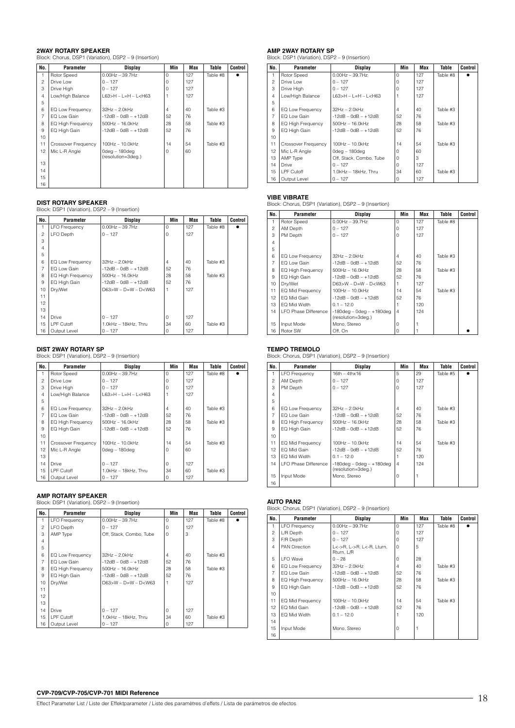**2WAY ROTARY SPEAKER**<br>Block: Chorus, DSP1 (Variation), DSP2 – 9 (Insertion)

| No.            | Parameter           | <b>Display</b>                           | Min      | Max | Table    | Control |
|----------------|---------------------|------------------------------------------|----------|-----|----------|---------|
|                | Rotor Speed         | $0.00$ Hz $-$ 39.7Hz                     | $\Omega$ | 127 | Table #8 |         |
| $\overline{c}$ | Drive Low           | $0 - 127$                                | $\Omega$ | 127 |          |         |
| 3              | Drive High          | $0 - 127$                                | O        | 127 |          |         |
| $\overline{4}$ | Low/High Balance    | $L63 > H - L = H - L < H63$              |          | 127 |          |         |
| 5              |                     |                                          |          |     |          |         |
| 6              | EQ Low Frequency    | $32Hz - 2.0kHz$                          | 4        | 40  | Table #3 |         |
| $\overline{7}$ | EQ Low Gain         | $-12dB - 0dB - +12dB$                    | 52       | 76  |          |         |
| 8              | EQ High Frequency   | 500Hz - 16.0kHz                          | 28       | 58  | Table #3 |         |
| 9              | EQ High Gain        | $-12dB - OdB - +12dB$                    | 52       | 76  |          |         |
| 10             |                     |                                          |          |     |          |         |
| 11             | Crossover Frequency | 100Hz - 10.0kHz                          | 14       | 54  | Table #3 |         |
| 12             | Mic L-R Angle       | $0$ deg $-180$ deg<br>(resolution=3deg.) | $\Omega$ | 60  |          |         |
| 13             |                     |                                          |          |     |          |         |
| 14             |                     |                                          |          |     |          |         |
| 15             |                     |                                          |          |     |          |         |
| 16             |                     |                                          |          |     |          |         |

**DIST ROTARY SPEAKER** Block: DSP1 (Variation), DSP2 – 9 (Insertion)

| No.            | Parameter            | <b>Display</b>              | Min      | Max | Table    | Control |
|----------------|----------------------|-----------------------------|----------|-----|----------|---------|
| 1              | <b>LFO</b> Frequency | $0.00$ Hz $-$ 39.7Hz        | $\Omega$ | 127 | Table #8 |         |
| 2              | <b>LFO Depth</b>     | $0 - 127$                   | $\Omega$ | 127 |          |         |
| 3              |                      |                             |          |     |          |         |
| $\overline{4}$ |                      |                             |          |     |          |         |
| 5              |                      |                             |          |     |          |         |
| 6              | EQ Low Frequency     | $32Hz - 2.0kHz$             | 4        | 40  | Table #3 |         |
| $\overline{7}$ | EQ Low Gain          | $-12dB - OdB - +12dB$       | 52       | 76  |          |         |
| 8              | EQ High Frequency    | 500Hz - 16.0kHz             | 28       | 58  | Table #3 |         |
| 9              | EQ High Gain         | $-12dB - OdB - +12dB$       | 52       | 76  |          |         |
| 10             | Dry/Wet              | $D63 > W - D = W - D < W63$ |          | 127 |          |         |
| 11             |                      |                             |          |     |          |         |
| 12             |                      |                             |          |     |          |         |
| 13             |                      |                             |          |     |          |         |
| 14             | <b>Drive</b>         | $0 - 127$                   | $\Omega$ | 127 |          |         |
| 15             | LPF Cutoff           | 1.0kHz - 18kHz. Thru        | 34       | 60  | Table #3 |         |
| 16             | Output Level         | $0 - 127$                   | $\Omega$ | 127 |          |         |

**DIST 2WAY ROTARY SP** Block: DSP1 (Variation), DSP2 – 9 (Insertion)

| No.            | Parameter                | Display                | Min      | <b>Max</b> | Table    | Control |
|----------------|--------------------------|------------------------|----------|------------|----------|---------|
| 1              | Rotor Speed              | $0.00$ Hz $-$ 39.7Hz   | $\Omega$ | 127        | Table #8 |         |
| $\overline{c}$ | Drive Low                | $0 - 127$              | $\Omega$ | 127        |          |         |
| 3              | Drive High               | $0 - 127$              | 0        | 127        |          |         |
| $\overline{4}$ | Low/High Balance         | $L63>H - L=H - L< H63$ |          | 127        |          |         |
| 5              |                          |                        |          |            |          |         |
| 6              | EQ Low Frequency         | $32Hz - 2.0kHz$        | 4        | 40         | Table #3 |         |
| $\overline{7}$ | EQ Low Gain              | $-12dB - OdB - +12dB$  | 52       | 76         |          |         |
| 8              | <b>EQ High Frequency</b> | $500Hz - 16.0kHz$      | 28       | 58         | Table #3 |         |
| 9              | EQ High Gain             | $-12dB - OdB - +12dB$  | 52       | 76         |          |         |
| 10             |                          |                        |          |            |          |         |
| 11             | Crossover Frequency      | 100Hz - 10.0kHz        | 14       | 54         | Table #3 |         |
| 12             | Mic L-R Angle            | 0dea - 180dea          | 0        | 60         |          |         |
| 13             |                          |                        |          |            |          |         |
| 14             | Drive                    | $0 - 127$              | $\Omega$ | 127        |          |         |
| 15             | LPF Cutoff               | 1.0kHz - 18kHz. Thru   | 34       | 60         | Table #3 |         |
| 16             | Output Level             | $0 - 127$              | 0        | 127        |          |         |

**AMP ROTARY SPEAKER** Block: DSP1 (Variation), DSP2 – 9 (Insertion)

| No.            | Parameter            | <b>Display</b>              | Min      | <b>Max</b> | Table    | Control |
|----------------|----------------------|-----------------------------|----------|------------|----------|---------|
| 1              | <b>LFO Frequency</b> | $0.00$ Hz $-$ 39.7Hz        | $\Omega$ | 127        | Table #8 |         |
| $\overline{c}$ | <b>LFO</b> Depth     | $0 - 127$                   | $\Omega$ | 127        |          |         |
| 3              | AMP Type             | Off, Stack, Combo, Tube     | 0        | 3          |          |         |
| $\overline{4}$ |                      |                             |          |            |          |         |
| 5              |                      |                             |          |            |          |         |
| 6              | EQ Low Frequency     | $32Hz - 2.0kHz$             | 4        | 40         | Table #3 |         |
| $\overline{7}$ | EQ Low Gain          | $-12dB - OdB - +12dB$       | 52       | 76         |          |         |
| 8              | EQ High Frequency    | 500Hz - 16.0kHz             | 28       | 58         | Table #3 |         |
| 9              | EQ High Gain         | $-12dB - OdB - +12dB$       | 52       | 76         |          |         |
| 10             | Dry/Wet              | $D63 > W - D = W - D < W63$ |          | 127        |          |         |
| 11             |                      |                             |          |            |          |         |
| 12             |                      |                             |          |            |          |         |
| 13             |                      |                             |          |            |          |         |
| 14             | Drive                | $0 - 127$                   | $\Omega$ | 127        |          |         |
| 15             | LPF Cutoff           | 1.0kHz - 18kHz, Thru        | 34       | 60         | Table #3 |         |
| 16             | Output Level         | $0 - 127$                   | 0        | 127        |          |         |

**AMP 2WAY ROTARY SP** Block: DSP1 (Variation), DSP2 – 9 (Insertion)

| No.            | Parameter           | Display                     | Min      | <b>Max</b> | Table    | Control |
|----------------|---------------------|-----------------------------|----------|------------|----------|---------|
| 1              | Rotor Speed         | $0.00$ Hz $-$ 39.7Hz        | $\Omega$ | 127        | Table #8 |         |
| $\overline{c}$ | Drive Low           | $0 - 127$                   | 0        | 127        |          |         |
| 3              | Drive High          | $0 - 127$                   | $\Omega$ | 127        |          |         |
| $\overline{4}$ | Low/High Balance    | $L63 > H - L = H - L < H63$ |          | 127        |          |         |
| 5              |                     |                             |          |            |          |         |
| 6              | EQ Low Frequency    | $32Hz - 2.0kHz$             | 4        | 40         | Table #3 |         |
| $\overline{7}$ | FO Low Gain         | $-12dB - OdB - +12dB$       | 52       | 76         |          |         |
| 8              | EQ High Frequency   | $500$ Hz $- 16.0$ kHz       | 28       | 58         | Table #3 |         |
| 9              | EQ High Gain        | $-12dB - 0dB - +12dB$       | 52       | 76         |          |         |
| 10             |                     |                             |          |            |          |         |
| 11             | Crossover Frequency | 100Hz - 10.0kHz             | 14       | 54         | Table #3 |         |
| 12             | Mic L-R Angle       | $0$ deg – 180 $deq$         | 0        | 60         |          |         |
| 13             | AMP Type            | Off, Stack, Combo, Tube     | 0        | 3          |          |         |
| 14             | <b>Drive</b>        | $0 - 127$                   | 0        | 127        |          |         |
| 15             | LPF Cutoff          | 1.0kHz - 18kHz, Thru        | 34       | 60         | Table #3 |         |
| 16             | Output Level        | $0 - 127$                   | 0        | 127        |          |         |

**VIBE VIBRATE** Block: Chorus, DSP1 (Variation), DSP2 – 9 (Insertion)

| No.            | Parameter                   | Display                        | Min            | Max | Table    | <b>Control</b> |
|----------------|-----------------------------|--------------------------------|----------------|-----|----------|----------------|
| 1              | Rotor Speed                 | $0.00$ Hz $-$ 39.7Hz           | $\Omega$       | 127 | Table #8 |                |
| $\mathfrak{p}$ | AM Depth                    | $0 - 127$                      | $\Omega$       | 127 |          |                |
| 3              | PM Depth                    | $0 - 127$                      | $\Omega$       | 127 |          |                |
| $\overline{4}$ |                             |                                |                |     |          |                |
| 5              |                             |                                |                |     |          |                |
| 6              | EQ Low Frequency            | $32Hz - 2.0kHz$                | $\overline{4}$ | 40  | Table #3 |                |
| $\overline{7}$ | EQ Low Gain                 | $-12dB - OdB - +12dB$          | 52             | 76  |          |                |
| 8              | <b>EQ High Frequency</b>    | $500$ Hz $- 16.0$ kHz          | 28             | 58  | Table #3 |                |
| 9              | EQ High Gain                | $-12dB - OdB - +12dB$          | 52             | 76  |          |                |
| 10             | Dry/Wet                     | $D63 > W - D = W - D < W63$    |                | 127 |          |                |
| 11             | EQ Mid Frequency            | 100Hz - 10.0kHz                | 14             | 54  | Table #3 |                |
| 12             | EQ Mid Gain                 | $-12$ dB $-$ 0dB $ +12$ dB     | 52             | 76  |          |                |
| 13             | EQ Mid Width                | $0.1 - 12.0$                   |                | 120 |          |                |
| 14             | <b>LFO Phase Difference</b> | $-180$ deg – 0deg – $+180$ deg | $\overline{4}$ | 124 |          |                |
|                |                             | (resolution=3deg.)             |                |     |          |                |
| 15             | Input Mode                  | Mono, Stereo                   | $\Omega$       |     |          |                |
| 16             | Rotor SW                    | Off. On                        | O              |     |          |                |

### **TEMPO TREMOLO**

Block: Chorus, DSP1 (Variation), DSP2 – 9 (Insertion)

| No.            | <b>Parameter</b>     | Display                                              | Min            | Max | Table    | Control |
|----------------|----------------------|------------------------------------------------------|----------------|-----|----------|---------|
| 1.             | <b>LFO Frequency</b> | $16th - 4thx16$                                      | 5              | 29  | Table #5 |         |
| 2              | AM Depth             | $0 - 127$                                            | O              | 127 |          |         |
| 3              | PM Depth             | $0 - 127$                                            | $\Omega$       | 127 |          |         |
| $\overline{4}$ |                      |                                                      |                |     |          |         |
| 5              |                      |                                                      |                |     |          |         |
| 6              | EQ Low Frequency     | 32Hz - 2.0kHz                                        | $\overline{4}$ | 40  | Table #3 |         |
| $\overline{7}$ | EQ Low Gain          | $-12dB - OdB - +12dB$                                | 52             | 76  |          |         |
| 8              | EQ High Frequency    | 500Hz - 16.0kHz                                      | 28             | 58  | Table #3 |         |
| 9              | EQ High Gain         | $-12dB - OdB - +12dB$                                | 52             | 76  |          |         |
| 10             |                      |                                                      |                |     |          |         |
| 11             | EQ Mid Frequency     | 100Hz - 10.0kHz                                      | 14             | 54  | Table #3 |         |
| 12             | EQ Mid Gain          | $-12dB - 0dB - +12dB$                                | 52             | 76  |          |         |
| 13             | EQ Mid Width         | $0.1 - 12.0$                                         |                | 120 |          |         |
| 14             | LFO Phase Difference | $-180$ deg – 0deg – $+180$ deg<br>(resolution=3deg.) | $\overline{4}$ | 124 |          |         |
| 15             | Input Mode           | Mono, Stereo                                         | 0              |     |          |         |
| 16             |                      |                                                      |                |     |          |         |

**AUTO PAN2** Block: Chorus, DSP1 (Variation), DSP2 – 9 (Insertion)

| No.            | Parameter                | Display                                 | Min      | Max | Table    | Control |
|----------------|--------------------------|-----------------------------------------|----------|-----|----------|---------|
| 1              | <b>LFO Frequency</b>     | $0.00Hz - 39.7Hz$                       | $\Omega$ | 127 | Table #8 |         |
| $\mathfrak{p}$ | L/R Depth                | $0 - 127$                               | O        | 127 |          |         |
| 3              | F/R Depth                | $0 - 127$                               | $\Omega$ | 127 |          |         |
| $\overline{4}$ | <b>PAN Direction</b>     | L<->R, L->R, L<-R, Lturn,<br>Rturn, L/R | $\Omega$ | 5   |          |         |
| 5              | I FO Wave                | $0 - 28$                                | $\Omega$ | 28  |          |         |
| 6              | EQ Low Frequency         | $32Hz - 2.0kHz$                         | 4        | 40  | Table #3 |         |
| $\overline{7}$ | EQ Low Gain              | $-12dB - OdB - +12dB$                   | 52       | 76  |          |         |
| 8              | <b>EQ High Frequency</b> | $500$ Hz $- 16.0$ kHz                   | 28       | 58  | Table #3 |         |
| 9              | EQ High Gain             | $-12dB - OdB - +12dB$                   | 52       | 76  |          |         |
| 10             |                          |                                         |          |     |          |         |
| 11             | EQ Mid Frequency         | 100Hz - 10.0kHz                         | 14       | 54  | Table #3 |         |
| 12             | EQ Mid Gain              | $-12dB - OdB - +12dB$                   | 52       | 76  |          |         |
| 13             | EQ Mid Width             | $0.1 - 12.0$                            |          | 120 |          |         |
| 14             |                          |                                         |          |     |          |         |
| 15             | Input Mode               | Mono, Stereo                            | $\Omega$ |     |          |         |
| 16             |                          |                                         |          |     |          |         |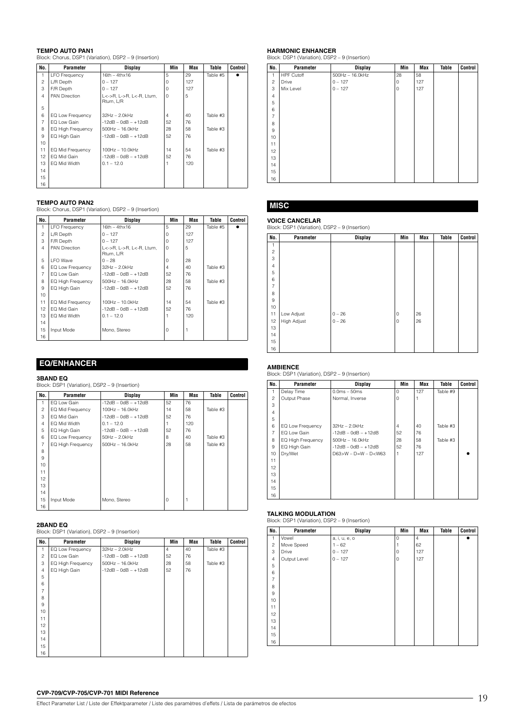### **TEMPO AUTO PAN1**

Block: Chorus, DSP1 (Variation), DSP2 – 9 (Insertion)

| No.            | Parameter            | Display                                 | Min      | Max | Table    | Control |
|----------------|----------------------|-----------------------------------------|----------|-----|----------|---------|
|                | <b>LFO</b> Frequency | $16th - 4th \times 16$                  | 5        | 29  | Table #5 |         |
| $\overline{c}$ | L/R Depth            | $0 - 127$                               | $\Omega$ | 127 |          |         |
| 3              | F/R Depth            | $0 - 127$                               | 0        | 127 |          |         |
| $\overline{4}$ | PAN Direction        | L<->R, L->R, L<-R, Lturn,<br>Rturn, L/R | $\Omega$ | 5   |          |         |
| 5              |                      |                                         |          |     |          |         |
| 6              | EQ Low Frequency     | $32Hz - 2.0kHz$                         | 4        | 40  | Table #3 |         |
| $\overline{7}$ | EQ Low Gain          | $-12dB - OdB - +12dB$                   | 52       | 76  |          |         |
| 8              | EQ High Frequency    | $500$ Hz $- 16.0$ kHz                   | 28       | 58  | Table #3 |         |
| 9              | EQ High Gain         | $-12dB - OdB - +12dB$                   | 52       | 76  |          |         |
| 10             |                      |                                         |          |     |          |         |
| 11             | EQ Mid Frequency     | 100Hz - 10.0kHz                         | 14       | 54  | Table #3 |         |
| 12             | EQ Mid Gain          | $-12dB - 0dB - +12dB$                   | 52       | 76  |          |         |
| 13             | EQ Mid Width         | $0.1 - 12.0$                            |          | 120 |          |         |
| 14             |                      |                                         |          |     |          |         |
| 15             |                      |                                         |          |     |          |         |
| 16             |                      |                                         |          |     |          |         |

**TEMPO AUTO PAN2** Block: Chorus, DSP1 (Variation), DSP2 – 9 (Insertion)

| No.            | Parameter            | <b>Display</b>                          | Min      | Max | Table    | Control |
|----------------|----------------------|-----------------------------------------|----------|-----|----------|---------|
|                | <b>LFO Frequency</b> | $16th - 4th \times 16$                  | 5        | 29  | Table #5 |         |
| $\overline{c}$ | L/R Depth            | $0 - 127$                               | $\Omega$ | 127 |          |         |
| 3              | F/R Depth            | $0 - 127$                               | 0        | 127 |          |         |
| $\overline{4}$ | <b>PAN Direction</b> | L<->R, L->R, L<-R, Lturn,<br>Rturn, L/R | $\Omega$ | 5   |          |         |
| 5              | <b>LFO</b> Wave      | $0 - 28$                                | $\Omega$ | 28  |          |         |
| 6              | EQ Low Frequency     | 32Hz - 2.0kHz                           | 4        | 40  | Table #3 |         |
| $\overline{7}$ | EQ Low Gain          | $-12dB - OdB - +12dB$                   | 52       | 76  |          |         |
| 8              | EQ High Frequency    | 500Hz - 16.0kHz                         | 28       | 58  | Table #3 |         |
| 9              | EQ High Gain         | $-12dB - OdB - +12dB$                   | 52       | 76  |          |         |
| 10             |                      |                                         |          |     |          |         |
| 11             | EQ Mid Frequency     | 100Hz - 10.0kHz                         | 14       | 54  | Table #3 |         |
| 12             | EQ Mid Gain          | $-12dB - OdB - +12dB$                   | 52       | 76  |          |         |
| 13             | EQ Mid Width         | $0.1 - 12.0$                            |          | 120 |          |         |
| 14             |                      |                                         |          |     |          |         |
| 15             | Input Mode           | Mono, Stereo                            | 0        |     |          |         |
| 16             |                      |                                         |          |     |          |         |

### **EQ/ENHANCER**

### **3BAND EQ**

Block: DSP1 (Variation), DSP2 – 9 (Insertion)

| No.            | <b>Parameter</b>  | <b>Display</b>        | Min | <b>Max</b> | Table    | Control |
|----------------|-------------------|-----------------------|-----|------------|----------|---------|
| 1              | EQ Low Gain       | $-12dB - OdB - +12dB$ | 52  | 76         |          |         |
| 2              | EQ Mid Frequency  | 100Hz - 16.0kHz       | 14  | 58         | Table #3 |         |
| 3              | EQ Mid Gain       | $-12dB - 0dB - +12dB$ | 52  | 76         |          |         |
| $\overline{4}$ | EQ Mid Width      | $0.1 - 12.0$          |     | 120        |          |         |
| 5              | EQ High Gain      | $-12dB - OdB - +12dB$ | 52  | 76         |          |         |
| 6              | EQ Low Frequency  | 50Hz - 2.0kHz         | 8   | 40         | Table #3 |         |
| 7              | EQ High Frequency | 500Hz - 16.0kHz       | 28  | 58         | Table #3 |         |
| 8              |                   |                       |     |            |          |         |
| 9              |                   |                       |     |            |          |         |
| 10             |                   |                       |     |            |          |         |
| 11             |                   |                       |     |            |          |         |
| 12             |                   |                       |     |            |          |         |
| 13             |                   |                       |     |            |          |         |
| 14             |                   |                       |     |            |          |         |
| 15             | Input Mode        | Mono, Stereo          | 0   |            |          |         |
| 16             |                   |                       |     |            |          |         |

### **2BAND EQ**

Block: DSP1 (Variation), DSP2 – 9 (Insertion)

| No.            | Parameter         | <b>Display</b>        | Min            | Max | Table    | Control |
|----------------|-------------------|-----------------------|----------------|-----|----------|---------|
| 1              | EQ Low Frequency  | 32Hz - 2.0kHz         | $\overline{4}$ | 40  | Table #3 |         |
| $\overline{c}$ | EQ Low Gain       | $-12dB - OdB - +12dB$ | 52             | 76  |          |         |
| 3              | EQ High Frequency | 500Hz - 16.0kHz       | 28             | 58  | Table #3 |         |
| $\overline{4}$ | EQ High Gain      | $-12dB - OdB - +12dB$ | 52             | 76  |          |         |
| 5              |                   |                       |                |     |          |         |
| 6              |                   |                       |                |     |          |         |
| $\overline{7}$ |                   |                       |                |     |          |         |
| 8              |                   |                       |                |     |          |         |
| 9              |                   |                       |                |     |          |         |
| 10             |                   |                       |                |     |          |         |
| 11             |                   |                       |                |     |          |         |
| 12             |                   |                       |                |     |          |         |
| 13             |                   |                       |                |     |          |         |
| 14             |                   |                       |                |     |          |         |
| 15             |                   |                       |                |     |          |         |
| 16             |                   |                       |                |     |          |         |

**HARMONIC ENHANCER**  Block: DSP1 (Variation), DSP2 – 9 (Insertion)

| No.            | Parameter         | <b>Display</b>  | Min                 | Max | Table | Control |
|----------------|-------------------|-----------------|---------------------|-----|-------|---------|
| $\mathbf{1}$   | <b>HPF Cutoff</b> | 500Hz - 16.0kHz | 28                  | 58  |       |         |
| $\overline{c}$ | Drive             | $0 - 127$       | $\mathsf{O}\xspace$ | 127 |       |         |
| 3              | Mix Level         | $0 - 127$       | 0                   | 127 |       |         |
| $\overline{4}$ |                   |                 |                     |     |       |         |
| 5              |                   |                 |                     |     |       |         |
| 6              |                   |                 |                     |     |       |         |
| $\overline{7}$ |                   |                 |                     |     |       |         |
| 8              |                   |                 |                     |     |       |         |
| 9              |                   |                 |                     |     |       |         |
| 10             |                   |                 |                     |     |       |         |
| 11             |                   |                 |                     |     |       |         |
| 12             |                   |                 |                     |     |       |         |
| 13             |                   |                 |                     |     |       |         |
| 14             |                   |                 |                     |     |       |         |
| 15             |                   |                 |                     |     |       |         |
| 16             |                   |                 |                     |     |       |         |

### **MISC**

### **VOICE CANCELAR** Block: DSP1 (Variation), DSP2 – 9 (Insertion)

| No.            | Parameter   | <b>Display</b> | Min                 | Max | Table | Control |
|----------------|-------------|----------------|---------------------|-----|-------|---------|
| 1              |             |                |                     |     |       |         |
| $\overline{c}$ |             |                |                     |     |       |         |
| 3              |             |                |                     |     |       |         |
| $\overline{4}$ |             |                |                     |     |       |         |
| 5              |             |                |                     |     |       |         |
| 6              |             |                |                     |     |       |         |
| $\overline{7}$ |             |                |                     |     |       |         |
| 8              |             |                |                     |     |       |         |
| $\hbox{9}$     |             |                |                     |     |       |         |
| 10             |             |                |                     |     |       |         |
| 11             | Low Adjust  | $0 - 26$       | 0                   | 26  |       |         |
| 12             | High Adjust | $0 - 26$       | $\mathsf{O}\xspace$ | 26  |       |         |
| 13             |             |                |                     |     |       |         |
| 14             |             |                |                     |     |       |         |
| 15             |             |                |                     |     |       |         |
| 16             |             |                |                     |     |       |         |

### **AMBIENCE**

Block: DSP1 (Variation), DSP2 – 9 (Insertion)

| No.            | <b>Parameter</b>  | <b>Display</b>              | Min            | <b>Max</b> | Table    | <b>Control</b> |
|----------------|-------------------|-----------------------------|----------------|------------|----------|----------------|
| 1              | Delay Time        | $0.0ms - 50ms$              | $\Omega$       | 127        | Table #9 |                |
| $\overline{c}$ | Output Phase      | Normal, Inverse             | $\Omega$       |            |          |                |
| 3              |                   |                             |                |            |          |                |
| $\overline{4}$ |                   |                             |                |            |          |                |
| 5              |                   |                             |                |            |          |                |
| 6              | EQ Low Frequency  | $32Hz - 2.0kHz$             | $\overline{4}$ | 40         | Table #3 |                |
| $\overline{7}$ | EQ Low Gain       | $-12dB - OdB - +12dB$       | 52             | 76         |          |                |
| 8              | EQ High Frequency | $500$ Hz $- 16.0$ kHz       | 28             | 58         | Table #3 |                |
| 9              | EQ High Gain      | $-12dB - OdB - +12dB$       | 52             | 76         |          |                |
| 10             | Dry/Wet           | $D63 > W - D = W - D < W63$ | 1              | 127        |          |                |
| 11             |                   |                             |                |            |          |                |
| 12             |                   |                             |                |            |          |                |
| 13             |                   |                             |                |            |          |                |
| 14             |                   |                             |                |            |          |                |
| 15             |                   |                             |                |            |          |                |
| 16             |                   |                             |                |            |          |                |

### **TALKING MODULATION**

| No.            | <b>Parameter</b> | <b>Display</b> | Min         | <b>Max</b>     | <b>Table</b> | Control |
|----------------|------------------|----------------|-------------|----------------|--------------|---------|
| 1              | Vowel            | a, i, u, e, o  | 0           | $\overline{4}$ |              |         |
| $\overline{c}$ | Move Speed       | $1 - 62$       |             | 62             |              |         |
| 3              | Drive            | $0 - 127$      | 0           | 127            |              |         |
| $\overline{4}$ | Output Level     | $0 - 127$      | $\mathbf 0$ | 127            |              |         |
| 5              |                  |                |             |                |              |         |
| 6              |                  |                |             |                |              |         |
| $\overline{7}$ |                  |                |             |                |              |         |
| 8              |                  |                |             |                |              |         |
| 9              |                  |                |             |                |              |         |
| 10             |                  |                |             |                |              |         |
| 11             |                  |                |             |                |              |         |
| 12             |                  |                |             |                |              |         |
| 13             |                  |                |             |                |              |         |
| 14             |                  |                |             |                |              |         |
| 15             |                  |                |             |                |              |         |
| 16             |                  |                |             |                |              |         |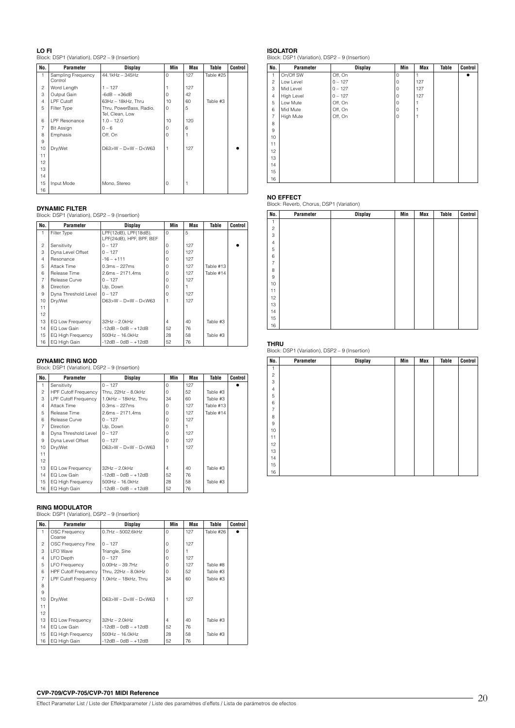**LO FI** Block: DSP1 (Variation), DSP2 – 9 (Insertion)

| No.            | Parameter                     | Display                                    | Min      | <b>Max</b> | Table     | Control |
|----------------|-------------------------------|--------------------------------------------|----------|------------|-----------|---------|
| 1              | Sampling Frequency<br>Control | 44.1kHz - 345Hz                            | $\Omega$ | 127        | Table #25 |         |
| $\overline{c}$ | Word Length                   | $1 - 127$                                  |          | 127        |           |         |
| 3              | Output Gain                   | $-6dB - +36dB$                             | $\Omega$ | 42         |           |         |
| $\overline{4}$ | LPF Cutoff                    | 63Hz - 18kHz, Thru                         | 10       | 60         | Table #3  |         |
| 5              | Filter Type                   | Thru, PowerBass, Radio,<br>Tel, Clean, Low | $\Omega$ | 5          |           |         |
| 6              | <b>LPF Resonance</b>          | $1.0 - 12.0$                               | 10       | 120        |           |         |
| $\overline{7}$ | <b>Bit Assign</b>             | $0 - 6$                                    | $\Omega$ | 6          |           |         |
| 8              | Emphasis                      | Off, On                                    | 0        |            |           |         |
| 9              |                               |                                            |          |            |           |         |
| 10             | Dry/Wet                       | $D63>W - D=W - D< W63$                     |          | 127        |           |         |
| 11             |                               |                                            |          |            |           |         |
| 12             |                               |                                            |          |            |           |         |
| 13             |                               |                                            |          |            |           |         |
| 14             |                               |                                            |          |            |           |         |
| 15             | Input Mode                    | Mono, Stereo                               | 0        |            |           |         |
| 16             |                               |                                            |          |            |           |         |

### **DYNAMIC FILTER**

Block: DSP1 (Variation), DSP2 – 9 (Insertion)

| No.            | Parameter                | Display                                           | Min      | Max | Table     | Control |
|----------------|--------------------------|---------------------------------------------------|----------|-----|-----------|---------|
| 1              | Filter Type              | LPF(12dB), LPF(18dB),<br>LPF(24dB), HPF, BPF, BEF | $\Omega$ | 5   |           |         |
| $\overline{c}$ | Sensitivity              | $0 - 127$                                         | n        | 127 |           |         |
| 3              | Dyna Level Offset        | $0 - 127$                                         |          | 127 |           |         |
| $\overline{4}$ | Resonance                | $-16 - +111$                                      |          | 127 |           |         |
| 5              | Attack Time              | $0.3ms - 227ms$                                   |          | 127 | Table #13 |         |
| 6              | Release Time             | $2.6ms - 2171.4ms$                                |          | 127 | Table #14 |         |
| $\overline{7}$ | Release Curve            | $0 - 127$                                         |          | 127 |           |         |
| 8              | <b>Direction</b>         | Up, Down                                          |          |     |           |         |
| 9              | Dyna Threshold Level     | $0 - 127$                                         |          | 127 |           |         |
| 10             | Dry/Wet                  | $D63 > W - D=W - D <$ W63                         |          | 127 |           |         |
| 11             |                          |                                                   |          |     |           |         |
| 12             |                          |                                                   |          |     |           |         |
| 13             | EQ Low Frequency         | $32Hz - 2.0kHz$                                   | $\Delta$ | 40  | Table #3  |         |
| 14             | EQ Low Gain              | $-12dB - 0dB - +12dB$                             | 52       | 76  |           |         |
| 15             | <b>EQ High Frequency</b> | $500$ Hz $- 16.0$ kHz                             | 28       | 58  | Table #3  |         |
| 16             | EQ High Gain             | $-12dB - OdB - +12dB$                             | 52       | 76  |           |         |

**DYNAMIC RING MOD** Block: DSP1 (Variation), DSP2 – 9 (Insertion)

| No.            | Parameter                   | Display                    | Min      | Max | Table     | Control |
|----------------|-----------------------------|----------------------------|----------|-----|-----------|---------|
| 1              | Sensitivity                 | $0 - 127$                  | $\Omega$ | 127 |           |         |
| $\mathfrak{p}$ | <b>HPF Cutoff Frequency</b> | Thru. 22Hz - 8.0kHz        | $\Omega$ | 52  | Table #3  |         |
| 3              | LPF Cutoff Frequency        | 1.0kHz - 18kHz. Thru       | 34       | 60  | Table #3  |         |
| $\overline{4}$ | Attack Time                 | $0.3ms - 227ms$            | $\Omega$ | 127 | Table #13 |         |
| 5              | Release Time                | $2.6ms - 2171.4ms$         | $\Omega$ | 127 | Table #14 |         |
| ĥ              | Release Curve               | $0 - 127$                  | $\Omega$ | 127 |           |         |
| $\overline{7}$ | <b>Direction</b>            | Up, Down                   | $\Omega$ |     |           |         |
| 8              | Dyna Threshold Level        | $0 - 127$                  | $\Omega$ | 127 |           |         |
| 9              | Dyna Level Offset           | $0 - 127$                  | $\Omega$ | 127 |           |         |
| 10             | Drv/Wet                     | $D63 > W - D=W - D <$ W63  |          | 127 |           |         |
| 11             |                             |                            |          |     |           |         |
| 12             |                             |                            |          |     |           |         |
| 13             | EQ Low Frequency            | $32Hz - 2.0kHz$            | 4        | 40  | Table #3  |         |
| 14             | EQ Low Gain                 | $-12$ dB $-$ 0dB $ +12$ dB | 52       | 76  |           |         |
| 15             | EQ High Frequency           | 500Hz - 16.0kHz            | 28       | 58  | Table #3  |         |
| 16             | EQ High Gain                | $-12dB - OdB - +12dB$      | 52       | 76  |           |         |

### **RING MODULATOR**

Block: DSP1 (Variation), DSP2 – 9 (Insertion)

| No.            | Parameter                   | <b>Display</b>            | Min            | Max | <b>Table</b> | Control |
|----------------|-----------------------------|---------------------------|----------------|-----|--------------|---------|
| 1              | <b>OSC Frequency</b>        | $0.7$ Hz $-5002.6$ kHz    | $\Omega$       | 127 | Table #26    |         |
|                | Coarse                      |                           |                |     |              |         |
| $\mathfrak{p}$ | OSC Frequency Fine          | $0 - 127$                 | $\Omega$       | 127 |              |         |
| 3              | <b>LFO</b> Wave             | Triangle, Sine            | $\Omega$       |     |              |         |
| $\overline{4}$ | LFO Depth                   | $0 - 127$                 | $\Omega$       | 127 |              |         |
| 5              | <b>LFO Frequency</b>        | $0.00Hz - 39.7Hz$         | $\Omega$       | 127 | Table #8     |         |
| 6              | <b>HPF Cutoff Frequency</b> | Thru. 22Hz - 8.0kHz       | $\Omega$       | 52  | Table #3     |         |
| $\overline{7}$ | <b>LPF Cutoff Frequency</b> | 1.0kHz - 18kHz. Thru      | 34             | 60  | Table #3     |         |
| 8              |                             |                           |                |     |              |         |
| 9              |                             |                           |                |     |              |         |
| 10             | Dry/Wet                     | $D63 > W - D=W - D <$ W63 |                | 127 |              |         |
| 11             |                             |                           |                |     |              |         |
| 12             |                             |                           |                |     |              |         |
| 13             | EQ Low Frequency            | $32Hz - 2.0kHz$           | $\overline{4}$ | 40  | Table #3     |         |
| 14             | EQ Low Gain                 | $-12dB - 0dB - +12dB$     | 52             | 76  |              |         |
| 15             | EQ High Frequency           | $500$ Hz $- 16.0$ kHz     | 28             | 58  | Table #3     |         |
| 16             | EQ High Gain                | $-12dB - 0dB - +12dB$     | 52             | 76  |              |         |

**ISOLATOR** Block: DSP1 (Variation), DSP2 – 9 (Insertion)

| No.            | <b>Parameter</b> | <b>Display</b> | Min            | Max | Table | Control |
|----------------|------------------|----------------|----------------|-----|-------|---------|
| 1              | On/Off SW        | Off, On        | 0              |     |       |         |
| $\overline{c}$ | Low Level        | $0 - 127$      | 0              | 127 |       |         |
| 3              | Mid Level        | $0 - 127$      | 0              | 127 |       |         |
| $\overline{4}$ | High Level       | $0 - 127$      | $\mathbf 0$    | 127 |       |         |
| 5              | Low Mute         | Off, On        | 0              |     |       |         |
| 6              | Mid Mute         | Off, On        | $\overline{0}$ |     |       |         |
| $\overline{7}$ | High Mute        | Off, On        | $\circ$        |     |       |         |
| 8              |                  |                |                |     |       |         |
| 9              |                  |                |                |     |       |         |
| 10             |                  |                |                |     |       |         |
| 11             |                  |                |                |     |       |         |
| 12             |                  |                |                |     |       |         |
| 13             |                  |                |                |     |       |         |
| 14             |                  |                |                |     |       |         |
| 15             |                  |                |                |     |       |         |
| 16             |                  |                |                |     |       |         |

### **NO EFFECT**

Block: Reverb, Chorus, DSP1 (Variation)

| No.            | Parameter | <b>Display</b> | Min | Max | Table | <b>Control</b> |
|----------------|-----------|----------------|-----|-----|-------|----------------|
| 1              |           |                |     |     |       |                |
| $\overline{c}$ |           |                |     |     |       |                |
| 3              |           |                |     |     |       |                |
| $\overline{4}$ |           |                |     |     |       |                |
| 5              |           |                |     |     |       |                |
| 6              |           |                |     |     |       |                |
| $\overline{7}$ |           |                |     |     |       |                |
| 8              |           |                |     |     |       |                |
| 9              |           |                |     |     |       |                |
| 10             |           |                |     |     |       |                |
| 11             |           |                |     |     |       |                |
| 12             |           |                |     |     |       |                |
| 13             |           |                |     |     |       |                |
| 14             |           |                |     |     |       |                |
| 15             |           |                |     |     |       |                |
| 16             |           |                |     |     |       |                |

### <span id="page-19-0"></span>**THRU**

Block: DSP1 (Variation), DSP2 – 9 (Insertion)

| No.            | Parameter | <b>Display</b> | Min | Max | Table | Control |
|----------------|-----------|----------------|-----|-----|-------|---------|
| 1              |           |                |     |     |       |         |
| $\overline{c}$ |           |                |     |     |       |         |
| 3              |           |                |     |     |       |         |
| $\overline{4}$ |           |                |     |     |       |         |
| 5              |           |                |     |     |       |         |
| 6              |           |                |     |     |       |         |
| $\overline{7}$ |           |                |     |     |       |         |
| 8              |           |                |     |     |       |         |
| 9              |           |                |     |     |       |         |
| 10             |           |                |     |     |       |         |
| 11             |           |                |     |     |       |         |
| 12             |           |                |     |     |       |         |
| 13             |           |                |     |     |       |         |
| 14             |           |                |     |     |       |         |
| 15             |           |                |     |     |       |         |
| 16             |           |                |     |     |       |         |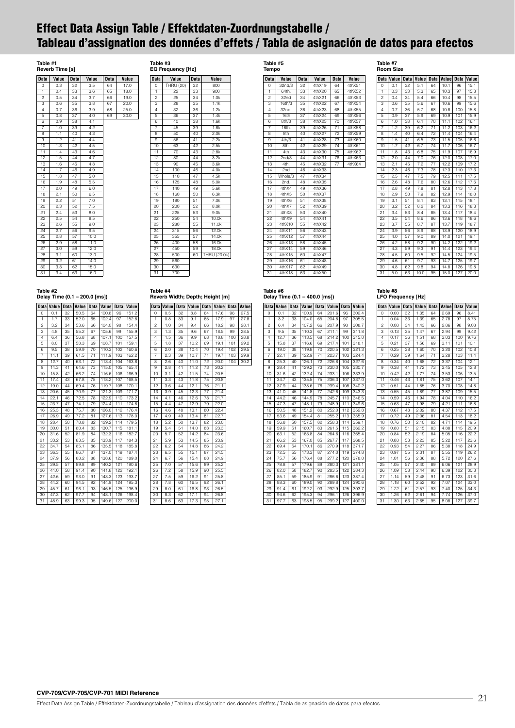# <span id="page-20-0"></span>**Effect Data Assign Table / Effektdaten-Zuordnungstabelle / Tableau d'assignation des données d'effets / Tabla de asignación de datos para efectos**

### **Table #1**

| Reverb Time [s] |       |             |       |             |       |  |  |  |  |  |
|-----------------|-------|-------------|-------|-------------|-------|--|--|--|--|--|
| <b>Data</b>     | Value | <b>Data</b> | Value | <b>Data</b> | Value |  |  |  |  |  |
| 0               | 0.3   | 32          | 3.5   | 64          | 17.0  |  |  |  |  |  |
| 1               | 0.4   | 33          | 3.6   | 65          | 18.0  |  |  |  |  |  |
| $\overline{2}$  | 0.5   | 34          | 3.7   | 66          | 19.0  |  |  |  |  |  |
| 3               | 0.6   | 35          | 3.8   | 67          | 20.0  |  |  |  |  |  |
| 4               | 0.7   | 36          | 3.9   | 68          | 25.0  |  |  |  |  |  |
| 5               | 0.8   | 37          | 4.0   | 69          | 30.0  |  |  |  |  |  |
| 6               | 0.9   | 38          | 4.1   |             |       |  |  |  |  |  |
| $\overline{7}$  | 1.0   | 39          | 4.2   |             |       |  |  |  |  |  |
| 8               | 1.1   | 40          | 4.3   |             |       |  |  |  |  |  |
| 9               | 1.2   | 41          | 4.4   |             |       |  |  |  |  |  |
| 10              | 1.3   | 42          | 4.5   |             |       |  |  |  |  |  |
| 11              | 1.4   | 43          | 4.6   |             |       |  |  |  |  |  |
| 12              | 1.5   | 44          | 4.7   |             |       |  |  |  |  |  |
| 13              | 1.6   | 45          | 4.8   |             |       |  |  |  |  |  |
| 14              | 1.7   | 46          | 4.9   |             |       |  |  |  |  |  |
| 15              | 1.8   | 47          | 5.0   |             |       |  |  |  |  |  |
| 16              | 1.9   | 48          | 5.5   |             |       |  |  |  |  |  |
| 17              | 2.0   | 49          | 6.0   |             |       |  |  |  |  |  |
| 18              | 2.1   | 50          | 6.5   |             |       |  |  |  |  |  |
| 19              | 2.2   | 51          | 7.0   |             |       |  |  |  |  |  |
| 20              | 2.3   | 52          | 7.5   |             |       |  |  |  |  |  |
| 21              | 2.4   | 53          | 8.0   |             |       |  |  |  |  |  |
| 22              | 2.5   | 54          | 8.5   |             |       |  |  |  |  |  |
| 23              | 2.6   | 55          | 9.0   |             |       |  |  |  |  |  |
| 24              | 2.7   | 56          | 9.5   |             |       |  |  |  |  |  |
| 25              | 2.8   | 57          | 10.0  |             |       |  |  |  |  |  |
| 26              | 2.9   | 58          | 11.0  |             |       |  |  |  |  |  |
| $\overline{27}$ | 3.0   | 59          | 12.0  |             |       |  |  |  |  |  |
| 28              | 3.1   | 60          | 13.0  |             |       |  |  |  |  |  |
| 29              | 3.2   | 61          | 14.0  |             |       |  |  |  |  |  |
| 30              | 3.3   | 62          | 15.0  |             |       |  |  |  |  |  |
| 31              | 3.4   | 63          | 16.0  |             |       |  |  |  |  |  |

| 0                       | THRU (20) | 32 | 800          |
|-------------------------|-----------|----|--------------|
| $\mathbf{1}$            | 22        | 33 | 900          |
| $\overline{2}$          | 25        | 34 | 1.0k         |
| 3                       | 28        | 35 | 1.1k         |
| $\overline{\mathbf{4}}$ | 32        | 36 | 1.2k         |
| 5                       | 36        | 37 | 1.4k         |
| 6                       | 40        | 38 | 1.6k         |
| 7                       | 45        | 39 | 1.8k         |
| 8                       | 50        | 40 | 2.0k         |
| 9                       | 56        | 41 | 2.2k         |
| 10                      | 63        | 42 | 2.5k         |
| $\overline{11}$         | 70        | 43 | 2.8k         |
| 12                      | 80        | 44 | 3.2k         |
| 13                      | 90        | 45 | 3.6k         |
| 14                      | 100       | 46 | 4.0k         |
| 15                      | 110       | 47 | 4.5k         |
| 16                      | 125       | 48 | 5.0k         |
| 17                      | 140       | 49 | 5.6k         |
| 18                      | 160       | 50 | 6.3k         |
| 19                      | 180       | 51 | 7.0k         |
| 20                      | 200       | 52 | 8.0k         |
| 21                      | 225       | 53 | 9.0k         |
| 22                      | 250       | 54 | 10.0k        |
| 23                      | 280       | 55 | 11.0k        |
| 24                      | 315       | 56 | 12.0k        |
| 25                      | 355       | 57 | 14.0k        |
| 26                      | 400       | 58 | 16.0k        |
| 27                      | 450       | 59 | 18.0k        |
| 28                      | 500       | 60 | THRU (20.0k) |
| 29                      | 560       |    |              |
| 30                      | 630       |    |              |
| 31                      | 700       |    |              |
|                         |           |    |              |

**Table #3 EQ Frequency [Hz]**

**Data Value Data Value**

### **Table #2 Delay Time (0.1 – 200.0 [ms])**

|                 | Data Value | <b>Data</b> | Value | <b>Data</b> | Value |     | Data Value |
|-----------------|------------|-------------|-------|-------------|-------|-----|------------|
| 0               | 0.1        | 32          | 50.5  | 64          | 100.8 | 96  | 151.2      |
| 1               | 1.7        | 33          | 52.0  | 65          | 102.4 | 97  | 152.8      |
| $\mathfrak{p}$  | 3.2        | 34          | 53.6  | 66          | 104.0 | 98  | 154.4      |
| 3               | 4.8        | 35          | 55.2  | 67          | 105.6 | 99  | 155.9      |
| $\overline{4}$  | 6.4        | 36          | 56.8  | 68          | 107.1 | 100 | 157.5      |
| 5               | 8.0        | 37          | 58.3  | 69          | 108.7 | 101 | 159.1      |
| 6               | 9.5        | 38          | 59.9  | 70          | 110.3 | 102 | 160.6      |
| $\overline{7}$  | 11.1       | 39          | 61.5  | 71          | 111.9 | 103 | 162.2      |
| 8               | 12.7       | 40          | 63.1  | 72          | 113.4 | 104 | 163.8      |
| 9               | 14.3       | 41          | 64.6  | 73          | 115.0 | 105 | 165.4      |
| 10              | 15.8       | 42          | 66.2  | 74          | 116.6 | 106 | 166.9      |
| 11              | 17.4       | 43          | 67.8  | 75          | 118.2 | 107 | 168.5      |
| 12              | 19.0       | 44          | 69.4  | 76          | 119.7 | 108 | 170.1      |
| 13              | 20.6       | 45          | 70.9  | 77          | 121.3 | 109 | 171.7      |
| 14              | 22.1       | 46          | 72.5  | 78          | 122.9 | 110 | 173.2      |
| 15              | 23.7       | 47          | 74.1  | 79          | 124.4 | 111 | 174.8      |
| 16              | 25.3       | 48          | 75.7  | 80          | 126.0 | 112 | 176.4      |
| 17              | 26.9       | 49          | 77.2  | 81          | 127.6 | 113 | 178.0      |
| 18              | 28.4       | 50          | 78.8  | 82          | 129.2 | 114 | 179.5      |
| 19              | 30.0       | 51          | 80.4  | 83          | 130.7 | 115 | 181.1      |
| 20              | 31.6       | 52          | 81.9  | 84          | 132.3 | 116 | 182.7      |
| 21              | 33.2       | 53          | 83.5  | 85          | 133.9 | 117 | 184.3      |
| 22              | 34.7       | 54          | 85.1  | 86          | 135.5 | 118 | 185.8      |
| 23              | 36.3       | 55          | 86.7  | 87          | 137.0 | 119 | 187.4      |
| 24              | 37.9       | 56          | 88.2  | 88          | 138.6 | 120 | 189.0      |
| 25              | 39.5       | 57          | 89.8  | 89          | 140.2 | 121 | 190.6      |
| 26              | 41.0       | 58          | 91.4  | 90          | 141.8 | 122 | 192.1      |
| 27              | 42.6       | 59          | 93.0  | 91          | 143.3 | 123 | 193.7      |
| 28              | 44.2       | 60          | 94.5  | 92          | 144.9 | 124 | 195.3      |
| 29              | 45.7       | 61          | 96.1  | 93          | 146.5 | 125 | 196.9      |
| 30              | 47.3       | 62          | 97.7  | 94          | 148.1 | 126 | 198.4      |
| $\overline{31}$ | 48.9       | 63          | 99.3  | 95          | 149.6 | 127 | 200.0      |

# **Table #4**

|                 |            |             | Reverb Width; Depth; Height [m] |                 |       |             |       |
|-----------------|------------|-------------|---------------------------------|-----------------|-------|-------------|-------|
|                 | Data Value | <b>Data</b> | Value                           | <b>Data</b>     | Value | <b>Data</b> | Value |
| 0               | 0.5        | 32          | 8.8                             | 64              | 17.6  | 96          | 27.5  |
| 1               | 0.8        | 33          | 9.1                             | 65              | 17.9  | 97          | 27.8  |
| $\overline{c}$  | 1.0        | 34          | 9.4                             | 66              | 18.2  | 98          | 28.1  |
| 3               | 1.3        | 35          | 9.6                             | 67              | 18.5  | 99          | 28.5  |
| $\overline{4}$  | 1.5        | 36          | 9.9                             | 68              | 18.8  | 100         | 28.8  |
| 5               | 1.8        | 37          | 10.2                            | 69              | 19.1  | 101         | 29.2  |
| 6               | 2.0        | 38          | 10.4                            | 70              | 19.4  | 102         | 29.5  |
| $\overline{7}$  | 2.3        | 39          | 10.7                            | 71              | 19.7  | 103         | 29.9  |
| 8               | 2.6        | 40          | 11.0                            | $\overline{72}$ | 20.0  | 104         | 30.2  |
| 9               | 2.8        | 41          | 11.2                            | 73              | 20.2  |             |       |
| 10              | 3.1        | 42          | 11.5                            | 74              | 20.5  |             |       |
| 11              | 3.3        | 43          | 11.8                            | 75              | 20.8  |             |       |
| 12              | 3.6        | 44          | 12.1                            | 76              | 21.1  |             |       |
| 13              | 3.9        | 45          | 12.3                            | 77              | 21.4  |             |       |
| 14              | 4.1        | 46          | 12.6                            | 78              | 21.7  |             |       |
| 15              | 4.4        | 47          | 12.9                            | 79              | 22.0  |             |       |
| 16              | 4.6        | 48          | 13.1                            | 80              | 22.4  |             |       |
| 17              | 4.9        | 49          | 13.4                            | 81              | 22.7  |             |       |
| 18              | 5.2        | 50          | 13.7                            | 82              | 23.0  |             |       |
| 19              | 5.4        | 51          | 14.0                            | 83              | 23.3  |             |       |
| 20              | 5.7        | 52          | 14.2                            | 84              | 23.6  |             |       |
| 21              | 5.9        | 53          | 14.5                            | 85              | 23.9  |             |       |
| 22              | 6.2        | 54          | 14.8                            | 86              | 24.2  |             |       |
| 23              | 6.5        | 55          | 15.1                            | 87              | 24.5  |             |       |
| $\overline{24}$ | 6.7        | 56          | 15.4                            | 88              | 24.9  |             |       |
| 25              | 7.0        | 57          | 15.6                            | 89              | 25.2  |             |       |
| 26              | 7.2        | 58          | 15.9                            | 90              | 25.5  |             |       |
| 27              | 7.5        | 59          | 16.2                            | 91              | 25.8  |             |       |
| 28              | 7.8        | 60          | 16.5                            | 92              | 26.1  |             |       |
| 29              | 8.0        | 61          | 16.8                            | 93              | 26.5  |             |       |
| 30              | 8.3        | 62          | 17.1                            | 94              | 26.8  |             |       |
| $\overline{31}$ | 8.6        | 63          | 17.3                            | 95              | 27.1  |             |       |

# **Data Value Data Value Data Value**

**Table #5 Tempo**

| 0              | 32nd/3  | 32 | 4thX19  | 64 | 4thX51  |
|----------------|---------|----|---------|----|---------|
| $\mathbf{1}$   | 64th.   | 33 | 4th X20 | 65 | 4thX52  |
| $\overline{2}$ | 32nd    | 34 | 4thX21  | 66 | 4thX53  |
| 3              | 16th/3  | 35 | 4thX22  | 67 | 4thX54  |
| 4              | 32nd.   | 36 | 4thX23  | 68 | 4thX55  |
| 5              | 16th    | 37 | 4thX24  | 69 | 4thX56  |
| 6              | 8th/3   | 38 | 4th X25 | 70 | 4th X57 |
| 7              | 16th.   | 39 | 4thX26  | 71 | 4th X58 |
| 8              | 8th     | 40 | 4thX27  | 72 | 4thX59  |
| 9              | 4th/3   | 41 | 4thX28  | 73 | 4thX60  |
| 10             | 8th.    | 42 | 4thX29  | 74 | 4thX61  |
| 11             | 4th     | 43 | 4thX30  | 75 | 4thX62  |
| 12             | 2nd/3   | 44 | 4thX31  | 76 | 4thX63  |
| 13             | 4th.    | 45 | 4thX32  | 77 | 4thX64  |
| 14             | 2nd     | 46 | 4thX33  |    |         |
| 15             | Whole/3 | 47 | 4thX34  |    |         |
| 16             | 2nd.    | 48 | 4thX35  |    |         |
| 17             | 4thX4   | 49 | 4thX36  |    |         |
| 18             | 4thX5   | 50 | 4thX37  |    |         |
| 19             | 4thX6   | 51 | 4thX38  |    |         |
| 20             | 4thX7   | 52 | 4thX39  |    |         |
| 21             | 4thX8   | 53 | 4thX40  |    |         |
| 22             | 4thX9   | 54 | 4thX41  |    |         |
| 23             | 4thX10  | 55 | 4thX42  |    |         |
| 24             | 4thX11  | 56 | 4thX43  |    |         |
| 25             | 4thX12  | 57 | 4thX44  |    |         |
| 26             | 4thX13  | 58 | 4thX45  |    |         |
| 27             | 4thX14  | 59 | 4thX46  |    |         |
| 28             | 4th X15 | 60 | 4thX47  |    |         |
| 29             | 4thX16  | 61 | 4thX48  |    |         |
| 30             | 4thX17  | 62 | 4thX49  |    |         |
| 31             | 4th X18 | 63 | 4th X50 |    |         |

**Table #6 Delay Time (0.1 – 400.0 [ms])**

**Data Value Data Value Data Value Data Value** 0 0.1 32 100.9 64 201.6 96 302.4 1 3.2 33 104.0 65 204.8 97 305.5 2 6.4 34 107.2 66 207.9 98 308.7 3 9.5 35 110.3 67 211.1 99 311.8 4 12.7 36 113.5 68 214.2 100 315.0 5 15.8 37 116.6 69 217.4 101 318.1 6 19.0 38 119.8 70 220.5 102 321.3 7 22.1 39 122.9 71 223.7 103 324.4 8 25.3 40 126.1 72 226.8 104 327.6 9 28.4 41 129.2 73 230.0 105 330.7 10 31.6 42 132.4 74 233.1 106 333.9 11 34.7 43 135.5 75 236.3 107 337.0 12 37.9 44 138.6 76 239.4 108 340.2 13 41.0 45 141.8 77 242.6 109 343.3 14 44.2 46 144.9 78 245.7 110 346.5 15 47.3 47 148.1 79 248.9 111 349.6 16 50.5 48 151.2 80 252.0 112 352.8 17 53.6 49 154.4 81 255.2 113 355.9 18 56.8 50 157.5 82 258.3 114 359.1 19 59.9 51 160.7 83 261.5 115 362.2 20 63.1 52 163.8 84 264.6 116 365.4 21 66.2 53 167.0 85 267.7 117 368.5 22 69.4 54 170.1 86 270.9 118 371.7 23 72.5 55 173.3 87 274.0 119 374.8 24 75.7 56 176.4 88 277.2 120 378.0 25 78.8 57 179.6 89 280.3 121 381.1 26 82.0 58 182.7 90 283.5 122 384.3 27 85.1 59 185.9 91 286.6 123 387.4 28 88.3 60 189.0 92 289.8 124 390.6 29 91.4 61 192.2 93 292.9 125 393.7 30 94.6 62 195.3 94 296.1 126 396.9 31 97.7 63 198.5 95 299.2 127

**Table #7 Room Size**

|                | Data Value |    | Data Value Data Value Data Value |    |      |     |      |
|----------------|------------|----|----------------------------------|----|------|-----|------|
| 0              | 0.1        | 32 | 5.1                              | 64 | 10.1 | 96  | 15.1 |
| 1              | 0.3        | 33 | 5.3                              | 65 | 10.3 | 97  | 15.3 |
| $\overline{2}$ | 0.4        | 34 | 5.4                              | 66 | 10.4 | 98  | 15.5 |
| 3              | 0.6        | 35 | 5.6                              | 67 | 10.6 | 99  | 15.6 |
| $\overline{4}$ | 0.7        | 36 | 5.7                              | 68 | 10.8 | 100 | 15.8 |
| 5              | 0.9        | 37 | 5.9                              | 69 | 10.9 | 101 | 15.9 |
| 6              | 1.0        | 38 | 6.1                              | 70 | 11.1 | 102 | 16.1 |
| $\overline{7}$ | 1.2        | 39 | 6.2                              | 71 | 11.2 | 103 | 16.2 |
| 8              | 1.4        | 40 | 6.4                              | 72 | 11.4 | 104 | 16.4 |
| 9              | 1.5        | 41 | 6.5                              | 73 | 11.5 | 105 | 16.6 |
| 10             | 1.7        | 42 | 6.7                              | 74 | 11.7 | 106 | 16.7 |
| 11             | 1.8        | 43 | 6.8                              | 75 | 11.9 | 107 | 16.9 |
| 12             | 2.0        | 44 | 7.0                              | 76 | 12.0 | 108 | 17.0 |
| 13             | 2.1        | 45 | 7.2                              | 77 | 12.2 | 109 | 17.2 |
| 14             | 2.3        | 46 | 7.3                              | 78 | 12.3 | 110 | 17.3 |
| 15             | 2.5        | 47 | 7.5                              | 79 | 12.5 | 111 | 17.5 |
| 16             | 2.6        | 48 | 7.6                              | 80 | 12.6 | 112 | 17.6 |
| 17             | 2.8        | 49 | 7.8                              | 81 | 12.8 | 113 | 17.8 |
| 18             | 2.9        | 50 | 7.9                              | 82 | 12.9 | 114 | 18.0 |
| 19             | 3.1        | 51 | 8.1                              | 83 | 13.1 | 115 | 18.1 |
| 20             | 3.2        | 52 | 8.2                              | 84 | 13.3 | 116 | 18.3 |
| 21             | 3.4        | 53 | 8.4                              | 85 | 13.4 | 117 | 18.4 |
| 22             | 3.5        | 54 | 8.6                              | 86 | 13.6 | 118 | 18.6 |
| 23             | 3.7        | 55 | 8.7                              | 87 | 13.7 | 119 | 18.7 |
| 24             | 3.9        | 56 | 8.9                              | 88 | 13.9 | 120 | 18.9 |
| 25             | 4.0        | 57 | 9.0                              | 89 | 14.0 | 121 | 19.1 |
| 26             | 4.2        | 58 | 9.2                              | 90 | 14.2 | 122 | 19.2 |
| 27             | 4.3        | 59 | 9.3                              | 91 | 14.4 | 123 | 19.4 |
| 28             | 4.5        | 60 | 9.5                              | 92 | 14.5 | 124 | 19.5 |
| 29             | 4.6        | 61 | 9.7                              | 93 | 14.7 | 125 | 19.7 |
| 30             | 4.8        | 62 | 9.8                              | 94 | 14.8 | 126 | 19.8 |
| 31             | 5.0        | 63 | 10.0                             | 95 | 15.0 | 127 | 20.0 |

### **Table #8 LFO Frequency [Hz]**

| <b>Data</b>     | Value | <b>Data</b> | Value Data |    | Value | <b>Data</b> | Value |
|-----------------|-------|-------------|------------|----|-------|-------------|-------|
| $\Omega$        | 0.00  | 32          | 1.35       | 64 | 2.69  | 96          | 8.41  |
| 1               | 0.04  | 33          | 1.39       | 65 | 2.78  | 97          | 8.75  |
| $\overline{c}$  | 0.08  | 34          | 1.43       | 66 | 2.86  | 98          | 9.08  |
| 3               | 0.13  | 35          | 1.47       | 67 | 2.94  | 99          | 9.42  |
| 4               | 0.17  | 36          | 1.51       | 68 | 3.03  | 100         | 9.76  |
| 5               | 0.21  | 37          | 1.56       | 69 | 3.11  | 101         | 10.1  |
| 6               | 0.25  | 38          | 1.60       | 70 | 3.20  | 102         | 10.8  |
| 7               | 0.29  | 39          | 1.64       | 71 | 3.28  | 103         | 11.4  |
| 8               | 0.34  | 40          | 1.68       | 72 | 3.37  | 104         | 12.1  |
| 9               | 0.38  | 41          | 1.72       | 73 | 3.45  | 105         | 12.8  |
| 10              | 0.42  | 42          | 1.77       | 74 | 3.53  | 106         | 13.5  |
| 11              | 0.46  | 43          | 1.81       | 75 | 3.62  | 107         | 14.1  |
| 12              | 0.51  | 44          | 1.85       | 76 | 3.70  | 108         | 14.8  |
| 13              | 0.55  | 45          | 1.89       | 77 | 3.87  | 109         | 15.5  |
| $\overline{1}4$ | 0.59  | 46          | 1.94       | 78 | 4.04  | 110         | 16.2  |
| 15              | 0.63  | 47          | 1.98       | 79 | 4.21  | 111         | 16.8  |
| 16              | 0.67  | 48          | 2.02       | 80 | 4.37  | 112         | 17.5  |
| 17              | 0.72  | 49          | 2.06       | 81 | 4.54  | 113         | 18.2  |
| 18              | 0.76  | 50          | 2.10       | 82 | 4.71  | 114         | 19.5  |
| 19              | 0.80  | 51          | 2.15       | 83 | 4.88  | 115         | 20.9  |
| 20              | 0.84  | 52          | 2.19       | 84 | 5.05  | 116         | 22.2  |
| 21              | 0.88  | 53          | 2.23       | 85 | 5.22  | 117         | 23.6  |
| 22              | 0.93  | 54          | 2.27       | 86 | 5.38  | 118         | 24.9  |
| 23              | 0.97  | 55          | 2.31       | 87 | 5.55  | 119         | 26.2  |
| 24              | 1.01  | 56          | 2.36       | 88 | 5.72  | 120         | 27.6  |
| 25              | 1.05  | 57          | 2.40       | 89 | 6.06  | 121         | 28.9  |
| 26              | 1.09  | 58          | 2.44       | 90 | 6.39  | 122         | 30.3  |
| 27              | 1.14  | 59          | 2.48       | 91 | 6.73  | 123         | 31.6  |
| 28              | 1.18  | 60          | 2.52       | 92 | 7.07  | 124         | 33.0  |
| 29              | 1.22  | 61          | 2.57       | 93 | 7.40  | 125         | 34.3  |
| 30              | 1.26  | 62          | 2.61       | 94 | 7.74  | 126         | 37.0  |
| 31              | 1.30  | 63          | 2.65       | 95 | 8.08  | 127         | 39.7  |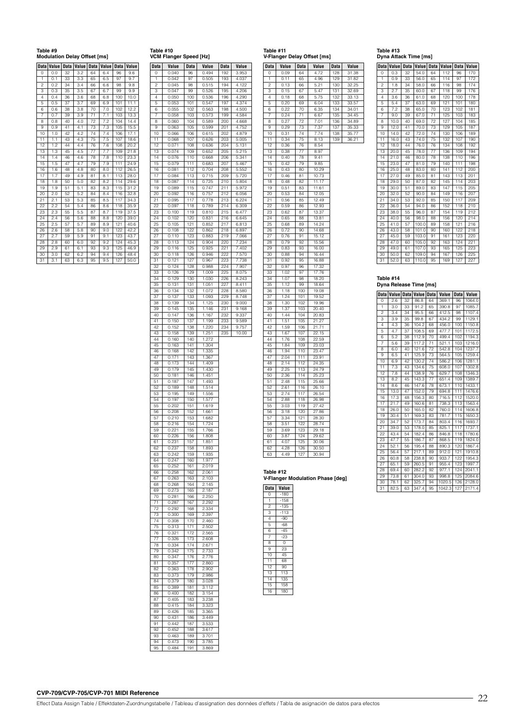### **Table #9**

| <b>Modulation Delay Offset [ms]</b> |  |
|-------------------------------------|--|
|-------------------------------------|--|

|                | Data Value |    | Data Value Data Value Data Value |    |     |     |      |
|----------------|------------|----|----------------------------------|----|-----|-----|------|
| 0              | 0.0        | 32 | 3.2                              | 64 | 6.4 | 96  | 9.6  |
| 1              | 0.1        | 33 | 3.3                              | 65 | 6.5 | 97  | 9.7  |
| $\overline{c}$ | 0.2        | 34 | 3.4                              | 66 | 6.6 | 98  | 9.8  |
| 3              | 0.3        | 35 | 3.5                              | 67 | 6.7 | 99  | 9.9  |
| 4              | 0.4        | 36 | 3.6                              | 68 | 6.8 | 100 | 10.0 |
| 5              | 0.5        | 37 | 3.7                              | 69 | 6.9 | 101 | 11.1 |
| 6              | 0.6        | 38 | 3.8                              | 70 | 7.0 | 102 | 12.2 |
| 7              | 0.7        | 39 | 3.9                              | 71 | 7.1 | 103 | 13.3 |
| 8              | 0.8        | 40 | 4.0                              | 72 | 7.2 | 104 | 14.4 |
| 9              | 0.9        | 41 | 4.1                              | 73 | 7.3 | 105 | 15.5 |
| 10             | 1.0        | 42 | 4.2                              | 74 | 7.4 | 106 | 17.1 |
| 11             | 1.1        | 43 | 4.3                              | 75 | 7.5 | 107 | 18.6 |
| 12             | 1.2        | 44 | 4.4                              | 76 | 7.6 | 108 | 20.2 |
| 13             | 1.3        | 45 | 4.5                              | 77 | 7.7 | 109 | 21.8 |
| 14             | 1.4        | 46 | 4.6                              | 78 | 7.8 | 110 | 23.3 |
| 15             | 1.5        | 47 | 4.7                              | 79 | 7.9 | 111 | 24.9 |
| 16             | 1.6        | 48 | 4.8                              | 80 | 8.0 | 112 | 26.5 |
| 17             | 1.7        | 49 | 4.9                              | 81 | 8.1 | 113 | 28.0 |
| 18             | 1.8        | 50 | 5.0                              | 82 | 8.2 | 114 | 29.6 |
| 19             | 1.9        | 51 | 5.1                              | 83 | 8.3 | 115 | 31.2 |
| 20             | 2.0        | 52 | 5.2                              | 84 | 8.4 | 116 | 32.8 |
| 21             | 2.1        | 53 | 5.3                              | 85 | 8.5 | 117 | 34.3 |
| 22             | 2.2        | 54 | 5.4                              | 86 | 8.6 | 118 | 35.9 |
| 23             | 2.3        | 55 | 5.5                              | 87 | 8.7 | 119 | 37.5 |
| 24             | 2.4        | 56 | 5.6                              | 88 | 8.8 | 120 | 39.0 |
| 25             | 2.5        | 57 | 5.7                              | 89 | 8.9 | 121 | 40.6 |
| 26             | 2.6        | 58 | 5.8                              | 90 | 9.0 | 122 | 42.2 |
| 27             | 2.7        | 59 | 5.9                              | 91 | 9.1 | 123 | 43.7 |
| 28             | 2.8        | 60 | 6.0                              | 92 | 9.2 | 124 | 45.3 |
| 29             | 2.9        | 61 | 6.1                              | 93 | 9.3 | 125 | 46.9 |
| 30             | 3.0        | 62 | 6.2                              | 94 | 9.4 | 126 | 48.4 |
| 31             | 3.1        | 63 | 6.3                              | 95 | 9.5 | 127 | 50.0 |

| 1              | 0.042          | 97  | 0.505 | 193 | 4.037 |
|----------------|----------------|-----|-------|-----|-------|
| 2              | 0.045          | 98  | 0.515 | 194 | 4.122 |
| 3              | 0.047          | 99  | 0.526 | 195 | 4.206 |
| $\overline{4}$ | 0.050          | 100 | 0.536 | 196 | 4.290 |
| 5              | 0.053          | 101 | 0.547 | 197 | 4.374 |
| 6              | 0.055          | 102 | 0.563 | 198 | 4.500 |
| 7              | 0.058          | 103 | 0.573 | 199 | 4.584 |
| 8              | 0.060          | 104 | 0.589 | 200 | 4.668 |
| 9              | 0.063          | 105 | 0.599 | 201 | 4.752 |
| 10             | 0.066          | 106 | 0.615 | 202 | 4.879 |
| 11             |                | 107 | 0.626 | 203 | 5.005 |
| 12             | 0.068          |     |       | 204 |       |
|                | 0.071          | 108 | 0.636 |     | 5.131 |
| 13             | 0.074          | 109 | 0.652 | 205 | 5.215 |
| 14             | 0.076          | 110 | 0.668 | 206 | 5.341 |
| 15             | 0.079          | 111 | 0.683 | 207 | 5.467 |
| 16             | 0.081          | 112 | 0.704 | 208 | 5.552 |
| 17             | 0.084          | 113 | 0.715 | 209 | 5.720 |
| 18             | 0.087          | 114 | 0.725 | 210 | 5.804 |
| 19             | 0.089          | 115 | 0.747 | 211 | 5.972 |
| 20             | 0.092          | 116 | 0.757 | 212 | 6.056 |
| 21             | 0.095          | 117 | 0.778 | 213 | 6.224 |
| 22             | 0.097          | 118 | 0.789 | 214 | 6.309 |
| 23             | 0.100          | 119 | 0.810 | 215 | 6.477 |
| 24             | 0.102          | 120 | 0.831 | 216 | 6.645 |
| 25             | 0.105          | 121 | 0.852 | 217 | 6.813 |
| 26             | 0.108          | 122 | 0.862 | 218 | 6.897 |
| 27             | 0.110          | 123 | 0.883 | 219 | 7.066 |
| 28             | 0.113          | 124 | 0.904 | 220 | 7.234 |
| 29             | 0.116          | 125 | 0.925 | 221 | 7.402 |
|                |                | 126 | 0.946 | 222 |       |
| 30             | 0.118<br>0.121 |     |       |     | 7.570 |
| 31             |                | 127 | 0.967 | 223 | 7.738 |
| 32             | 0.124          | 128 | 0.988 | 224 | 7.907 |
| 33             | 0.126          | 129 | 1.009 | 225 | 8.075 |
| 34             | 0.129          | 130 | 1.030 | 226 | 8.243 |
| 35             | 0.131          | 131 | 1.051 | 227 | 8.411 |
| 36             | 0.134          | 132 | 1.072 | 228 | 8.580 |
| 37             | 0.137          | 133 | 1.093 | 229 | 8.748 |
| 38             | 0.139          | 134 | 1.125 | 230 | 9.000 |
| 39             | 0.145          | 135 | 1.146 | 231 | 9.168 |
| 40             | 0.147          | 136 | 1.167 | 232 | 9.337 |
| 41             | 0.150          | 137 | 1.199 | 233 | 9.589 |
| 42             | 0.152          | 138 | 1.220 | 234 | 9.757 |
| 43             | 0.158          | 139 | 1.251 | 235 | 10.00 |
| 44             | 0.160          | 140 | 1.272 |     |       |
| 45             | 0.163          | 141 | 1.304 |     |       |
| 46             | 0.168          | 142 | 1.335 |     |       |
| 47             | 0.171          | 143 | 1.367 |     |       |
| 48             | 0.173          | 144 | 1.409 |     |       |
| 49             | 0.179          | 145 | 1.430 |     |       |
|                |                |     |       |     |       |
| 50             | 0.181          | 146 | 1.451 |     |       |
| 51             | 0.187          | 147 | 1.493 |     |       |
| 52             | 0.189          | 148 | 1.514 |     |       |
| 53             | 0.195          | 149 | 1.556 |     |       |
| 54             | 0.197          | 150 | 1.577 |     |       |
| 55             | 0.202          | 151 | 1.619 |     |       |
| 56             | 0.208          | 152 | 1.661 |     |       |
| 57             | 0.210          | 153 | 1.682 |     |       |
| 58             | 0.216          | 154 | 1.724 |     |       |
| 59             | 0.221          | 155 | 1.766 |     |       |
| 60             | 0.226          | 156 | 1.808 |     |       |
| 61             | 0.231          | 157 | 1.851 |     |       |
| 62             | 0.237          | 158 | 1.893 |     |       |
| 63             | 0.242          | 159 | 1.935 |     |       |
| 64             | 0.247          | 160 | 1.977 |     |       |
| 65             | 0.252          | 161 | 2.019 |     |       |
| 66             | 0.258          | 162 | 2.061 |     |       |
| 67             | 0.263          | 163 | 2.103 |     |       |
| 68             | 0.268          | 164 | 2.145 |     |       |
| 69             | 0.273          | 165 | 2.187 |     |       |
| 70             | 0.281          | 166 | 2.250 |     |       |
| 71             | 0.287          | 167 | 2.292 |     |       |
| 72             | 0.292          | 168 | 2.334 |     |       |
| 73             | 0.300          | 169 | 2.397 |     |       |
| 74             | 0.308          | 170 | 2.460 |     |       |
| 75             | 0.313          | 171 | 2.502 |     |       |
| 76             | 0.321          | 172 | 2.565 |     |       |
|                |                |     |       |     |       |
| 77             | 0.326          | 173 | 2.608 |     |       |
| 78             | 0.334          | 174 | 2.671 |     |       |
| 79             | 0.342          | 175 | 2.733 |     |       |
| 80             | 0.347          | 176 | 2.776 |     |       |
| 81             | 0.357          | 177 | 2.860 |     |       |
| 82             | 0.363          | 178 | 2.902 |     |       |
| 83             | 0.373          | 179 | 2.986 |     |       |
| 84             | 0.379          | 180 | 3.028 |     |       |
| 85             | 0.389          | 181 | 3.112 |     |       |
| 86             | 0.400          | 182 | 3.154 |     |       |
| 87             | 0.405          | 183 | 3.238 |     |       |
| 88             | 0.415          | 184 | 3.323 |     |       |
| 89             | 0.426          | 185 | 3.365 |     |       |
| 90             | 0.431          | 186 | 3.449 |     |       |
| 91             | 0.442          | 187 | 3.533 |     |       |
| 92             | 0.452          | 188 | 3.617 |     |       |
| 93             | 0.463          | 189 | 3.701 |     |       |
| 94             | 0.473          | 190 | 3.785 |     |       |
| 95             | 0.484          | 191 | 3.869 |     |       |
|                |                |     |       |     |       |
|                |                |     |       |     |       |

**Table #10 VCM Flanger Speed [Hz]**

**Data Value Data Value Data Value** 0 0.040 96 0.494 192 3.953

|             | Table #11<br>V-Flanger Delay Offset [ms] |    |       |  |  |
|-------------|------------------------------------------|----|-------|--|--|
| <b>Data</b> | Value Data                               |    | Value |  |  |
| O           | 0.09                                     | 64 | 4.72  |  |  |

| Data            | Value        | Data            | Value             | Data | Value |
|-----------------|--------------|-----------------|-------------------|------|-------|
| 0               | 0.09         | 64              | 4.72              | 128  | 31.38 |
| 1               | 0.11         | 65              | 4.96              | 129  | 31.82 |
| $\overline{c}$  | 0.13         | 66              | 5.21              | 130  | 32.25 |
| 3               | 0.15         | 67              | 5.47              | 131  | 32.69 |
| $\overline{4}$  | 0.18         | 68              | 5.75              | 132  | 33.13 |
| 5               | 0.20         | 69              | 6.04              | 133  | 33.57 |
| 6               | 0.22         | 70              | 6.35              | 134  | 34.01 |
| 7               | 0.24         | $\overline{71}$ | 6.67              | 135  | 34.45 |
| 8               | 0.27         | 72              | 7.01              | 136  | 34.89 |
| q               | 0.29         | 73              | $7.\overline{37}$ | 137  | 35.33 |
| 10              | 0.31         | 74              | 7.74              | 138  | 35.77 |
| 11              | 0.34         | 75              | 8.13              | 139  | 36.21 |
| 12              | 0.36         | 76              | 8.54              |      |       |
| 13              | 0.38         | 77              | 8.97              |      |       |
| 14              | 0.40         | 78              | 9.41              |      |       |
| 15              | 0.42         | 79              | 9.85              |      |       |
| 16              | 0.43         | 80              | 10.29             |      |       |
| 17              | 0.46         | 81              | 10.73             |      |       |
| 18              | 0.48         | 82              | 11.17             |      |       |
| 19              | 0.51         | 83              | 11.61             |      |       |
| 20              | 0.53         | 84              | 12.05             |      |       |
| 21              | 0.56         | 85              | 12.49             |      |       |
| 22              | 0.59         | 86              | 12.93             |      |       |
| 23              | 0.62         | 87              | 13.37             |      |       |
| $\overline{24}$ | 0.65         | 88              | 13.81             |      |       |
| 25              | 0.68         | 89              | 14.24             |      |       |
| 26              | 0.72         | 90              | 14.68             |      |       |
| 27              | 0.76         | 91              | 15.12             |      |       |
| 28              | 0.79         | 92              | 15.56             |      |       |
| 29              | 0.83         | 93              | 16.00             |      |       |
| $\overline{30}$ | 0.88         | $Q_{\Delta}$    | 16.44             |      |       |
| 31              | 0.92         | 95              | 16.88             |      |       |
|                 |              |                 |                   |      |       |
| 32<br>33        | 0.97         | 96              | 17.32             |      |       |
| 34              | 1.02<br>1.07 | 97<br>98        | 17.76<br>18.20    |      |       |
| 35              |              |                 |                   |      |       |
| 36              | 1.12<br>1.18 | 99<br>100       | 18.64<br>19.08    |      |       |
|                 |              |                 |                   |      |       |
| 37              | 1.24         | 101             | 19.52             |      |       |
| 38<br>39        | 1.30<br>1.37 | 102<br>103      | 19.96<br>20.40    |      |       |
| 40              | 1.44         | 104             | 20.83             |      |       |
|                 |              |                 |                   |      |       |
| 41              | 1.51         | 105             | 21.27             |      |       |
| 42              | 1.59         | 106             | 21.71             |      |       |
| 43              | 1.67         | 107             | 22.15             |      |       |
| 44              | 1.76         | 108             | 22.59             |      |       |
| 45              | 1.84         | 109             | 23.03             |      |       |
| 46              | 1.94         | T10             | 23.47             |      |       |
| 47              | 2.04         | 111             | 23.91             |      |       |
| 48              | 2.14         | 112             | 24.35             |      |       |
| 49              | 2.25         | 113             | 24.79             |      |       |
| 50              | 2.36         | 114             | 25.23             |      |       |
| 51              | 2.48         | 115             | 25.66             |      |       |
| 52              | 2.61         | 116             | 26.10             |      |       |
| 53              | 2.74         | 117             | 26.54             |      |       |
| 54              | 2.88         | 118             | 26.98             |      |       |
| 55              | 3.03         | 119             | 27.42             |      |       |
| 56              | 3.18         | 120             | 27.86             |      |       |
| 57              | 3.34         | 121             | 28.30             |      |       |
| 58              | 3.51         | 122             | 28.74             |      |       |
| 59              | 3.69         | 123             | 29.18             |      |       |
| 60              | 3.87         | 124             | 29.62             |      |       |
| 61              | 4.07         | 125             | 30.06             |      |       |
| 62              | 4.28         | 126             | 30.50             |      |       |
| 63              | 4.49         | 127             | 30.94             |      |       |

**Table #13 Dyna Attack Time [ms]**

|                | Data Value | Data | Value | <b>Data</b> | Value | <b>Data</b> | Value |
|----------------|------------|------|-------|-------------|-------|-------------|-------|
| $\Omega$       | 0.3        | 32   | 54.0  | 64          | 112   | 96          | 170   |
| 1              | 0.9        | 33   | 56.0  | 65          | 114   | 97          | 172   |
| $\overline{c}$ | 1.8        | 34   | 58.0  | 66          | 116   | 98          | 174   |
| 3              | 2.7        | 35   | 60.0  | 67          | 118   | 99          | 176   |
| 4              | 3.6        | 36   | 61.0  | 68          | 120   | 100         | 178   |
| 5              | 5.4        | 37   | 63.0  | 69          | 121   | 101         | 180   |
| 6              | 7.2        | 38   | 65.0  | 70          | 123   | 102         | 181   |
| 7              | 9.0        | 39   | 67.0  | 71          | 125   | 103         | 183   |
| 8              | 10.0       | 40   | 69.0  | 72          | 127   | 104         | 185   |
| 9              | 12.0       | 41   | 70.0  | 73          | 129   | 105         | 187   |
| 10             | 14.0       | 42   | 72.0  | 74          | 130   | 106         | 189   |
| 11             | 16.0       | 43   | 74.0  | 75          | 132   | 107         | 190   |
| 12             | 18.0       | 44   | 76.0  | 76          | 134   | 108         | 192   |
| 13             | 20.0       | 45   | 78.0  | 77          | 136   | 109         | 194   |
| 14             | 21.0       | 46   | 80.0  | 78          | 138   | 110         | 196   |
| 15             | 23.0       | 47   | 81.0  | 79          | 140   | 111         | 198   |
| 16             | 25.0       | 48   | 83.0  | 80          | 141   | 112         | 200   |
| 17             | 27.0       | 49   | 85.0  | 81          | 143   | 113         | 201   |
| 18             | 29.0       | 50   | 87.0  | 82          | 145   | 114         | 203   |
| 19             | 30.0       | 51   | 89.0  | 83          | 147   | 115         | 205   |
| 20             | 32.0       | 52   | 90.0  | 84          | 149   | 116         | 207   |
| 21             | 34.0       | 53   | 92.0  | 85          | 150   | 117         | 209   |
| 22             | 36.0       | 54   | 94.0  | 86          | 152   | 118         | 210   |
| 23             | 38.0       | 55   | 96.0  | 87          | 154   | 119         | 212   |
| 24             | 40.0       | 56   | 98.0  | 88          | 156   | 120         | 214   |
| 25             | 41.0       | 57   | 100.0 | 89          | 158   | 121         | 216   |
| 26             | 43.0       | 58   | 101.0 | 90          | 160   | 122         | 218   |
| 27             | 45.0       | 59   | 103.0 | 91          | 161   | 123         | 220   |
| 28             | 47.0       | 60   | 105.0 | 92          | 163   | 124         | 221   |
| 29             | 49.0       | 61   | 107.0 | 93          | 165   | 125         | 223   |
| 30             | 50.0       | 62   | 109.0 | 94          | 167   | 126         | 225   |
| 31             | 52.0       | 63   | 110.0 | 95          | 169   | 127         | 227   |

# **Table #14 Dyna Release Time [ms]**

|                 | Data Value |    | Data Value Data |    | Value  | <b>Data</b> | Value  |
|-----------------|------------|----|-----------------|----|--------|-------------|--------|
| 0               | 2.6        | 32 | 86.8            | 64 | 369.1  | 96          | 1064.0 |
| 1               | 3.0        | 33 | 91.2            | 65 | 390.8  | 97          | 1085.7 |
| $\overline{c}$  | 3.4        | 34 | 95.5            | 66 | 412.5  | 98          | 1107.4 |
| 3               | 3.9        | 35 | 99.8            | 67 | 434.2  | 99          | 1129.1 |
| 4               | 4.3        | 36 | 104.2           | 68 | 456.0  | 100         | 1150.8 |
| 5               | 4.7        | 37 | 108.5           | 69 | 477.7  | 101         | 1172.5 |
| 6               | 5.2        | 38 | 112.9           | 70 | 499.4  | 102         | 1194.3 |
| $\overline{7}$  | 5.6        | 39 | 117.2           | 71 | 521.1  | 103         | 1216.0 |
| 8               | 6.0        | 40 | 121.6           | 72 | 542.8  | 104         | 1237.7 |
| 9               | 6.5        | 41 | 125.9           | 73 | 564.5  | 105         | 1259.4 |
| 10              | 6.9        | 42 | 130.2           | 74 | 586.2  | 106         | 1281.1 |
| 11              | 7.3        | 43 | 134.6           | 75 | 608.0  | 107         | 1302.8 |
| 12              | 7.8        | 44 | 138.9           | 76 | 629.7  | 108         | 1346.3 |
| 13              | 8.2        | 45 | 143.3           | 77 | 651.4  | 109         | 1389.7 |
| 14              | 8.6        | 46 | 147.6           | 78 | 673.1  | 110         | 1433.1 |
| 15              | 13.0       | 47 | 152.0           | 79 | 694.8  | 111         | 1476.6 |
| 16              | 17.3       | 48 | 156.3           | 80 | 716.5  | 112         | 1520.0 |
| 17              | 21.7       | 49 | 160.6           | 81 | 738.3  | 113         | 1563.4 |
| 18              | 26.0       | 50 | 165.0           | 82 | 760.0  | 114         | 1606.8 |
| 19              | 30.4       | 51 | 169.3           | 83 | 781.7  | 115         | 1650.3 |
| 20              | 34.7       | 52 | 173.7           | 84 | 803.4  | 116         | 1693.7 |
| 21              | 39.0       | 53 | 178.0           | 85 | 825.1  | 117         | 1737.1 |
| 22              | 43.4       | 54 | 182.4           | 86 | 846.8  | 118         | 1780.6 |
| 23              | 47.7       | 55 | 186.7           | 87 | 868.5  | 119         | 1824.0 |
| 24              | 52.1       | 56 | 195.4           | 88 | 890.3  | 120         | 1867.4 |
| 25              | 56.4       | 57 | 217.1           | 89 | 912.0  | 121         | 1910.8 |
| 26              | 60.8       | 58 | 238.8           | 90 | 933.7  | 122         | 1954.3 |
| 27              | 65.1       | 59 | 260.5           | 91 | 955.4  | 123         | 1997.7 |
| 28              | 69.4       | 60 | 282.2           | 92 | 977.1  | 124         | 2041.1 |
| 29              | 73.8       | 61 | 304.0           | 93 | 998.8  | 125         | 2084.6 |
| 30              | 78.1       | 62 | 325.7           | 94 | 1020.5 | 126         | 2128.0 |
| $\overline{31}$ | 82.5       | 63 | 347.4           | 95 | 1042.3 | 127         | 2171.4 |

### **Table #12 V-Flanger Modulation Phase [deg]**

| <b>Data</b>    | Value  |  |
|----------------|--------|--|
| 0              | $-180$ |  |
| $\overline{1}$ | $-158$ |  |
| $\overline{c}$ | $-135$ |  |
| 3              | $-113$ |  |
| 4              | $-90$  |  |
| 5              | $-68$  |  |
| 6              | $-45$  |  |
| $\overline{7}$ | $-23$  |  |
| 8              | 0      |  |
| 9              | 23     |  |
| 10             | 45     |  |
| 11             | 68     |  |
| 12             | 90     |  |
| 13             | 113    |  |
| 14             | 135    |  |
| 15             | 158    |  |
| 16             | 180    |  |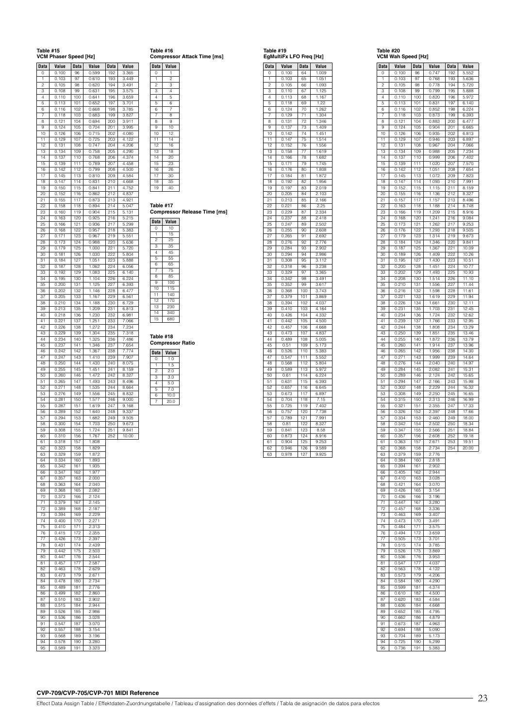| Table #15           | VCM Phaser Speed [Hz] |                  |                |                   |                |
|---------------------|-----------------------|------------------|----------------|-------------------|----------------|
| Data                | Value                 | <b>Data</b>      | Value          | Data              | Value          |
| O                   | 0.100                 | 96               | 0.599          | 192               | 3.365          |
| 1                   | 0.103                 | 97               | 0.610          | 193               | 3.449          |
| $\overline{c}$<br>з | 0.105<br>0.108        | 98<br>99         | 0.620<br>0.631 | 194<br>195        | 3.491<br>3.575 |
| 4                   | 0.110                 | 100              | 0.641          | 196               | 3.659          |
| 5                   | 0.113                 | 101              | 0.652          | 197               | 3.701          |
| 6<br>7              | 0.116<br>0.118        | 102<br>103       | 0.668<br>0.683 | 198<br>199        | 3.785<br>3.827 |
| 8                   | 0.121                 | 104              | 0.694          | 200               | 3.911          |
| 9                   | 0.124                 | 105              | 0.704          | 201               | 3.995          |
| 10<br>11            | 0.126<br>0.129        | 106              | 0.715<br>0.725 | 202               | 4.080<br>4.122 |
| 12                  | 0.131                 | 107<br>108       | 0.747          | 203<br>204        | 4.206          |
| 13                  | 0.134                 | 109              | 0.758          | 205               | 4.290          |
| 14                  | 0.137                 | 110              | 0.768          | 206<br>207        | 4.374<br>4.458 |
| 15<br>16            | 0.139<br>0.142        | 111<br>112       | 0.789<br>0.799 | 208               | 4.500          |
| 17                  | 0.145                 | 113              | 0.810          | 209               | 4.584          |
| 18                  | 0.147                 | 114              | 0.831          | $\overline{2}$ 10 | 4.668          |
| 19<br>20            | 0.150<br>0.152        | 115<br>116       | 0.841<br>0.862 | 211<br>212        | 4.752<br>4.837 |
| 21                  | 0.155                 | 117              | 0.873          | 213               | 4.921          |
| 22                  | 0.158                 | 118              | 0.894          | 214               | 5.047          |
| 23<br>24            | 0.160<br>0.163        | 119<br>120       | 0.904<br>0.925 | 215<br>216        | 5.131<br>5.215 |
| 25                  | 0.166                 | 121              | 0.936          | 217               | 5.299          |
| 26                  | 0.168                 | 122              | 0.957          | 218               | 5.383          |
| 27<br>28            | 0.171<br>0.173        | 123<br>124       | 0.967<br>0.988 | 219<br>220        | 5.551<br>5.636 |
| 29                  | 0.179                 | 125              | 1.000          | 221               | 5.720          |
| 30                  | 0.181                 | 126              | 1.030          | 222               | 5.804          |
| 31                  | 0.184                 | 127              | 1.051          | 223               | 5.888          |
| 32<br>33            | 0.187<br>0.192        | 128<br>129       | 1.062<br>1.083 | 224<br>225        | 6.056<br>6.140 |
| 34                  | 0.195                 | 130              | 1.104          | 226               | 6.224          |
| 35                  | 0.200                 | 131              | 1.125          | 227               | 6.393          |
| 36<br>37            | 0.202<br>0.205        | 132<br>133       | 1.146<br>1.167 | 228<br>229        | 6.477<br>6.561 |
| 38                  | 0.210                 | 134              | 1.188          | 230               | 6.729          |
| 39                  | 0.213                 | 135              | 1.209          | 231               | 6.813          |
| 40<br>41            | 0.218<br>0.221        | 136<br>137       | 1.230<br>1.251 | 232<br>233        | 6.981<br>7.066 |
| 42                  | 0.226                 | 138              | 1.272          | 234               | 7.234          |
| 43                  | 0.229                 | 139              | 1.304          | 235               | 7.318          |
| 44                  | 0.234                 | 140              | 1.325          | 236               | 7.486<br>7.654 |
| 45<br>46            | 0.237<br>0.242        | 141<br>142       | 1.346<br>1.367 | 237<br>238        | 7.774          |
| 47                  | 0.247                 | 143              | 1.410          | 239               | 7.907          |
| 48<br>49            | 0.250                 | 144              | 1.430          | 240               | 8.075          |
| 50                  | 0.255<br>0.260        | 145<br>146       | 1.451<br>1.472 | 241<br>242        | 8.159<br>8.327 |
| 51                  | 0.265                 | 147              | 1.493          | 243               | 8.496          |
| 52                  | 0.271                 | 148              | 1.535          | 244               | 8.664          |
| 53<br>54            | 0.276<br>0.281        | 149<br>150       | 1.556<br>1.577 | 245<br>246        | 8.832<br>9.000 |
| 55                  | 0.287                 | $\overline{1}51$ | 1.619          | 247               | 9.168          |
| 56                  | 0.289                 | 152              | 1.640          | 248               | 9.337          |
| 57<br>58            | 0.294<br>0.300        | 153<br>154       | 1.682<br>1.703 | 249<br>250        | 9.505<br>9.673 |
| 59                  | 0.308                 | 155              | 1.724          | 251               | 9.841          |
| 60                  | 0.310                 | 156              | 1.767          | 252               | 10.00          |
| 61<br>62            | 0.318<br>0.323        | 157<br>158       | 1.808<br>1.829 |                   |                |
| 63                  | 0.329                 | 159              | 1.872          |                   |                |
| 64                  | 0.334                 | 160              | 1.893          |                   |                |
| 65<br>66            | 0.342<br>0.347        | 161<br>162       | 1.935<br>1.977 |                   |                |
| 67                  | 0.357                 | 163              | 2.000          |                   |                |
| 68                  | 0.363                 | 164              | 2.040          |                   |                |
| 69                  | 0.368                 | 165              | 2.082          |                   |                |
| 70<br>71            | 0.373<br>0.379        | 166<br>167       | 2.124<br>2.145 |                   |                |
| 72                  | 0.389                 | 168              | 2.187          |                   |                |
| 73                  | 0.394                 | 169              | 2.229          |                   |                |
| 74<br>75            | 0.400<br>0.410        | 170<br>171       | 2.271<br>2.313 |                   |                |
| 76                  | 0.415                 | 172              | 2.355          |                   |                |
| 77                  | 0.426                 | 173              | 2.397          |                   |                |
| 78<br>79            | 0.431<br>0.442        | 174<br>175       | 2.439<br>2.503 |                   |                |
| 80                  | 0.447                 | 176              | 2.544          |                   |                |
| 81                  | 0.457                 | 177              | 2.587          |                   |                |
| 82<br>83            | 0.463<br>0.473        | 178<br>179       | 2.629<br>2.671 |                   |                |
| 84                  | 0.478                 | 180              | 2.734          |                   |                |
| 85                  | 0.489                 | 181              | 2.776          |                   |                |
| 86                  | 0.499                 | 182              | 2.860          |                   |                |
| 87<br>88            | 0.510<br>0.515        | 183<br>184       | 2.902<br>2.944 |                   |                |
| 89                  | 0.526                 | 185              | 2.986          |                   |                |
| 90                  | 0.536                 | 186              | 3.028          |                   |                |
| 91<br>92            | 0.547<br>0.557        | 187<br>188       | 3.070<br>3.154 |                   |                |
| 93                  | 0.568                 | 189              | 3.196          |                   |                |
| 94                  | 0.578                 | 190              | 3.280          |                   |                |
| 95                  | 0.589                 | 191              | 3.323          |                   |                |

### **Table #16 Compressor Attack Time [ms]**

| <b>Data</b>             | Value          |  |
|-------------------------|----------------|--|
| 0                       | 1              |  |
| 1                       | $\overline{c}$ |  |
| $\overline{2}$          | $\frac{1}{3}$  |  |
| 3                       | $\overline{4}$ |  |
| 4                       | 5              |  |
| $\overline{5}$          | 6              |  |
| 6                       | $\overline{7}$ |  |
| $\overline{7}$          | 8              |  |
| $\overline{\mathbf{8}}$ | 9              |  |
| 9                       | 10             |  |
| 10                      | 12             |  |
| 11                      | 14             |  |
| 12                      | 16             |  |
| 13                      | 18             |  |
| 14                      | 20             |  |
| 15                      | 23             |  |
| 16                      | 26             |  |

### **Table #17**

17 30 18 35 19

**Compressor Release Time [ms]**

| <b>Data</b>     | Value |  |
|-----------------|-------|--|
| 0               | 10    |  |
| $\mathbf{1}$    | 15    |  |
| $\overline{c}$  | 25    |  |
| 3               | 35    |  |
| $\overline{4}$  | 45    |  |
| 5               | 55    |  |
| 6               | 65    |  |
| 7               | 75    |  |
| 8               | 85    |  |
| 9               | 100   |  |
| 10              | 115   |  |
| 11              | 140   |  |
| 12              | 170   |  |
| 13              | 230   |  |
| 14              | 340   |  |
| $\overline{15}$ | 680   |  |

### **Table #18 Compressor Ratio**

| <b>Data</b> | Value |
|-------------|-------|
|             | 1.0   |
|             | 1.5   |
| 2           | 2.0   |
| 3           | 3.0   |
| Δ           | 5.0   |
| 5           | 7.0   |
| 6           | 10.0  |
|             | 20.0  |

| <b>Data</b>          | Value     | Data            | Value     |
|----------------------|-----------|-----------------|-----------|
| Ō                    | 0.100     | 64              | 1.009     |
| 1                    | 0.103     | 65              | 1.051     |
| $\overline{c}$       | 0.105     | 66              | 1.093     |
| 3                    | 0.110     | 67              | 1.125     |
| $\overline{\Lambda}$ | 0.113     | 68              | 1.167     |
| 5                    | 0.118     | 69              | 1.22      |
| 6                    | 124<br>ō. | $\overline{70}$ | 1.262     |
| 7                    |           |                 | 1.304     |
|                      | 0.129     | 71              |           |
| 8                    | 0.131     | 72              | 1.346     |
| 9                    | 0.137     | 73              | 1.409     |
| 10                   | 0.142     | 74              | 1.451     |
| 11                   | 0.147     | 75              | 1.514     |
| 12                   | 0.152     | 76              | 1.556     |
| 13                   | 0.158     | 77              | 1.619     |
| 14                   | 0.166     | 78              | 1.682     |
| 15                   | 0.171     | 79              | 1.745     |
| 16                   | 0.176     | 80              | 1.808     |
| $\overline{17}$      | 184<br>0. | 81              | 1.872     |
| 18                   | 0.192     | 82              | 1.956     |
| 19                   | 0.197     | 83              | 2.019     |
|                      |           |                 |           |
| 20                   | 0.205     | 84              | 2.103     |
| 21                   | 0.213     | 85              | 2.166     |
| 22                   | 0.221     | 86              | 2.25      |
| 23                   | 0.229     | 87              | 2.334     |
| $\overline{24}$      | 0.237     | 88              | 2.418     |
| 25                   | 0.247     | 89              | 2.502     |
| 26                   | 0.255     | 90              | 2.608     |
| 27                   | 0.265     | 91              | 2.692     |
| 28                   | 0.276     | 92              | 2.776     |
| 29                   | 0.284     | 93              | 2.902     |
| 30                   | 0.294     | 94              | 2.986     |
| 31                   | 0.308     | 95              | 3.112     |
|                      |           |                 |           |
| 32                   | 0.318     | 96              | 3.238     |
| 33                   | 0.329     | 97              | 3.365     |
| 34                   | 0.342     | 98              | 3.491     |
| $\overline{35}$      | 0.352     | 99              | 3.617     |
| 36                   | 0.368     | 100             | 3.743     |
| 37                   | 0.379     | 101             | 3.869     |
| 38                   | 0.394     | 102             | 4.037     |
| ςÓ                   | 0.410     | 103             | 4.164     |
| 40                   | 0.426     | 104             | 4.332     |
| 41                   | 0.442     | 105             | 4.500     |
| 42                   | 0.457     | 106             | 4.668     |
| 43                   | 0.473     | 107             | 4.837     |
| 44                   | 0.489     | 108             | 5.005     |
| 45                   | 0.51      | 109             | 5.173     |
| 46                   | 0.526     | 110             | 5.383     |
|                      |           |                 |           |
| 47                   | 0.547     | 111             | 5.552     |
| 48                   | 0.568     | 112             | 5.804     |
| 49                   | 0.589     | 113             | 5.972     |
| 50                   | 0.61      | 14<br>1         | 6.224     |
| 51                   | 0.631     | 115             | 6.393     |
| $5\overline{2}$      | 0.657     | 116             | 6.645     |
| 53                   | 0.673     | 117             | 6.897     |
| 54                   | 0.704     | 118             | 7.15      |
| 55                   | 0.725     | 119             | 7.402     |
| 56                   | 0.757     | 120             | 7.738     |
| 57                   | 0.789     | 121             | .991<br>7 |
| 58                   | 0.81      | 122             | 8.327     |
| 59                   | 0.841     | 123             | 8.58      |
|                      |           |                 |           |
| 60                   | 0.873     | 124             | 8.916     |
| 61                   | 0.904     | 125             | 9.253     |
| 62                   | 0.946     | 126             | 9.589     |
| 63                   | 0.978     | 127             | 9.925     |

**Table #19 EgMultiFx LFO Freq [Hz]**

# **Table #20**

|             | VCM Wah Speed [Hz] |             |                     |            |                |
|-------------|--------------------|-------------|---------------------|------------|----------------|
| <b>Data</b> | Value              | <b>Data</b> | Value               | Data       | Value          |
| O           | 0.100              | 96          | 0.747               | 192        | 5.552          |
| 1           | 0.103              | 97          | 0.768               | 193        | 5.636          |
| 2           | 0.105              | 98          | 0.778               | 194        | 5.720          |
| 3           | 0.108              | 99          | 0.799               | 195        | 5.888          |
| 4           | 0.110              | 100         | 0.820               | 196        | 5.972          |
| 5           | 0.113              | 101         | 0.831               | 197        | 6.140          |
| 6           | 0.116              | 102         | 0.852               | 198        | 6.224          |
| 7           | 0.118              | 103         | 0.873               | 199        | 6.393          |
| 8           | 0.121              | 104         | 0.883               | 200        | 6.477          |
| g           | 0.124              | 105         | 0.904               | 201        | 6.665          |
| 10          | 0.126              | 106         | 0.935               | 202        | 6.813          |
| 11          | 0.129              | 107         | 0.946               | 203        | 6.897          |
| 12          | 0.131              | 108         | 0.967               | 204        | 7.066          |
| 13          | 0.134              | 109         | 0.988               | 205        | 7.234          |
| 14          | 0.137              | 110         | 0.999               | 206        | 7.402          |
| 15          | 0.139              | 111         | 1.020               | 207        | 7.570          |
| 16          | 0.142              | 112         | 1.051               | 208        | 7.654          |
| 17          | 0.145              | 113         | 1.072               | 209        | 7.823          |
| 18          | 0.147              | 114         | 1.093               | 210        | 7.991          |
| 19<br>20    | 0.152<br>0.155     | 115<br>116  | 1.115<br>1.136      | 211<br>212 | 8.159<br>8.327 |
| 21          | 0.157              | 117         | 1.157               | 213        | 8.496          |
| 22          | 0.163              | 118         | 1.188               | 214        | 8.748          |
| 23          | 0.166              | 119         | 1.209               | 215        | 8.916          |
| 24          | 0.168              | 120         | 1.241               | 216        | 9.084          |
| 25          | 0.173              | 121         | 1.262               | 217        | 9.253          |
| 26          | 0.176              | 122         | 1.293               | 218        | 9.505          |
| 27          | 0.179              | 123         | 1.314               | 219        | 9.673          |
| 28          | 0.184              | 124         | 1.346               | 220        | 9.841          |
| 29          | 0.187              | 125         | 1.367               | 221        | 10.09          |
| 30          | 0.189              | 126         | 1.409               | 222        | 10.26          |
| 31          | 0.195              | 127         | 1.430               | 223        | 10.51          |
| 32          | 0.200              | 128         | $\overline{1}$ .451 | 224        | 10.77          |
| 33          | 0.202              | 129         | 1.493               | 225        | 10.93          |
| 34          | 0.208              | 130         | 1.514               | 226        | 11.10          |
| 35          | 0.210              | 131         | 1.556               | 227        | 11.44          |
| 36          | 0.216              | 132         | 1.598               | 228        | 11.61          |
| 37          | 0.221              | 133         | 1.619               | 229        | 11.94          |
| 38          | 0.226              | 134         | 1.661               | 230        | 12.11          |
| 39          | 0.231              | 135         | 1.703               | 231        | 12.45          |
| 40          | 0.234              | 136         | 1.724               | 232        | 12.62          |
| 41          | 0.239              | 137         | 1.766               | 233        | 12.95          |
| 42<br>43    | 0.244<br>0.250     | 138<br>139  | 1.808<br>1.851      | 234<br>235 | 13.29<br>13.46 |
| 44          | 0.255              | 140         | 1.872               | 236        | 13.79          |
| 45          | 0.260              | 141         | 1.914               | 237        | 13.96          |
| 46          | 0.265              | 142         | 1.956               | 238        | 14.30          |
| 47          | 0.271              | 143         | 1.999               | 239        | 14.64          |
| 48          | 0.276              | 144         | 2.040               | 240        | 14.97          |
| 49          | 0.284              | 145         | 2.082               | 241        | 15.31          |
| 50          | 0.289              | 146         | 2.124               | 242        | 15.65          |
| 51          | 0.294              | 147         | 2.166               | 243        | 15.98          |
| 52          | 0.302              | 148         | 2.229               | 244        | 16.32          |
| 53          | 0.308              | 149         | 2.250               | 245        | 16.65          |
| 54          | 0.315              | 150         | 2.313               | 246        | 16.99          |
| 55          | 0.321              | 151         | 2.355               | 247        | 17.33          |
| 56          | 0.326<br>0.334     | 152<br>153  | 2.397               | 248        | 17.66          |
| 57          |                    | 154         | 2.460               | 249<br>250 | 18.00<br>18.34 |
| 58<br>59    | 0.342              |             | 2.502               |            |                |
| 60          | 0.347<br>0.357     | 155<br>156  | 2.566<br>2.608      | 251<br>252 | 18.84<br>19.18 |
| 61          | 0.363              | 157         | 2.671               | 253        | 19.51          |
| 62          | 0.368              | 158         | 2.734               | 254        | 20.00          |
| 63          | 0.379              | 159         | 2.776               |            |                |
| 64          | 0.384              | 160         | 2.818               |            |                |
| 65          | 0.394              | 161         | 2.902               |            |                |
| 66          | 0.405              | 162         | 2.944               |            |                |
| 67          | 0.410              | 163         | 3.028               |            |                |
| 68          | 0.421              | 164         | 3.070               |            |                |
| 69          | 0.426              | 165         | 3.154               |            |                |
| 70          | 0.436              | 166         | 3.196               |            |                |
| 71          | 0.447              | 167         | 3.280               |            |                |
| 72          | 0.457              | 168         | 3.336               |            |                |
| 73          | 0.463              | 169         | 3.407               |            |                |
| 74          | 0.473              | 170         | 3.491               |            |                |
| 75          | 0.484              | 171         | 3.575               |            |                |
| 76          | 0.494              | 172         | 3.659               |            |                |
| 77          | 0.505              | 173         | 3.701               |            |                |
| 78          | 0.515              | 174         | 3.785               |            |                |
| 79<br>80    | 0.526<br>0.536     | 175<br>176  | 3.869<br>3.953      |            |                |
| 81          | 0.547              | 177         | 4.037               |            |                |
| 82          | 0.563              | 178         | 4.122               |            |                |
| 83          | 0.573              | 179         | 4.206               |            |                |
| 84          | 0.584              | 180         | 4.290               |            |                |
| 85          | 0.599              | 181         | 4.374               |            |                |
| 86          | 0.610              | 182         | 4.500               |            |                |
| 87          | 0.620              | 183         | 4.584               |            |                |
| 88          | 0.636              | 184         | 4.668               |            |                |
| 89          | 0.652              | 185         | 4.795               |            |                |
| 90          | 0.662              | 186         | 4.879               |            |                |
| 91          | 0.673              | 187         | 4.963               |            |                |
| 92          | 0.694              | 188         | 5.090               |            |                |
| 93          | 0.704              | 189         | 5.173               |            |                |
| 94          | 0.725              | 190         | 5.299               |            |                |
| 95          | 0.736              | 191         | 5.383               |            |                |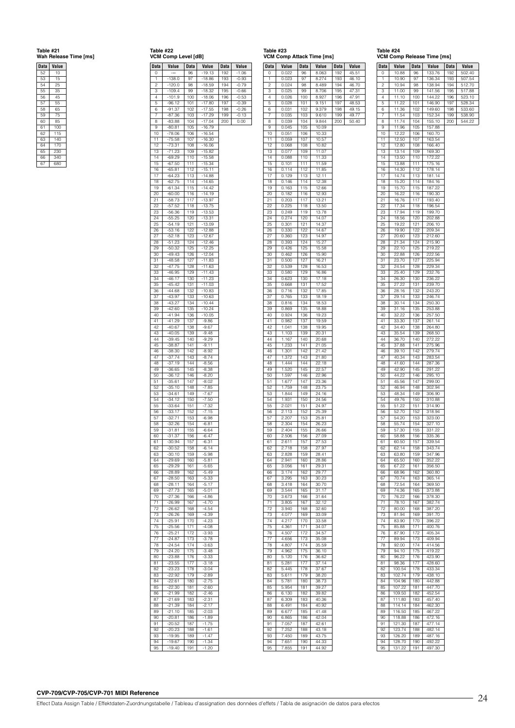# **Table #21 Wah Release Time [ms]**

| <b>Data</b> | Value   |
|-------------|---------|
| 52          | 10      |
| 53          | 15      |
| 54          | 25      |
| 55          | 35      |
| 56          | 45      |
| 57          | 55      |
| 58          | 65      |
| 59          | 75      |
| 60          | 85      |
| 61          | $100 -$ |
| 62          | 115     |
| 63          | 140     |
| 64          | 170     |
| 65          | 230     |
| 66          | 340     |
| 67          | 680     |

| 18DI <del>e</del> #22 |  |
|-----------------------|--|
| VCM Comp Level I      |  |

| Table #22<br>VCM Comp Level [dB] |                      |             |                      |            |                    |
|----------------------------------|----------------------|-------------|----------------------|------------|--------------------|
| <b>Data</b>                      | Value                | <b>Data</b> | Value                | Data       | Value              |
| U<br>1                           | $-138.0$             | 96<br>97    | 19.13<br>$-18.86$    | 192<br>193 | 1.06<br>$-0.93$    |
| $\overline{c}$                   | $-120.0$             | 98          | $-18.59$             | 194        | $-0.79$            |
| з                                | -109.4               | 99          | $-18.32$             | 195        | $-0.66$            |
| $\overline{4}$<br>5              | $-101.9$<br>$-96.12$ | 100<br>101  | $-18.06$<br>$-17.80$ | 196<br>197 | $-0.53$<br>$-0.39$ |
| 6                                | $-91.37$             | 102         | $-17.55$             | 198        | $-0.26$            |
| 7                                | $-87.36$             | 103         | $-17.29$             | 199        | $-0.13$            |
| 8<br>9                           | $-83.88$<br>-80.81   | 104<br>105  | $-17.04$<br>$-16.79$ | 200        | 0.00               |
| 10                               | $-78.06$             | 106         | $-16.54$             |            |                    |
| 11<br>12                         | $-75.58$<br>$-73.31$ | 107<br>108  | $-16.30$<br>-16.06   |            |                    |
| 13                               | $-71.23$             | 109         | $-15.82$             |            |                    |
| 14                               | $-69.29$             | 110         | $-15.58$             |            |                    |
| 15<br>16                         | $-67.50$<br>$-65.81$ | 111<br>112  | $-15.34$<br>$-15.11$ |            |                    |
| 17                               | $-64.23$             | 113         | $-14.88$             |            |                    |
| 18<br>19                         | $-62.75$             | 114<br>115  | $-14.65$<br>$-14.42$ |            |                    |
| 20                               | $-61.34$<br>$-60.00$ | 116         | $-14.19$             |            |                    |
| 21                               | $-58.73$             | 117         | $-13.97$             |            |                    |
| 22<br>23                         | 57.52<br>$-56.36$    | 118<br>119  | -13.75<br>$-13.53$   |            |                    |
| 24                               | $-55.25$             | 120         | $-13.31$             |            |                    |
| 25                               | $-54.19$             | 121         | $-13.09$             |            |                    |
| 26<br>27                         | $-53.16$<br>$-52.18$ | 122<br>123  | $-12.88$<br>$-12.67$ |            |                    |
| 28                               | $-51.23$             | 124         | $-12.46$             |            |                    |
| 29                               | $-50.32$             | 125         | $-12.25$             |            |                    |
| 30<br>31                         | -49.43<br>$-48.58$   | 126<br>127  | $-12.04$<br>$-11.83$ |            |                    |
| 32                               | $-47.75$             | 128         | $-11.63$             |            |                    |
| 33<br>34                         | $-46.95$             | 129<br>130  | $-11.43$             |            |                    |
| 35                               | $-46.17$<br>$-45.42$ | 131         | $-11.23$<br>$-11.03$ |            |                    |
| 36                               | 44.68                | 132         | $-10.83$             |            |                    |
| 37<br>38                         | $-43.97$<br>$-43.27$ | 133<br>134  | $-10.63$<br>$-10.44$ |            |                    |
| 39                               | $-42.60$             | 135         | $-10.24$             |            |                    |
| 40                               | $-41.94$             | 136         | $-10.05$             |            |                    |
| 41<br>42                         | $-41.29$<br>$-40.67$ | 137<br>138  | $-9.86$<br>$-9.67$   |            |                    |
| 43                               | $-40.05$             | 139         | $-9.48$              |            |                    |
| 44                               | $-39.45$             | 140         | $-9.29$              |            |                    |
| 45<br>46                         | $-38.87$<br>$-38.30$ | 141<br>142  | $-9.11$<br>$-8.92$   |            |                    |
| 47                               | $-37.74$             | 143         | $-8.74$              |            |                    |
| 48<br>49                         | $-37.19$<br>$-36.65$ | 144<br>145  | $-8.56$<br>$-8.38$   |            |                    |
| 50                               | $-36.12$             | 146         | $-8.20$              |            |                    |
| 51                               | $-35.61$             | 147         | $-8.02$              |            |                    |
| 52<br>53                         | $-35.10$<br>$-34.61$ | 148<br>149  | $-7.85$<br>$-7.67$   |            |                    |
| 54                               | $-34.12$             | 150         | $-7.50$              |            |                    |
| 55                               | 33.64                | 151         | $-7.\overline{32}$   |            |                    |
| 56<br>57                         | $-33.17$<br>$-32.71$ | 152<br>153  | $-7.15$<br>$-6.98$   |            |                    |
| 58                               | $-32.26$             | 154         | $-6.81$              |            |                    |
| 59                               | $-31.81$             | 155         | $-6.64$              |            |                    |
| ou<br>61                         | $-30.94$             | 156<br>157  | $-6.31$              |            |                    |
| 62                               | $-30.52$             | 158         | $-6.14$              |            |                    |
| 63<br>64                         | $-30.10$<br>$-29.69$ | 159<br>160  | $-5.98$<br>$-5.81$   |            |                    |
| 65                               | $-29.29$             | 161         | $-5.65$              |            |                    |
| 66                               | $-28.89$             | 162         | $-5.49$              |            |                    |
| 67<br>68                         | $-28.50$<br>$-28.11$ | 163<br>164  | $-5.33$<br>$-5.17$   |            |                    |
| 69                               | $-27.73$             | 165         | $-5.01$              |            |                    |
| 70                               | $-27.36$             | 166         | $-4.86$              |            |                    |
| 71<br>72                         | $-26.99$<br>$-26.62$ | 167<br>168  | $-4.70$<br>$-4.54$   |            |                    |
| 73                               | $-26.26$             | 169         | $-4.39$              |            |                    |
| 74                               | $-25.91$             | 170         | $-4.23$              |            |                    |
| 75<br>76                         | $-25.56$<br>$-25.21$ | 171<br>172  | $-4.08$<br>$-3.93$   |            |                    |
| 77                               | $-24.87$             | 173         | $-3.78$              |            |                    |
| 78                               | $-24.54$             | 174         | $-3.63$              |            |                    |
| 79<br>80                         | $-24.20$<br>$-23.88$ | 175<br>176  | $-3.48$<br>$-3.33$   |            |                    |
| 81                               | $-23.55$             | 177         | $-3.18$              |            |                    |
| 82<br>83                         | $-23.23$<br>$-22.92$ | 178<br>179  | $-3.04$<br>$-2.89$   |            |                    |
| 84                               | $-22.61$             | 180         | $-2.75$              |            |                    |
| 85                               | $-22.30$             | 181         | $-2.60$              |            |                    |
| 86<br>87                         | $-21.99$<br>$-21.69$ | 182<br>183  | $-2.46$<br>$-2.31$   |            |                    |
| 88                               | $-21.39$             | 184         | $-2.17$              |            |                    |
| 89                               | $-21.10$             | 185         | $-2.03$              |            |                    |
| 90<br>91                         | $-20.81$<br>$-20.52$ | 186<br>187  | $-1.89$<br>$-1.75$   |            |                    |
| 92                               | $-20.23$             | 188         | $-1.61$              |            |                    |
| 93                               | -19.95               | 189         | $-1.47$              |            |                    |
| 94<br>95                         | $-19.67$<br>$-19.40$ | 190<br>191  | $-1.34$<br>$-1.20$   |            |                    |

| Data     | Value               | <b>Data</b> | Value          | Data       | Value          |
|----------|---------------------|-------------|----------------|------------|----------------|
| 0        | 0.022               | 96          | 8.063          | 192        | 45.51          |
| 1        | 0.023               | 97          | 8.274          | 193        | 46.10          |
| 2<br>З   | 0.024<br>0.025      | 98<br>99    | 8.489          | 194<br>195 | 46.70          |
| 4        | 0.026               | 100         | 8.706<br>8.927 | 196        | 47.31<br>47.91 |
| 5        | 0.028               | 101         | 9.151          | 197        | 48.53          |
| 6        | 0.031               | 102         | 9.379          | 198        | 49.15          |
| 7        | 0.035               | 103         | 9.610          | 199        | 49.77          |
| 8<br>9   | 0.039<br>0.045      | 104<br>105  | 9.844<br>10.09 | 200        | 50.40          |
| 10       | 0.051               | 106         | 10.33          |            |                |
| 11       | 0.059               | 107         | 10.57          |            |                |
| 12       | 0.068               | 108         | 10.82          |            |                |
| 13       | 0.077<br>0.088      | 109<br>110  | 11.07          |            |                |
| 14<br>15 | 0.101               | 111         | 11.33<br>11.59 |            |                |
| 16       | 0.114               | 112         | 11.85          |            |                |
| 17       | 0.129               | 113         | 12.11          |            |                |
| 18<br>19 | 0.146<br>0.163      | 114<br>115  | 12.38<br>12.66 |            |                |
| 20       | 0.182               | 116         | 12.93          |            |                |
| 21       | 0.203               | 117         | 13.21          |            |                |
| 22       | 0.225               | 118         | 13.50          |            |                |
| 23<br>24 | 0.249               | 119         | 13.78          |            |                |
| 25       | 0.274<br>0.301      | 120<br>121  | 14.07<br>14.37 |            |                |
| 26       | 0.330               | 122         | 14.67          |            |                |
| 27       | 0.360               | 123         | 14.97          |            |                |
| 28       | 0.393               | 124         | 15.27          |            |                |
| 29<br>30 | 0.426<br>0.462      | 125<br>126  | 15.58<br>15.90 |            |                |
| 31       | 0.500               | 127         | 16.21          |            |                |
| 32       | 0.539               | 128         | 16.53          |            |                |
| 33       | 0.580               | 129         | 16.86          |            |                |
| 34<br>35 | 0.623<br>0.668      | 130<br>131  | 17.18<br>17.52 |            |                |
| 36       | 0.716               | 132         | 17.85          |            |                |
| 37       | 0.765               | 133         | 18.19          |            |                |
| 38       | 0.816               | 134         | 18.53          |            |                |
| 39<br>40 | 0.869<br>0.924      | 135<br>136  | 18.88<br>19.23 |            |                |
| 41       | 0.982               | 137         | 19.59          |            |                |
| 42       | 1.041               | 138         | 19.95          |            |                |
| 43       | $\overline{1}$ .103 | 139         | 20.31          |            |                |
| 44<br>45 | 1.167<br>1.233      | 140<br>141  | 20.68<br>21.05 |            |                |
| 46       | 1.301               | 142         | 21.42          |            |                |
| 47       | 1.372               | 143         | 21.80          |            |                |
| 48       | 1.444               | 144         | 22.18          |            |                |
| 49<br>50 | 1.520<br>1.597      | 145<br>146  | 22.57<br>22.96 |            |                |
| 51       | 1.677               | 147         | 23.36          |            |                |
| 52       | 1.759               | 148         | 23.75          |            |                |
| 53       | 1.844               | 149         | 24.16          |            |                |
| 54<br>55 | 1.931<br>2.021      | 150<br>151  | 24.56<br>24.97 |            |                |
| 56       | 2.113               | 152         | 25.39          |            |                |
| 57       | 2.207               | 153         | 25.81          |            |                |
| 58       | 2.304               | 154         | 26.23          |            |                |
| 59<br>60 | 2.404<br>2.506      | 155<br>156  | 26.66<br>27.09 |            |                |
| 61       | 2.611               | 157         | 27.53          |            |                |
| 62       | 2.718               | 158         | 27.97          |            |                |
| 63       | 2.828               | 159         | 28.41          |            |                |
| 64       | 2.941               | 160         | 28.86          |            |                |
| 65<br>66 | 3.056<br>3.174      | 161<br>162  | 29.31<br>29.77 |            |                |
| 67       | 3.295               | 163         | 30.23          |            |                |
| 68       | 3.418               | 164         | 30.70          |            |                |
| 69       | 3.544               | 165         | 31.17          |            |                |
| 70<br>71 | 3.673<br>3.805      | 166<br>167  | 31.64          |            |                |
| 72       | 3.940               | 168         | 32.12<br>32.60 |            |                |
| 73       | 4.077               | 169         | 33.09          |            |                |
| 74       | 4.217               | 170         | 33.58          |            |                |
| 75       | 4.361               | 171         | 34.07          |            |                |
| 76<br>77 | 4.507<br>4.656      | 172<br>173  | 34.57<br>35.08 |            |                |
| 78       | 4.807               | 174         | 35.59          |            |                |
| 79       | 4.962               | 175         | 36.10          |            |                |
| 80       | 5.120               | 176         | 36.62          |            |                |
| 81       | 5.281               | 177         | 37.14          |            |                |
| 82<br>83 | 5.445<br>5.611      | 178<br>179  | 37.67<br>38.20 |            |                |
| 84       | 5.781               | 180         | 38.73          |            |                |
| 85       | 5.954               | 181         | 39.27          |            |                |
| 86       | 6.130               | 182         | 39.82          |            |                |
| 87       | 6.309               | 183         | 40.36          |            |                |
| 88<br>89 | 6.491<br>6.677      | 184<br>185  | 40.92<br>41.48 |            |                |
| 90       | 6.865               | 186         | 42.04          |            |                |
| 91       | 7.057               | 187         | 42.61          |            |                |
| 92       | 7.252               | 188         | 43.18          |            |                |
| 93<br>94 | 7.450<br>7.651      | 189<br>190  | 43.75<br>44.33 |            |                |
| 95       | 7.855               | 191         | 44.92          |            |                |
|          |                     |             |                |            |                |

| Table #24                  |  |  |
|----------------------------|--|--|
| VCM Comp Release Time [ms] |  |  |

|          | опр⊥             | ыеа        | е<br>rune [ms]   |             |        |
|----------|------------------|------------|------------------|-------------|--------|
| Data     | Value            | Data       | Value            | <b>Data</b> | Value  |
| 0        | 10.88            | 96         | 133.76           | 192         | 502.40 |
| 1        | 10.90            | 97         | 136.34           | 193         | 507.54 |
| 2        | 10.94            | 98         | 138.94           | 194         | 512.70 |
| 3        | 11.00            | 99         | 141.56           | 195         | 517.88 |
| 4        | 11.10            | 100        | 144.22           | 196         | 523.10 |
| 5        | 11.22            | 101        | 146.90           | 197         | 528.34 |
| 6        | 11.36            | 102        | 149.60           | 198         | 533.60 |
| 7<br>8   | 11.54            | 103<br>104 | 152.34           | 199<br>200  | 538.90 |
| 9        | 11.74<br>11.96   | 105        | 155.10<br>157.88 |             | 544.22 |
| 10       | 12.22            | 106        | 160.70           |             |        |
| 11       | 12.50            | 107        | 163.54           |             |        |
| 12       | 12.80            | 108        | 166.40           |             |        |
| 13       | 13.14            | 109        | 169.30           |             |        |
| 14       | 13.50            | 110        | 172.22           |             |        |
| 15       | 13.88            | 111        | 175.16           |             |        |
| 16       | 14.30            | 112        | 178.14           |             |        |
| 17       | 14.74            | 113        | 181.14           |             |        |
| 18       | 15.20            | 114        | 184.16           |             |        |
| 19       | 15.70            | 115        | 187.22           |             |        |
| 20       | 16.22            | 116        | 190.30           |             |        |
| 21<br>22 | 16.76            | 117        | 193.40           |             |        |
| 23       | 17.34<br>17.94   | 118<br>119 | 196.54<br>199.70 |             |        |
| 24       | 18.56            | 120        | 202.88           |             |        |
| 25       | 19.22            | 121        | 206.10           |             |        |
| 26       | 19.90            | 122        | 209.34           |             |        |
| 27       | 20.60            | 123        | 212.60           |             |        |
| 28       | 21.34            | 124        | 215.90           |             |        |
| 29       | 22.10            | 125        | 219.22           |             |        |
| 30       | 22.88            | 126        | 222.56           |             |        |
| 31       | 23.70            | 127        | 225.94           |             |        |
| 32       | 24.54            | 128        | 229.34           |             |        |
| 33       | 25.40            | 129        | 232.76           |             |        |
| 34       | 26.30            | 130        | 236.22           |             |        |
| 35       | 27.22            | 131        | 239.70           |             |        |
| 36       | 28.16            | 132        | 243.20           |             |        |
| 37<br>38 | 29.14<br>30.14   | 133<br>134 | 246.74<br>250.30 |             |        |
| 39       | 31.16            | 135        | 253.88           |             |        |
| 40       | 32.22            | 136        | 257.50           |             |        |
| 41       | 33.30            | 137        | 261.14           |             |        |
| 42       | 34.40            | 138        | 264.80           |             |        |
| 43       | 35.54            | 139        | 268.50           |             |        |
| 44       | 36.70            | 140        | 272.22           |             |        |
| 45       | 37.88            | 141        | 275.96           |             |        |
| 46       | 39.10            | 142        | 279.74           |             |        |
| 47       | 40.34            | 143        | 283.54           |             |        |
| 48       | 41.60            | 144        | 287.36           |             |        |
| 49       | 42.90            | 145        | 291.22           |             |        |
| 50       | 44.22            | 146        | 295.10           |             |        |
| 51<br>52 | 45.56<br>46.94   | 147<br>148 | 299.00<br>302.94 |             |        |
| 53       | 48.34            | 149        | 306.90           |             |        |
| 54       | 49.76            | 150        | 310.88           |             |        |
| 55       | 51.22            | 151        | 314.90           |             |        |
| 56       | 52.70            | 152        | 318.94           |             |        |
| 57       | 54.20            | 153        | 323.00           |             |        |
| 58       | 55.74            | 154        | 327.10           |             |        |
| 59       | 57.30            | 155        | 331.22           |             |        |
| 60       | 58.88            | 156        | 335.36           |             |        |
| 61       | 60.50            | 157        | 339.54           |             |        |
| 62       | 62.14            | 158        | 343.74<br>347.96 |             |        |
| 63<br>64 | 63.80<br>65.50   | 159        |                  |             |        |
| 65       | 67.22            | 160<br>161 | 352.22<br>356.50 |             |        |
| 66       | 68.96            | 162        | 360.80           |             |        |
| 67       | 70.74            | 163        | 365.14           |             |        |
| 68       | 72.54            | 164        | 369.50           |             |        |
| 69       | 74.36            | 165        | 373.88           |             |        |
| 70       | 76.22            | 166        | 378.30           |             |        |
| 71       | 78.10            | 167        | 382.74           |             |        |
| 72       | 80.00            | 168        | 387.20           |             |        |
| 73       | 81.94            | 169        | 391.70           |             |        |
| 74       | 83.90            | 170        | 396.22           |             |        |
| 75       | 85.88            | 171        | 400.76           |             |        |
| 76       | 87.90            | 172        | 405.34           |             |        |
| 77<br>78 | 89.94<br>92.00   | 173<br>174 | 409.94           |             |        |
| 79       |                  | 175        | 414.56<br>419.22 |             |        |
| 80       | 94.10<br>96.22   | 176        | 423.90           |             |        |
| 81       | 98.36            | 177        | 428.60           |             |        |
| 82       | 100.54           | 178        | 433.34           |             |        |
| 83       | 102.74           | 179        | 438.10           |             |        |
| 84       | 104.96           | 180        | 442.88           |             |        |
| 85       | 107.22           | 181        | 447.70           |             |        |
| 86       | 109.50           | 182        | 452.54           |             |        |
| 87       | 111.80           | 183        | 457.40           |             |        |
| 88       | 114.14           | 184        | 462.30           |             |        |
| 89       | 116.50           | 185        | 467.22           |             |        |
| 90       | 118.88           | 186        | 472.16           |             |        |
| 91       | 121.30           | 187        | 477.14           |             |        |
| 92       | 123.74           | 188        | 482.14           |             |        |
| 93       | 126.20           | 189        | 487.16           |             |        |
| 94<br>95 | 128.70<br>131.22 | 190<br>191 | 492.22<br>497.30 |             |        |
|          |                  |            |                  |             |        |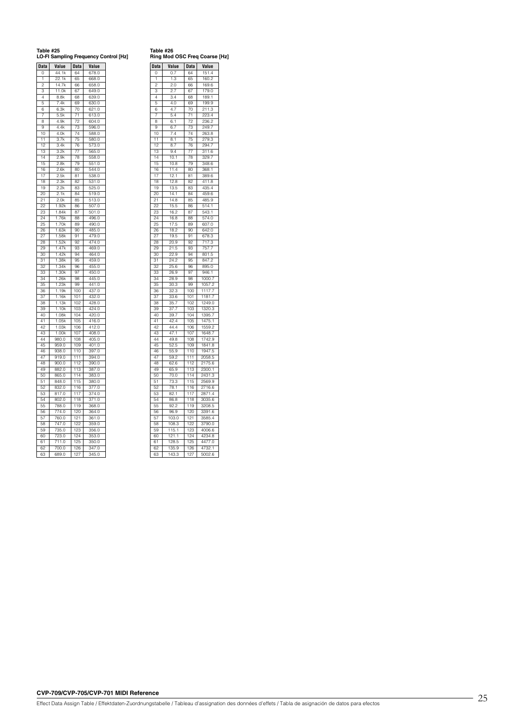**Table #25 LO-FI Sampling Frequency Control [Hz]**

| งle #26 |                     |  |
|---------|---------------------|--|
|         | ia Mod OSC Frea Co. |  |

| Data            | Value              | Data            | Value              |
|-----------------|--------------------|-----------------|--------------------|
| O               | 44.1k              | 64              | 678.0              |
| 1               | 22.1k              | 65              | 668.0              |
| 2               | 14.7k              | 66              | 658.0              |
| ä               | 1.0k<br>1          | 67              | 649.0              |
| $\Delta$        | 8.8k               | 68              | 639.0              |
| 5               | 7.4k               | 69              | 630.0              |
| 6               | 6.3k               | 70              | 621.0              |
| 7               | 5.5k               | $\overline{71}$ | 613.0              |
| 8               | 4.9k               | 72              | 604.0              |
| $\mathbf{Q}$    | 4.4k               | 73              | 596.0              |
| 10              | 4.0k               | 74              | 588.0              |
| 11              | 3.7k               | 75              | 580.0              |
| 12              | 3.4k               | 76              | 573.0              |
| 13              | 3.2k               | 77              | 565.0              |
| 14              | 2.9k               | 78              | 558.0              |
| 15              | 2.8k               | 79              | 551.0              |
| 16              | 2.6k               | R <sub>0</sub>  | 5440               |
| 17              | 2.5k               | 81              | 538.0              |
| 18              |                    | 82              |                    |
|                 | 2.3k               |                 | 531.0              |
| 19              | 2.2k               | 83              | 525.0              |
| 20              | 2.1k               | 84              | 519.0              |
| $^{21}$         | 2.0k               | 85              | 513.0              |
| 22              | 1.92k              | 86              | 507.0              |
| 23              | $1$ $84k$          | 87              | 501.0              |
| 24              | 1.76k              | 88              | 496.0              |
| $\overline{25}$ | 1.70k              | RQ              | 490.0              |
| 26              | 1.63k              | 90              | 485.0              |
| $2\overline{7}$ | 1.58k              | 91              | 479.0              |
| 28              | 1.52k              | 92              | 474.0              |
| 29              | 1.47k              | 93              | 469.0              |
| 30              | 1.42k              | 94              | 464.0              |
| 31              | 1.38k              | 95              | 459.0              |
| 32              | 1.34k              | 96              | 455.0              |
| 33              | 1.30k              | 97              | 450.0              |
| 34              | 1.26k              | 98              | 445.0              |
| 35              | 1.23k              | 99              | 441.0              |
| 36              | 1.19k              | 100             | 437.0              |
| 37              | 1.<br>16k          | 101             | 432.0              |
| 38              | 13k<br>1.          | 102             | 428.0              |
| ٩q              | 10k<br>1.          | 103             | 424.0              |
| 40              | 1.08k              | 104             | 420.0              |
| 41              | $\overline{1.05k}$ | 105             | 416.0              |
| 42              |                    | 106             |                    |
| 43              | 1.03k<br>1.00k     | 107             | 412.0<br>408.0     |
| 44              | 980.0              |                 | 405.0              |
|                 |                    | 108             |                    |
| 45              | 959.0              | 109             | 401.0              |
| 46              | 938.0              | 110             | 397.0              |
| 47              | 919.0              | 111             | 394.0              |
| 48              | 900.0              | 112             | 390.0              |
| 49              | 882.0              | 113             | 387.0              |
| 50              | 865.0              | 114             | 383.0              |
| 51              | 848.0              | 115             | 380.0              |
| 52              | 832.0              | 116             | 377.0              |
| 53              | 817.0              | 117             | 374.0              |
| 54              | 802.0              | 118             | 371.0              |
| 55              | 788.0              | 119             | 368.0              |
| 56              | 774.0              | 120             | 364.0              |
| 57              | 760.0              | 121             | $\frac{1}{36}$ 1.0 |
|                 | 747.0              | 122             | 359.0              |
|                 |                    |                 |                    |
| 58              |                    |                 |                    |
| 59              | 735.0              | 123             | 356.0              |
| 60              | 723.0              | 124             | 353.0              |
| 61<br>62        | 711.0<br>700.0     | 125<br>126      | 350.0<br>347.0     |

| <b>Data</b>    | Value             | Data       | Value                 |
|----------------|-------------------|------------|-----------------------|
| O              | 0.7               | 64         | 151.4                 |
| 1              | 1.3               | 65         | 160.2                 |
| $\overline{c}$ | 2.0               | 66         | 169.6                 |
| 3              | 2.7               | 67         | 179.0                 |
| Δ              | 3.4               | 68         | 189.1                 |
| 5              | 4.0               | 69         | 199.9                 |
| ค              | 4.7               | 70         | 211.3                 |
| 7              | 5.4               | 71         | 223.4                 |
| R              | 6.1               | 72         | 236.2                 |
| q              | 6.7               | 72         | 249                   |
| 10             | 7.4               | 74         | 263.8                 |
| 11             | 8.1               | 75         | 279.3                 |
| 12             | 8.7               | 76         | 294.7                 |
| 13             | 94                | 77         | 311.6                 |
| 14             | 10.1              | 78         | 329.7                 |
| 15             | 10.8              | 79         | 348.6                 |
| 16             | 11.4              | 80         | 368.1                 |
| 17             | 12.1              | 81         | 389.6                 |
| 18             | 12.8              | 82         | 411.8                 |
| 19             | 13.5              | 83         | 435.4                 |
| 20             | 14.1              | 84         | 459.6                 |
| 21             | 14.8              | 85         | 485.9                 |
| 22             | 15.5              | 86         | 514.1                 |
| 23             | 16.2              | 87         | 543.1                 |
| 24             | 16.8              | 88         | 574.0                 |
| 25             | 17.5              | 89         | 607.0                 |
| 26             | 18.2              | 90         | 642.0                 |
| 27             | 19.5              | 91         | 678.3                 |
| 28             | 20.9              | 92         | 717.3                 |
| 29             | $\frac{1}{2}$ 1.5 | 93         | $\overline{757}$<br>7 |
| 30             | 22.9              | 94         | 801.5                 |
| 31             | 24.2              | 95         | 847.2                 |
| 32             | 25.6              | 96         | 895.0                 |
| 33             | 26.9              | 97         | 946.                  |
| 34             | 28.9              | 98         | 1<br>1000<br>7        |
| 35             |                   | 99         |                       |
| 36             | 30.3<br>32.3      | 100        | 1057.2<br>1117.7      |
| 37             | 33.6              | 101        | 1181.7                |
| 38             | 35.7              | 102        | 1249.0                |
| 39             |                   | 103        | 1320.3                |
| 40             | 37.7<br>39.7      | 104        | 1395.7                |
| 41             | 42.4              | 105        | 1475.1                |
| 42             | 44.4              | 106        | 1559.2                |
| 43             | 47<br>1           | 107        | 1648<br>7             |
| 44             | 49.8              | 108        | 1742.9                |
| 45             | 52.5              | 109        | 1841.8                |
| 46             | 55.9              | 110        | 1947.5                |
| 47             |                   | 111        | 2058.5                |
|                | 59.2              |            |                       |
| 48<br>49       | 62.6              | 112<br>113 | 2175.6<br>2300.1      |
|                | 65.9              | 114        |                       |
| 50             | 70.0              |            | 2431.3                |
| 51             | 73.3              | 115        | 2569.9<br>2716.6      |
| 52             | 78.1              | 116        |                       |
| 53             | 82.1              | 117        | 2871.4                |
| 54             | 86.8              | 118        | 3035.6                |
| 55             | 92.2              | 119        | 3208.5                |
| 56             | 96.9              | 120        | 3391.6                |
| 57             | 103.0             | 121        | 3585.4                |
| 58             | 108.3             | 122        | 3790.0                |
| 59             | 115.1             | 123        | 4006.6                |
| 60             | 121.1             | 124        | 4234.8                |
| 61             | 128.5             | 125        | 4477.0                |
| 62             | 135.9             | 126        | 4732.1                |
| 63             | 143.3             | 127        | 5002.<br>6            |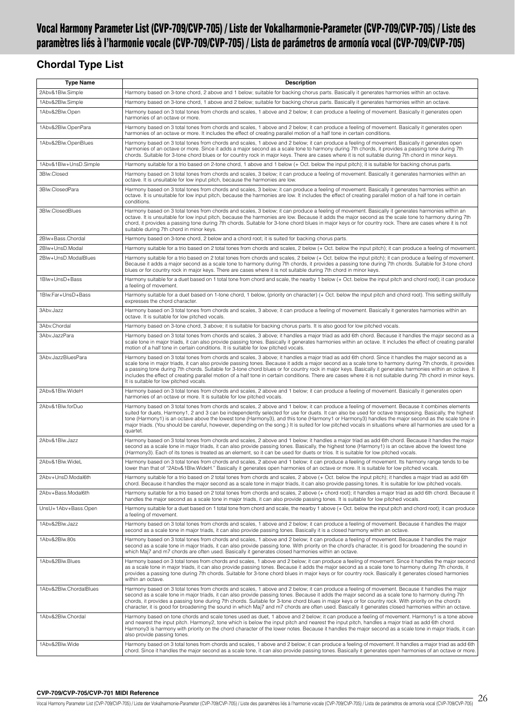# <span id="page-25-0"></span>**Vocal Harmony Parameter List (CVP-709/CVP-705) / Liste der Vokalharmonie-Parameter (CVP-709/CVP-705) / Liste des paramètres liés à l'harmonie vocale (CVP-709/CVP-705) / Lista de parámetros de armonía vocal (CVP-709/CVP-705)**

# **Chordal Type List**

| <b>Type Name</b>       | <b>Description</b>                                                                                                                                                                                                                                                                                                                                                                                                                                                                                                                                                                                                                                                                     |
|------------------------|----------------------------------------------------------------------------------------------------------------------------------------------------------------------------------------------------------------------------------------------------------------------------------------------------------------------------------------------------------------------------------------------------------------------------------------------------------------------------------------------------------------------------------------------------------------------------------------------------------------------------------------------------------------------------------------|
| 2Abv&1Blw.Simple       | Harmony based on 3-tone chord, 2 above and 1 below; suitable for backing chorus parts. Basically it generates harmonies within an octave.                                                                                                                                                                                                                                                                                                                                                                                                                                                                                                                                              |
| 1Abv&2Blw.Simple       | Harmony based on 3-tone chord, 1 above and 2 below; suitable for backing chorus parts. Basically it generates harmonies within an octave.                                                                                                                                                                                                                                                                                                                                                                                                                                                                                                                                              |
| 1Abv&2Blw.Open         | Harmony based on 3 total tones from chords and scales, 1 above and 2 below; it can produce a feeling of movement. Basically it generates open<br>harmonies of an octave or more.                                                                                                                                                                                                                                                                                                                                                                                                                                                                                                       |
| 1Abv&2Blw.OpenPara     | Harmony based on 3 total tones from chords and scales, 1 above and 2 below; it can produce a feeling of movement. Basically it generates open<br>harmonies of an octave or more. It includes the effect of creating parallel motion of a half tone in certain conditions.                                                                                                                                                                                                                                                                                                                                                                                                              |
| 1Abv&2Blw.OpenBlues    | Harmony based on 3 total tones from chords and scales, 1 above and 2 below; it can produce a feeling of movement. Basically it generates open<br>harmonies of an octave or more. Since it adds a major second as a scale tone to harmony during 7th chords, it provides a passing tone during 7th<br>chords. Suitable for 3-tone chord blues or for country rock in major keys. There are cases where it is not suitable during 7th chord in minor keys.                                                                                                                                                                                                                               |
| 1Abv&1Blw+UnsD.Simple  | Harmony suitable for a trio based on 2-tone chord, 1 above and 1 below (+ Oct. below the input pitch); it is suitable for backing chorus parts.                                                                                                                                                                                                                                                                                                                                                                                                                                                                                                                                        |
| 3Blw.Closed            | Harmony based on 3 total tones from chords and scales, 3 below; it can produce a feeling of movement. Basically it generates harmonies within an<br>octave. It is unsuitable for low input pitch, because the harmonies are low.                                                                                                                                                                                                                                                                                                                                                                                                                                                       |
| 3Blw.ClosedPara        | Harmony based on 3 total tones from chords and scales, 3 below; it can produce a feeling of movement. Basically it generates harmonies within an<br>octave. It is unsuitable for low input pitch, because the harmonies are low. It includes the effect of creating parallel motion of a half tone in certain<br>conditions.                                                                                                                                                                                                                                                                                                                                                           |
| 3Blw.ClosedBlues       | Harmony based on 3 total tones from chords and scales, 3 below; it can produce a feeling of movement. Basically it generates harmonies within an<br>octave. It is unsuitable for low input pitch, because the harmonies are low. Because it adds the major second as the scale tone to harmony during 7th<br>chord, it provides a passing tone during 7th chords. Suitable for 3-tone chord blues in major keys or for country rock. There are cases where it is not<br>suitable during 7th chord in minor keys.                                                                                                                                                                       |
| 2Blw+Bass.Chordal      | Harmony based on 3-tone chord, 2 below and a chord root; it is suited for backing chorus parts.                                                                                                                                                                                                                                                                                                                                                                                                                                                                                                                                                                                        |
| 2Blw+UnsD.Modal        | Harmony suitable for a trio based on 2 total tones from chords and scales, 2 below (+ Oct. below the input pitch); it can produce a feeling of movement.                                                                                                                                                                                                                                                                                                                                                                                                                                                                                                                               |
| 2Blw+UnsD.ModalBlues   | Harmony suitable for a trio based on 2 total tones from chords and scales, 2 below (+ Oct. below the input pitch); it can produce a feeling of movement.<br>Because it adds a major second as a scale tone to harmony during 7th chords, it provides a passing tone during 7th chords. Suitable for 3-tone chord<br>blues or for country rock in major keys. There are cases where it is not suitable during 7th chord in minor keys.                                                                                                                                                                                                                                                  |
| 1Blw+UnsD+Bass         | Harmony suitable for a duet based on 1 total tone from chord and scale, the nearby 1 below (+ Oct. below the input pitch and chord root); it can produce<br>a feeling of movement.                                                                                                                                                                                                                                                                                                                                                                                                                                                                                                     |
| 1Blw.Far+UnsD+Bass     | Harmony suitable for a duet based on 1-tone chord, 1 below, (priority on character) (+ Oct. below the input pitch and chord root). This setting skillfully<br>expresses the chord character.                                                                                                                                                                                                                                                                                                                                                                                                                                                                                           |
| 3Abv.Jazz              | Harmony based on 3 total tones from chords and scales, 3 above; it can produce a feeling of movement. Basically it generates harmonies within an<br>octave. It is suitable for low pitched vocals.                                                                                                                                                                                                                                                                                                                                                                                                                                                                                     |
| 3Abv.Chordal           | Harmony based on 3-tone chord, 3 above; it is suitable for backing chorus parts. It is also good for low pitched vocals.                                                                                                                                                                                                                                                                                                                                                                                                                                                                                                                                                               |
| 3Abv.JazzPara          | Harmony based on 3 total tones from chords and scales, 3 above; it handles a major triad as add 6th chord. Because it handles the major second as a<br>scale tone in major triads, it can also provide passing tones. Basically it generates harmonies within an octave. It includes the effect of creating parallel<br>motion of a half tone in certain conditions. It is suitable for low pitched vocals.                                                                                                                                                                                                                                                                            |
| 3Abv.JazzBluesPara     | Harmony based on 3 total tones from chords and scales, 3 above; it handles a major triad as add 6th chord. Since it handles the major second as a<br>scale tone in major triads, it can also provide passing tones. Because it adds a major second as a scale tone to harmony during 7th chords, it provides<br>a passing tone during 7th chords. Suitable for 3-tone chord blues or for country rock in major keys. Basically it generates harmonies within an octave. It<br>includes the effect of creating parallel motion of a half tone in certain conditions. There are cases where it is not suitable during 7th chord in minor keys.<br>It is suitable for low pitched vocals. |
| 2Abv&1Blw.WideH        | Harmony based on 3 total tones from chords and scales, 2 above and 1 below; it can produce a feeling of movement. Basically it generates open<br>harmonies of an octave or more. It is suitable for low pitched vocals.                                                                                                                                                                                                                                                                                                                                                                                                                                                                |
| 2Abv&1Blw.forDuo       | Harmony based on 3 total tones from chords and scales, 2 above and 1 below; it can produce a feeling of movement. Because it combines elements<br>suited for duets. Harmony1, 2 and 3 can be independently selected for use for duets. It can also be used for octave transposing. Basically, the highest<br>tone (Harmony1) is an octave above the lowest tone (Harmony3), and this tone (Harmony1 or Harmony3) handles the major second as the scale tone in<br>major triads. (You should be careful, however, depending on the song.) It is suited for low pitched vocals in situations where all harmonies are used for a<br>quartet.                                              |
| 2Abv&1Blw.Jazz         | Harmony based on 3 total tones from chords and scales, 2 above and 1 below; it handles a major triad as add 6th chord. Because it handles the major<br>second as a scale tone in major triads, it can also provide passing tones. Basically, the highest tone (Harmony1) is an octave above the lowest tone<br>(Harmony3). Each of its tones is treated as an element, so it can be used for duets or trios. It is suitable for low pitched vocals.                                                                                                                                                                                                                                    |
| 2Abv&1Blw.WideL        | Harmony based on 3 total tones from chords and scales, 2 above and 1 below; it can produce a feeling of movement. Its harmony range tends to be<br>lower than that of "2Abv&1Blw.WideH." Basically it generates open harmonies of an octave or more. It is suitable for low pitched vocals.                                                                                                                                                                                                                                                                                                                                                                                            |
| 2Abv+UnsD.Modal6th     | Harmony suitable for a trio based on 2 total tones from chords and scales, 2 above (+ Oct. below the input pitch); it handles a major triad as add 6th<br>chord. Because it handles the major second as a scale tone in major triads, it can also provide passing tones. It is suitable for low pitched vocals.                                                                                                                                                                                                                                                                                                                                                                        |
| 2Abv+Bass.Modal6th     | Harmony suitable for a trio based on 2 total tones from chords and scales, 2 above (+ chord root); it handles a maior triad as add 6th chord. Because it<br>handles the major second as a scale tone in major triads, it can also provide passing tones. It is suitable for low pitched vocals.                                                                                                                                                                                                                                                                                                                                                                                        |
| UnsU+1Abv+Bass.Open    | Harmony suitable for a duet based on 1 total tone from chord and scale, the nearby 1 above (+ Oct. below the input pitch and chord root); it can produce<br>a feeling of movement.                                                                                                                                                                                                                                                                                                                                                                                                                                                                                                     |
| 1Abv&2Blw.Jazz         | Harmony based on 3 total tones from chords and scales, 1 above and 2 below; it can produce a feeling of movement. Because it handles the major<br>second as a scale tone in major triads, it can also provide passing tones. Basically it is a closed harmony within an octave.                                                                                                                                                                                                                                                                                                                                                                                                        |
| 1Abv&2Blw.80s          | Harmony based on 3 total tones from chords and scales, 1 above and 2 below; it can produce a feeling of movement. Because it handles the major<br>second as a scale tone in maior triads, it can also provide passing tone. With priority on the chord's character, it is good for broadening the sound in<br>which Maj7 and m7 chords are often used. Basically it generates closed harmonies within an octave.                                                                                                                                                                                                                                                                       |
| 1Abv&2Blw.Blues        | Harmony based on 3 total tones from chords and scales, 1 above and 2 below; it can produce a feeling of movement. Since it handles the major second<br>as a scale tone in major triads, it can also provide passing tones. Because it adds the major second as a scale tone to harmony during 7th chords, it<br>provides a passing tone during 7th chords. Suitable for 3-tone chord blues in major keys or for country rock. Basically it generates closed harmonies<br>within an octave.                                                                                                                                                                                             |
| 1Abv&2Blw.ChordalBlues | Harmony based on 3 total tones from chords and scales, 1 above and 2 below; it can produce a feeling of movement. Because it handles the major<br>second as a scale tone in major triads, it can also provide passing tones. Because it adds the major second as a scale tone to harmony during 7th<br>chords, it provides a passing tone during 7th chords. Suitable for 3-tone chord blues in major keys or for country rock. With priority on the chord's<br>character, it is good for broadening the sound in which Maj7 and m7 chords are often used. Basically it generates closed harmonies within an octave.                                                                   |
| 1Abv&2Blw.Chordal      | Harmony based on tone chords and scale tones used as duet, 1 above and 2 below; it can produce a feeling of movement. Harmony1 is a tone above<br>and nearest the input pitch. Harmony2, tone which is below the input pitch and nearest the input pitch, handles a major triad as add 6th chord.<br>Harmony3 is harmony with priority on the chord character of the lower notes. Because it handles the major second as a scale tone in major triads, it can<br>also provide passing tones.                                                                                                                                                                                           |
| 1Abv&2Blw.Wide         | Harmony based on 3 total tones from chords and scales, 1 above and 2 below; it can produce a feeling of movement. It handles a major triad as add 6th<br>chord. Since it handles the major second as a scale tone, it can also provide passing tones. Basically it generates open harmonies of an octave or more.                                                                                                                                                                                                                                                                                                                                                                      |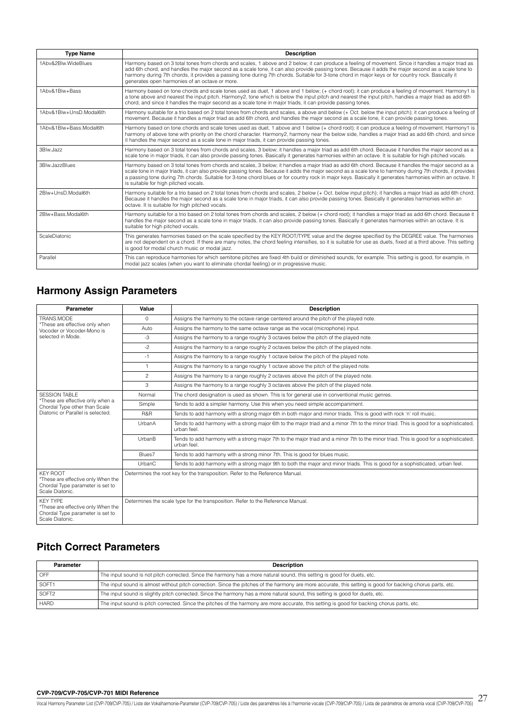| <b>Type Name</b>        | <b>Description</b>                                                                                                                                                                                                                                                                                                                                                                                                                                                                                                     |
|-------------------------|------------------------------------------------------------------------------------------------------------------------------------------------------------------------------------------------------------------------------------------------------------------------------------------------------------------------------------------------------------------------------------------------------------------------------------------------------------------------------------------------------------------------|
| 1Abv&2Blw.WideBlues     | Harmony based on 3 total tones from chords and scales, 1 above and 2 below; it can produce a feeling of movement. Since it handles a major triad as<br>add 6th chord, and handles the major second as a scale tone, it can also provide passing tones. Because it adds the major second as a scale tone to<br>harmony during 7th chords, it provides a passing tone during 7th chords. Suitable for 3-tone chord in major keys or for country rock. Basically it<br>generates open harmonies of an octave or more.     |
| 1Abv&1Blw+Bass          | Harmony based on tone chords and scale tones used as duet, 1 above and 1 below; (+ chord root); it can produce a feeling of movement. Harmony1 is<br>a tone above and nearest the input pitch. Harmony2, tone which is below the input pitch and nearest the input pitch, handles a major triad as add 6th<br>chord, and since it handles the major second as a scale tone in major triads, it can provide passing tones.                                                                                              |
| 1Aby&1Blw+UnsD.Modal6th | Harmony suitable for a trio based on 2 total tones from chords and scales, a above and below (+ Oct. below the input pitch); it can produce a feeling of<br>movement. Because it handles a major triad as add 6th chord, and handles the major second as a scale tone, it can provide passing tones.                                                                                                                                                                                                                   |
| 1Abv&1Blw+Bass.Modal6th | Harmony based on tone chords and scale tones used as duet, 1 above and 1 below (+ chord root); it can produce a feeling of movement. Harmony1 is<br>harmony of above tone with priority on the chord character. Harmony2, harmony near the below side, handles a major triad as add 6th chord, and since<br>it handles the major second as a scale tone in major triads, it can provide passing tones.                                                                                                                 |
| 3Blw.Jazz               | Harmony based on 3 total tones from chords and scales, 3 below; it handles a major triad as add 6th chord. Because it handles the major second as a<br>scale tone in major triads, it can also provide passing tones. Basically it generates harmonies within an octave. It is suitable for high pitched vocals.                                                                                                                                                                                                       |
| 3Blw.JazzBlues          | Harmony based on 3 total tones from chords and scales, 3 below; it handles a major triad as add 6th chord. Because it handles the major second as a<br>scale tone in major triads, it can also provide passing tones. Because it adds the major second as a scale tone to harmony during 7th chords, it provides<br>a passing tone during 7th chords. Suitable for 3-tone chord blues or for country rock in major keys. Basically it generates harmonies within an octave. It<br>is suitable for high pitched vocals. |
| 2Blw+UnsD.Modal6th      | Harmony suitable for a trio based on 2 total tones from chords and scales, 2 below (+ Oct. below input pitch); it handles a major triad as add 6th chord.<br>Because it handles the major second as a scale tone in major triads, it can also provide passing tones. Basically it generates harmonies within an<br>octave. It is suitable for high pitched vocals.                                                                                                                                                     |
| 2Blw+Bass.Modal6th      | Harmony suitable for a trio based on 2 total tones from chords and scales, 2 below (+ chord root); it handles a major triad as add 6th chord. Because it<br>handles the major second as a scale tone in major triads, it can also provide passing tones. Basically it generates harmonies within an octave. It is<br>suitable for high pitched vocals.                                                                                                                                                                 |
| ScaleDiatonic           | This generates harmonies based on the scale specified by the KEY ROOT/TYPE value and the degree specified by the DEGREE value. The harmonies<br>are not dependent on a chord. If there are many notes, the chord feeling intensifies, so it is suitable for use as duets, fixed at a third above. This setting<br>is good for modal church music or modal jazz.                                                                                                                                                        |
| Parallel                | This can reproduce harmonies for which semitone pitches are fixed 4th build or diminished sounds, for example. This setting is good, for example, in<br>modal jazz scales (when you want to eliminate chordal feeling) or in progressive music.                                                                                                                                                                                                                                                                        |

# **Harmony Assign Parameters**

| Parameter                                                                                                    | Value                                                                           | <b>Description</b>                                                                                                                                   |  |
|--------------------------------------------------------------------------------------------------------------|---------------------------------------------------------------------------------|------------------------------------------------------------------------------------------------------------------------------------------------------|--|
| TRANS.MODE                                                                                                   | $\Omega$                                                                        | Assigns the harmony to the octave range centered around the pitch of the played note.                                                                |  |
| *These are effective only when<br>Vocoder or Vocoder-Mono is                                                 | Auto                                                                            | Assigns the harmony to the same octave range as the vocal (microphone) input.                                                                        |  |
| selected in Mode.                                                                                            | $-3$                                                                            | Assigns the harmony to a range roughly 3 octaves below the pitch of the played note.                                                                 |  |
|                                                                                                              | $-2$                                                                            | Assigns the harmony to a range roughly 2 octaves below the pitch of the played note.                                                                 |  |
|                                                                                                              | $-1$                                                                            | Assigns the harmony to a range roughly 1 octave below the pitch of the played note.                                                                  |  |
|                                                                                                              | $\mathbf{1}$                                                                    | Assigns the harmony to a range roughly 1 octave above the pitch of the played note.                                                                  |  |
|                                                                                                              | $\overline{c}$                                                                  | Assigns the harmony to a range roughly 2 octaves above the pitch of the played note.                                                                 |  |
|                                                                                                              | 3                                                                               | Assigns the harmony to a range roughly 3 octaves above the pitch of the played note.                                                                 |  |
| <b>SESSION TABLE</b>                                                                                         | Normal                                                                          | The chord designation is used as shown. This is for general use in conventional music genres.                                                        |  |
| *These are effective only when a<br>Chordal Type other than Scale                                            | Simple                                                                          | Tends to add a simpler harmony. Use this when you need simple accompaniment.                                                                         |  |
| Diatonic or Parallel is selected.                                                                            | R&R                                                                             | Tends to add harmony with a strong major 6th in both major and minor triads. This is good with rock 'n' roll music.                                  |  |
|                                                                                                              | UrbanA                                                                          | Tends to add harmony with a strong major 6th to the major triad and a minor 7th to the minor triad. This is good for a sophisticated,<br>urban feel. |  |
|                                                                                                              | UrbanB                                                                          | Tends to add harmony with a strong major 7th to the major triad and a minor 7th to the minor triad. This is good for a sophisticated,<br>urban feel. |  |
|                                                                                                              | Blues7                                                                          | Tends to add harmony with a strong minor 7th. This is good for blues music.                                                                          |  |
|                                                                                                              | UrbanC                                                                          | Tends to add harmony with a strong major 9th to both the major and minor triads. This is good for a sophisticated, urban feel.                       |  |
| <b>KEY ROOT</b><br>*These are effective only When the<br>Chordal Type parameter is set to<br>Scale Diatonic. |                                                                                 | Determines the root key for the transposition. Refer to the Reference Manual.                                                                        |  |
| <b>KFY TYPF</b><br>*These are effective only When the<br>Chordal Type parameter is set to<br>Scale Diatonic. | Determines the scale type for the transposition. Refer to the Reference Manual. |                                                                                                                                                      |  |

# **Pitch Correct Parameters**

| Parameter                                                                                                                                                  | <b>Description</b>                                                                                                                                          |  |  |  |
|------------------------------------------------------------------------------------------------------------------------------------------------------------|-------------------------------------------------------------------------------------------------------------------------------------------------------------|--|--|--|
| OFF                                                                                                                                                        | The input sound is not pitch corrected. Since the harmony has a more natural sound, this setting is good for duets, etc.                                    |  |  |  |
| SOFT1                                                                                                                                                      | The input sound is almost without pitch correction. Since the pitches of the harmony are more accurate, this setting is good for backing chorus parts, etc. |  |  |  |
| SOFT <sub>2</sub>                                                                                                                                          | The input sound is slightly pitch corrected. Since the harmony has a more natural sound, this setting is good for duets, etc.                               |  |  |  |
| The input sound is pitch corrected. Since the pitches of the harmony are more accurate, this setting is good for backing chorus parts, etc.<br><b>HARD</b> |                                                                                                                                                             |  |  |  |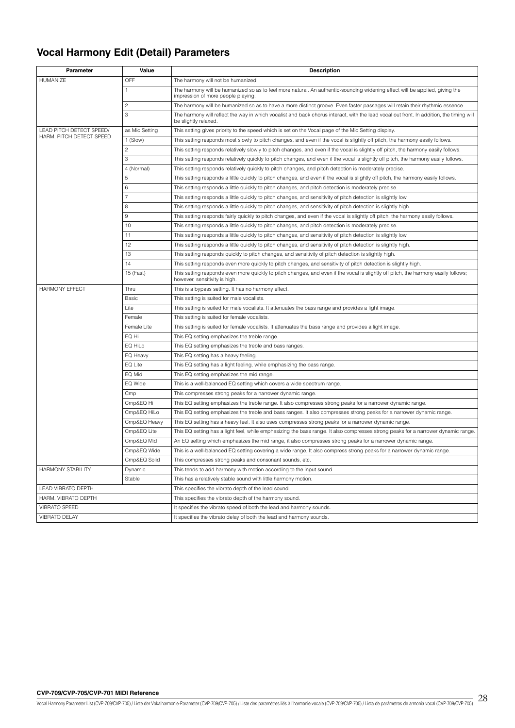# **Vocal Harmony Edit (Detail) Parameters**

| <b>Parameter</b><br>Value<br><b>Description</b> |                |                                                                                                                                                                     |
|-------------------------------------------------|----------------|---------------------------------------------------------------------------------------------------------------------------------------------------------------------|
| HUMANIZE                                        | OFF            | The harmony will not be humanized.                                                                                                                                  |
|                                                 | $\mathbf{1}$   | The harmony will be humanized so as to feel more natural. An authentic-sounding widening effect will be applied, giving the<br>impression of more people playing.   |
|                                                 | $\overline{c}$ | The harmony will be humanized so as to have a more distinct groove. Even faster passages will retain their rhythmic essence.                                        |
|                                                 | 3              | The harmony will reflect the way in which vocalist and back chorus interact, with the lead vocal out front. In addition, the timing will<br>be slightly relaxed.    |
| LEAD PITCH DETECT SPEED/                        | as Mic Setting | This setting gives priority to the speed which is set on the Vocal page of the Mic Setting display.                                                                 |
| HARM. PITCH DETECT SPEED                        | 1 (Slow)       | This setting responds most slowly to pitch changes, and even if the vocal is slightly off pitch, the harmony easily follows.                                        |
|                                                 | $\overline{c}$ | This setting responds relatively slowly to pitch changes, and even if the vocal is slightly off pitch, the harmony easily follows.                                  |
|                                                 | 3              | This setting responds relatively quickly to pitch changes, and even if the vocal is slightly off pitch, the harmony easily follows.                                 |
|                                                 | 4 (Normal)     | This setting responds relatively quickly to pitch changes, and pitch detection is moderately precise.                                                               |
|                                                 | 5              | This setting responds a little quickly to pitch changes, and even if the vocal is slightly off pitch, the harmony easily follows.                                   |
|                                                 | 6              | This setting responds a little quickly to pitch changes, and pitch detection is moderately precise.                                                                 |
|                                                 | $\overline{7}$ | This setting responds a little quickly to pitch changes, and sensitivity of pitch detection is slightly low.                                                        |
|                                                 | 8              | This setting responds a little quickly to pitch changes, and sensitivity of pitch detection is slightly high.                                                       |
|                                                 | 9              | This setting responds fairly quickly to pitch changes, and even if the vocal is slightly off pitch, the harmony easily follows.                                     |
|                                                 | 10             | This setting responds a little quickly to pitch changes, and pitch detection is moderately precise.                                                                 |
|                                                 | 11             | This setting responds a little quickly to pitch changes, and sensitivity of pitch detection is slightly low.                                                        |
|                                                 | 12             | This setting responds a little quickly to pitch changes, and sensitivity of pitch detection is slightly high.                                                       |
|                                                 | 13             | This setting responds quickly to pitch changes, and sensitivity of pitch detection is slightly high.                                                                |
|                                                 | 14             | This setting responds even more quickly to pitch changes, and sensitivity of pitch detection is slightly high.                                                      |
|                                                 | 15 (Fast)      | This setting responds even more quickly to pitch changes, and even if the vocal is slightly off pitch, the harmony easily follows;<br>however, sensitivity is high. |
| <b>HARMONY EFFECT</b>                           | Thru           | This is a bypass setting. It has no harmony effect.                                                                                                                 |
|                                                 | <b>Basic</b>   | This setting is suited for male vocalists.                                                                                                                          |
|                                                 | Lite           | This setting is suited for male vocalists. It attenuates the bass range and provides a light image.                                                                 |
|                                                 | Female         | This setting is suited for female vocalists.                                                                                                                        |
|                                                 | Female Lite    | This setting is suited for female vocalists. It attenuates the bass range and provides a light image.                                                               |
|                                                 | EQ Hi          | This EQ setting emphasizes the treble range.                                                                                                                        |
|                                                 | EQ HiLo        | This EQ setting emphasizes the treble and bass ranges.                                                                                                              |
|                                                 | EQ Heavy       | This EQ setting has a heavy feeling.                                                                                                                                |
|                                                 | EQ Lite        | This EQ setting has a light feeling, while emphasizing the bass range.                                                                                              |
|                                                 | EQ Mid         | This EQ setting emphasizes the mid range.                                                                                                                           |
|                                                 | EQ Wide        | This is a well-balanced EQ setting which covers a wide spectrum range.                                                                                              |
|                                                 | Cmp            | This compresses strong peaks for a narrower dynamic range.                                                                                                          |
|                                                 | Cmp&EQ Hi      | This EQ setting emphasizes the treble range. It also compresses strong peaks for a narrower dynamic range.                                                          |
|                                                 | Cmp&EQ HiLo    | This EQ setting emphasizes the treble and bass ranges. It also compresses strong peaks for a narrower dynamic range.                                                |
|                                                 | Cmp&EQ Heavy   | This EQ setting has a heavy feel. It also uses compresses strong peaks for a narrower dynamic range.                                                                |
|                                                 | Cmp&EQ Lite    | This EQ setting has a light feel, while emphasizing the bass range. It also compresses strong peaks for a narrower dynamic range.                                   |
|                                                 | Cmp&EQ Mid     | An EQ setting which emphasizes the mid range, it also compresses strong peaks for a narrower dynamic range.                                                         |
|                                                 | Cmp&EQ Wide    | This is a well-balanced EQ setting covering a wide range. It also compress strong peaks for a narrower dynamic range.                                               |
|                                                 | Cmp&EQ Solid   | This compresses strong peaks and consonant sounds, etc.                                                                                                             |
| HARMONY STABILITY                               | Dynamic        | This tends to add harmony with motion according to the input sound.                                                                                                 |
|                                                 | Stable         | This has a relatively stable sound with little harmony motion.                                                                                                      |
| LEAD VIBRATO DEPTH                              |                | This specifies the vibrato depth of the lead sound.                                                                                                                 |
| HARM. VIBRATO DEPTH                             |                | This specifies the vibrato depth of the harmony sound.                                                                                                              |
| VIBRATO SPEED                                   |                | It specifies the vibrato speed of both the lead and harmony sounds.                                                                                                 |
| VIBRATO DELAY                                   |                | It specifies the vibrato delay of both the lead and harmony sounds.                                                                                                 |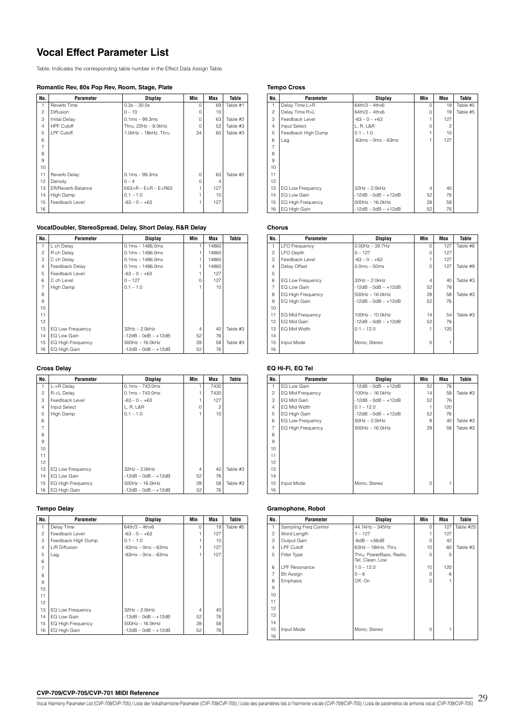# **Vocal Effect Parameter List**

Table: Indicates the corresponding table number in the Effect Data Assign Table.

### **Romantic Rev, 80s Pop Rev, Room, Stage, Plate**

| No.            | Parameter                | Display                     | Min | Max | Table    |
|----------------|--------------------------|-----------------------------|-----|-----|----------|
| 1              | Reverb Time              | $0.3s - 30.0s$              | U   | 69  | Table #1 |
| $\overline{c}$ | Diffusion                | $0 - 10$                    | O   | 10  |          |
| 3              | <b>Initial Delay</b>     | $0.1ms - 99.3ms$            | O   | 63  | Table #2 |
| $\overline{4}$ | <b>HPF Cutoff</b>        | Thru, 22Hz - 8.0kHz         | O   | 52  | Table #3 |
| 5              | LPF Cutoff               | 1.0kHz - 18kHz, Thru        | 34  | 60  | Table #3 |
| 6              |                          |                             |     |     |          |
| $\overline{7}$ |                          |                             |     |     |          |
| 8              |                          |                             |     |     |          |
| 9              |                          |                             |     |     |          |
| 10             |                          |                             |     |     |          |
| 11             | Reverb Delay             | $0.1ms - 99.3ms$            | U   | 63  | Table #2 |
| 12             | Density                  | $0 - 4$                     | 0   | 4   |          |
| 13             | <b>ER/Reverb Balance</b> | $E63 > R - E = R - E < R63$ |     | 127 |          |
| 14             | High Damp                | $0.1 - 1.0$                 |     | 10  |          |
| 15             | Feedback Level           | $-63 - 0 - +63$             |     | 127 |          |
| 16             |                          |                             |     |     |          |

### **VocalDoubler, StereoSpread, Delay, Short Delay, R&R Delay**

| No.            | Parameter                | <b>Display</b>        | Min | Max   | Table    |
|----------------|--------------------------|-----------------------|-----|-------|----------|
|                | L ch Delay               | $0.1ms - 1486.0ms$    |     | 14860 |          |
| $\overline{c}$ | R ch Delay               | $0.1ms - 1486.0ms$    |     | 14860 |          |
| 3              | C ch Delay               | $0.1ms - 1486.0ms$    |     | 14860 |          |
| $\overline{4}$ | Feedback Delay           | $0.1ms - 1486.0ms$    |     | 14860 |          |
| 5              | Feedback Level           | $-63 - 0 - +63$       |     | 127   |          |
| 6              | C ch Level               | $0 - 127$             | n   | 127   |          |
| $\overline{7}$ | High Damp                | $0.1 - 1.0$           |     | 10    |          |
| 8              |                          |                       |     |       |          |
| 9              |                          |                       |     |       |          |
| 10             |                          |                       |     |       |          |
| 11             |                          |                       |     |       |          |
| 12             |                          |                       |     |       |          |
| 13             | EQ Low Frequency         | $32Hz - 2.0kHz$       | 4   | 40    | Table #3 |
| 14             | EQ Low Gain              | $-12dB - 0dB - +12dB$ | 52  | 76    |          |
| 15             | <b>EQ High Frequency</b> | 500Hz - 16.0kHz       | 28  | 58    | Table #3 |
| 16             | EQ High Gain             | -12dB – 0dB – +12dB   | 52  | 76    |          |

### **Cross Delay**

| No.            | Parameter                | <b>Display</b>        | Min            | Max  | Table    |
|----------------|--------------------------|-----------------------|----------------|------|----------|
| 1              | L->R Delay               | $0.1ms - 743.0ms$     |                | 7430 |          |
| $\overline{c}$ | R->L Delay               | $0.1ms - 743.0ms$     |                | 7430 |          |
| 3              | Feedback Level           | $-63 - 0 - +63$       | 1              | 127  |          |
| $\overline{4}$ | Input Select             | L, R, L&R             | $\Omega$       | 2    |          |
| 5              | High Damp                | $0.1 - 1.0$           | 1              | 10   |          |
| 6              |                          |                       |                |      |          |
| $\overline{7}$ |                          |                       |                |      |          |
| 8              |                          |                       |                |      |          |
| 9              |                          |                       |                |      |          |
| 10             |                          |                       |                |      |          |
| 11             |                          |                       |                |      |          |
| 12             |                          |                       |                |      |          |
| 13             | EQ Low Frequency         | 32Hz - 2.0kHz         | $\overline{4}$ | 40   | Table #3 |
| 14             | EQ Low Gain              | $-12dB - OdB - +12dB$ | 52             | 76   |          |
| 15             | <b>EQ High Frequency</b> | 500Hz - 16.0kHz       | 28             | 58   | Table #3 |
| 16             | EQ High Gain             | $-12dB - OdB - +12dB$ | 52             | 76   |          |

### **Tempo Delay**

| No.            | Parameter                | <b>Display</b>        | Min | Max | Table    |
|----------------|--------------------------|-----------------------|-----|-----|----------|
|                | Delay Time               | $64th/3 - 4thx6$      | U   | 19  | Table #5 |
| $\overline{c}$ | Feedback Level           | $-63 - 0 - +63$       |     | 127 |          |
| 3              | Feedback High Dump       | $0.1 - 1.0$           |     | 10  |          |
| $\overline{4}$ | L/R Diffusion            | $-63ms - 0ms - 63ms$  |     | 127 |          |
| 5              | Lag                      | $-63ms - 0ms - 63ms$  |     | 127 |          |
| 6              |                          |                       |     |     |          |
| $\overline{7}$ |                          |                       |     |     |          |
| 8              |                          |                       |     |     |          |
| 9              |                          |                       |     |     |          |
| 10             |                          |                       |     |     |          |
| 11             |                          |                       |     |     |          |
| 12             |                          |                       |     |     |          |
| 13             | EQ Low Frequency         | $32Hz - 2.0kHz$       | 4   | 40  |          |
| 14             | EQ Low Gain              | $-12dB - OdB - +12dB$ | 52  | 76  |          |
| 15             | <b>EQ High Frequency</b> | $500Hz - 16.0kHz$     | 28  | 58  |          |
| 16             | EQ High Gain             | $-12dB - OdB - +12dB$ | 52  | 76  |          |

### **Tempo Cross**

| No.            | Parameter                | Display               | Min      | Max | Table    |
|----------------|--------------------------|-----------------------|----------|-----|----------|
| 1              | Delay Time L>R           | $64th/3 - 4thx6$      | $\Omega$ | 19  | Table #5 |
| $\mathfrak{p}$ | Delay Time R>L           | $64th/3 - 4thx6$      | $\Omega$ | 19  | Table #5 |
| 3              | Feedback Level           | $-63 - 0 - +63$       |          | 127 |          |
| $\overline{4}$ | Input Select             | L. R. L&R             | $\Omega$ | 2   |          |
| 5              | Feedback High Dump       | $0.1 - 1.0$           |          | 10  |          |
| 6              | Lag                      | $-63ms - 0ms - 63ms$  |          | 127 |          |
| 7              |                          |                       |          |     |          |
| 8              |                          |                       |          |     |          |
| 9              |                          |                       |          |     |          |
| 10             |                          |                       |          |     |          |
| 11             |                          |                       |          |     |          |
| 12             |                          |                       |          |     |          |
| 13             | EQ Low Frequency         | $32Hz - 2.0kHz$       | 4        | 40  |          |
| 14             | EQ Low Gain              | $-12dB - OdB - +12dB$ | 52       | 76  |          |
| 15             | <b>EQ High Frequency</b> | $500$ Hz $- 16.0$ kHz | 28       | 58  |          |
| 16             | EQ High Gain             | $-12dB - OdB - +12dB$ | 52       | 76  |          |

### **Chorus**

| No.             | Parameter            | Display               | Min      | Max | Table    |
|-----------------|----------------------|-----------------------|----------|-----|----------|
| 1               | <b>LFO Frequency</b> | $0.00$ Hz $-$ 39.7Hz  | $\Omega$ | 127 | Table #8 |
| $\overline{c}$  | LFO Depth            | $0 - 127$             | O        | 127 |          |
| 3               | Feedback Level       | $-63 - 0 - +63$       |          | 127 |          |
| $\overline{4}$  | Delay Offset         | $0.0ms - 50ms$        | O        | 127 | Table #9 |
| 5               |                      |                       |          |     |          |
| 6               | EQ Low Frequency     | $32Hz - 2.0kHz$       | 4        | 40  | Table #3 |
| 7               | EQ Low Gain          | $-12dB - OdB - +12dB$ | 52       | 76  |          |
| 8               | EQ High Frequency    | $500$ Hz $- 16.0$ kHz | 28       | 58  | Table #3 |
| 9               | EQ High Gain         | $-12dB - OdB - +12dB$ | 52       | 76  |          |
| 10              |                      |                       |          |     |          |
| 11              | EQ Mid Frequency     | 100Hz - 10.0kHz       | 14       | 54  | Table #3 |
| 12 <sup>2</sup> | EQ Mid Gain          | $-12dB - 0dB - +12dB$ | 52       | 76  |          |
| 13              | EQ Mid Width         | $0.1 - 12.0$          |          | 120 |          |
| 14              |                      |                       |          |     |          |
| 15              | Input Mode           | Mono, Stereo          | $\Omega$ |     |          |
| 16              |                      |                       |          |     |          |

### **EQ Hi-Fi, EQ Tel**

| No.            | Parameter         | <b>Display</b>        | Min      | Max | Table    |
|----------------|-------------------|-----------------------|----------|-----|----------|
|                | EQ Low Gain       | $-12dB - 0dB - +12dB$ | 52       | 76  |          |
| $\overline{c}$ | EQ Mid Frequency  | 100Hz - 16.0kHz       | 14       | 58  | Table #3 |
| 3              | EQ Mid Gain       | $-12dB - OdB - +12dB$ | 52       | 76  |          |
| $\overline{4}$ | EQ Mid Width      | $0.1 - 12.0$          |          | 120 |          |
| 5              | EQ High Gain      | $-12dB - OdB - +12dB$ | 52       | 76  |          |
| 6              | EQ Low Frequency  | $50Hz - 2.0kHz$       | 8        | 40  | Table #3 |
| $\overline{7}$ | EQ High Frequency | $500$ Hz $- 16.0$ kHz | 28       | 58  | Table #3 |
| 8              |                   |                       |          |     |          |
| 9              |                   |                       |          |     |          |
| 10             |                   |                       |          |     |          |
| 11             |                   |                       |          |     |          |
| 12             |                   |                       |          |     |          |
| 13             |                   |                       |          |     |          |
| 14             |                   |                       |          |     |          |
| 15             | Input Mode        | Mono, Stereo          | $\Omega$ |     |          |
| 16             |                   |                       |          |     |          |

### **Gramophone, Robot**

| No.            | Parameter             | <b>Display</b>                             | Min      | Max | Table     |
|----------------|-----------------------|--------------------------------------------|----------|-----|-----------|
|                | Sampling Freq Control | 44.1kHz - 345Hz                            | $\Omega$ | 127 | Table #25 |
| $\overline{c}$ | Word Length           | $1 - 127$                                  |          | 127 |           |
| 3              | Output Gain           | $-6dB - +36dB$                             | O        | 42  |           |
| $\overline{4}$ | LPF Cutoff            | 63Hz - 18kHz, Thru                         | 10       | 60  | Table #3  |
| 5              | Filter Type           | Thru, PowerBass, Radio,<br>Tel, Clean, Low | $\Omega$ | 5   |           |
| 6              | LPF Resonance         | $1.0 - 12.0$                               | 10       | 120 |           |
| $\overline{7}$ | <b>Bit Assign</b>     | $0 - 6$                                    | $\Omega$ | 6   |           |
| 8              | Emphasis              | Off, On                                    | $\Omega$ |     |           |
| 9              |                       |                                            |          |     |           |
| 10             |                       |                                            |          |     |           |
| 11             |                       |                                            |          |     |           |
| 12             |                       |                                            |          |     |           |
| 13             |                       |                                            |          |     |           |
| 14             |                       |                                            |          |     |           |
| 15             | Input Mode            | Mono, Stereo                               | $\Omega$ |     |           |
| 16             |                       |                                            |          |     |           |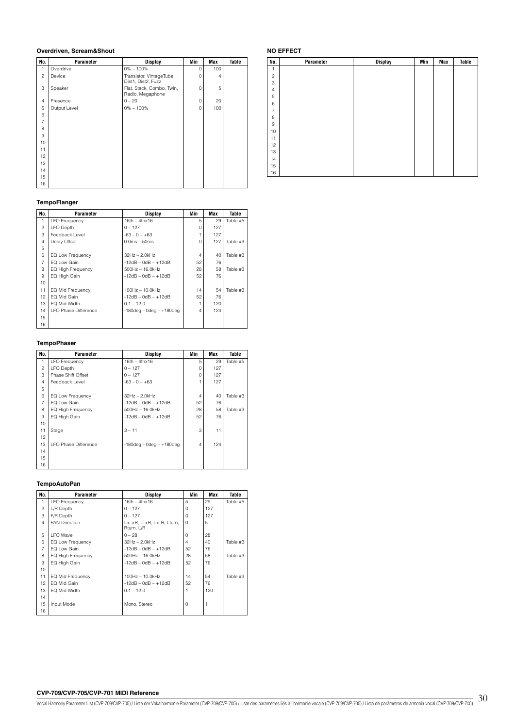### **Overdriven, Scream&Shout**

| No.            | Parameter    | <b>Display</b>                                 | Min         | Max | Table |
|----------------|--------------|------------------------------------------------|-------------|-----|-------|
| 1              | Overdrive    | $0\% - 100\%$                                  | $\Omega$    | 100 |       |
| $\overline{c}$ | Device       | Transistor, VintageTube,<br>Dist1, Dist2, Fuzz | $\Omega$    | 4   |       |
| 3              | Speaker      | Flat, Stack, Combo, Twin,<br>Radio, Megaphone  | $\Omega$    | 5   |       |
| $\overline{4}$ | Presence     | $0 - 20$                                       | $\mathbf 0$ | 20  |       |
| 5              | Output Level | $0\% - 100\%$                                  | 0           | 100 |       |
| 6              |              |                                                |             |     |       |
| $\overline{7}$ |              |                                                |             |     |       |
| 8              |              |                                                |             |     |       |
| 9              |              |                                                |             |     |       |
| 10             |              |                                                |             |     |       |
| 11             |              |                                                |             |     |       |
| 12             |              |                                                |             |     |       |
| 13             |              |                                                |             |     |       |
| 14             |              |                                                |             |     |       |
| 15             |              |                                                |             |     |       |
| 16             |              |                                                |             |     |       |

### **TempoFlanger**

| No.            | Parameter                   | <b>Display</b>                 | Min      | Max | Table    |
|----------------|-----------------------------|--------------------------------|----------|-----|----------|
| 1              | <b>LFO Frequency</b>        | $16th - 4thx16$                | 5        | 29  | Table #5 |
| $\overline{c}$ | <b>LFO</b> Depth            | $0 - 127$                      | O        | 127 |          |
| 3              | Feedback Level              | $-63 - 0 - +63$                |          | 127 |          |
| 4              | Delay Offset                | $0.0ms - 50ms$                 | $\Omega$ | 127 | Table #9 |
| 5              |                             |                                |          |     |          |
| 6              | EQ Low Frequency            | $32Hz - 2.0kHz$                | 4        | 40  | Table #3 |
| $\overline{7}$ | EQ Low Gain                 | $-12dB - 0dB - +12dB$          | 52       | 76  |          |
| 8              | <b>EQ High Frequency</b>    | $500Hz - 16.0kHz$              | 28       | 58  | Table #3 |
| 9              | EQ High Gain                | $-12dB - OdB - +12dB$          | 52       | 76  |          |
| 10             |                             |                                |          |     |          |
| 11             | EQ Mid Frequency            | 100Hz - 10.0kHz                | 14       | 54  | Table #3 |
| 12             | EQ Mid Gain                 | $-12dB - 0dB - +12dB$          | 52       | 76  |          |
| 13             | EQ Mid Width                | $0.1 - 12.0$                   |          | 120 |          |
| 14             | <b>LFO Phase Difference</b> | $-180$ deg – 0deg – $+180$ deg | 4        | 124 |          |
| 15             |                             |                                |          |     |          |
| 16             |                             |                                |          |     |          |

### **TempoPhaser**

| No.            | Parameter                   | Display                        | Min      | Max | Table    |
|----------------|-----------------------------|--------------------------------|----------|-----|----------|
| 1              | <b>LFO Frequency</b>        | $16th - 4thx16$                | 5        | 29  | Table #5 |
| $\overline{c}$ | <b>LFO Depth</b>            | $0 - 127$                      | $\Omega$ | 127 |          |
| 3              | Phase Shift Offset          | $0 - 127$                      | $\Omega$ | 127 |          |
| $\overline{4}$ | Feedback Level              | $-63 - 0 - +63$                |          | 127 |          |
| 5              |                             |                                |          |     |          |
| 6              | EQ Low Frequency            | $32Hz - 2.0kHz$                | 4        | 40  | Table #3 |
| $\overline{7}$ | EQ Low Gain                 | $-12dB - 0dB - +12dB$          | 52       | 76  |          |
| 8              | <b>EQ High Frequency</b>    | $500Hz - 16.0kHz$              | 28       | 58  | Table #3 |
| 9              | EQ High Gain                | $-12$ dB $-$ 0dB $ +12$ dB     | 52       | 76  |          |
| 10             |                             |                                |          |     |          |
| 11             | Stage                       | $3 - 11$                       | 3        | 11  |          |
| 12             |                             |                                |          |     |          |
| 13             | <b>LFO Phase Difference</b> | $-180$ deg – 0deg – $+180$ deg | 4        | 124 |          |
| 14             |                             |                                |          |     |          |
| 15             |                             |                                |          |     |          |
| 16             |                             |                                |          |     |          |

### **TempoAutoPan**

| No.            | Parameter                | Display                                 | Min      | Max | Table    |
|----------------|--------------------------|-----------------------------------------|----------|-----|----------|
| 1              | <b>LFO</b> Frequency     | $16th - 4thx16$                         | 5        | 29  | Table #5 |
| $\overline{c}$ | L/R Depth                | $0 - 127$                               | O        | 127 |          |
| 3              | F/R Depth                | $0 - 127$                               | Ω        | 127 |          |
| 4              | <b>PAN Direction</b>     | L<->R, L->R, L<-R, Lturn,<br>Rturn, L/R | U        | 5   |          |
| 5              | I FO Wave                | $0 - 28$                                | O        | 28  |          |
| 6              | EQ Low Frequency         | 32Hz - 2.0kHz                           | 4        | 40  | Table #3 |
| $\overline{7}$ | EQ Low Gain              | $-12dB - 0dB - +12dB$                   | 52       | 76  |          |
| 8              | <b>EQ High Frequency</b> | $500Hz - 16.0kHz$                       | 28       | 58  | Table #3 |
| 9              | EQ High Gain             | $-12dB - 0dB - +12dB$                   | 52       | 76  |          |
| 10             |                          |                                         |          |     |          |
| 11             | EQ Mid Frequency         | 100Hz - 10.0kHz                         | 14       | 54  | Table #3 |
| 12             | EQ Mid Gain              | $-12dB - 0dB - +12dB$                   | 52       | 76  |          |
| 13             | EQ Mid Width             | $0.1 - 12.0$                            |          | 120 |          |
| 14             |                          |                                         |          |     |          |
| 15             | Input Mode               | Mono, Stereo                            | $\Omega$ |     |          |
| 16             |                          |                                         |          |     |          |

### **NO EFFECT**

| No.            | Parameter | <b>Display</b> | Min | Max | Table |
|----------------|-----------|----------------|-----|-----|-------|
| 1              |           |                |     |     |       |
| $\overline{c}$ |           |                |     |     |       |
| 3              |           |                |     |     |       |
| $\overline{4}$ |           |                |     |     |       |
| 5              |           |                |     |     |       |
| 6              |           |                |     |     |       |
| $\overline{7}$ |           |                |     |     |       |
| 8              |           |                |     |     |       |
| $\hbox{9}$     |           |                |     |     |       |
| 10             |           |                |     |     |       |
| 11             |           |                |     |     |       |
| 12             |           |                |     |     |       |
| 13             |           |                |     |     |       |
| 14             |           |                |     |     |       |
| 15             |           |                |     |     |       |
| 16             |           |                |     |     |       |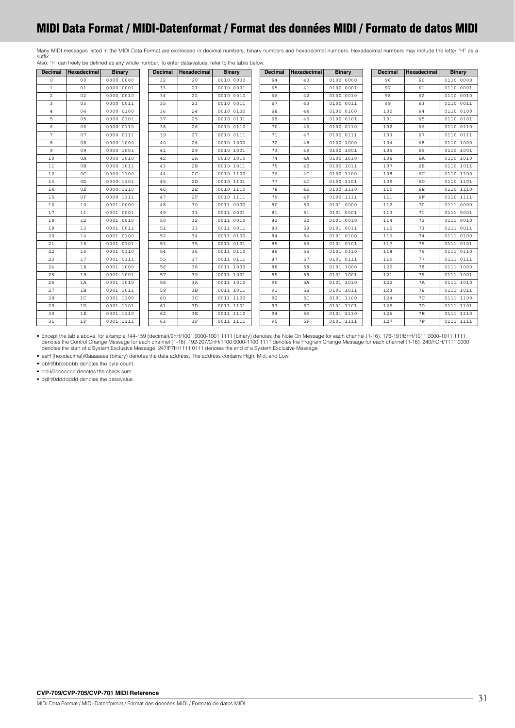# <span id="page-30-0"></span>**MIDI Data Format / MIDI-Datenformat / Format des données MIDI / Formato de datos MIDI**

Many MIDI messages listed in the MIDI Data Format are expressed in decimal numbers, binary numbers and hexadecimal numbers. Hexadecimal numbers may include the letter "H" as a suffix. Also, "n" can freely be defined as any whole number. To enter data/values, refer to the table below.

| <b>Decimal</b> | Hexadecimal    | <b>Binary</b> | <b>Decimal</b> | Hexadecimal | <b>Binary</b> | <b>Decimal</b> | <b>Hexadecimal</b> | <b>Binary</b> | <b>Decimal</b> | Hexadecimal    | <b>Binary</b> |
|----------------|----------------|---------------|----------------|-------------|---------------|----------------|--------------------|---------------|----------------|----------------|---------------|
| $\Omega$       | 0 <sup>0</sup> | 0000 0000     | 32             | 20          | 0010 0000     | 64             | 40                 | 0100 0000     | 96             | 60             | 0110 0000     |
| $\mathbf{1}$   | 01             | 0000 0001     | 33             | 21          | 0010 0001     | 65             | 41                 | 0100 0001     | 97             | 61             | 0110 0001     |
| 2              | 02             | 0000 0010     | 34             | 22          | 0010 0010     | 66             | 42                 | 0100 0010     | 98             | 62             | 0110 0010     |
| 3              | 03             | 0000 0011     | 35             | 23          | 0010 0011     | 67             | 43                 | 0100 0011     | 99             | 63             | 0110 0011     |
| $\overline{4}$ | 04             | 0000 0100     | 36             | 24          | 0010 0100     | 68             | 44                 | 0100 0100     | 100            | 64             | 0110 0100     |
| 5              | 05             | 0000 0101     | 37             | 25          | 0010 0101     | 69             | 45                 | 0100 0101     | 101            | 65             | 0110 0101     |
| 6              | 06             | 0000 0110     | 38             | 26          | 0010 0110     | 70             | 46                 | 0100 0110     | 102            | 66             | 0110 0110     |
| $\overline{7}$ | 07             | 0000 0111     | 39             | 27          | 0010 0111     | 71             | 47                 | 0100 0111     | 103            | 67             | 0110 0111     |
| 8              | 08             | 0000 1000     | 40             | 28          | 0010 1000     | 72             | 48                 | 0100 1000     | 104            | 68             | 0110 1000     |
| 9              | 09             | 0000 1001     | 41             | 29          | 0010 1001     | 73             | 49                 | 0100 1001     | 105            | 69             | 0110 1001     |
| 10             | 0A             | 0000 1010     | 42             | 2A          | 0010 1010     | 74             | 4A                 | 0100 1010     | 106            | 6A             | 0110 1010     |
| 11             | 0B             | 0000 1011     | 43             | 2B          | 0010 1011     | 75             | 4B                 | 0100 1011     | 107            | 6B             | 0110 1011     |
| 12             | $_{0C}$        | 0000 1100     | 44             | 2C          | 0010 1100     | 76             | 4C                 | 0100 1100     | 108            | 6C             | 0110 1100     |
| 13             | 0D             | 0000 1101     | 45             | 2D          | 0010 1101     | 77             | 4D                 | 0100 1101     | 109            | 6D             | 0110 1101     |
| 14             | 0E             | 0000 1110     | 46             | 2E          | 0010 1110     | 78             | 4E                 | 0100 1110     | 110            | 6E             | 0110 1110     |
| 15             | 0F             | 0000 1111     | 47             | 2F          | 0010 1111     | 79             | 4F                 | 0100 1111     | 111            | 6F             | 0110 1111     |
| 16             | 10             | 0001 0000     | 48             | 30          | 0011 0000     | 80             | 50                 | 0101 0000     | 112            | 70             | 0111 0000     |
| 17             | 11             | 0001 0001     | 49             | 31          | 0011 0001     | 81             | 51                 | 0101 0001     | 113            | 71             | 0111 0001     |
| 18             | 12             | 0001 0010     | 50             | 32          | 0011 0010     | 82             | 52                 | 0101 0010     | 114            | 72             | 0111 0010     |
| 19             | 13             | 0001 0011     | 51             | 33          | 0011 0011     | 83             | 53                 | 0101 0011     | 115            | 73             | 0111 0011     |
| 20             | 14             | 0001 0100     | 52             | 34          | 0011 0100     | 84             | 54                 | 0101 0100     | 116            | 74             | 0111 0100     |
| 21             | 15             | 0001 0101     | 53             | 35          | 0011 0101     | 85             | 55                 | 0101 0101     | 117            | 75             | 0111 0101     |
| 22             | 16             | 0001 0110     | 54             | 36          | 0011 0110     | 86             | 56                 | 0101 0110     | 118            | 76             | 0111 0110     |
| 23             | 17             | 0001 0111     | 55             | 37          | 0011 0111     | 87             | 57                 | 0101 0111     | 119            | 77             | 0111 0111     |
| 24             | 18             | 0001 1000     | 56             | 38          | 0011 1000     | 88             | 58                 | 0101 1000     | 120            | 78             | 0111 1000     |
| 25             | 19             | 0001 1001     | 57             | 39          | 0011 1001     | 89             | 59                 | 0101 1001     | 121            | 79             | 0111 1001     |
| 26             | 1A             | 0001 1010     | 58             | 3A          | 0011 1010     | 90             | 5A                 | 0101 1010     | 122            | 7A             | 0111 1010     |
| 27             | 1B             | 0001 1011     | 59             | 3B          | 0011 1011     | 91             | 5B                 | 0101 1011     | 123            | 7B             | 0111 1011     |
| 28             | 1 <sup>C</sup> | 0001 1100     | 60             | 3C          | 0011 1100     | 92             | 5C                 | 0101 1100     | 124            | 7 <sup>C</sup> | 0111 1100     |
| 29             | 1D             | 0001 1101     | 61             | 3D          | 0011 1101     | 93             | 5D                 | 0101 1101     | 125            | 7D             | 0111 1101     |
| 30             | 1E             | 0001 1110     | 62             | 3E          | 0011 1110     | 94             | 5E                 | 0101 1110     | 126            | <b>7E</b>      | 0111 1110     |
| 31             | 1F             | 0001 1111     | 63             | 3F          | 0011 1111     | 95             | 5F                 | 0101 1111     | 127            | <b>7F</b>      | 0111 1111     |

Except the table above, for example 144-159 (decimal)/9nH/1001 0000-1001 1111 (binary) denotes the Note On Message for each channel (1-16). 176-191/BnH/1011 0000-1011 1111 (binary) denotes the Note On Message for each chan

• aaH (hexidecimal)/0aaaaaaa (binary) denotes the data address. The address contains High, Mid, and Low.

• bbH/0bbbbbbb denotes the byte count.

• ccH/0ccccccc denotes the check sum.

• ddH/0ddddddd denotes the data/value.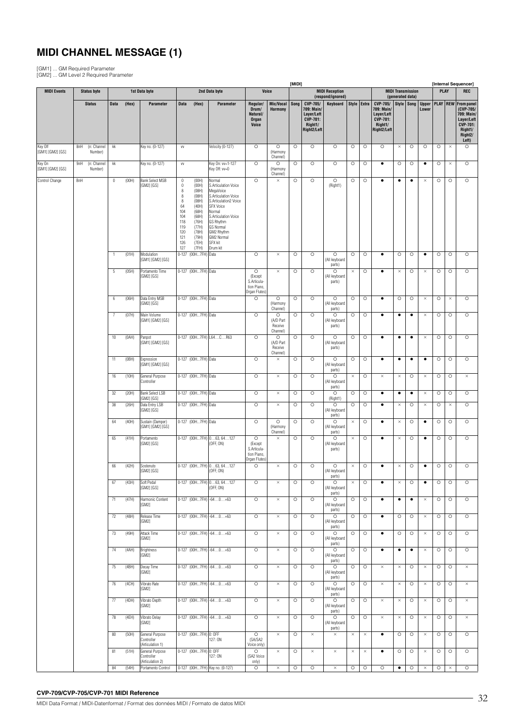# **MIDI CHANNEL MESSAGE (1)**

[GM1] ... GM Required Parameter [GM2] ... GM Level 2 Required Parameter

|                            |     |                        |              |       |                                                   |                                                                                                           |                                                                                                                            |                                                                                                                                                                                                                                               |                                                                   |                                             | [MIDI]  |                                                                                   |                                              |             |          |                                                                                   |           |                                |                       |         |             | [Internal Sequencer]                                                                                  |
|----------------------------|-----|------------------------|--------------|-------|---------------------------------------------------|-----------------------------------------------------------------------------------------------------------|----------------------------------------------------------------------------------------------------------------------------|-----------------------------------------------------------------------------------------------------------------------------------------------------------------------------------------------------------------------------------------------|-------------------------------------------------------------------|---------------------------------------------|---------|-----------------------------------------------------------------------------------|----------------------------------------------|-------------|----------|-----------------------------------------------------------------------------------|-----------|--------------------------------|-----------------------|---------|-------------|-------------------------------------------------------------------------------------------------------|
| <b>MIDI Events</b>         |     | <b>Status byte</b>     |              |       | 1st Data byte                                     |                                                                                                           |                                                                                                                            | 2nd Data byte                                                                                                                                                                                                                                 |                                                                   | Voice                                       |         |                                                                                   | <b>MIDI Reception</b>                        |             |          |                                                                                   |           | <b>MIDI Transmission</b>       |                       |         | <b>PLAY</b> | <b>REC</b>                                                                                            |
|                            |     | <b>Status</b>          | <b>Data</b>  | (Hex) | Parameter                                         | <b>Data</b>                                                                                               | (Hex)                                                                                                                      | Parameter                                                                                                                                                                                                                                     | Regular/<br>Drum/<br>Natural/<br>Organ<br>Voice                   | Mic/Vocal<br>Harmony                        | Song    | CVP-705/<br>709: Main/<br>Layer/Left<br><b>CVP-701:</b><br>Right1/<br>Right2/Left | (respond/ignored)<br>Keyboard                | Style Extra |          | CVP-705/<br>709: Main/<br>Layer/Left<br><b>CVP-701:</b><br>Right1/<br>Right2/Left |           | (generated data)<br>Style Song | <b>Upper</b><br>Lower |         |             | <b>PLAY   REW   From panel</b><br>(CVP-705/<br>709: Main/<br>Layer/Left<br><b>CVP-701:</b><br>Right1/ |
| Key Off                    | 8nH | (n: Channel            | kk           |       | Key no. (0-127)                                   | VV                                                                                                        |                                                                                                                            | Velocity (0-127)                                                                                                                                                                                                                              | $\circ$                                                           | $\circ$                                     | $\circ$ | $\circ$                                                                           | $\circ$                                      | $\circ$     | $\circ$  | $\circ$                                                                           | $\times$  | $\circ$                        | $\circ$               | $\circ$ | $\times$    | Right <sub>2</sub> /<br>Left)<br>$\circ$                                                              |
| [GM1] [GM2] [GS]<br>Key On | 9nH | Number)<br>(n: Channel | kk           |       | Key no. (0-127)                                   | VV                                                                                                        |                                                                                                                            | Key On: vv=1-127                                                                                                                                                                                                                              | $\circ$                                                           | (Harmony<br>Channel)<br>$\circ$             | $\circ$ | $\circ$                                                                           | $\circ$                                      | $\circ$     | O        | $\bullet$                                                                         | $\circ$   | $\circ$                        | $\bullet$             | O       | $\times$    | $\circ$                                                                                               |
| [GM1] [GM2] [GS]           |     | Number)                |              |       |                                                   |                                                                                                           |                                                                                                                            | Key Off: vv=0                                                                                                                                                                                                                                 |                                                                   | (Harmony<br>Channel)                        |         |                                                                                   |                                              |             |          |                                                                                   |           |                                |                       |         |             |                                                                                                       |
| Control Change             | BnH |                        | 0            | (00H) | <b>Bank Select MSB</b><br>[GM2] [GS]              | $\bf{0}$<br>$\mathbb O$<br>$\,$ 8<br>8<br>8<br>64<br>104<br>104<br>118<br>119<br>120<br>121<br>126<br>127 | (00H)<br>(00H)<br>(08H)<br>(08H)<br>(08H)<br>(40H)<br>(68H)<br>(68H)<br>(76H)<br>(77H)<br>(78H)<br>(79H)<br>(7EH)<br>(7FH) | Normal<br>S.Articulation Voice<br>MegaVoice<br>S.Articulation Voice<br>S.Articulation2 Voice<br><b>SFX Voice</b><br>Normal<br>S.Articulation Voice<br><b>GS Rhythm</b><br><b>GS Normal</b><br>GM2 Rhythm<br>GM2 Normal<br>SFX kit<br>Drum kit | $\circ$                                                           | $\times$                                    | $\circ$ | $\circ$                                                                           | $\circ$<br>(Right1)                          | $\circ$     | O        | $\bullet$                                                                         | $\bullet$ | $\bullet$                      | $\times$              | $\circ$ | $\circ$     | $\circ$                                                                                               |
|                            |     |                        | $\mathbf{1}$ | (01H) | Modulation<br>[GM1] [GM2] [GS]                    |                                                                                                           | 0-127 (00H7FH) Data                                                                                                        |                                                                                                                                                                                                                                               | $\circ$                                                           | $\times$                                    | $\circ$ | $\circ$                                                                           | $\circ$<br>(All keyboard                     | $\circ$     | $\circ$  | $\bullet$                                                                         | $\circ$   | $\circ$                        | $\bullet$             | $\circ$ | $\circ$     | $\circ$                                                                                               |
|                            |     |                        | 5            | (05H) | Portamento Time<br>[GM2] [GS]                     |                                                                                                           | 0-127 (00H7FH) Data                                                                                                        |                                                                                                                                                                                                                                               | $\circ$<br>(Except                                                | $\times$                                    | O       | $\circ$                                                                           | parts)<br>$\circ$<br>(All keyboard           | $\times$    | O        | $\bullet$                                                                         | $\times$  | $\circ$                        | $\times$              | O       | $\circ$     | $\circ$                                                                                               |
|                            |     |                        |              |       |                                                   |                                                                                                           |                                                                                                                            |                                                                                                                                                                                                                                               | S.Articula-<br>tion Piano,<br>Organ Flutes)                       |                                             |         |                                                                                   | parts)                                       |             |          |                                                                                   |           |                                |                       |         |             |                                                                                                       |
|                            |     |                        | 6            | (06H) | Data Entry MSB<br>[GM2] [GS]                      |                                                                                                           | 0-127 (00H7FH) Data                                                                                                        |                                                                                                                                                                                                                                               | $\circ$                                                           | $\circ$<br>(Harmony<br>Channel)             | $\circ$ | $\circ$                                                                           | $\circ$<br>(All keyboard<br>parts)           | $\circ$     | $\circ$  | $\bullet$                                                                         | $\circ$   | $\circ$                        | $\times$              | $\circ$ | $\times$    | $\circ$                                                                                               |
|                            |     |                        | 7            | (07H) | Main Volume<br>[GM1] [GM2] [GS]                   |                                                                                                           | 0-127 (00H7FH) Data                                                                                                        |                                                                                                                                                                                                                                               | $\circ$                                                           | $\circ$<br>(A/D Part<br>Receive<br>Channel) | $\circ$ | $\circ$                                                                           | $\circ$<br>(All keyboard<br>parts)           | $\circ$     | $\circ$  | $\bullet$                                                                         | $\bullet$ | $\bullet$                      | $\times$              | $\circ$ | $\circ$     | $\circ$                                                                                               |
|                            |     |                        | 10           | (0AH) | Panpot<br>[GM1] [GM2] [GS]                        |                                                                                                           |                                                                                                                            | 0-127 (00H7FH) L64CR63                                                                                                                                                                                                                        | $\circ$                                                           | $\circ$<br>(A/D Part<br>Receive<br>Channel) | $\circ$ | $\circ$                                                                           | $\circ$<br>(All keyboard<br>parts)           | $\circ$     | $\circ$  | $\bullet$                                                                         | $\bullet$ | $\bullet$                      | $\times$              | $\circ$ | $\circ$     | $\circ$                                                                                               |
|                            |     |                        | 11           | (OBH) | Expression<br>[GM1] [GM2] [GS]                    |                                                                                                           | 0-127 (00H7FH) Data                                                                                                        |                                                                                                                                                                                                                                               | $\circ$                                                           | $\times$                                    | $\circ$ | $\circ$                                                                           | $\circ$<br>(All keyboard                     | $\circ$     | $\circ$  | $\bullet$                                                                         | $\bullet$ | $\bullet$                      | $\bullet$             | $\circ$ | $\circ$     | $\circ$                                                                                               |
|                            |     |                        | 16           | (10H) | General Purpose<br>Controller                     |                                                                                                           | 0-127 (00H7FH) Data                                                                                                        |                                                                                                                                                                                                                                               | $\circ$                                                           | $\times$                                    | $\circ$ | $\circ$                                                                           | parts)<br>$\circ$<br>(All keyboard           | $\times$    | $\circ$  | $\times$                                                                          | $\times$  | $\circ$                        | $\times$              | $\circ$ | $\circ$     | $\times$                                                                                              |
|                            |     |                        | 32           | (20H) | <b>Bank Select LSB</b><br>[GM2] [GS]              |                                                                                                           | 0-127 (00H7FH) Data                                                                                                        |                                                                                                                                                                                                                                               | $\circ$                                                           | $\times$                                    | $\circ$ | $\circ$                                                                           | parts)<br>$\circ$<br>(Right1)                | $\circ$     | $\circ$  | $\bullet$                                                                         | $\bullet$ | $\bullet$                      | $\times$              | $\circ$ | $\circ$     | $\circ$                                                                                               |
|                            |     |                        | 38           | (26H) | Data Entry LSB<br>[GM2] [GS]                      |                                                                                                           | 0-127 (00H7FH) Data                                                                                                        |                                                                                                                                                                                                                                               | $\circ$                                                           | ×                                           | $\circ$ | $\circ$                                                                           | $\circ$<br>(All keyboard<br>parts)           | $\circ$     | $\circ$  | $\bullet$                                                                         | $\times$  | $\circ$                        | $\times$              | O       | $\times$    | $\circ$                                                                                               |
|                            |     |                        | 64           | (40H) | Sustain (Damper)<br>[GM1] [GM2] [GS]              |                                                                                                           | 0-127 (00H7FH) Data                                                                                                        |                                                                                                                                                                                                                                               | $\circ$                                                           | $\circ$<br>(Harmony<br>Channel)             | $\circ$ | $\circ$                                                                           | $\circ$<br>(All keyboard<br>parts)           | $\times$    | $\circ$  | $\bullet$                                                                         | $\times$  | $\circ$                        | $\bullet$             | $\circ$ | $\circ$     | $\circ$                                                                                               |
|                            |     |                        | 65           | (41H) | Portamento<br>[GM2] [GS]                          |                                                                                                           |                                                                                                                            | 0-127 (00H7FH) 063, 64127<br>(OFF, ON)                                                                                                                                                                                                        | $\circ$<br>(Except<br>S.Articula-<br>tion Piano,<br>Organ Flutes) | $\times$                                    | $\circ$ | $\circ$                                                                           | $\circ$<br>(All keyboard<br>parts)           | $\times$    | $\circ$  | $\bullet$                                                                         | $\times$  | $\circ$                        | $\bullet$             | $\circ$ | $\circ$     | $\circ$                                                                                               |
|                            |     |                        | 66           | (42H) | Sostenuto<br>[GM2] [GS]                           |                                                                                                           |                                                                                                                            | 0-127 (00H7FH) 063, 64127<br>$($ UFF, UN $)$                                                                                                                                                                                                  | $\circ$                                                           | $\times$                                    | $\circ$ | $\circ$                                                                           | $\circ$<br>(All keyboard<br>parts)           | $\times$    | $\circ$  | $\bullet$                                                                         | $\times$  | $\circ$                        | $\bullet$             | $\circ$ | $\circ$     | $\circ$                                                                                               |
|                            |     |                        | 67           | (43H) | Soft Pedal<br>[GM2] [GS]                          |                                                                                                           |                                                                                                                            | 0-127 (00H7FH) 063, 64127<br>(OFF, ON)                                                                                                                                                                                                        | $\circ$                                                           | $\times$                                    | $\circ$ | $\circ$                                                                           | $\circ$<br>(All keyboard<br>parts)           | $\times$    | $\circ$  | $\bullet$                                                                         | $\times$  | $\circ$                        | $\bullet$             | $\circ$ | $\circ$     | $\circ$                                                                                               |
|                            |     |                        | 71           | (47H) | Harmonic Content<br>[GM2]                         |                                                                                                           |                                                                                                                            | 0-127 (00H7FH) -640+63                                                                                                                                                                                                                        | $\circ$                                                           | $\times$                                    | $\circ$ | $\circ$                                                                           | $\circ$<br>(All keyboard<br>parts)           | $\circ$     | $\circ$  | $\bullet$                                                                         | $\bullet$ | $\bullet$                      | $\times$              | $\circ$ | $\circ$     | $\circ$                                                                                               |
|                            |     |                        | 72           | (48H) | Release Time<br>[GM2]                             |                                                                                                           |                                                                                                                            | 0-127 (00H7FH) -640+63                                                                                                                                                                                                                        | $\circ$                                                           | $\times$                                    | $\circ$ | $\circ$                                                                           | $\circ$<br>(All keyboard                     | $\circ$     | $\circ$  | $\bullet$                                                                         | $\circ$   | $\circ$                        | $\times$              | $\circ$ | $\circ$     | $\circ$                                                                                               |
|                            |     |                        | 73           | (49H) | <b>Attack Time</b><br>[GM2]                       |                                                                                                           |                                                                                                                            | 0-127 (00H7FH) -640+63                                                                                                                                                                                                                        | $\circ$                                                           | $\times$                                    | $\circ$ | $\circ$                                                                           | parts)<br>$\circ$<br>(All keyboard<br>parts) | $\circ$     | $\circ$  | $\bullet$                                                                         | $\circ$   | $\circ$                        | $\times$              | $\circ$ | $\circ$     | $\circ$                                                                                               |
|                            |     |                        | 74           | (4AH) | <b>Brightness</b><br>[GM2]                        |                                                                                                           |                                                                                                                            | 0-127 (00H7FH) -640+63                                                                                                                                                                                                                        | $\circ$                                                           | $\times$                                    | $\circ$ | $\circ$                                                                           | $\circ$<br>(All keyboard<br>parts)           | $\circ$     | $\circ$  | $\bullet$                                                                         | $\bullet$ | $\bullet$                      | $\times$              | $\circ$ | $\circ$     | $\circ$                                                                                               |
|                            |     |                        | 75           | (4BH) | Decay Time<br>[GM2]                               |                                                                                                           |                                                                                                                            | 0-127 (00H7FH) -640+63                                                                                                                                                                                                                        | $\circ$                                                           | $\times$                                    | $\circ$ | $\circ$                                                                           | $\circ$<br>(All keyboard                     | $\circ$     | $\circ$  | $\times$                                                                          | $\times$  | $\circ$                        | $\times$              | $\circ$ | $\circ$     | $\times$                                                                                              |
|                            |     |                        | 76           | (4CH) | Vibrato Rate<br>[GM2]                             |                                                                                                           |                                                                                                                            | 0-127 (00H7FH) -640+63                                                                                                                                                                                                                        | $\circ$                                                           | $\times$                                    | $\circ$ | $\circ$                                                                           | parts)<br>$\circ$<br>(All keyboard<br>parts) | $\circ$     | $\circ$  | $\times$                                                                          | $\times$  | $\circ$                        | $\times$              | $\circ$ | $\circ$     | $\times$                                                                                              |
|                            |     |                        | 77           | (4DH) | Vibrato Depth<br>[GM2]                            |                                                                                                           |                                                                                                                            | 0-127 (00H7FH) -640+63                                                                                                                                                                                                                        | $\circ$                                                           | $\times$                                    | O       | $\circ$                                                                           | $\circ$<br>(All keyboard<br>parts)           | $\circ$     | $\circ$  | $\times$                                                                          | $\times$  | $\circ$                        | $\times$              | $\circ$ | $\circ$     | $\times$                                                                                              |
|                            |     |                        | 78           | (4EH) | Vibrato Delay<br>[GM2]                            |                                                                                                           |                                                                                                                            | 0-127 (00H7FH) -640+63                                                                                                                                                                                                                        | $\circ$                                                           | $\times$                                    | $\circ$ | $\circ$                                                                           | $\circ$<br>(All keyboard<br>parts)           | $\circ$     | $\circ$  | $\times$                                                                          | $\times$  | $\circ$                        | $\times$              | $\circ$ | $\circ$     | $\times$                                                                                              |
|                            |     |                        | $80\,$       | (50H) | General Purpose<br>Controller<br>(Articulation 1) |                                                                                                           | 0-127 (00H7FH) 0: OFF                                                                                                      | 127: ON                                                                                                                                                                                                                                       | $\circ$<br>(SA/SA2<br>Voice only)                                 | $\times$                                    | $\circ$ | $\times$                                                                          | $\times$                                     | $\times$    | $\times$ | $\bullet$                                                                         | $\circ$   | $\circ$                        | $\times$              | $\circ$ | $\circ$     | $\circ$                                                                                               |
|                            |     |                        | 81           | (51H) | General Purpose<br>Controller<br>(Articulation 2) |                                                                                                           | 0-127 (00H7FH) 0: OFF                                                                                                      | 127: ON                                                                                                                                                                                                                                       | $\circ$<br>(SA2 Voice<br>only)                                    | ×                                           | $\circ$ | $\times$                                                                          | $\times$                                     | $\times$    | $\times$ | $\bullet$                                                                         | $\circ$   | $\circ$                        | $\times$              | $\circ$ | $\circ$     | $\circ$                                                                                               |
|                            |     |                        | 84           | (54H) | Portamento Control                                |                                                                                                           |                                                                                                                            | 0-127 (00H7FH) Key no. (0-127)                                                                                                                                                                                                                | $\circ$                                                           | $\times$                                    | $\circ$ | $\circ$                                                                           | $\times$                                     | $\circ$     | $\circ$  | $\circ$                                                                           | $\bullet$ | $\circ$                        | $\times$              | $\circ$ | $\times$    | $\circ$                                                                                               |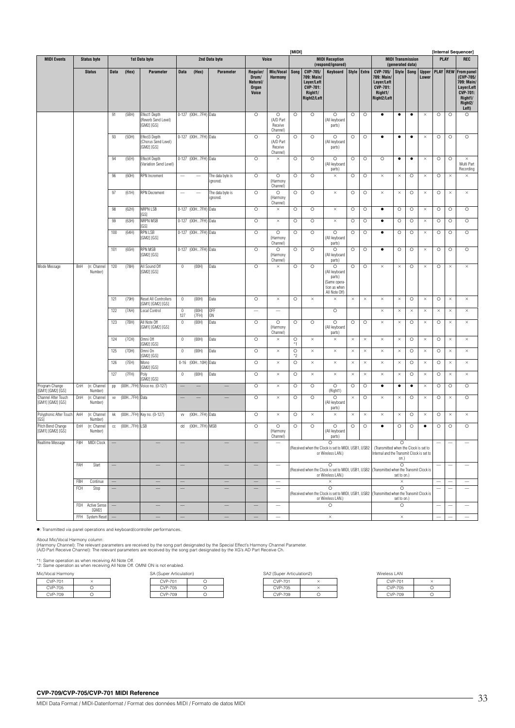|                                         |            |                        |               |               |                                                    |                |                     |                              |                                                 |                                                      | [MIDI]          |                                                                                   |                                                                                                                             |          |             |                                                                                    |                                              |            | [Internal Sequencer]  |          |                 |                                                                                                                           |  |
|-----------------------------------------|------------|------------------------|---------------|---------------|----------------------------------------------------|----------------|---------------------|------------------------------|-------------------------------------------------|------------------------------------------------------|-----------------|-----------------------------------------------------------------------------------|-----------------------------------------------------------------------------------------------------------------------------|----------|-------------|------------------------------------------------------------------------------------|----------------------------------------------|------------|-----------------------|----------|-----------------|---------------------------------------------------------------------------------------------------------------------------|--|
| <b>MIDI Events</b>                      |            | <b>Status byte</b>     |               |               | 1st Data byte                                      |                |                     | 2nd Data byte                |                                                 | Voice                                                |                 |                                                                                   | <b>MIDI Reception</b><br>(respond/ignored)                                                                                  |          |             |                                                                                    | <b>MIDI Transmission</b><br>(generated data) |            |                       |          | PLAY            | <b>REC</b>                                                                                                                |  |
|                                         |            | <b>Status</b>          | <b>Data</b>   | (Hex)         | Parameter                                          | <b>Data</b>    | (Hex)               | <b>Parameter</b>             | Regular/<br>Drum/<br>Natural/<br>Organ<br>Voice | Mic/Vocal<br>Harmony                                 | Song            | CVP-705/<br>709: Main/<br>Layer/Left<br><b>CVP-701:</b><br>Right1/<br>Right2/Left | Keyboard                                                                                                                    |          | Style Extra | CVP-705/<br>709: Main/<br>Layer/Left<br>CVP-701:<br>Right1/<br>Right2/Left         |                                              | Style Song | <b>Upper</b><br>Lower |          | <b>PLAY REW</b> | <b>From panel</b><br>(CVP-705/<br>709: Main/<br>Layer/Left<br><b>CVP-701:</b><br>Right1/<br>Right <sub>2</sub> /<br>Left) |  |
|                                         |            |                        | 91            | (5BH)         | Effect1 Depth<br>(Reverb Send Level)<br>[GM2] [GS] |                | 0-127 (00H7FH) Data |                              | $\circ$                                         | $\circ$<br>(A/D Part<br>Receive<br>Channel)          | $\circ$         | $\circ$                                                                           | $\circ$<br>(All keyboard<br>parts)                                                                                          | O        | O           | ٠                                                                                  | $\bullet$                                    | ٠          | $\times$              | $\circ$  | $\circ$         | O                                                                                                                         |  |
|                                         |            |                        | 93            | (5DH)         | Effect3 Depth<br>(Chorus Send Level)<br>[GM2] [GS] |                | 0-127 (00H7FH) Data |                              | $\circ$                                         | $\circ$<br>(A/D Part<br>Receive<br>Channel)          | $\circ$         | $\circ$                                                                           | O<br>(All keyboard<br>parts)                                                                                                | $\circ$  | $\circ$     | $\bullet$                                                                          | $\bullet$                                    | $\bullet$  | $\times$              | $\circ$  | $\circ$         | $\circ$                                                                                                                   |  |
|                                         |            |                        | 94            | (5EH)         | Effect4 Depth<br>(Variation Send Level)            |                | 0-127 (00H7FH) Data |                              | $\circ$                                         | $\times$                                             | $\circ$         | $\circ$                                                                           | $\circ$<br>(All keyboard<br>parts)                                                                                          | $\circ$  | $\circ$     | $\circ$                                                                            | $\bullet$                                    | ٠          | $\times$              | $\circ$  | $\circ$         | $\times$<br>Multi Part<br>Recording                                                                                       |  |
|                                         |            |                        | 96            | (60H)         | <b>RPN</b> Increment                               |                |                     | The data byte is<br>ignored. | $\circ$                                         | $\circ$<br>(Harmony<br>Channel)                      | $\circ$         | $\circ$                                                                           | $\times$                                                                                                                    | $\circ$  | $\circ$     | $\times$                                                                           | $\times$                                     | $\circ$    | $\times$              | $\circ$  | $\times$        | $\times$                                                                                                                  |  |
|                                         |            |                        | 97            | (61H)         | <b>RPN Decrement</b>                               |                |                     | The data byte is<br>ignored. | $\circ$                                         | $\circ$<br>(Harmony<br>Channel)                      | $\circ$         | $\circ$                                                                           | $\times$                                                                                                                    | O        | O           | $\times$                                                                           | $\times$                                     | $\circ$    | $\times$              | O        | $\times$        | $\times$                                                                                                                  |  |
|                                         |            |                        | 98            | (62H)         | NRPN LSB<br>[GS]                                   |                | 0-127 (00H7FH) Data |                              | $\circ$                                         | $\times$                                             | $\circ$         | $\circ$                                                                           | $\times$                                                                                                                    | $\circ$  | $\circ$     | $\bullet$                                                                          | $\circ$                                      | $\circ$    | $\times$              | $\circ$  | $\circ$         | $\circ$                                                                                                                   |  |
|                                         |            |                        | 99            | (63H)         | NRPN MSB<br>[GS]                                   |                | 0-127 (00H7FH) Data |                              | $\circ$                                         | $\times$                                             | O               | $\circ$                                                                           | $\times$                                                                                                                    | O        | O           | $\bullet$                                                                          | $\circ$                                      | $\circ$    | $\times$              | O        | O               | O                                                                                                                         |  |
|                                         |            |                        | 100           | (64H)         | <b>RPN LSB</b><br>[GM2] [GS]                       |                | 0-127 (00H7FH) Data |                              | $\circ$                                         | $\circ$<br>(Harmony<br>Channel)                      | $\circ$         | $\circ$                                                                           | $\circ$<br>(All keyboard<br>parts)                                                                                          | $\circ$  | $\circ$     | $\bullet$                                                                          | $\circ$                                      | $\circ$    | $\times$              | $\circ$  | O               | $\circ$                                                                                                                   |  |
|                                         |            |                        | 101           | (65H)         | RPN MSB<br>GM21 [GS]                               |                | 0-127 (00H7FH) Data |                              | $\circ$                                         | $\circ$<br>(Harmony<br>Channel)                      | $\circ$         | $\circ$                                                                           | $\circ$<br>(All keyboard<br>parts)                                                                                          | O        | $\circ$     | $\bullet$                                                                          | $\circ$                                      | $\circ$    | $\times$              | $\circ$  | O               | $\circ$                                                                                                                   |  |
| Mode Message                            | BnH        | (n: Channel<br>Number) | 120           | (78H)         | All Sound Off<br>[GM2] [GS]                        | $\mathbb O$    | (00H)               | Data                         | $\circ$                                         | ×                                                    | $\circ$         | $\circ$                                                                           | O<br>(All keyboard<br>parts)<br>Same opera-<br>tion as when<br>All Note Off)                                                | O        | O           | $\times$                                                                           | $\times$                                     | $\circ$    | $\times$              | $\circ$  | $\times$        | $\times$                                                                                                                  |  |
|                                         |            |                        | 121           | (79H)         | Reset All Controllers<br>[GM1] [GM2] [GS]          | $\bf{0}$       | (00H)               | Data                         | $\circ$                                         | $\times$                                             | $\circ$         | $\times$                                                                          | $\times$                                                                                                                    | $\times$ | $\times$    | $\times$                                                                           | $\times$                                     | $\circ$    | $\times$              | $\circ$  | $\times$        | $\times$                                                                                                                  |  |
|                                         |            |                        | 122           | (7AH)         | Local Control                                      | $\bf 0$<br>127 | (00H)<br>(7FH)      | <b>OFF</b><br>ON             |                                                 | $\overline{\phantom{0}}$                             |                 |                                                                                   | $\circ$                                                                                                                     |          |             | $\times$                                                                           | $\times$                                     | $\times$   | $\times$              | $\times$ | $\times$        | $\times$                                                                                                                  |  |
|                                         |            |                        | 123           | (7BH)         | All Note Off<br>[GM1] [GM2] [GS]                   | $\mathbb O$    | (00H)               | Data                         | $\circ$                                         | $\circ$<br>(Harmony<br>Channel)                      | $\circ$         | $\circ$                                                                           | $\circ$<br>(All keyboard<br>parts)                                                                                          | $\circ$  | $\circ$     | $\times$                                                                           | $\times$                                     | $\circ$    | $\times$              | $\circ$  | $\times$        | $\times$                                                                                                                  |  |
|                                         |            |                        | 124           | (7CH)         | Omni Off<br>[GM2] [GS]                             | $\mathbb O$    | (00H)               | Data                         | $\circ$                                         | ×                                                    | $\circ$<br>*1   | $\times$                                                                          | $\times$                                                                                                                    | ×        | $\times$    | $\times$                                                                           | $\times$                                     | $\circ$    | $\times$              | $\circ$  | $\times$        | $\times$                                                                                                                  |  |
|                                         |            |                        | 125           | (7DH)         | Omni On<br>[GM2] [GS]                              | $\bf{0}$       | (00H)               | Data                         | $\circ$                                         | $\times$                                             | $\circ$<br>$*2$ | $\times$                                                                          | $\times$                                                                                                                    | ×        | $\times$    | $\times$                                                                           | $\times$                                     | $\circ$    | $\times$              | O        | $\times$        | $\times$                                                                                                                  |  |
|                                         |            |                        | 126           | (7EH)         | Mono<br>[GM2] [GS]                                 |                | 0-16 (00H10H) Data  |                              | $\circ$                                         | $\times$                                             | $\circ$         | $\times$                                                                          | $\times$                                                                                                                    | ×        | $\times$    | $\times$                                                                           | $\times$                                     | $\circ$    | $\times$              | $\circ$  | $\times$        | $\times$                                                                                                                  |  |
|                                         |            |                        | 127           | (7FH)         | Poly<br>[GM2] [GS]                                 | $\bf{0}$       | (00H)               | Data                         | $\circ$                                         | $\times$                                             | O               | $\times$                                                                          | $\times$                                                                                                                    | ×        | $\times$    | $\times$                                                                           | $\times$                                     | $\circ$    | $\times$              | $\circ$  | $\times$        | $\times$                                                                                                                  |  |
| Program Change<br>[GM1] [GM2] [GS]      | CnH        | (n: Channel<br>Number) | pp            |               | (00H7FH) Voice no. (0-127)                         |                |                     |                              | $\circ$                                         | $\times$                                             | $\circ$         | $\circ$                                                                           | $\circ$<br>(Right1)                                                                                                         | $\circ$  | $\circ$     | $\bullet$                                                                          | $\bullet$                                    | $\bullet$  | $\times$              | $\circ$  | $\circ$         | $\circ$                                                                                                                   |  |
| Channel After Touch<br>[GM1] [GM2] [GS] | DnH        | (n: Channel<br>Number) | $\mathsf{VV}$ | (00H7FH) Data |                                                    |                |                     |                              | $\circ$                                         | $\times$                                             | O               | $\circ$                                                                           | O<br>(All keyboard<br>parts)                                                                                                | ×        | O           | $\times$                                                                           | $\times$                                     | $\circ$    | $\times$              | $\circ$  | $\times$        | O                                                                                                                         |  |
| Polyphonic After Touch<br>[GS]          | AnH        | (n: Channel<br>Number) | kk            |               | (00H7FH) Key no. (0-127)                           | VV             | (00H7FH) Data       |                              | $\circ$                                         | $\times$                                             | $\circ$         | $\times$                                                                          | $\times$                                                                                                                    | ×        | $\times$    | $\times$                                                                           | $\times$                                     | $\circ$    | $\times$              | $\circ$  | $\times$        | $\times$                                                                                                                  |  |
| Pitch Bend Change<br>[GM1] [GM2] [GS]   | EnH        | (n: Channel<br>Number) | cc            | (00H7FH) LSB  |                                                    | dd             | (00H7FH) MSB        |                              | $\circ$                                         | $\circ$<br>(Harmony<br>Channel)                      | O               | $\circ$                                                                           | O<br>(All keyboard<br>narts)                                                                                                | O        | O           | $\bullet$                                                                          | $\circ$                                      | $\circ$    | ٠                     | $\circ$  | O               | O                                                                                                                         |  |
| Realtime Message                        | F8H        | MIDI Clock             |               |               |                                                    |                |                     |                              |                                                 |                                                      |                 |                                                                                   | $\circ$<br>Received when the Clock is set to MIDI, USB1, USB2<br>or Wireless LAN.)                                          |          |             | (Transmitted when the Clock is set to<br>Internal and the Transmit Clock is set to | O<br>on.)                                    |            |                       |          |                 |                                                                                                                           |  |
|                                         | FAH        | Start                  |               |               |                                                    |                |                     |                              |                                                 | $\overline{\phantom{0}}$                             |                 |                                                                                   | $\circ$<br>(Received when the Clock is set to MIDI, USB1, USB2 (Transmitted when the Transmit Clock is<br>or Wireless LAN.) |          |             |                                                                                    | $\circ$<br>set to on.)                       |            |                       |          |                 |                                                                                                                           |  |
|                                         | FBH<br>FCH | Continue<br>Stop       |               |               |                                                    |                |                     |                              |                                                 | $\overline{\phantom{0}}$<br>$\overline{\phantom{0}}$ |                 |                                                                                   | $\times$<br>$\overline{\circ}$                                                                                              |          |             |                                                                                    | ×<br>$\overline{\circ}$                      |            |                       |          |                 |                                                                                                                           |  |
|                                         |            | FEH Active Sense       |               |               |                                                    |                |                     |                              |                                                 |                                                      |                 |                                                                                   | (Received when the Clock is set to MIDI, USB1, USB2 (Transmitted when the Transmit Clock is<br>or Wireless LAN.)<br>$\circ$ |          |             |                                                                                    | set to on.)<br>$\circ$                       |            |                       |          |                 |                                                                                                                           |  |
|                                         |            | [GM2]                  |               |               |                                                    |                |                     |                              |                                                 | $\overbrace{\phantom{123221}}$                       |                 |                                                                                   |                                                                                                                             |          |             |                                                                                    |                                              |            |                       |          |                 | $\overline{\phantom{m}}$                                                                                                  |  |
|                                         |            | FFH System Reset       |               |               |                                                    |                |                     |                              |                                                 |                                                      |                 |                                                                                   | $\times$                                                                                                                    |          |             |                                                                                    | $\times$                                     |            |                       |          |                 |                                                                                                                           |  |

: Transmitted via panel operations and keyboard/controller performances.

About Mic/Vocal Harmony column:<br>(Harmony Channel): The relevant parameters are received by the song part designated by the Special Effect's Harmony Channel Parameter.<br>(A/D Part Receive Channel): The relevant parameters are

\*1: Same operation as when receiving All Note Off. \*2: Same operation as when receiving All Note Off. OMNI ON is not enabled.

| Mic/Vocal Harmony |    |  |  |  |  |  |  |  |  |
|-------------------|----|--|--|--|--|--|--|--|--|
| CVP-701           |    |  |  |  |  |  |  |  |  |
| <b>CVP-705</b>    | ., |  |  |  |  |  |  |  |  |
| CVP-709           |    |  |  |  |  |  |  |  |  |

| CVP-701 |   |
|---------|---|
| CVP-705 | o |
| CVP-709 |   |

| Mic/Vocal Harmony |  | SA (Super Articulation) |  | SA2 (Super Articulation2) | Wireless LAN |               |
|-------------------|--|-------------------------|--|---------------------------|--------------|---------------|
| CVP-701           |  | CVP-701                 |  | <b>CVP-701</b>            |              | <b>CVP-70</b> |
| CVP-705           |  | CVP-705                 |  | <b>CVP-705</b>            |              | CVP-70        |
| CVP-709           |  | CVP-709                 |  | CVP-709                   |              | CVP-70        |

| Wireless I AN |  |
|---------------|--|
|               |  |

| CVP-701        |  |
|----------------|--|
| <b>CVP-705</b> |  |
| <b>CVP-709</b> |  |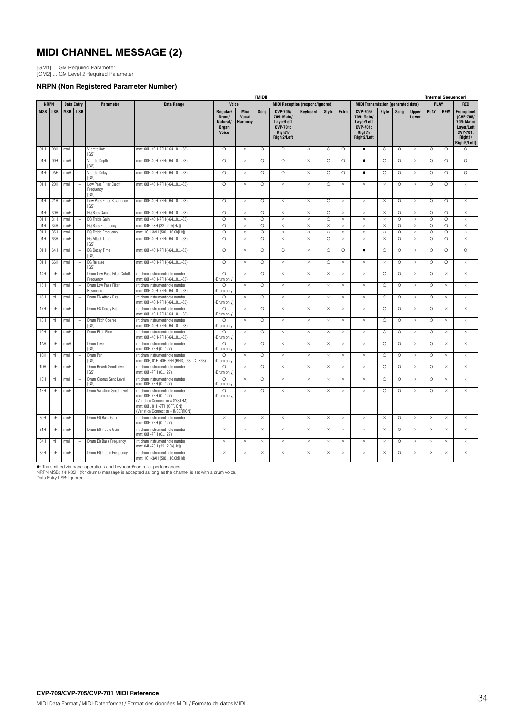# **MIDI CHANNEL MESSAGE (2)**

[GM1] ... GM Required Parameter [GM2] ... GM Level 2 Required Parameter

### **NRPN (Non Registered Parameter Number)**

|     |             |                   |                          |                                             |                                                                                                                                                              |                                                        |                                 | [MID!]             |                                                                                   |                                         |              |                    |                                                                                   |              |         |                       | [Internal Sequencer] |            |                                                                                                          |
|-----|-------------|-------------------|--------------------------|---------------------------------------------|--------------------------------------------------------------------------------------------------------------------------------------------------------------|--------------------------------------------------------|---------------------------------|--------------------|-----------------------------------------------------------------------------------|-----------------------------------------|--------------|--------------------|-----------------------------------------------------------------------------------|--------------|---------|-----------------------|----------------------|------------|----------------------------------------------------------------------------------------------------------|
|     | <b>NRPN</b> | <b>Data Entry</b> |                          | <b>Parameter</b>                            | <b>Data Range</b>                                                                                                                                            | Voice                                                  |                                 |                    |                                                                                   | <b>MIDI Reception (respond/ignored)</b> |              |                    | <b>MIDI Transmission (generated data)</b>                                         |              |         |                       | <b>PLAY</b>          |            | <b>REC</b>                                                                                               |
|     | MSB LSB     | MSB   LSB         |                          |                                             |                                                                                                                                                              | Regular/<br>Drum/<br>Natural/<br>Organ<br><b>Voice</b> | Mic/<br><b>Vocal</b><br>Harmony | Song               | CVP-705/<br>709: Main/<br>Layer/Left<br><b>CVP-701:</b><br>Right1/<br>Right2/Left | Keyboard                                | <b>Style</b> | Extra              | CVP-705/<br>709: Main/<br>Layer/Left<br><b>CVP-701:</b><br>Right1/<br>Right2/Left | <b>Style</b> | Song    | <b>Upper</b><br>Lower | PLAY                 | <b>REW</b> | <b>From panel</b><br>(CVP-705/<br>709: Main/<br>Layer/Left<br><b>CVP-701:</b><br>Right1/<br>Right2/Left) |
| 01H | 08H         | mmH               | $\overline{\phantom{a}}$ | Vibrato Rate<br>[GS]                        | mm: 00H-40H-7FH (-640+63)                                                                                                                                    | $\circ$                                                | $\times$                        | $\circ$            | $\circ$                                                                           | $\times$                                | $\circ$      | $\circ$            | $\bullet$                                                                         | $\circ$      | $\circ$ | $\times$              | $\circ$              | $\circ$    | $\circ$                                                                                                  |
| 01H | 09H         | mmH               | $\overline{\phantom{a}}$ | Vibrato Depth<br>[GS]                       | mm: 00H-40H-7FH (-640+63)                                                                                                                                    | $\circ$                                                | $\times$                        | O                  | $\circ$                                                                           | $\times$                                | $\circ$      | O                  | $\bullet$                                                                         | $\circ$      | $\circ$ | $\times$              | $\circ$              | $\circ$    | $\circ$                                                                                                  |
| 01H | 0AH         | mmH               | $\overline{\phantom{a}}$ | <b>Vibrato Delay</b><br>[GS]                | mm: 00H-40H-7FH (-640+63)                                                                                                                                    | $\circ$                                                | $\times$                        | Ō                  | $\circ$                                                                           | $\times$                                | $\circ$      | $\overline{\circ}$ | $\bullet$                                                                         | $\circ$      | $\circ$ | $\times$              | $\circ$              | $\circ$    | $\circ$                                                                                                  |
| 01H | 20H         | mmH               | $\overline{\phantom{a}}$ | Low Pass Filter Cutoff<br>Frequency<br>[GS] | mm: 00H-40H-7FH (-640+63)                                                                                                                                    | $\circ$                                                | $\times$                        | $\circ$            | $\times$                                                                          | $\times$                                | $\circ$      | $\times$           | $\times$                                                                          | $\times$     | $\circ$ | $\times$              | $\circ$              | $\circ$    | $\times$                                                                                                 |
| 01H | 21H         | mmH               | $\overline{\phantom{a}}$ | Low Pass Filter Resonance<br>[GS]           | mm: 00H-40H-7FH (-640+63)                                                                                                                                    | $\circ$                                                | $\times$                        | $\circ$            | $\times$                                                                          | $\times$                                | $\circ$      | $\times$           | $\times$                                                                          | $\times$     | $\circ$ | $\times$              | $\circ$              | $\circ$    | $\times$                                                                                                 |
| 01H | 30H         | mmH               | $\sim$                   | EQ Bass Gain                                | mm: 00H-40H-7FH (-640+63)                                                                                                                                    | $\circ$                                                | $\times$                        | $\circ$            | $\times$                                                                          | $\times$                                | $\circ$      | $\times$           | $\times$                                                                          | $\times$     | $\circ$ | $\times$              | $\circ$              | $\circ$    | $\times$                                                                                                 |
| 01H | 31H         | mmH               | $\sim$                   | EQ Treble Gain                              | mm: 00H-40H-7FH (-640+63)                                                                                                                                    | $\circ$                                                | $\times$                        | $\circ$            | $\times$                                                                          | $\times$                                | $\circ$      | $\times$           | $\times$                                                                          | $\times$     | $\circ$ | $\times$              | $\circ$              | $\circ$    | $\times$                                                                                                 |
| 01H | 34H         | mmH               | $\overline{\phantom{a}}$ | EQ Bass Frequency                           | mm: 04H-28H (322.0k[Hz])                                                                                                                                     | $\circ$                                                | $\times$                        | O                  | $\times$                                                                          | $\times$                                | $\times$     | $\times$           | $\times$                                                                          | $\times$     | $\circ$ | $\times$              | $\circ$              | $\circ$    | $\times$                                                                                                 |
| 01H | 35H         | mmH               | $\sim$                   | EQ Treble Frequency                         | mm: 1CH-3AH (50016.0k[Hz])                                                                                                                                   | $\circ$                                                | $\times$                        | $\circ$            | $\times$                                                                          | $\times$                                | $\times$     | $\times$           | $\times$                                                                          | $\times$     | $\circ$ | $\times$              | $\circ$              | $\circ$    | $\times$                                                                                                 |
| 01H | 63H         | mmH               | $\overline{\phantom{a}}$ | <b>EG Attack Time</b><br>[GS]               | mm: 00H-40H-7FH (-640+63)                                                                                                                                    | $\circ$                                                | $\times$                        | Ō                  | $\times$                                                                          | $\times$                                | $\circ$      | $\times$           | $\times$                                                                          | $\times$     | $\circ$ | $\times$              | $\circ$              | $\circ$    | $\times$                                                                                                 |
| 01H | 64H         | mmH               | $\sim$                   | EG Decay Time<br>[GS]                       | mm: 00H-40H-7FH (-640+63)                                                                                                                                    | $\circ$                                                | $\times$                        | $\circ$            | $\circ$                                                                           | $\times$                                | $\circ$      | $\circ$            | $\bullet$                                                                         | $\circ$      | $\circ$ | $\times$              | $\circ$              | $\circ$    | $\circ$                                                                                                  |
| 01H | 66H         | mmH               | $\overline{\phantom{a}}$ | <b>EG</b> Release<br>[GS]                   | mm: 00H-40H-7FH (-640+63)                                                                                                                                    | $\circ$                                                | $\times$                        | $\overline{\circ}$ | $\times$                                                                          | $\times$                                | $\circ$      | $\times$           | $\times$                                                                          | $\times$     | $\circ$ | $\times$              | $\circ$              | $\circ$    | $\times$                                                                                                 |
| 14H | rrH         | mmH               | $\sim$                   | Drum Low Pass Filter Cutoff<br>Frequency    | rr: drum instrument note number<br>mm: 00H-40H-7FH (-640+63)                                                                                                 | $\Omega$<br>(Drum only)                                | $\times$                        | $\circ$            | $\times$                                                                          | $\times$                                | $\times$     | $\times$           | $\times$                                                                          | $\circ$      | $\circ$ | $\times$              | $\circ$              | $\times$   | $\times$                                                                                                 |
| 15H | rrH         | mmH               | $\overline{\phantom{a}}$ | Drum Low Pass Filter<br>Resonance           | rr: drum instrument note number<br>mm: 00H-40H-7FH (-640+63)                                                                                                 | $\circ$<br>(Drum only)                                 | $\times$                        | $\circ$            | $\times$                                                                          | $\times$                                | $\times$     | $\times$           | $\times$                                                                          | $\circ$      | $\circ$ | $\times$              | $\circ$              | $\times$   | $\times$                                                                                                 |
| 16H | rrH         | mmH               | $\overline{\phantom{a}}$ | Drum EG Attack Rate                         | rr: drum instrument note number<br>mm: 00H-40H-7FH (-640+63)                                                                                                 | $\circ$<br>(Drum only)                                 | $\times$                        | $\circ$            | $\times$                                                                          | ×                                       | ×            | $\times$           | $\times$                                                                          | $\circ$      | O       | $\times$              | $\circ$              | $\times$   | $\times$                                                                                                 |
| 17H | rrH         | mmH               | $\overline{\phantom{a}}$ | Drum EG Decay Rate                          | rr: drum instrument note number<br>mm: 00H-40H-7FH (-640+63)                                                                                                 | $\circ$<br>(Drum only)                                 | $\times$                        | $\circ$            | $\times$                                                                          | $\times$                                | $\times$     | $\times$           | $\times$                                                                          | $\circ$      | $\circ$ | $\times$              | $\circ$              | $\times$   | $\times$                                                                                                 |
| 18H | rrH         | mmH               | $\overline{\phantom{a}}$ | Drum Pitch Coarse<br>[GS]                   | rr: drum instrument note number<br>mm: 00H-40H-7FH (-640+63)                                                                                                 | $\circ$<br>(Drum only)                                 | $\times$                        | $\circ$            | $\times$                                                                          | $\times$                                | $\times$     | $\times$           | $\times$                                                                          | $\circ$      | $\circ$ | $\times$              | $\circ$              | $\times$   | $\times$                                                                                                 |
| 19H | rrH         | mmH               | $\overline{\phantom{a}}$ | Drum Pitch Fine                             | rr: drum instrument note number<br>mm: 00H-40H-7FH (-640+63)                                                                                                 | $\circ$<br>(Drum only)                                 | $\times$                        | $\circ$            | $\times$                                                                          | $\times$                                | $\times$     | $\times$           | $\times$                                                                          | $\circ$      | $\circ$ | $\times$              | $\circ$              | $\times$   | $\times$                                                                                                 |
| 1AH | rrH         | mmH               | $\overline{\phantom{a}}$ | Drum Level<br>[GS]                          | rr: drum instrument note number<br>mm: 00H-7FH (0127)                                                                                                        | $\circ$<br>(Drum only)                                 | $\times$                        | $\circ$            | $\times$                                                                          | $\times$                                | $\times$     | $\times$           | $\times$                                                                          | $\circ$      | $\circ$ | $\times$              | $\circ$              | $\times$   | $\times$                                                                                                 |
| 1CH | rrH         | mmH               | $\overline{\phantom{a}}$ | Drum Pan<br>[GS]                            | rr: drum instrument note number<br>mm: 00H, 01H-40H-7FH (RND, L63CR63)                                                                                       | $\Omega$<br>(Drum only)                                | $\times$                        | $\circ$            | $\times$                                                                          | $\times$                                | $\times$     | $\times$           | $\times$                                                                          | $\circ$      | $\circ$ | $\times$              | $\circ$              | $\times$   | $\times$                                                                                                 |
| 1DH | rrH         | mmH               | $\overline{\phantom{a}}$ | Drum Reverb Send Level<br><b>IGS1</b>       | rr: drum instrument note number<br>mm: 00H-7FH (0127)                                                                                                        | $\circ$<br>(Drum only)                                 | $\times$                        | $\circ$            | $\times$                                                                          | $\times$                                | $\times$     | $\times$           | $\times$                                                                          | $\circ$      | $\circ$ | $\times$              | $\circ$              | $\times$   | $\times$                                                                                                 |
| 1EH | rrH         | mmH               | $\overline{\phantom{a}}$ | Drum Chorus Send Level<br>[GS]              | rr: drum instrument note number<br>mm: 00H-7FH (0127)                                                                                                        | $\circ$<br>(Drum only)                                 | $\times$                        | $\circ$            | $\times$                                                                          | $\times$                                | $\times$     | $\times$           | $\times$                                                                          | $\circ$      | $\circ$ | $\times$              | $\circ$              | $\times$   | $\times$                                                                                                 |
| 1FH | rrH         | mmH               | $\sim$                   | Drum Variation Send Level                   | rr: drum instrument note number<br>mm: 00H-7FH (0127)<br>(Variation Connection = SYSTEM)<br>mm: 00H, 01H-7FH (OFF, ON)<br>(Variation Connection = INSERTION) | $\circ$<br>(Drum only)                                 | $\times$                        | $\circ$            | $\times$                                                                          | $\times$                                | $\times$     | $\times$           | $\times$                                                                          | $\circ$      | $\circ$ | $\times$              | $\circ$              | $\times$   | $\times$                                                                                                 |
| 30H | rrH         | mmH               | $\overline{\phantom{a}}$ | Drum EQ Bass Gain                           | rr: drum instrument note number<br>mm: 00H-7FH (0127)                                                                                                        | $\times$                                               | $\times$                        | $\times$           | $\times$                                                                          | $\times$                                | $\times$     | $\times$           | $\times$                                                                          | $\times$     | $\circ$ | $\times$              | $\times$             | $\times$   | $\times$                                                                                                 |
| 31H | rrH         | mmH               | $\overline{\phantom{a}}$ | Drum EQ Treble Gain                         | rr: drum instrument note number<br>mm: 00H-7FH (0127)                                                                                                        | $\times$                                               | $\times$                        | $\times$           | $\times$                                                                          | $\times$                                | $\times$     | $\times$           | $\times$                                                                          | $\times$     | O       | $\times$              | $\times$             | $\times$   | $\times$                                                                                                 |
| 34H | rrH         | mmH               | $\sim$                   | Drum EQ Bass Frequency                      | rr: drum instrument note number<br>mm: 04H-28H (322.0k[Hz])                                                                                                  | $\times$                                               | $\times$                        | $\times$           | $\times$                                                                          | $\times$                                | $\times$     | $\times$           | $\times$                                                                          | $\times$     | $\circ$ | $\times$              | $\times$             | $\times$   | $\times$                                                                                                 |
| 35H | rrH         | mmH               | $\overline{\phantom{a}}$ | Drum EQ Treble Frequency                    | rr: drum instrument note number<br>mm: 1CH-3AH (50016.0k[Hz])                                                                                                | $\times$                                               | $\times$                        | $\times$           | $\times$                                                                          | $\times$                                | $\times$     | $\times$           | $\times$                                                                          | $\times$     | $\circ$ | $\times$              | $\times$             | $\times$   | $\times$                                                                                                 |

●: Transmitted via panel operations and keyboard/controller performances.<br>NRPN MSB: 14H-35H (for drums) message is accepted as long as the channel is set with a drum voice.<br>Data Entry LSB: Ignored.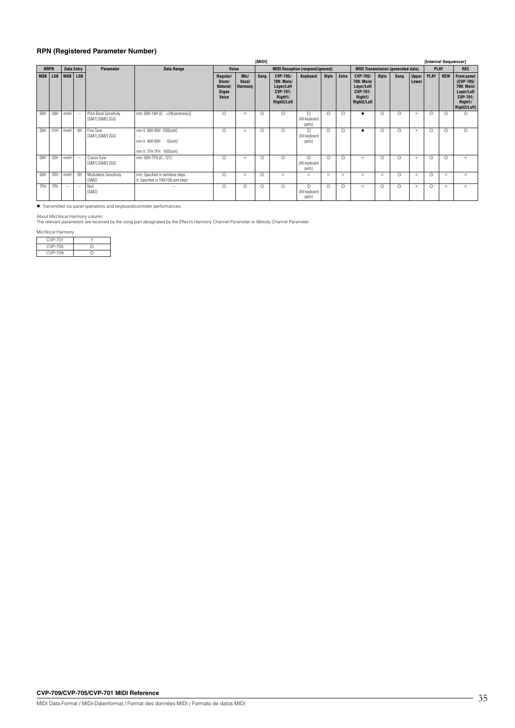### **RPN (Registered Parameter Number)**

|            |             |                   |                          |                                                   |                                                                                                |                                                 |                                 | [MIDI]  |                                                                                   |                                         |          |          |                                                                                          |          |         |                       | [Internal Sequencer] |            |                                                                                                   |
|------------|-------------|-------------------|--------------------------|---------------------------------------------------|------------------------------------------------------------------------------------------------|-------------------------------------------------|---------------------------------|---------|-----------------------------------------------------------------------------------|-----------------------------------------|----------|----------|------------------------------------------------------------------------------------------|----------|---------|-----------------------|----------------------|------------|---------------------------------------------------------------------------------------------------|
|            | <b>NRPN</b> | <b>Data Entry</b> |                          | <b>Parameter</b>                                  | Data Range                                                                                     | Voice                                           |                                 |         |                                                                                   | <b>MIDI Reception (respond/ignored)</b> |          |          | <b>MIDI Transmission (generated data)</b>                                                |          |         |                       | <b>PLAY</b>          |            | <b>REC</b>                                                                                        |
| <b>MSB</b> | <b>LSB</b>  | <b>MSB</b>        | <b>LSB</b>               |                                                   |                                                                                                | Regular/<br>Drum/<br>Natural/<br>Organ<br>Voice | Mic/<br><b>Vocal</b><br>Harmony | Song    | CVP-705/<br>709: Main/<br>Layer/Left<br><b>CVP-701:</b><br>Right1/<br>Right2/Left | Keyboard                                | Style    | Extra    | <b>CVP-705/</b><br>709: Main/<br>Layer/Left<br><b>CVP-701:</b><br>Right1/<br>Right2/Left | Style    | Song    | <b>Upper</b><br>Lower | PLAY                 | <b>REW</b> | From panel<br>(CVP-705/<br>709: Main/<br>Layer/Left<br><b>CVP-701:</b><br>Right1/<br>Right2/Left) |
| 00H        | 00H         | mmH               | $\overline{\phantom{a}}$ | <b>Pitch Bend Sensitivity</b><br>[GM1] [GM2] [GS] | mm: 00H-18H (0+24[semitones])                                                                  | $\circ$                                         | $\times$                        | $\circ$ | $\circ$                                                                           | $\circ$<br>(All keyboard<br>parts)      | $\Omega$ | $\circ$  |                                                                                          | $\circ$  | $\circ$ | $\times$              | $\circ$              | $\Omega$   | $\circ$                                                                                           |
| 00H        | 01H         | mmH               | <b>IIH</b>               | Fine Tune<br>[GM1] [GM2] [GS]                     | mm II: 00H 00H -100[cent]<br>$\cdots$<br>mm II: 40H 00H<br>O[cent]<br>mm II: 7FH 7FH 100[cent] | $\circ$                                         | $\times$                        | $\circ$ | $\circ$                                                                           | $\circ$<br>(All keyboard<br>parts)      | $\Omega$ | $\circ$  |                                                                                          | $\circ$  | $\circ$ | $\times$              | $\circ$              | $\Omega$   | $\circ$                                                                                           |
| 00H        | 02H         | mmH               | $\sim$                   | Coarse Tune<br>[GM1] [GM2] [GS]                   | mm: 00H-7FH (0127)                                                                             | $\circ$                                         | $\times$                        | $\circ$ | $\circ$                                                                           | $\circ$<br>(All keyboard<br>parts)      | $\circ$  | $\circ$  | $\times$                                                                                 | $\circ$  | $\circ$ | $\times$              | $\circ$              | $\circ$    | $\times$                                                                                          |
| 00H        | 05H         | mmH               | <b>IIH</b>               | <b>Modulation Sensitivity</b><br>[GM2]            | mm: Specified in semitone steps<br>II: Specified in 100/128 cent steps                         | $\circ$                                         | $\times$                        | $\circ$ | $\times$                                                                          | $\times$                                | $\times$ | $\times$ | $\times$                                                                                 | $\times$ | $\circ$ | $\times$              | $\circ$              | $\times$   | $\times$                                                                                          |
| 7FH        | 7FH         | $\sim$            | $\sim$                   | Null<br>[GM2]                                     |                                                                                                | $\circ$                                         | $\circ$                         | $\circ$ | $\circ$                                                                           | $\circ$<br>(All keyboard<br>parts)      | $\Omega$ | $\circ$  | $\times$                                                                                 | $\circ$  | $\circ$ | $\times$              | $\circ$              | $\times$   | $\times$                                                                                          |

 $\bullet$ : Transmitted via panel operations and keyboard/controller performances.

About Mic/Vocal Harmony column:<br>The relevant parameters are received by the song part designated by the Effect's Harmony Channel Parameter or Melody Channel Parameter.

Mic/Vocal Harmony

| CVP-701 |  |
|---------|--|
| CVP-705 |  |
| CVP-709 |  |
|         |  |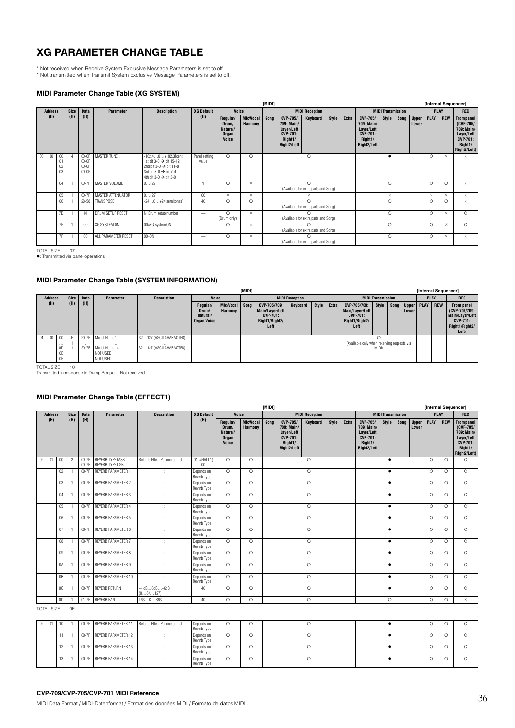# **XG PARAMETER CHANGE TABLE**

\* Not received when Receive System Exclusive Message Parameters is set to off. \* Not transmitted when Transmit System Exclusive Message Parameters is set to off.

### **MIDI Parameter Change Table (XG SYSTEM)**

|        |                |                      |             |                                          |                          |                                                                                                                                                                              |                        |                                                 |                             | [MIDI]                                            |                                                                                   |                                           |       |       |                                                                                   |                          |      |                       | [Internal Sequencer] |            |                                                                                                          |
|--------|----------------|----------------------|-------------|------------------------------------------|--------------------------|------------------------------------------------------------------------------------------------------------------------------------------------------------------------------|------------------------|-------------------------------------------------|-----------------------------|---------------------------------------------------|-----------------------------------------------------------------------------------|-------------------------------------------|-------|-------|-----------------------------------------------------------------------------------|--------------------------|------|-----------------------|----------------------|------------|----------------------------------------------------------------------------------------------------------|
|        | <b>Address</b> |                      | <b>Size</b> | Data                                     | <b>Parameter</b>         | <b>Description</b>                                                                                                                                                           | <b>XG Default</b>      | Voice                                           |                             |                                                   |                                                                                   | <b>MIDI Reception</b>                     |       |       |                                                                                   | <b>MIDI Transmission</b> |      |                       | <b>PLAY</b>          |            | <b>REC</b>                                                                                               |
|        | (H)            |                      | (H)         | (H)                                      |                          |                                                                                                                                                                              | (H)                    | Regular/<br>Drum/<br>Natural/<br>Organ<br>Voice | <b>Mic/Vocal</b><br>Harmony | Song                                              | CVP-705/<br>709: Main/<br>Layer/Left<br><b>CVP-701:</b><br>Right1/<br>Right2/Left | Keyboard                                  | Style | Extra | CVP-705/<br>709: Main/<br>Layer/Left<br><b>CVP-701:</b><br>Right1/<br>Right2/Left | Style                    | Song | <b>Upper</b><br>Lower | <b>PLAY</b>          | <b>REW</b> | <b>From panel</b><br>(CVP-705/<br>709: Main/<br>Layer/Left<br><b>CVP-701:</b><br>Right1/<br>Right2/Left) |
| $00\,$ | 00             | 00<br>01<br>02<br>03 |             | $00-0F$<br>$00-0F$<br>$00-0F$<br>$00-0F$ | MASTER TUNE              | $-102.40+102.3[cent]$<br>1st bit 3-0 $\rightarrow$ bit 15-12<br>2nd bit 3-0 $\rightarrow$ bit 11-8<br>3rd bit 3-0 $\rightarrow$ bit 7-4<br>4th bit 3-0 $\rightarrow$ bit 3-0 | Panel setting<br>value | $\circ$                                         | $\circ$                     | $\circ$<br>$\Omega$                               |                                                                                   |                                           |       |       |                                                                                   |                          |      |                       | $\circ$              | $\times$   | $\times$                                                                                                 |
|        |                | 04                   |             | $00-7F$                                  | MASTER VOLUME            | 0127                                                                                                                                                                         | 7F                     | $\circ$                                         | $\times$                    | (Available for extra parts and Song)              |                                                                                   |                                           |       |       |                                                                                   | $\circ$                  |      |                       | $\circ$              | $\circ$    | $\times$                                                                                                 |
|        |                | 05                   |             | $00-7F$                                  | <b>MASTER ATTENUATOR</b> | 0127                                                                                                                                                                         | 00                     | $\times$                                        | $\times$                    |                                                   |                                                                                   | $\times$                                  |       |       |                                                                                   | $\times$                 |      |                       | $\times$             | $\times$   | $\times$                                                                                                 |
|        |                | 06                   |             | 28-58                                    | TRANSPOSE                | $-240+24$ [semitones]                                                                                                                                                        | 40                     | $\circ$                                         | $\circ$                     | $\bigcap$<br>(Available for extra parts and Song) |                                                                                   |                                           |       |       |                                                                                   | $\circ$                  |      |                       | $\circ$              | $\circ$    | $\times$                                                                                                 |
|        |                | 7D                   |             | $\mathsf{N}$                             | DRUM SETUP RESET         | N: Drum setup number                                                                                                                                                         |                        | $\circ$<br>(Drum only)                          | $\times$                    | (Available for extra parts and Song)              |                                                                                   |                                           |       |       |                                                                                   | $\circ$                  |      |                       | $\Omega$             | $\times$   | $\circ$                                                                                                  |
|        |                | 7E                   |             | 00                                       | XG SYSTEM ON             | 00=XG system ON                                                                                                                                                              |                        | $\circ$                                         | $\times$                    | (Available for extra parts and Song)              |                                                                                   |                                           |       |       |                                                                                   | $\circ$                  |      |                       | $\circ$              | $\times$   | $\circ$                                                                                                  |
|        |                | 7F                   |             | 00                                       | ALL PARAMETER RESET      | $00 = 0N$                                                                                                                                                                    |                        | $\circ$                                         | $\times$                    |                                                   |                                                                                   | ∩<br>(Available for extra parts and Song) |       |       |                                                                                   | $\circ$                  |      |                       | $\circ$              | $\times$   | $\times$                                                                                                 |

TOTAL SIZE 07 : Transmitted via panel operations

### **MIDI Parameter Change Table (SYSTEM INFORMATION)**

|                |                                  |             |                                |                                                                   |                                                                |                                                     |                           | [MIDI] |                                                                              |                       |       |                                                                              |                                             |                          |             |            | [Internal Sequencer]                                                                         |            |
|----------------|----------------------------------|-------------|--------------------------------|-------------------------------------------------------------------|----------------------------------------------------------------|-----------------------------------------------------|---------------------------|--------|------------------------------------------------------------------------------|-----------------------|-------|------------------------------------------------------------------------------|---------------------------------------------|--------------------------|-------------|------------|----------------------------------------------------------------------------------------------|------------|
| <b>Address</b> |                                  | <b>Size</b> | <b>Data</b>                    | Parameter                                                         | <b>Description</b>                                             | Voice                                               |                           |        |                                                                              | <b>MIDI Reception</b> |       |                                                                              |                                             | <b>MIDI Transmission</b> |             |            | <b>PLAY</b>                                                                                  | <b>REC</b> |
| (H)            |                                  | (H)         | (H)                            |                                                                   |                                                                | Regular/<br>Drum/<br>Natural/<br><b>Organ Voice</b> | Mic/Vocal Song<br>Harmony |        | CVP-705/709:<br>Main/Layer/Left<br><b>CVP-701:</b><br>Right1/Right2/<br>Left | Keyboard              | Extra | CVP-705/709:<br>Main/Layer/Left<br><b>CVP-701:</b><br>Right1/Right2/<br>Left | Style                                       | Song   Upper  <br>Lower  | <b>PLAY</b> | <b>REW</b> | From panel<br>(CVP-705/709:<br>Main/Layer/Left<br><b>CVP-701:</b><br>Right1/Right2/<br>Left) |            |
| $01$ 00        | 00<br>$\cdots$<br>0D<br>0E<br>0F | F.          | $20-7F$<br>$\cdots$<br>$20-7F$ | Model Name 1<br>$\cdots$<br>Model Name 14<br>NOT USED<br>NOT USED | 32127 (ASCII CHARACTER)<br>$\cdots$<br>32127 (ASCII CHARACTER) | $\sim$                                              | $\overline{\phantom{a}}$  |        |                                                                              |                       |       |                                                                              | (Available only when receiving requests via | MIDI)                    |             | $\sim$     | $\overline{\phantom{a}}$                                                                     | -          |

TOTAL SIZE 10 Transmitted in response to Dump Request. Not received.

### **MIDI Parameter Change Table (EFFECT1)**

|    |                |                |                |                  |                                                  |                                 |                                                                                        |                                                 |                             | [MID!]             |                                                                            |                 |       |       |                                                                            |              |      |                       | [Internal Sequencer] |            |                                                                                                          |
|----|----------------|----------------|----------------|------------------|--------------------------------------------------|---------------------------------|----------------------------------------------------------------------------------------|-------------------------------------------------|-----------------------------|--------------------|----------------------------------------------------------------------------|-----------------|-------|-------|----------------------------------------------------------------------------|--------------|------|-----------------------|----------------------|------------|----------------------------------------------------------------------------------------------------------|
|    | <b>Address</b> |                | <b>Size</b>    | <b>Data</b>      | Parameter                                        | <b>Description</b>              | <b>XG Default</b><br>Voice<br><b>MIDI Reception</b><br><b>MIDI Transmission</b><br>(H) |                                                 |                             |                    |                                                                            |                 |       |       |                                                                            |              |      |                       | <b>PLAY</b>          |            | <b>REC</b>                                                                                               |
|    | (H)            |                | (H)            | (H)              |                                                  |                                 |                                                                                        | Regular/<br>Drum/<br>Natural/<br>Organ<br>Voice | Mic/Vocal<br><b>Harmony</b> | Sona               | CVP-705/<br>709: Main/<br>Layer/Left<br>CVP-701:<br>Right1/<br>Right2/Left | <b>Keyboard</b> | Style | Extra | CVP-705/<br>709: Main/<br>Layer/Left<br>CVP-701:<br>Right1/<br>Right2/Left | <b>Style</b> | Song | <b>Upper</b><br>Lower | PLAY                 | <b>REW</b> | <b>From panel</b><br>(CVP-705/<br>709: Main/<br>Layer/Left<br><b>CVP-701:</b><br>Right1/<br>Right2/Left) |
| 02 | 01             | 00             | $\overline{2}$ | 00-7F<br>$00-7F$ | <b>REVERB TYPE MSB</b><br><b>REVERB TYPE LSB</b> | Refer to Effect Parameter List  | $01$ (=HALL1)<br>00                                                                    | $\circ$                                         | $\circ$                     |                    |                                                                            | $\circ$         |       |       |                                                                            | $\bullet$    |      |                       | $\Omega$             | $\circ$    | $\circ$                                                                                                  |
|    |                | 02             |                | 00-7F            | <b>REVERB PARAMETER 1</b>                        | ٠                               | Depends on<br>Reverb Type                                                              | $\circ$                                         | $\circ$                     |                    |                                                                            | $\circ$         |       |       |                                                                            | $\bullet$    |      |                       | $\Omega$             | $\Omega$   | $\circ$                                                                                                  |
|    |                | 03             |                | $00-7F$          | <b>REVERB PARAMETER 2</b>                        |                                 | Depends on<br>Reverb Type                                                              | $\circ$                                         | $\circ$                     | $\circ$<br>$\circ$ |                                                                            |                 |       |       |                                                                            | $\bullet$    |      |                       | $\circ$              | $\circ$    | $\circ$                                                                                                  |
|    |                | 04             |                | $00-7F$          | <b>REVERB PARAMETER 3</b>                        | ÷                               | Depends on<br>Reverb Type                                                              | $\circ$                                         | $\circ$                     | $\overline{\circ}$ |                                                                            |                 |       |       |                                                                            | $\bullet$    |      |                       | $\Omega$             | $\circ$    | $\circ$                                                                                                  |
|    |                | 0 <sub>5</sub> |                | 00-7F            | <b>REVERB PARAMETER 4</b>                        | ÷                               | Depends on<br>Reverb Type                                                              | $\circ$                                         | $\circ$                     |                    |                                                                            |                 |       |       |                                                                            | $\bullet$    |      |                       | $\Omega$             | $\circ$    | $\circ$                                                                                                  |
|    |                | 06             |                | $00-7F$          | <b>REVERB PARAMETER 5</b>                        | ÷                               | Depends on<br>Reverb Type                                                              | $\circ$                                         | $\circ$                     |                    |                                                                            | $\circ$         |       |       |                                                                            | $\bullet$    |      |                       | $\circ$              | $\circ$    | $\circ$                                                                                                  |
|    |                | 07             |                | $00-7F$          | <b>REVERB PARAMETER 6</b>                        | ÷                               | Depends on<br>Reverb Type                                                              | $\circ$                                         | $\circ$                     |                    |                                                                            | $\circ$         |       |       |                                                                            | $\bullet$    |      |                       | $\circ$              | $\circ$    | $\circ$                                                                                                  |
|    |                | 08             |                | 00-7F            | <b>REVERB PARAMETER 7</b>                        | $\cdot$                         | Depends on<br>Reverb Type                                                              | $\circ$                                         | $\circ$                     |                    |                                                                            | $\circ$         |       |       |                                                                            | $\bullet$    |      |                       | $\Omega$             | $\circ$    | $\circ$                                                                                                  |
|    |                | 09             |                | $00-7F$          | <b>REVERB PARAMETER 8</b>                        | ÷                               | Depends on<br>Reverb Type                                                              | $\circ$                                         | $\circ$                     |                    |                                                                            | $\circ$         |       |       |                                                                            | $\bullet$    |      |                       | $\circ$              | $\circ$    | $\circ$                                                                                                  |
|    |                | 0A             |                | $00-7F$          | <b>REVERB PARAMETER 9</b>                        | ÷                               | Depends on<br>Reverb Type                                                              | $\circ$                                         | $\circ$                     |                    |                                                                            | $\circ$         |       |       |                                                                            | $\bullet$    |      |                       | $\Omega$             | $\circ$    | $\circ$                                                                                                  |
|    |                | 0 <sub>B</sub> |                | 00-7F            | REVERB PARAMETER 10                              | ÷                               | Depends on<br>Reverb Type                                                              | $\circ$                                         | $\circ$                     |                    |                                                                            | $\circ$         |       |       |                                                                            | $\bullet$    |      |                       | $\circ$              | $\circ$    | $\Omega$                                                                                                 |
|    |                | <sub>0</sub> C |                | $00-7F$          | <b>REVERB RETURN</b>                             | $-\infty$ dBOdB+6dB<br>(064127) | 40                                                                                     | $\circ$                                         | $\circ$                     | $\circ$            |                                                                            |                 |       |       |                                                                            | $\bullet$    |      |                       | $\circ$              | $\circ$    | $\circ$                                                                                                  |
|    |                | 0D             |                | $01-7F$          | <b>REVERB PAN</b>                                | L63CR63                         | 40                                                                                     | $\circ$                                         | $\circ$                     |                    |                                                                            | $\circ$         |       |       |                                                                            | $\circ$      |      |                       | $\circ$              | $\circ$    | $\times$                                                                                                 |

TOTAL SIZE 0E

| 02 | 01 |  | 00-7F REVERB PARAMETER 11 | Refer to Effect Parameter List | Depends on<br>Reverb Type | $\sim$<br>U  |  |  |  |
|----|----|--|---------------------------|--------------------------------|---------------------------|--------------|--|--|--|
|    |    |  | 00-7F REVERB PARAMETER 12 |                                | Depends on<br>Reverb Type | O            |  |  |  |
|    |    |  | 00-7F REVERB PARAMETER 13 |                                | Depends on<br>Reverb Type | $\cap$<br>U. |  |  |  |
|    |    |  | 00-7F REVERB PARAMETER 14 |                                | Depends on<br>Reverb Type | O            |  |  |  |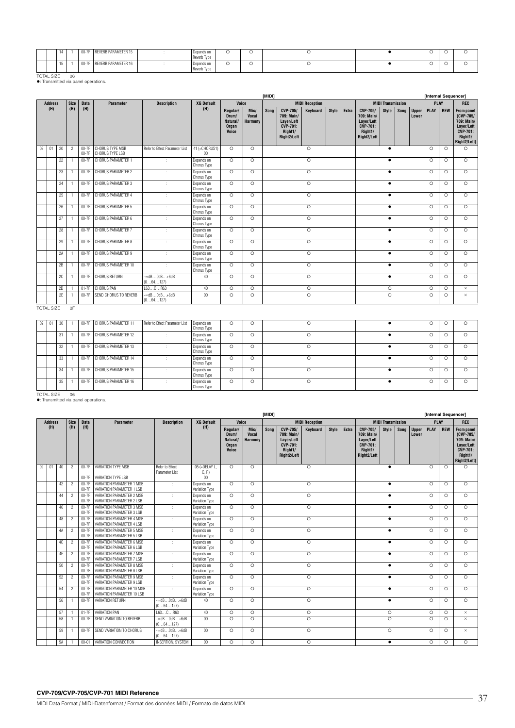|  |  | $00-7F$ | <b>REVERB PARAMETER 15</b> | יט וטא ט<br>Reverb Type | $\sim$ |  |  |  |
|--|--|---------|----------------------------|-------------------------|--------|--|--|--|
|  |  | $UU-1$  | EVERB PARAMETER 16         | enus (<br>Reverb Typ    |        |  |  |  |

TOTAL SIZE 06 : Transmitted via panel operations.

|    |                |    |                |                    |                                    |                                             |                           |                                                        |                                        | [MIDI] |                                                                                   |                       |       |       |                                                                                   |                          |      |                       | [Internal Sequencer] |            |                                                                                                          |
|----|----------------|----|----------------|--------------------|------------------------------------|---------------------------------------------|---------------------------|--------------------------------------------------------|----------------------------------------|--------|-----------------------------------------------------------------------------------|-----------------------|-------|-------|-----------------------------------------------------------------------------------|--------------------------|------|-----------------------|----------------------|------------|----------------------------------------------------------------------------------------------------------|
|    | <b>Address</b> |    | <b>Size</b>    | <b>Data</b>        | <b>Parameter</b>                   | <b>Description</b>                          | <b>XG Default</b>         | Voice                                                  |                                        |        |                                                                                   | <b>MIDI Reception</b> |       |       |                                                                                   | <b>MIDI Transmission</b> |      |                       | <b>PLAY</b>          |            | <b>REC</b>                                                                                               |
|    | (H)            |    | (H)            | (H)                |                                    |                                             | (H)                       | Regular/<br>Drum/<br>Natural/<br><b>Organ</b><br>Voice | Mic/<br><b>Vocal</b><br><b>Harmony</b> | Song   | CVP-705/<br>709: Main/<br>Layer/Left<br><b>CVP-701:</b><br>Right1/<br>Right2/Left | <b>Keyboard</b>       | Style | Extra | CVP-705/<br>709: Main/<br>Layer/Left<br><b>CVP-701:</b><br>Right1/<br>Right2/Left | Style                    | Song | <b>Upper</b><br>Lower | PLAY                 | <b>REW</b> | <b>From panel</b><br>(CVP-705/<br>709: Main/<br>Layer/Left<br><b>CVP-701:</b><br>Right1/<br>Right2/Left) |
| 02 | 01             | 20 | $\overline{2}$ | $00-7F$<br>$00-7F$ | CHORUS TYPE MSB<br>CHORUS TYPE LSB | Refer to Effect Parameter List              | 41 (=CHORUS1)<br>00       | $\circ$                                                | $\circ$                                |        |                                                                                   | $\circ$               |       |       |                                                                                   | ٠                        |      |                       | $\circ$              | $\circ$    | $\circ$                                                                                                  |
|    |                | 22 |                | $00-7F$            | CHORUS PARAMETER 1                 | ÷                                           | Depends on<br>Chorus Type | $\circ$                                                | $\circ$                                |        |                                                                                   | $\circ$               |       |       |                                                                                   | ٠                        |      |                       | $\circ$              | $\circ$    | $\circ$                                                                                                  |
|    |                | 23 |                | $00-7F$            | CHORUS PARAMETER 2                 | ÷                                           | Depends on<br>Chorus Type | $\circ$                                                | $\circ$                                |        |                                                                                   | $\circ$               |       |       |                                                                                   | ٠                        |      |                       | $\circ$              | $\circ$    | $\Omega$                                                                                                 |
|    |                | 24 |                | $00-7F$            | CHORUS PARAMETER 3                 | ÷                                           | Depends on<br>Chorus Type | $\circ$                                                | $\circ$                                |        |                                                                                   | $\circ$               |       |       |                                                                                   | ٠                        |      |                       | $\circ$              | $\circ$    | $\circ$                                                                                                  |
|    |                | 25 |                | $00-7F$            | CHORUS PARAMETER 4                 | ÷                                           | Depends on<br>Chorus Type | $\circ$                                                | $\Omega$                               |        |                                                                                   | $\circ$               |       |       |                                                                                   | ٠                        |      |                       | $\circ$              | $\circ$    | $\circ$                                                                                                  |
|    |                | 26 |                | $00-7F$            | CHORUS PARAMETER 5                 | ÷                                           | Depends on<br>Chorus Type | $\circ$                                                | $\circ$                                |        |                                                                                   | $\circ$               |       |       |                                                                                   | $\bullet$                |      |                       | $\circ$              | $\circ$    | $\Omega$                                                                                                 |
|    |                | 27 |                | $00-7F$            | CHORUS PARAMETER 6                 | ÷                                           | Depends on<br>Chorus Type | $\circ$                                                | $\Omega$                               |        |                                                                                   | $\circ$               |       |       |                                                                                   |                          |      |                       | $\circ$              | $\circ$    | $\Omega$                                                                                                 |
|    |                | 28 |                | $00-7F$            | CHORUS PARAMETER 7                 | ÷                                           | Depends on<br>Chorus Type | $\circ$                                                | $\circ$                                |        |                                                                                   | $\circ$               |       |       |                                                                                   |                          |      |                       | $\circ$              | $\circ$    | $\circ$                                                                                                  |
|    |                | 29 |                | $00-7F$            | CHORUS PARAMETER 8                 | ٠                                           | Depends on<br>Chorus Type | $\circ$                                                | $\circ$                                |        |                                                                                   | $\circ$               |       |       |                                                                                   | ٠                        |      |                       | $\Omega$             | $\circ$    | $\circ$                                                                                                  |
|    |                | 2A |                | $00-7F$            | CHORUS PARAMETER 9                 | ÷                                           | Depends on<br>Chorus Type | $\circ$                                                | $\circ$                                |        |                                                                                   | $\circ$               |       |       |                                                                                   | ٠                        |      |                       | $\circ$              | $\circ$    | $\circ$                                                                                                  |
|    |                | 2B |                | $00-7F$            | CHORUS PARAMETER 10                | ÷                                           | Depends on<br>Chorus Type | $\circ$                                                | $\Omega$                               |        |                                                                                   | $\circ$               |       |       |                                                                                   | ٠                        |      |                       | $\Omega$             | $\circ$    | $\circ$                                                                                                  |
|    |                | 2C |                | $00-7F$            | CHORUS RETURN                      | $-\infty$ dBOdB $+\text{6dB}$<br>(064127)   | 40                        | $\circ$                                                | $\circ$                                |        |                                                                                   | $\circ$               |       |       |                                                                                   | $\bullet$                |      |                       | $\Omega$             | $\circ$    | $\circ$                                                                                                  |
|    |                | 2D |                | $01-7F$            | CHORUS PAN                         | L63CR63                                     | 40                        | $\circ$                                                | $\circ$                                |        |                                                                                   | $\circ$               |       |       |                                                                                   | $\circ$                  |      |                       | $\circ$              | $\circ$    | $\times$                                                                                                 |
|    |                | 2E |                | $00-7F$            | SEND CHORUS TO REVERB              | $ \sim$ d $B$ Od $B$ $+6$ d $B$<br>(064127) | 00                        | $\circ$                                                | $\circ$                                |        |                                                                                   | $\circ$               |       |       |                                                                                   | $\circ$                  |      |                       | $\circ$              | $\circ$    | $\times$                                                                                                 |

TOTAL SIZE OF

| 02 | 01 | 30 |         | 00-7F CHORUS PARAMETER 11 | Refer to Effect Parameter List | Depends on<br>Chorus Type | Ω | O  |   |  |   |
|----|----|----|---------|---------------------------|--------------------------------|---------------------------|---|----|---|--|---|
|    |    | 31 | $00-7F$ | CHORUS PARAMETER 12       |                                | Depends on<br>Chorus Type | O | Ô  | Ω |  | Ω |
|    |    | 32 | $00-7F$ | CHORUS PARAMETER 13       |                                | Depends on<br>Chorus Type |   | C. | O |  |   |
|    |    | 33 |         | 00-7F CHORUS PARAMETER 14 |                                | Depends on<br>Chorus Type | O | Ο  | Ω |  | Ω |
|    |    | 34 | $00-7F$ | CHORUS PARAMETER 15       |                                | Depends on<br>Chorus Type | Ō | O  |   |  |   |
|    |    | 35 | $00-7F$ | CHORUS PARAMETER 16       |                                | Depends on<br>Chorus Type |   |    |   |  |   |

TOTAL SIZE 06 : Transmitted via panel operations.

|    |                |    |                |                    |                                                          |                                            |                              |                                                 |                                        | [MIDI] |                                                                                   |                       |              |       |                                                                                   |                          |      |                       | [Internal Sequencer] |            |                                                                                                          |
|----|----------------|----|----------------|--------------------|----------------------------------------------------------|--------------------------------------------|------------------------------|-------------------------------------------------|----------------------------------------|--------|-----------------------------------------------------------------------------------|-----------------------|--------------|-------|-----------------------------------------------------------------------------------|--------------------------|------|-----------------------|----------------------|------------|----------------------------------------------------------------------------------------------------------|
|    | <b>Address</b> |    | <b>Size</b>    | <b>Data</b>        | Parameter                                                | <b>Description</b>                         | <b>XG Default</b>            | Voice                                           |                                        |        |                                                                                   | <b>MIDI Reception</b> |              |       |                                                                                   | <b>MIDI Transmission</b> |      |                       | <b>PLAY</b>          |            | <b>REC</b>                                                                                               |
|    | (H)            |    | (H)            | (H)                |                                                          |                                            | (H)                          | Regular/<br>Drum/<br>Natural/<br>Organ<br>Voice | Mic/<br><b>Vocal</b><br><b>Harmony</b> | Sona   | CVP-705/<br>709: Main/<br>Layer/Left<br><b>CVP-701:</b><br>Right1/<br>Right2/Left | Keyboard              | <b>Style</b> | Extra | CVP-705/<br>709: Main/<br>Layer/Left<br><b>CVP-701:</b><br>Right1/<br>Right2/Left | Style                    | Song | <b>Upper</b><br>Lower | PLAY                 | <b>REW</b> | <b>From panel</b><br>(CVP-705/<br>709: Main/<br>Layer/Left<br><b>CVP-701:</b><br>Right1/<br>Right2/Left) |
| 02 | 01             | 40 | $\overline{c}$ | $00-7F$<br>00-7F   | VARIATION TYPE MSB<br>VARIATION TYPE LSB                 | Refer to Effect<br>Parameter List          | 05 (=DELAY L.<br>C, R<br>00  | $\circ$                                         | $\circ$                                |        |                                                                                   | $\circ$               |              |       |                                                                                   | $\bullet$                |      |                       | $\Omega$             | $\circ$    | $\circ$                                                                                                  |
|    |                | 42 | $\overline{2}$ | $00-7F$<br>00-7F   | VARIATION PARAMETER 1 MSB<br>VARIATION PARAMETER 1 LSB   | ÷                                          | Depends on<br>Variation Type | $\Omega$                                        | $\Omega$                               |        |                                                                                   | $\circ$               |              |       |                                                                                   | $\bullet$                |      |                       | $\circ$              | $\circ$    | $\circ$                                                                                                  |
|    |                | 44 | $\overline{2}$ | $00-7F$<br>$00-7F$ | VARIATION PARAMETER 2 MSB<br>VARIATION PARAMETER 2 LSB   | ÷                                          | Depends on<br>Variation Type | $\circ$                                         | $\Omega$                               |        |                                                                                   | $\circ$               |              |       |                                                                                   | $\bullet$                |      |                       | $\Omega$             | $\circ$    | $\circ$                                                                                                  |
|    |                | 46 | $\overline{2}$ | 00-7F<br>$00-7F$   | VARIATION PARAMETER 3 MSB<br>VARIATION PARAMETER 3 LSB   | ÷                                          | Depends on<br>Variation Type | $\circ$                                         | $\circ$                                |        |                                                                                   | $\circ$               |              |       |                                                                                   | $\bullet$                |      |                       | $\Omega$             | $\circ$    | $\circ$                                                                                                  |
|    |                | 48 | $\overline{2}$ | 00-7F<br>00-7F     | VARIATION PARAMETER 4 MSB<br>VARIATION PARAMETER 4 LSB   | ÷                                          | Depends on<br>Variation Type | $\circ$                                         | $\circ$                                |        |                                                                                   | $\circ$               |              |       |                                                                                   | $\bullet$                |      |                       | $\circ$              | $\circ$    | $\circ$                                                                                                  |
|    |                | 4A | $\overline{2}$ | 00-7F<br>$00-7F$   | VARIATION PARAMETER 5 MSB<br>VARIATION PARAMETER 5 LSB   | ÷                                          | Depends on<br>Variation Type | $\circ$                                         | $\circ$                                |        |                                                                                   | $\circ$               |              |       |                                                                                   | $\bullet$                |      |                       | $\Omega$             | $\circ$    | $\circ$                                                                                                  |
|    |                | 4C | $\overline{2}$ | 00-7F<br>00-7F     | VARIATION PARAMETER 6 MSB<br>VARIATION PARAMETER 6 LSB   |                                            | Depends on<br>Variation Type | $\circ$                                         | $\Omega$                               |        |                                                                                   | $\circ$               |              |       |                                                                                   | $\bullet$                |      |                       | $\Omega$             | $\circ$    | $\circ$                                                                                                  |
|    |                | 4F | $\overline{2}$ | 00-7F<br>00-7F     | VARIATION PARAMETER 7 MSB<br>VARIATION PARAMETER 7 LSB   | ÷                                          | Depends on<br>Variation Type | $\circ$                                         | $\Omega$                               |        |                                                                                   | $\Omega$              |              |       |                                                                                   | $\bullet$                |      |                       | $\Omega$             | $\circ$    | $\circ$                                                                                                  |
|    |                | 50 | $\overline{2}$ | 00-7F<br>$00-7F$   | VARIATION PARAMETER 8 MSB<br>VARIATION PARAMETER 8 LSB   | ÷                                          | Depends on<br>Variation Type | $\circ$                                         | $\circ$                                |        |                                                                                   | $\circ$               |              |       |                                                                                   | $\bullet$                |      |                       | $\circ$              | $\circ$    | $\circ$                                                                                                  |
|    |                | 52 | $\overline{2}$ | 00-7F<br>00-7F     | VARIATION PARAMETER 9 MSB<br>VARIATION PARAMETER 9 LSB   |                                            | Depends on<br>Variation Type | $\circ$                                         | $\circ$                                |        |                                                                                   | $\circ$               |              |       |                                                                                   | $\bullet$                |      |                       | $\circ$              | $\circ$    | $\circ$                                                                                                  |
|    |                | 54 | $\overline{2}$ | 00-7F<br>$00-7F$   | VARIATION PARAMETER 10 MSB<br>VARIATION PARAMETER 10 LSB | ÷                                          | Depends on<br>Variation Type | $\circ$                                         | $\Omega$                               |        |                                                                                   | $\circ$               |              |       |                                                                                   | $\bullet$                |      |                       | $\Omega$             | $\circ$    | $\circ$                                                                                                  |
|    |                | 56 |                | 00-7F              | VARIATION RETURN                                         | $-\infty$ d $B0$ d $B+6$ d $B$<br>(064127) | 40                           | $\circ$                                         | $\Omega$                               |        |                                                                                   | $\circ$               |              |       |                                                                                   | $\bullet$                |      |                       | $\Omega$             | $\circ$    | $\circ$                                                                                                  |
|    |                | 57 |                | $01-7F$            | VARIATION PAN                                            | L63CR63                                    | 40                           | $\Omega$                                        | $\circ$                                |        |                                                                                   | $\circ$               |              |       |                                                                                   | $\circ$                  |      |                       | $\Omega$             | $\circ$    | $\times$                                                                                                 |
|    |                | 58 |                | $00-7F$            | SEND VARIATION TO REVERB                                 | $ \infty$ dB0dB $+6$ dB<br>(064127)        | 00                           | $\circ$                                         | $\Omega$                               |        |                                                                                   | $\circ$               |              |       |                                                                                   | $\circ$                  |      |                       | $\circ$              | $\circ$    | $\times$                                                                                                 |
|    |                | 59 |                | 00-7F              | SEND VARIATION TO CHORUS                                 | $ \triangleleft$ BOdB+6dB<br>(064127)      | 00                           | $\circ$                                         | $\Omega$                               |        |                                                                                   | $\circ$               |              |       |                                                                                   | $\Omega$                 |      |                       | $\circ$              | $\circ$    | $\times$                                                                                                 |
|    |                | 5A |                | $00 - 01$          | VARIATION CONNECTION                                     | <b>INSERTION, SYSTEM</b>                   | 00                           | $\circ$                                         | $\Omega$                               |        |                                                                                   | $\Omega$              |              |       |                                                                                   | $\bullet$                |      |                       | $\Omega$             | $\circ$    | $\Omega$                                                                                                 |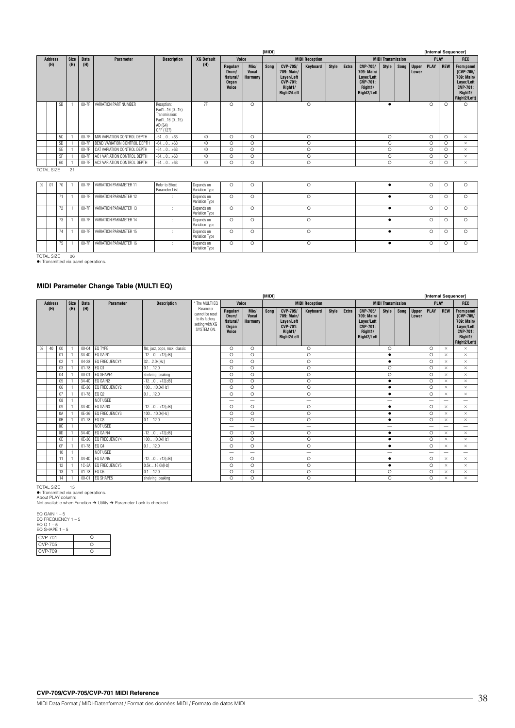|                |    |             |             |                              |                                                                                       |                   |                                                 |                                 | [MIDI]  |                                                                                          |                       |         |       |                                                                                          |                          |         |                       | [Internal Sequencer] |             |                                                                                                     |
|----------------|----|-------------|-------------|------------------------------|---------------------------------------------------------------------------------------|-------------------|-------------------------------------------------|---------------------------------|---------|------------------------------------------------------------------------------------------|-----------------------|---------|-------|------------------------------------------------------------------------------------------|--------------------------|---------|-----------------------|----------------------|-------------|-----------------------------------------------------------------------------------------------------|
| <b>Address</b> |    | <b>Size</b> | <b>Data</b> | <b>Parameter</b>             | <b>Description</b>                                                                    | <b>XG Default</b> | Voice                                           |                                 |         |                                                                                          | <b>MIDI Reception</b> |         |       |                                                                                          | <b>MIDI Transmission</b> |         |                       |                      | <b>PLAY</b> | <b>REC</b>                                                                                          |
| (H)            |    | (H)         | (H)         |                              |                                                                                       | (H)               | Regular/<br>Drum/<br>Natural/<br>Organ<br>Voice | Mic/<br><b>Vocal</b><br>Harmony | Song    | <b>CVP-705/</b><br>709: Main/<br>Layer/Left<br><b>CVP-701:</b><br>Right1/<br>Right2/Left | Keyboard              | Style   | Extra | <b>CVP-705/</b><br>709: Main/<br>Layer/Left<br><b>CVP-701:</b><br>Right1/<br>Right2/Left | Style                    | Song    | <b>Upper</b><br>Lower | <b>PLAY</b>          | <b>REW</b>  | From panel<br>$(CVP-705/$<br>709: Main/<br>Layer/Left<br><b>CVP-701:</b><br>Right1/<br>Right2/Left) |
|                | 5B |             | 00-7F       | VARIATION PART NUMBER        | Reception:<br>Part116 (015)<br>Transmission:<br>Part116 (015)<br>AD (64)<br>OFF (127) | 7F                | O                                               | $\circ$                         |         |                                                                                          | $\circ$               |         |       |                                                                                          |                          | $\circ$ | $\Omega$              | $\circ$              |             |                                                                                                     |
|                | 5C |             | $00-7F$     | MW VARIATION CONTROL DEPTH   | $-640+63$                                                                             | 40                | O                                               | $\circ$                         |         |                                                                                          | $\circ$               |         |       |                                                                                          | $\circ$                  |         |                       | $\circ$              | $\Omega$    | $\times$                                                                                            |
|                | 5D |             | $00-7F$     | BEND VARIATION CONTROL DEPTH | $-640+63$                                                                             | 40                | O                                               | $\circ$                         |         |                                                                                          | $\circ$               |         |       |                                                                                          | $\circ$                  |         |                       | $\circ$              | $\Omega$    | $\times$                                                                                            |
|                | 5E |             | 00-7F       | CAT VARIATION CONTROL DEPTH  | $-640+63$                                                                             | 40                | O                                               | $\circ$                         | $\circ$ |                                                                                          |                       | $\circ$ |       |                                                                                          | $\circ$                  | $\circ$ | $\times$              |                      |             |                                                                                                     |
|                | 5F |             | $00-7F$     | AC1 VARIATION CONTROL DEPTH  | $-640+63$                                                                             | 40                | 0                                               | $\circ$                         | O       |                                                                                          |                       |         |       | $\circ$                                                                                  |                          |         | $\circ$               | $\circ$              | $\times$    |                                                                                                     |
|                | 60 |             | $00-7F$     | AC2 VARIATION CONTROL DEPTH  | $-640+63$                                                                             | 40                | O                                               | $\circ$                         |         |                                                                                          | $\circ$               |         |       |                                                                                          | $\circ$                  |         |                       | $\circ$              | $\circ$     | $\times$                                                                                            |

TOTAL SIZE 21

| 02 | 01 | 70       | $00-7F$ | VARIATION PARAMETER 11 | Refer to Effect<br>Parameter List | Depends on<br>Variation Type |   | O |   |         |          |  |
|----|----|----------|---------|------------------------|-----------------------------------|------------------------------|---|---|---|---------|----------|--|
|    |    | $-1$     | $00-7F$ | VARIATION PARAMETER 12 |                                   | Depends on<br>Variation Type | O | O | О |         |          |  |
|    |    | 72       | $00-7F$ | VARIATION PARAMETER 13 |                                   | Depends on<br>Variation Type | O | O |   |         |          |  |
|    |    | 73       | $00-7F$ | VARIATION PARAMETER 14 |                                   | Depends on<br>Variation Type |   | O |   | $\circ$ |          |  |
|    |    | 74       | $00-7F$ | VARIATION PARAMETER 15 |                                   | Depends on<br>Variation Type | O | O | O | $\circ$ | $\Omega$ |  |
|    |    | 75<br>70 | $00-7F$ | VARIATION PARAMETER 16 |                                   | Depends on<br>Variation Type | n |   |   |         |          |  |

TOTAL SIZE 06 : Transmitted via panel operations.

### **MIDI Parameter Change Table (MULTI EQ)**

|    |                |        |             |             |                  |                                 |                                                                                 |                                                 |                                 | [MIDI]  |                                                                                   |                                 |       |                          |                                                                                   |                          |                          |                       | [Internal Sequencer]     |            |                                                                                                            |
|----|----------------|--------|-------------|-------------|------------------|---------------------------------|---------------------------------------------------------------------------------|-------------------------------------------------|---------------------------------|---------|-----------------------------------------------------------------------------------|---------------------------------|-------|--------------------------|-----------------------------------------------------------------------------------|--------------------------|--------------------------|-----------------------|--------------------------|------------|------------------------------------------------------------------------------------------------------------|
|    | <b>Address</b> |        | <b>Size</b> | <b>Data</b> | <b>Parameter</b> | <b>Description</b>              | * The MULTI EQ                                                                  | Voice                                           |                                 |         |                                                                                   | <b>MIDI Reception</b>           |       |                          |                                                                                   | <b>MIDI Transmission</b> |                          |                       | <b>PLAY</b>              |            | <b>REC</b>                                                                                                 |
|    | (H)            |        | (H)         | (H)         |                  |                                 | Parameter<br>cannot be reset<br>to its factory<br>setting with XG<br>SYSTEM ON. | Regular/<br>Drum/<br>Natural/<br>Organ<br>Voice | Mic/<br>Vocal<br><b>Harmony</b> | Sona    | CVP-705/<br>709: Main/<br>Layer/Left<br><b>CVP-701:</b><br>Right1/<br>Right2/Left | Keyboard                        | Style | Extra                    | CVP-705/<br>709: Main/<br>Layer/Left<br><b>CVP-701:</b><br>Right1/<br>Right2/Left | Style                    | Song                     | <b>Upper</b><br>Lower | PLAY                     | <b>REW</b> | <b>From panel</b><br>$(CVP-705/$<br>709: Main/<br>Layer/Left<br><b>CVP-701:</b><br>Right1/<br>Right2/Left) |
| 02 | 40             | $00\,$ |             | $00 - 04$   | EQ TYPE          | flat, jazz, pops, rock, classic |                                                                                 | $\circ$                                         | $\circ$                         |         |                                                                                   | $\circ$                         |       |                          |                                                                                   | $\circ$                  |                          |                       | $\circ$                  | $\times$   | $\times$                                                                                                   |
|    |                | 01     |             | 34-4C       | EQ GAIN1         | $-120+12[dB]$                   |                                                                                 | $\circ$                                         | $\circ$                         |         |                                                                                   | $\circ$                         |       |                          |                                                                                   | $\bullet$                |                          |                       | $\circ$                  | $\times$   | $\times$                                                                                                   |
|    |                | 02     |             | $04 - 28$   | EQ FREQUENCY1    | 322.0k[Hz]                      |                                                                                 | $\circ$                                         | $\circ$                         |         | $\circ$<br>$\circ$                                                                |                                 |       |                          |                                                                                   | $\bullet$                |                          |                       | $\circ$                  | $\times$   | $\times$                                                                                                   |
|    |                | 03     |             | $01 - 78$   | EQ Q1            | 0.112.0                         |                                                                                 | $\circ$                                         | $\circ$                         |         |                                                                                   |                                 |       |                          | $\circ$                                                                           |                          |                          | $\circ$               | $\times$                 | $\times$   |                                                                                                            |
|    |                | 04     |             | $00 - 01$   | EQ SHAPE1        | shelving, peaking               |                                                                                 | $\circ$                                         | $\Omega$                        |         | $\circ$                                                                           |                                 |       |                          | $\circ$                                                                           |                          |                          | $\circ$               | $\times$                 | $\times$   |                                                                                                            |
|    |                | 05     |             | 34-4C       | EQ GAIN2         | $-120+12[dB]$                   |                                                                                 | $\circ$                                         | $\circ$                         | $\circ$ |                                                                                   |                                 |       | $\bullet$                |                                                                                   |                          | $\circ$                  | $\times$              | $\times$                 |            |                                                                                                            |
|    |                | 06     |             | 0E-36       | EQ FREQUENCY2    | 10010.0kfHz1                    |                                                                                 | $\circ$                                         | $\circ$                         | $\circ$ |                                                                                   |                                 |       | $\bullet$                |                                                                                   |                          | $\circ$                  | $\times$              | $\times$                 |            |                                                                                                            |
|    |                | 07     |             | $01 - 78$   | EQ 02            | 0.112.0                         |                                                                                 | $\circ$                                         | $\circ$                         |         |                                                                                   | $\circ$                         |       |                          |                                                                                   | $\bullet$                |                          |                       | $\circ$                  | $\times$   | $\times$                                                                                                   |
|    |                | 08     |             |             | NOT USED         |                                 |                                                                                 | -                                               | $\overline{\phantom{0}}$        |         |                                                                                   | $\hspace{0.1mm}-\hspace{0.1mm}$ |       |                          |                                                                                   | $\qquad \qquad$          |                          |                       | -                        | -          | $\overline{\phantom{a}}$                                                                                   |
|    |                | 09     |             | 34-4C       | EQ GAIN3         | $-120+12[dB]$                   |                                                                                 | $\circ$                                         | $\circ$                         |         |                                                                                   | $\circ$                         |       |                          |                                                                                   | $\bullet$                |                          |                       | $\circ$                  | $\times$   | $\times$                                                                                                   |
|    |                | 0A     |             | 0E-36       | EQ FREQUENCY3    | 10010.0k[Hz]                    |                                                                                 | $\circ$                                         | $\circ$                         |         |                                                                                   | $\circ$                         |       |                          |                                                                                   | $\bullet$                |                          |                       | $\circ$                  | $\times$   | $\times$                                                                                                   |
|    |                | 0B     |             | $01 - 78$   | EQ 03            | 0.112.0                         |                                                                                 | $\circ$                                         | $\circ$                         |         |                                                                                   | $\circ$                         |       |                          |                                                                                   | $\bullet$                |                          |                       | $\circ$                  | $\times$   | $\times$                                                                                                   |
|    |                | 0C     |             |             | NOT USED         |                                 |                                                                                 |                                                 | $\overline{\phantom{m}}$        |         |                                                                                   | $\hspace{0.1mm}-\hspace{0.1mm}$ |       |                          |                                                                                   |                          |                          |                       | -                        |            |                                                                                                            |
|    |                | 0D     |             | 34-4C       | EQ GAIN4         | $-120+12[dB]$                   |                                                                                 | $\circ$                                         | $\circ$                         |         |                                                                                   | $\circ$                         |       |                          |                                                                                   | $\bullet$                |                          |                       | $\circ$                  | $\times$   | $\times$                                                                                                   |
|    |                | 0E     |             | 0E-36       | EQ FREQUENCY4    | 10010.0k[Hz]                    |                                                                                 | $\circ$                                         | $\circ$                         |         |                                                                                   | $\circ$                         |       |                          |                                                                                   | $\bullet$                |                          |                       | $\circ$                  | $\times$   | $\times$                                                                                                   |
|    |                | 0F     |             | $01 - 78$   | EQ 04            | 0.112.0                         |                                                                                 | $\circ$                                         | $\Omega$                        | $\circ$ |                                                                                   |                                 |       | $\bullet$                |                                                                                   |                          | $\circ$                  | $\times$              | $\times$                 |            |                                                                                                            |
|    |                | 10     |             |             | NOT USED         |                                 |                                                                                 |                                                 |                                 |         |                                                                                   |                                 |       | $\overline{\phantom{a}}$ |                                                                                   |                          | $\overline{\phantom{m}}$ | -                     | $\overline{\phantom{m}}$ |            |                                                                                                            |
|    |                | 11     |             | 34-4C       | EQ GAIN5         | $-120+12[dB]$                   |                                                                                 | $\circ$                                         | $\circ$                         | $\circ$ |                                                                                   |                                 |       | $\bullet$                |                                                                                   |                          | $\circ$                  | $\times$              | $\times$                 |            |                                                                                                            |
|    |                | 12     |             | $1C-3A$     | EQ FREQUENCY5    | 0.5k16.0k[Hz]                   |                                                                                 | $\circ$                                         | $\circ$                         | $\circ$ |                                                                                   |                                 |       | $\bullet$                |                                                                                   |                          | $\circ$                  | $\times$              | $\times$                 |            |                                                                                                            |
|    |                | 13     |             | $01 - 78$   | EQ 05            | 0.112.0                         |                                                                                 | $\circ$                                         | $\overline{\circ}$              | $\circ$ |                                                                                   |                                 |       |                          | $\circ$                                                                           |                          |                          | $\circ$               | $\times$                 | $\times$   |                                                                                                            |
|    |                | 14     |             | $00 - 01$   | EQ SHAPE5        | shelving, peaking               |                                                                                 | $\circ$                                         | $\circ$                         |         |                                                                                   | $\circ$                         |       |                          |                                                                                   | $\circ$                  |                          |                       | $\circ$                  | $\times$   | $\times$                                                                                                   |

TOTAL SIZE<br>●: Transmitted via panel operations.<br>About PLAY column:<br>Not available when Function → Utility → Parameter Lock is checked.

EQ GAIN 1 – 5 EQ FREQUENCY 1 – 5

| $EOQ1 - 5$<br>EQ SHAPE $1 - 5$ |    |
|--------------------------------|----|
| <b>CVP-701</b>                 | ٢٦ |
| <b>CVP-705</b>                 | ٢٦ |
| CVP-709                        |    |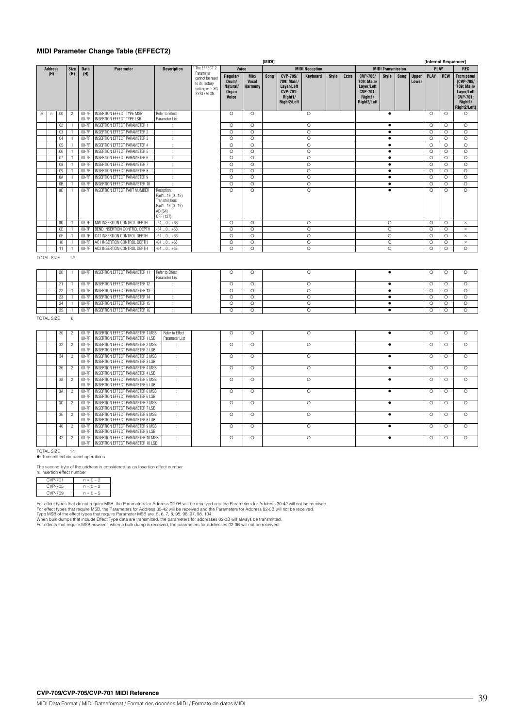### **MIDI Parameter Change Table (EFFECT2)**

|    |                   |                |                              |                    |                                                                                    |                                                                                       |                                                                                 |                                                 |                                 | [MIDI] |                                                                                   |                               |              |              |                                                                                          |                          |      |                       | [Internal Sequencer] |                    |                                                                                                          |
|----|-------------------|----------------|------------------------------|--------------------|------------------------------------------------------------------------------------|---------------------------------------------------------------------------------------|---------------------------------------------------------------------------------|-------------------------------------------------|---------------------------------|--------|-----------------------------------------------------------------------------------|-------------------------------|--------------|--------------|------------------------------------------------------------------------------------------|--------------------------|------|-----------------------|----------------------|--------------------|----------------------------------------------------------------------------------------------------------|
|    | <b>Address</b>    |                | Size                         | <b>Data</b>        | Parameter                                                                          | <b>Description</b>                                                                    | * The EFFECT 2                                                                  | Voice                                           |                                 |        |                                                                                   | <b>MIDI Reception</b>         |              |              |                                                                                          | <b>MIDI Transmission</b> |      |                       | <b>PLAY</b>          |                    | <b>REC</b>                                                                                               |
|    | (H)               |                | (H)                          | (H)                |                                                                                    |                                                                                       | Parameter<br>cannot be reset<br>to its factory<br>setting with XG<br>SYSTEM ON. | Regular/<br>Drum/<br>Natural/<br>Organ<br>Voice | Mic/<br><b>Vocal</b><br>Harmony | Song   | CVP-705/<br>709: Main/<br>Layer/Left<br><b>CVP-701:</b><br>Right1/<br>Right2/Left | Keyboard                      | <b>Style</b> | <b>Extra</b> | <b>CVP-705/</b><br>709: Main/<br>Layer/Left<br><b>CVP-701:</b><br>Right1/<br>Right2/Left | <b>Style</b>             | Song | <b>Upper</b><br>Lower | PLAY                 | <b>REW</b>         | <b>From panel</b><br>(CVP-705/<br>709: Main/<br>Layer/Left<br><b>CVP-701:</b><br>Right1/<br>Right2/Left) |
| 03 | $\mathsf n$       | $00\,$         | $\overline{c}$               | $00-7F$<br>$00-7F$ | <b>INSERTION EFFECT TYPE MSB</b><br><b>INSERTION EFFECT TYPE LSB</b>               | Refer to Effect<br>Parameter List                                                     |                                                                                 | $\circ$                                         | $\circ$                         |        |                                                                                   | O                             |              |              |                                                                                          | $\bullet$                |      |                       | $\circ$              | $\circ$            | $\circ$                                                                                                  |
|    |                   | 02             | $\mathbf{1}$                 | 00-7F              | <b>INSERTION EFFECT PARAMETER 1</b>                                                |                                                                                       |                                                                                 | $\circ$                                         | $\circ$                         |        |                                                                                   | $\circ$                       |              |              |                                                                                          | $\bullet$                |      |                       | $\circ$              | $\circ$            | $\circ$                                                                                                  |
|    |                   | 03             | $\mathbf{1}$                 | $00-7F$            | INSERTION EFFECT PARAMETER 2                                                       |                                                                                       |                                                                                 | $\circ$                                         | $\circ$                         |        |                                                                                   | $\circ$                       |              |              |                                                                                          | $\bullet$                |      |                       | $\circ$              | $\circ$            | $\circ$                                                                                                  |
|    |                   | 04             | $\mathbf{1}$                 | 00-7F              | INSERTION EFFECT PARAMETER 3                                                       | ÷                                                                                     |                                                                                 | $\circ$                                         | $\circ$                         |        |                                                                                   | $\circ$                       |              |              |                                                                                          | $\bullet$                |      |                       | $\circ$              | $\circ$            | $\circ$                                                                                                  |
|    |                   | 05             | $\mathbf{1}$                 | 00-7F              | INSERTION EFFECT PARAMETER 4                                                       | ÷                                                                                     |                                                                                 | $\circ$                                         | $\circ$                         |        |                                                                                   | $\circ$                       |              |              |                                                                                          | $\bullet$                |      |                       | $\circ$              | $\circ$            | $\circ$                                                                                                  |
|    |                   | 06             | $\mathbf{1}$                 | 00-7F              | INSERTION EFFECT PARAMETER 5                                                       | ÷                                                                                     |                                                                                 | $\circ$                                         | $\circ$                         |        |                                                                                   | $\circ$<br>$\circ$            |              |              |                                                                                          | $\bullet$                |      |                       | $\circ$<br>$\circ$   | $\circ$            | $\circ$                                                                                                  |
|    |                   | 07<br>08       | $\mathbf{1}$<br>1            | 00-7F<br>$00-7F$   | INSERTION EFFECT PARAMETER 6<br>INSERTION EFFECT PARAMETER 7                       | ÷<br>÷                                                                                |                                                                                 | $\circ$<br>$\circ$                              | $\circ$<br>$\circ$              |        |                                                                                   | $\circ$                       |              |              |                                                                                          | $\bullet$<br>$\bullet$   |      |                       | $\circ$              | $\circ$<br>$\circ$ | $\circ$<br>$\circ$                                                                                       |
|    |                   | 09             | $\mathbf{1}$                 | 00-7F              | INSERTION EFFECT PARAMETER 8                                                       |                                                                                       |                                                                                 | $\circ$                                         | $\circ$                         |        |                                                                                   | $\circ$                       |              |              |                                                                                          | ٠                        |      |                       | $\circ$              | $\circ$            | $\circ$                                                                                                  |
|    |                   | 0A             | 1                            | 00-7F              | INSERTION EFFECT PARAMETER 9                                                       | ÷                                                                                     |                                                                                 | $\circ$                                         | $\circ$                         |        |                                                                                   | $\circ$                       |              |              |                                                                                          | $\bullet$                |      |                       | $\circ$              | O                  | $\circ$                                                                                                  |
|    |                   | 0B             | $\overline{1}$               | 00-7F              | INSERTION EFFECT PARAMETER 10                                                      |                                                                                       |                                                                                 | $\circ$                                         | $\circ$                         |        |                                                                                   | $\circ$                       |              |              |                                                                                          | $\bullet$                |      |                       | $\circ$              | $\circ$            | $\circ$                                                                                                  |
|    |                   | 0C             | 1                            | $00-7F$            | INSERTION EFFECT PART NUMBER                                                       | Reception:<br>Part116 (015)<br>Transmission:<br>Part116 (015)<br>AD (64)<br>OFF (127) |                                                                                 | $\circ$                                         | $\circ$                         |        |                                                                                   | $\circ$                       |              |              |                                                                                          | $\bullet$                |      |                       | $\circ$              | $\circ$            | $\circ$                                                                                                  |
|    |                   | O <sub>D</sub> | $\overline{1}$               | $00-7F$            | MW INSERTION CONTROL DEPTH                                                         | $-640+63$                                                                             |                                                                                 | $\Omega$                                        | $\Omega$                        |        |                                                                                   | $\circ$                       |              |              |                                                                                          | $\circ$                  |      |                       | $\circ$              | $\circ$            | $\times$                                                                                                 |
|    |                   | 0E             | 1.                           | $00-7F$            | BEND INSERTION CONTROL DEPTH                                                       | $-640+63$                                                                             |                                                                                 | $\circ$                                         | $\Omega$                        |        |                                                                                   | $\overline{\circ}$            |              |              |                                                                                          | $\Omega$                 |      |                       | $\circ$              | $\circ$            | $\times$                                                                                                 |
|    |                   | 0F<br>10       | $\mathbf{1}$<br>1            | 00-7F<br>00-7F     | CAT INSERTION CONTROL DEPTH<br>AC1 INSERTION CONTROL DEPTH                         | $-640+63$                                                                             |                                                                                 | $\circ$<br>$\circ$                              | $\overline{\circ}$<br>$\circ$   |        |                                                                                   | $\overline{\circ}$<br>$\circ$ |              |              |                                                                                          | $\circ$<br>$\circ$       |      |                       | $\circ$<br>$\circ$   | $\circ$            | $\times$                                                                                                 |
|    |                   | 11             | $\mathbf{1}$                 | 00-7F              | AC2 INSERTION CONTROL DEPTH                                                        | $-640+63$<br>$-640+63$                                                                |                                                                                 | $\circ$                                         | $\circ$                         |        |                                                                                   | $\circ$                       |              |              |                                                                                          | $\circ$                  |      |                       | $\circ$              | $\circ$<br>$\circ$ | $\times$<br>$\circ$                                                                                      |
|    | <b>TOTAL SIZE</b> | $20\,$         | 12<br>1                      | $00-7F$            | INSERTION EFFECT PARAMETER 11                                                      | Refer to Effect<br>Parameter List                                                     |                                                                                 | $\circ$                                         | $\circ$                         |        |                                                                                   | $\circ$                       |              |              |                                                                                          | $\bullet$                |      |                       | $\circ$              | $\circ$            | $\circ$                                                                                                  |
|    |                   | 21             | 1                            | $00-7F$            | INSERTION EFFECT PARAMETER 12                                                      |                                                                                       |                                                                                 | $\circ$                                         | $\circ$                         |        |                                                                                   | $\circ$                       |              |              |                                                                                          | $\bullet$                |      |                       | $\circ$              | $\circ$            | $\circ$                                                                                                  |
|    |                   | 22             | $\mathbf{1}$                 | $00-7F$            | INSERTION EFFECT PARAMETER 13                                                      |                                                                                       |                                                                                 | $\circ$                                         | $\circ$                         |        |                                                                                   | $\circ$                       |              |              |                                                                                          | $\bullet$                |      |                       | $\circ$              | $\circ$            | $\circ$                                                                                                  |
|    |                   | 23             | $\mathbf{1}$                 | $00-7F$            | <b>INSERTION EFFECT PARAMETER 14</b>                                               | ÷                                                                                     |                                                                                 | $\circ$                                         | $\circ$                         |        |                                                                                   | $\circ$                       |              |              |                                                                                          | $\bullet$                |      |                       | $\circ$              | $\circ$            | $\circ$                                                                                                  |
|    |                   | 24<br>25       | $\mathbf{1}$<br>$\mathbf{1}$ | 00-7F<br>$00-7F$   | INSERTION EFFECT PARAMETER 15<br>INSERTION EFFECT PARAMETER 16                     | ÷                                                                                     |                                                                                 | $\circ$<br>$\circ$                              | $\circ$<br>$\circ$              |        |                                                                                   | $\circ$<br>$\circ$            |              |              |                                                                                          | $\bullet$<br>$\bullet$   |      |                       | $\circ$<br>$\circ$   | $\circ$<br>$\circ$ | $\circ$<br>$\circ$                                                                                       |
|    | <b>TOTAL SIZE</b> |                | 6                            |                    |                                                                                    |                                                                                       |                                                                                 |                                                 |                                 |        |                                                                                   |                               |              |              |                                                                                          |                          |      |                       |                      |                    |                                                                                                          |
|    |                   | 30             | $\overline{c}$               | $00-7F$<br>$00-7F$ | <b>INSERTION EFFECT PARAMETER 1 MSB</b><br>INSERTION EFFECT PARAMETER 1 LSB        | Refer to Effect<br>Parameter List                                                     |                                                                                 | $\circ$                                         | $\circ$                         |        |                                                                                   | $\circ$                       |              |              |                                                                                          | $\bullet$                |      |                       | $\circ$              | $\circ$            | $\circ$                                                                                                  |
|    |                   | 32             | $\overline{c}$               | $00-7F$<br>$00-7F$ | INSERTION EFFECT PARAMETER 2 MSB<br>INSERTION EFFECT PARAMETER 2 LSB               | ÷                                                                                     |                                                                                 | $\circ$                                         | $\circ$                         |        |                                                                                   | Ō                             |              |              |                                                                                          | $\bullet$                |      |                       | $\circ$              | $\circ$            | $\circ$                                                                                                  |
|    |                   | 34             | $\sqrt{2}$                   | 00-7F<br>$00-7F$   | INSERTION EFFECT PARAMETER 3 MSB<br>INSERTION EFFECT PARAMETER 3 LSB               | $\ddot{\phantom{a}}$                                                                  |                                                                                 | $\circ$                                         | $\circ$                         |        |                                                                                   | $\circ$                       |              |              |                                                                                          | $\bullet$                |      |                       | $\circ$              | $\circ$            | $\circ$                                                                                                  |
|    |                   | 36             | $\overline{\mathbf{c}}$      | 00-7F<br>$00-7F$   | <b>INSERTION EFFECT PARAMETER 4 MSB</b><br><b>INSERTION EFFECT PARAMETER 4 LSB</b> | ÷                                                                                     |                                                                                 | $\circ$                                         | $\circ$                         |        |                                                                                   | $\circ$                       |              |              |                                                                                          | $\bullet$                |      |                       | $\circ$              | $\circ$            | $\circ$                                                                                                  |
|    |                   | 38             | $\sqrt{2}$                   | $00-7F$<br>00-7F   | <b>INSERTION EFFECT PARAMETER 5 MSB</b><br>INSERTION EFFECT PARAMETER 5 LSB        | $\cdot$                                                                               |                                                                                 | $\circ$                                         | $\circ$                         |        |                                                                                   | $\circ$                       |              |              |                                                                                          | $\bullet$                |      |                       | $\circ$              | $\circ$            | $\circ$                                                                                                  |
|    |                   | 3A             | $\overline{c}$               | 00-7F<br>$00-7F$   | INSERTION EFFECT PARAMETER 6 MSB<br><b>INSERTION EFFECT PARAMETER 6 LSB</b>        | ÷                                                                                     |                                                                                 | $\circ$                                         | $\circ$                         |        |                                                                                   | $\circ$                       |              |              |                                                                                          | $\bullet$                |      |                       | $\circ$              | $\circ$            | $\circ$                                                                                                  |
|    |                   | 3C             | $\overline{c}$               | 00-7F<br>00-7F     | <b>INSERTION EFFECT PARAMETER 7 MSB</b><br><b>INSERTION EFFECT PARAMETER 7 LSB</b> | $\cdot$                                                                               |                                                                                 | $\circ$                                         | $\circ$                         |        |                                                                                   | $\circ$                       |              |              |                                                                                          | $\bullet$                |      |                       | $\circ$              | $\circ$            | $\circ$                                                                                                  |
|    |                   | 3E             | $\overline{\mathbf{c}}$      | $00-7F$<br>00-7F   | <b>INSERTION EFFECT PARAMETER 8 MSB</b><br>INSERTION EFFECT PARAMETER 8 LSB        |                                                                                       |                                                                                 | $\circ$                                         | $\circ$                         |        |                                                                                   | $\circ$                       |              |              |                                                                                          | $\bullet$                |      |                       | $\circ$              | $\circ$            | $\circ$                                                                                                  |
|    |                   | 40             | $\overline{c}$               | 00-7F<br>00-7F     | INSERTION EFFECT PARAMETER 9 MSB<br>INSERTION EFFECT PARAMETER 9 LSB               | ÷                                                                                     |                                                                                 | $\circ$                                         | $\circ$                         |        |                                                                                   | O                             |              |              |                                                                                          | $\bullet$                |      |                       | $\circ$              | $\circ$            | $\circ$                                                                                                  |
|    |                   | 42             | $\overline{c}$               | 00-7F<br>$00-7F$   | INSERTION EFFECT PARAMETER 10 MSB<br>INSERTION EFFECT PARAMETER 10 LSB             | $\ddot{\phantom{a}}$                                                                  |                                                                                 | $\circ$                                         | $\circ$                         |        |                                                                                   | O                             |              |              |                                                                                          | $\bullet$                |      |                       | $\circ$              | $\circ$            | $\circ$                                                                                                  |
|    | $-$               |                |                              |                    |                                                                                    |                                                                                       |                                                                                 |                                                 |                                 |        |                                                                                   |                               |              |              |                                                                                          |                          |      |                       |                      |                    |                                                                                                          |

TOTAL SIZE 14 : Transmitted via panel operations

The second byte of the address is considered as an Insertion effect number

| n: insertion effect number |             |
|----------------------------|-------------|
| <b>CVP-701</b>             | $n = 0 - 2$ |
| CVP-705                    | $n = 0 - 2$ |
| CVP-709                    | $n = 0 - 5$ |

For effect types that do not require MSB, the Parameters for Address 02-0B will be received and the Parameters for Address 30-42 will not be received.<br>For effect types that require MSB, the Parameters for Address 30-42 wil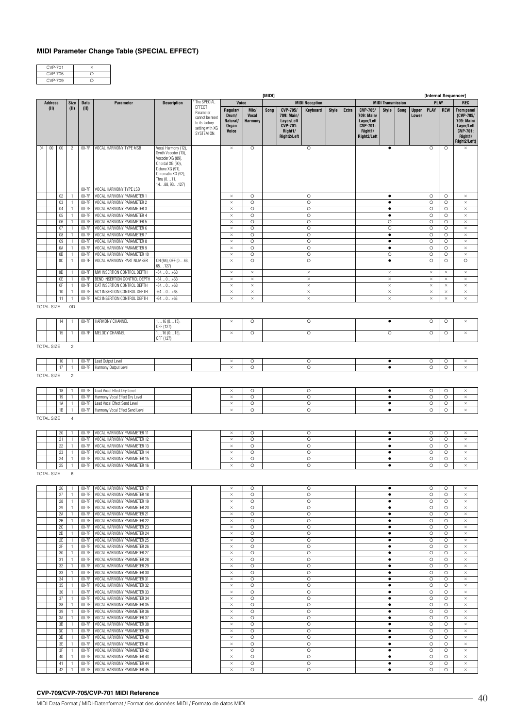### **MIDI Parameter Change Table (SPECIAL EFFECT)**

| CVP-701 |  |
|---------|--|
| CVP-705 |  |
| CVP-709 |  |

|    |                   |          |                              |                    |                                                          |                                                                                                                                     |                                                                                           |                                                        |                                 | [MIDI] |                                                                                   |                       |              |       |                                                                                   |                          |      |                       | [Internal Sequencer] |                    |                                                                                                          |
|----|-------------------|----------|------------------------------|--------------------|----------------------------------------------------------|-------------------------------------------------------------------------------------------------------------------------------------|-------------------------------------------------------------------------------------------|--------------------------------------------------------|---------------------------------|--------|-----------------------------------------------------------------------------------|-----------------------|--------------|-------|-----------------------------------------------------------------------------------|--------------------------|------|-----------------------|----------------------|--------------------|----------------------------------------------------------------------------------------------------------|
|    | <b>Address</b>    |          | Size                         | <b>Data</b>        | Parameter                                                | <b>Description</b>                                                                                                                  | The SPECIAL                                                                               |                                                        | Voice                           |        |                                                                                   | <b>MIDI Reception</b> |              |       |                                                                                   | <b>MIDI Transmission</b> |      |                       | <b>PLAY</b>          |                    | <b>REC</b>                                                                                               |
|    | (H)               |          | (H)                          | (H)                |                                                          |                                                                                                                                     | EFFECT<br>Parameter<br>cannot be reset<br>to its factory<br>setting with XG<br>SYSTEM ON. | Regular/<br>Drum/<br>Natural/<br><b>Organ</b><br>Voice | Mic/<br><b>Vocal</b><br>Harmony | Song   | CVP-705/<br>709: Main/<br>Layer/Left<br><b>CVP-701:</b><br>Right1/<br>Right2/Left | Keyboard              | <b>Style</b> | Extra | CVP-705/<br>709: Main/<br>Layer/Left<br><b>CVP-701:</b><br>Right1/<br>Right2/Left | <b>Style</b>             | Song | <b>Upper</b><br>Lower | PLAY                 | <b>REW</b>         | <b>From panel</b><br>(CVP-705/<br>709: Main/<br>Layer/Left<br><b>CVP-701:</b><br>Right1/<br>Right2/Left) |
| 04 | $00\,$            | $00\,$   | $\overline{2}$               | $00-7F$            | VOCAL HARMONY TYPE MSB                                   | Vocal Harmony (12),                                                                                                                 |                                                                                           | $\times$                                               | $\circ$                         |        |                                                                                   | O                     |              |       |                                                                                   | ٠                        |      |                       | $\circ$              | $\circ$            | $\times$                                                                                                 |
|    |                   |          |                              |                    |                                                          | Synth Vocoder (13),<br>Vocoder XG (89),<br>Chordal XG (90),<br>Detune XG (91),<br>Chromatic XG (92),<br>Thru $(011,$<br>1488, 93127 |                                                                                           |                                                        |                                 |        |                                                                                   |                       |              |       |                                                                                   |                          |      |                       |                      |                    |                                                                                                          |
|    |                   |          |                              | 00-7F              | VOCAL HARMONY TYPE LSB                                   |                                                                                                                                     |                                                                                           |                                                        |                                 |        |                                                                                   |                       |              |       |                                                                                   |                          |      |                       |                      |                    |                                                                                                          |
|    |                   | 02       | $\mathbf{1}$                 | $00-7F$            | VOCAL HARMONY PARAMETER 1                                |                                                                                                                                     |                                                                                           | $\times$                                               | $\circ$                         |        |                                                                                   | $\circ$               |              |       |                                                                                   | ٠                        |      |                       | $\circ$              | $\circ$            | $\times$                                                                                                 |
|    |                   | 03       | $\mathbf{1}$                 | 00-7F              | VOCAL HARMONY PARAMETER 2                                |                                                                                                                                     |                                                                                           | $\times$                                               | $\circ$                         |        |                                                                                   | $\circ$               |              |       |                                                                                   | $\bullet$                |      |                       | $\circ$              | $\circ$            | $\times$                                                                                                 |
|    |                   | 04       | $\mathbf{1}$                 | $00-7F$            | VOCAL HARMONY PARAMETER 3                                |                                                                                                                                     |                                                                                           | $\times$                                               | $\circ$                         |        |                                                                                   | Ō                     |              |       |                                                                                   | $\bullet$                |      |                       | $\circ$              | $\circ$            | $\times$                                                                                                 |
|    |                   | 05       | 1                            | $00-7F$            | VOCAL HARMONY PARAMETER 4                                |                                                                                                                                     |                                                                                           | $\times$                                               | $\circ$                         |        |                                                                                   | $\circ$               |              |       |                                                                                   | $\bullet$                |      |                       | $\circ$              | $\circ$            | $\times$                                                                                                 |
|    |                   | 06       | $\mathbf{1}$                 | $00-7F$            | VOCAL HARMONY PARAMETER 5                                |                                                                                                                                     |                                                                                           | $\times$                                               | $\circ$                         |        |                                                                                   | $\circ$               |              |       |                                                                                   | $\circ$                  |      |                       | $\circ$              | $\circ$            | $\times$                                                                                                 |
|    |                   | 07       | 1                            | $00-7F$            | VOCAL HARMONY PARAMETER 6                                |                                                                                                                                     |                                                                                           | $\times$                                               | $\circ$                         |        |                                                                                   | $\circ$               |              |       |                                                                                   | $\circ$                  |      |                       | $\circ$              | $\circ$            | $\times$                                                                                                 |
|    |                   | 08       | $\mathbf{1}$                 | $00-7F$            | VOCAL HARMONY PARAMETER 7                                |                                                                                                                                     |                                                                                           | $\times$                                               | $\circ$                         |        |                                                                                   | $\circ$               |              |       |                                                                                   | $\bullet$                |      |                       | $\circ$              | $\circ$            | $\times$                                                                                                 |
|    |                   | 09       | 1                            | $00-7F$            | VOCAL HARMONY PARAMETER 8                                |                                                                                                                                     |                                                                                           | $\times$                                               | $\circ$                         |        |                                                                                   | $\circ$               |              |       |                                                                                   | $\bullet$                |      |                       | $\circ$              | O                  | $\times$                                                                                                 |
|    |                   | 0A       | $\mathbf{1}$                 | $00-7F$            | VOCAL HARMONY PARAMETER 9                                |                                                                                                                                     |                                                                                           | $\times$                                               | $\circ$                         |        |                                                                                   | $\circ$               |              |       |                                                                                   | ٠                        |      |                       | $\circ$              | $\circ$            | $\times$                                                                                                 |
|    |                   | 0B<br>0C | $\mathbf{1}$<br>$\mathbf{1}$ | $00-7F$<br>00-7F   | VOCAL HARMONY PARAMETER 10<br>VOCAL HARMONY PART NUMBER  | ON (64), OFF (063,<br>65127                                                                                                         |                                                                                           | $\times$<br>$\times$                                   | $\circ$<br>$\circ$              |        |                                                                                   | $\circ$<br>$\circ$    |              |       |                                                                                   | $\circ$<br>٠             |      |                       | $\circ$<br>$\circ$   | $\circ$<br>$\circ$ | $\times$<br>$\circ$                                                                                      |
|    |                   | OD.      | $\mathbf{1}$                 | 00-7F              | MW INSERTION CONTROL DEPTH                               | $-640+63$                                                                                                                           |                                                                                           | $\times$                                               | $\times$                        |        |                                                                                   | $\times$              |              |       |                                                                                   | $\times$                 |      |                       | $\times$             | $\times$           | $\times$                                                                                                 |
|    |                   | 0E       | $\mathbf{1}$                 | $00-7F$            | BEND INSERTION CONTROL DEPTH                             | $-640+63$                                                                                                                           |                                                                                           | $\times$                                               | $\times$                        |        |                                                                                   | $\times$              |              |       |                                                                                   | $\times$                 |      |                       | $\times$             | $\times$           | $\times$                                                                                                 |
|    |                   | 0F       | $\mathbf{1}$                 | 00-7F              | CAT INSERTION CONTROL DEPTH                              | $-640+63$                                                                                                                           |                                                                                           | $\times$                                               | $\times$                        |        |                                                                                   | $\times$              |              |       |                                                                                   | $\times$                 |      |                       | $\times$             | $\times$           | $\times$                                                                                                 |
|    |                   | 10       | $\mathbf{1}$                 | $00-7F$            | AC1 INSERTION CONTROL DEPTH                              | $-640+63$                                                                                                                           |                                                                                           | $\times$                                               | $\times$                        |        |                                                                                   | $\times$              |              |       |                                                                                   | $\times$                 |      |                       | $\times$             | $\times$           | $\times$                                                                                                 |
|    |                   | 11       | $\mathbf{1}$                 | $00-7F$            | AC2 INSERTION CONTROL DEPTH                              | $-640+63$                                                                                                                           |                                                                                           | $\times$                                               | $\times$                        |        |                                                                                   | $\times$              |              |       |                                                                                   | $\times$                 |      |                       | $\times$             | $\times$           | $\times$                                                                                                 |
|    | <b>TOTAL SIZE</b> |          | 0D                           |                    |                                                          |                                                                                                                                     |                                                                                           |                                                        |                                 |        |                                                                                   |                       |              |       |                                                                                   |                          |      |                       |                      |                    |                                                                                                          |
|    |                   | 14       | 1                            | 00-7F              | HARMONY CHANNEL                                          | $116(015)$ ,<br>OFF (127)                                                                                                           |                                                                                           | $\times$                                               | $\circ$                         |        |                                                                                   | $\circ$               |              |       |                                                                                   | ٠                        |      |                       | $\circ$              | $\circ$            | $\times$                                                                                                 |
|    |                   | 15       | $\mathbf{1}$                 | $00-7F$            | MELODY CHANNEL                                           | $116(015)$ ,                                                                                                                        |                                                                                           | $\times$                                               | $\circ$                         |        |                                                                                   | $\circ$               |              |       |                                                                                   | $\circ$                  |      |                       | $\circ$              | $\circ$            | $\times$                                                                                                 |
|    |                   |          |                              |                    |                                                          | OFF (127)                                                                                                                           |                                                                                           |                                                        |                                 |        |                                                                                   |                       |              |       |                                                                                   |                          |      |                       |                      |                    |                                                                                                          |
|    | <b>TOTAL SIZE</b> |          | $\sqrt{2}$                   |                    |                                                          |                                                                                                                                     |                                                                                           |                                                        |                                 |        |                                                                                   |                       |              |       |                                                                                   |                          |      |                       |                      |                    |                                                                                                          |
|    |                   | 16       | 1                            | $00-7F$            | Lead Output Level                                        |                                                                                                                                     |                                                                                           | $\times$                                               | $\circ$                         |        |                                                                                   | $\circ$               |              |       |                                                                                   | $\bullet$                |      |                       | $\circ$              | $\circ$            | $\times$                                                                                                 |
|    |                   | 17       | $\mathbf{1}$                 | 00-7F              | Harmony Output Level                                     |                                                                                                                                     |                                                                                           | $\times$                                               | $\circ$                         |        |                                                                                   | $\circ$               |              |       |                                                                                   | $\bullet$                |      |                       | $\circ$              | $\circ$            | $\times$                                                                                                 |
|    | <b>TOTAL SIZE</b> |          | $\sqrt{2}$                   |                    |                                                          |                                                                                                                                     |                                                                                           |                                                        |                                 |        |                                                                                   |                       |              |       |                                                                                   |                          |      |                       |                      |                    |                                                                                                          |
|    |                   | 18       | $\mathbf{1}$                 | $00-7F$            | Lead Vocal Effect Dry Level                              |                                                                                                                                     |                                                                                           | ×                                                      | $\circ$                         |        |                                                                                   | O                     |              |       |                                                                                   | $\bullet$                |      |                       | $\circ$              | $\circ$            | $\times$                                                                                                 |
|    |                   | 19       | $\mathbf{1}$                 | 00-7F              | Harmony Vocal Effect Dry Level                           |                                                                                                                                     |                                                                                           | $\times$                                               | $\circ$                         |        |                                                                                   | $\circ$               |              |       |                                                                                   | $\bullet$                |      |                       | $\circ$              | $\circ$            | $\times$                                                                                                 |
|    |                   | 1A       | $\mathbf{1}$                 | $00-7F$            | Lead Vocal Effect Send Level                             |                                                                                                                                     |                                                                                           | $\times$                                               | $\circ$                         |        |                                                                                   | $\circ$               |              |       |                                                                                   | $\bullet$                |      |                       | $\circ$              | $\circ$            | $\times$                                                                                                 |
|    |                   | 1B       | $\mathbf{1}$                 | $00-7F$            | Harmony Vocal Effect Send Level                          |                                                                                                                                     |                                                                                           | $\times$                                               | $\circ$                         |        |                                                                                   | $\circ$               |              |       |                                                                                   | $\bullet$                |      |                       | $\circ$              | $\circ$            | $\times$                                                                                                 |
|    | <b>TOTAL SIZE</b> |          | $\overline{4}$               |                    |                                                          |                                                                                                                                     |                                                                                           |                                                        |                                 |        |                                                                                   |                       |              |       |                                                                                   |                          |      |                       |                      |                    |                                                                                                          |
|    |                   | 20       | $\mathbf{1}$                 | $00-7F$            | VOCAL HARMONY PARAMETER 11                               |                                                                                                                                     |                                                                                           | $\times$                                               | $\circ$                         |        |                                                                                   | $\circ$               |              |       |                                                                                   | $\bullet$                |      |                       | $\circ$              | $\circ$            | ×                                                                                                        |
|    |                   | 21       | $\mathbf{1}$                 | $00-7F$            | VOCAL HARMONY PARAMETER 12                               |                                                                                                                                     |                                                                                           | $\times$                                               | $\circ$                         |        |                                                                                   | $\circ$               |              |       |                                                                                   | $\bullet$                |      |                       | $\circ$              | $\circ$            | $\times$                                                                                                 |
|    |                   | 22       | 1                            | $00-7F$            | VOCAL HARMONY PARAMETER 13                               |                                                                                                                                     |                                                                                           | $\times$                                               | $\circ$                         |        |                                                                                   | $\circ$               |              |       |                                                                                   | $\bullet$                |      |                       | $\circ$              | $\circ$            | $\times$                                                                                                 |
|    |                   | 23       | $\mathbf{1}$                 | $00-7F$            | VOCAL HARMONY PARAMETER 14                               |                                                                                                                                     |                                                                                           | $\times$                                               | $\circ$                         |        |                                                                                   | $\circ$               |              |       |                                                                                   | $\bullet$                |      |                       | $\circ$              | $\circ$            | $\times$                                                                                                 |
|    |                   | 24       | 1                            | 00-7F              | VOCAL HARMONY PARAMETER 15                               |                                                                                                                                     |                                                                                           | $\times$                                               | $\circ$                         |        |                                                                                   | Ō                     |              |       |                                                                                   | $\bullet$                |      |                       | $\circ$              | $\circ$            | $\times$                                                                                                 |
|    |                   | 25       | 1                            | $00-7F$            | VOCAL HARMONY PARAMETER 16                               |                                                                                                                                     |                                                                                           | $\times$                                               | $\circ$                         |        |                                                                                   | $\circ$               |              |       |                                                                                   | $\bullet$                |      |                       | $\circ$              | $\circ$            | $\times$                                                                                                 |
|    | <b>TOTAL SIZE</b> |          | 6                            |                    |                                                          |                                                                                                                                     |                                                                                           |                                                        |                                 |        |                                                                                   |                       |              |       |                                                                                   |                          |      |                       |                      |                    |                                                                                                          |
|    |                   | 26       | $\mathbf{1}$                 | $00-7F$            | VOCAL HARMONY PARAMETER 17                               |                                                                                                                                     |                                                                                           | $\times$                                               | $\circ$                         |        |                                                                                   | O                     |              |       |                                                                                   | $\bullet$                |      |                       | $\circ$              | $\circ$            | $\times$                                                                                                 |
|    |                   | 27       | $\mathbf{1}$                 | $00-7F$            | VOCAL HARMONY PARAMETER 18                               |                                                                                                                                     |                                                                                           | $\times$                                               | $\circ$                         |        |                                                                                   | $\circ$               |              |       |                                                                                   | $\bullet$                |      |                       | $\circ$              | $\circ$            | $\times$                                                                                                 |
|    |                   | 28       | $\mathbf{1}$                 | $00-7F$            | VOCAL HARMONY PARAMETER 19                               |                                                                                                                                     |                                                                                           | $\times$                                               | $\circ$                         |        |                                                                                   | $\circ$               |              |       |                                                                                   | $\bullet$                |      |                       | $\circ$              | $\circ$            | $\times$                                                                                                 |
|    |                   | 29       | $\mathbf{1}$                 |                    | 00-7F VOCAL HARMONY PARAMETER 20                         |                                                                                                                                     |                                                                                           | $\times$                                               | $\circ$                         |        |                                                                                   | $\circ$               |              |       |                                                                                   | $\bullet$                |      |                       | $\circ$              | $\circ$            | $\times$                                                                                                 |
|    |                   | 2A       | $\mathbf{1}$                 | $00-7F$            | VOCAL HARMONY PARAMETER 21<br>VOCAL HARMONY PARAMETER 22 |                                                                                                                                     |                                                                                           | $\times$                                               | $\circ$                         |        |                                                                                   | $\circ$               |              |       |                                                                                   | $\bullet$                |      |                       | $\circ$              | $\circ$            | $\times$                                                                                                 |
|    |                   | 2В       | $\mathbf{1}$                 | 00-7F<br>$00-7F$   | VOCAL HARMONY PARAMETER 23                               |                                                                                                                                     |                                                                                           | $\times$                                               | O<br>$\circ$                    |        |                                                                                   | $\circ$<br>$\circ$    |              |       |                                                                                   | $\bullet$<br>$\bullet$   |      |                       | $\circ$<br>$\circ$   | $\circ$            | $\times$<br>$\times$                                                                                     |
|    |                   | 2C<br>2D | $\mathbf{1}$<br>$\mathbf{1}$ | 00-7F              | VOCAL HARMONY PARAMETER 24                               |                                                                                                                                     |                                                                                           | $\times$<br>$\times$                                   | $\circ$                         |        |                                                                                   | $\circ$               |              |       |                                                                                   | $\bullet$                |      |                       | $\circ$              | $\circ$<br>$\circ$ | $\times$                                                                                                 |
|    |                   | 2E       | $\mathbf{1}$                 | $00-7F$            | VOCAL HARMONY PARAMETER 25                               |                                                                                                                                     |                                                                                           | $\times$                                               | $\circ$                         |        |                                                                                   | $\circ$               |              |       |                                                                                   | $\bullet$                |      |                       | $\circ$              | $\circ$            | $\times$                                                                                                 |
|    |                   | 2F       | $\mathbf{1}$                 | $00-7F$            | VOCAL HARMONY PARAMETER 26                               |                                                                                                                                     |                                                                                           | $\times$                                               | O                               |        |                                                                                   | $\circ$               |              |       |                                                                                   | $\bullet$                |      |                       | $\circ$              | $\circ$            | $\times$                                                                                                 |
|    |                   | 30       | $\mathbf{1}$                 | $00-7F$            | VOCAL HARMONY PARAMETER 27                               |                                                                                                                                     |                                                                                           | $\times$                                               | $\circ$                         |        |                                                                                   | $\circ$               |              |       |                                                                                   | $\bullet$                |      |                       | $\circ$              | $\circ$            | $\times$                                                                                                 |
|    |                   | 31       | $\mathbf{1}$                 | 00-7F              | VOCAL HARMONY PARAMETER 28                               |                                                                                                                                     |                                                                                           | $\times$                                               | O                               |        |                                                                                   | $\circ$               |              |       |                                                                                   | $\bullet$                |      |                       | $\circ$              | $\circ$            | $\times$                                                                                                 |
|    |                   | 32       | $\mathbf{1}$                 | $00-7F$            | VOCAL HARMONY PARAMETER 29                               |                                                                                                                                     |                                                                                           | $\times$                                               | $\circ$                         |        |                                                                                   | $\circ$               |              |       |                                                                                   | $\bullet$                |      |                       | $\circ$              | $\circ$            | $\times$                                                                                                 |
|    |                   | 33       | $\mathbf{1}$                 | $00-7F$            | VOCAL HARMONY PARAMETER 30                               |                                                                                                                                     |                                                                                           | $\times$                                               | O                               |        |                                                                                   | $\circ$               |              |       |                                                                                   | $\bullet$                |      |                       | $\circ$              | $\circ$            | $\times$                                                                                                 |
|    |                   | 34       | $\mathbf{1}$                 | $00-7F$            | VOCAL HARMONY PARAMETER 31                               |                                                                                                                                     |                                                                                           | $\times$                                               | O                               |        |                                                                                   | $\circ$               |              |       |                                                                                   | $\bullet$                |      |                       | $\circ$              | $\circ$            | $\times$                                                                                                 |
|    |                   | 35       | 1.                           | 00-7F              | VOCAL HARMONY PARAMETER 32                               |                                                                                                                                     |                                                                                           | $\times$                                               | O                               |        |                                                                                   | $\circ$               |              |       |                                                                                   | $\bullet$                |      |                       | $\circ$              | $\circ$            | $\times$                                                                                                 |
|    |                   | 36       | $\mathbf{1}$                 | $00-7F$            | VOCAL HARMONY PARAMETER 33                               |                                                                                                                                     |                                                                                           | $\times$                                               | $\circ$                         |        |                                                                                   | $\circ$               |              |       |                                                                                   | $\bullet$                |      |                       | $\circ$              | $\circ$            | $\times$                                                                                                 |
|    |                   | 37       | 1.                           | $00-7F$            | VOCAL HARMONY PARAMETER 34                               |                                                                                                                                     |                                                                                           | $\times$                                               | O                               |        |                                                                                   | $\circ$               |              |       |                                                                                   | $\bullet$                |      |                       | $\circ$              | $\circ$            | $\times$                                                                                                 |
|    |                   | 38       | $\mathbf{1}$                 | $00-7F$            | VOCAL HARMONY PARAMETER 35                               |                                                                                                                                     |                                                                                           | $\times$                                               | $\circ$                         |        |                                                                                   | $\circ$               |              |       |                                                                                   | $\bullet$                |      |                       | $\circ$              | $\circ$            | $\times$                                                                                                 |
|    |                   | 39       | 1.                           | $00-7F$            | VOCAL HARMONY PARAMETER 36                               |                                                                                                                                     |                                                                                           | $\times$                                               | O                               |        |                                                                                   | $\circ$               |              |       |                                                                                   | $\bullet$                |      |                       | $\circ$              | $\circ$            | $\times$                                                                                                 |
|    |                   | 3A       | $\mathbf{1}$                 | $00-7F$            | VOCAL HARMONY PARAMETER 37                               |                                                                                                                                     |                                                                                           | $\times$                                               | $\circ$                         |        |                                                                                   | $\circ$               |              |       |                                                                                   | $\bullet$                |      |                       | $\circ$              | $\circ$            | $\times$                                                                                                 |
|    |                   | 3B       | $\mathbf{1}$                 | $00-7F$            | VOCAL HARMONY PARAMETER 38                               |                                                                                                                                     |                                                                                           | $\times$                                               | $\circ$                         |        |                                                                                   | $\circ$               |              |       |                                                                                   | $\bullet$                |      |                       | $\circ$              | $\circ$            | $\times$                                                                                                 |
|    |                   | 3C       | $\mathbf{1}$                 | $00-7F$            | VOCAL HARMONY PARAMETER 39                               |                                                                                                                                     |                                                                                           | $\times$                                               | $\circ$                         |        |                                                                                   | $\circ$               |              |       |                                                                                   | $\bullet$                |      |                       | $\circ$              | $\circ$            | $\times$                                                                                                 |
|    |                   | 3D       | $\mathbf{1}$                 | $00-7F$            | VOCAL HARMONY PARAMETER 40                               |                                                                                                                                     |                                                                                           | $\times$                                               | $\circ$                         |        |                                                                                   | $\circ$               |              |       |                                                                                   | $\bullet$                |      |                       | $\circ$              | $\circ$            | $\times$                                                                                                 |
|    |                   | 3E       | $\mathbf{1}$                 | $00-7F$            | VOCAL HARMONY PARAMETER 41                               |                                                                                                                                     |                                                                                           | $\times$                                               | $\circ$                         |        |                                                                                   | $\circ$               |              |       |                                                                                   | $\bullet$                |      |                       | $\circ$              | $\circ$            | $\times$                                                                                                 |
|    |                   | 3F       | $\mathbf{1}$                 | $00-7F$            | VOCAL HARMONY PARAMETER 42                               |                                                                                                                                     |                                                                                           | $\times$                                               | $\circ$                         |        |                                                                                   | $\circ$               |              |       |                                                                                   | $\bullet$                |      |                       | $\circ$              | $\circ$            | $\times$                                                                                                 |
|    |                   | 40       | $\mathbf{1}$                 | $00-7F$            | VOCAL HARMONY PARAMETER 43                               |                                                                                                                                     |                                                                                           | $\times$                                               | $\circ$                         |        |                                                                                   | $\circ$<br>$\circ$    |              |       |                                                                                   | $\bullet$                |      |                       | $\circ$              | $\circ$            | $\times$                                                                                                 |
|    |                   | 41       | 1                            | $00-7F$<br>$00-7F$ | VOCAL HARMONY PARAMETER 44<br>VOCAL HARMONY PARAMETER 45 |                                                                                                                                     |                                                                                           | $\times$<br>$\times$                                   | $\circ$<br>$\circ$              |        |                                                                                   |                       |              |       |                                                                                   | $\bullet$<br>$\bullet$   |      |                       | $\circ$<br>$\circ$   | $\circ$<br>$\circ$ | $\times$                                                                                                 |
|    |                   | 42       | 1                            |                    |                                                          |                                                                                                                                     |                                                                                           |                                                        |                                 |        |                                                                                   | $\circ$               |              |       |                                                                                   |                          |      |                       |                      |                    | $\times$                                                                                                 |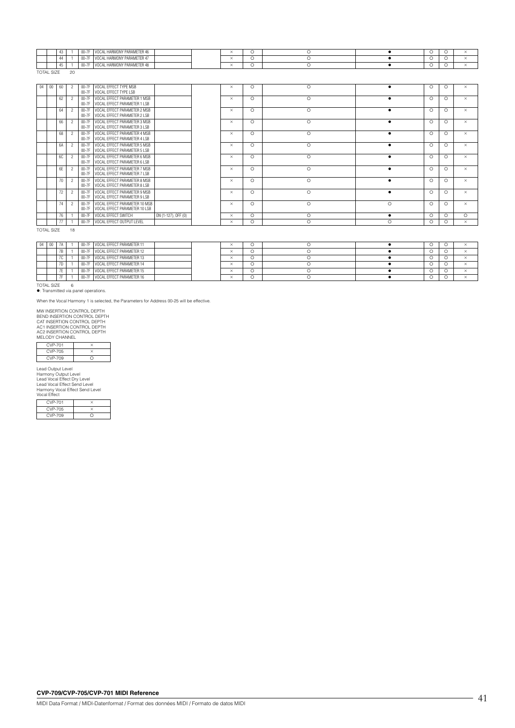|              |           |    | $00 - 11$           | . HARMONY PARAMETER 46<br>v         |  |           |  |  |  |
|--------------|-----------|----|---------------------|-------------------------------------|--|-----------|--|--|--|
|              | 4.4<br>᠇᠇ |    | ---<br><b>UU-11</b> | AL HARMONY PARAMETER 47<br>nΔI<br>v |  | $\sim$ 40 |  |  |  |
|              |           |    | $1 - 11$            | . HARMONY PARAMETER 48<br>v         |  |           |  |  |  |
| <b>TOTAL</b> |           | 20 |                     |                                     |  |           |  |  |  |

| 60 | VOCAL EFFECT TYPE MSB<br>$00-7F$<br>00-7F VOCAL EFFECT TYPE LSB                      |                     | $\times$ | $\circ$ | $\circ$  |           | $\circ$  | $\circ$ | $\times$ |
|----|--------------------------------------------------------------------------------------|---------------------|----------|---------|----------|-----------|----------|---------|----------|
| 62 | VOCAL EFFECT PARAMETER 1 MSB<br>$00-7F$<br>VOCAL EFFECT PARAMETER 1 LSB<br>$00-7F$   |                     | $\times$ | $\circ$ | O        |           | $\circ$  | $\circ$ | $\times$ |
| 64 | VOCAL EFFECT PARAMETER 2 MSB<br>$00-7F$<br>VOCAL EFFECT PARAMETER 2 LSB<br>$00-7F$   |                     | $\times$ | $\circ$ | O        | $\bullet$ | $\circ$  | $\circ$ | $\times$ |
| 66 | VOCAL EFFECT PARAMETER 3 MSB<br>$00-7F$<br>VOCAL EFFECT PARAMETER 3 LSB<br>$00-7F$   |                     | $\times$ | $\circ$ | O        | $\bullet$ | $\Omega$ | $\circ$ | $\times$ |
| 68 | VOCAL EFFECT PARAMETER 4 MSB<br>$00-7F$<br>VOCAL EFFECT PARAMETER 4 LSB<br>$00-7F$   |                     | $\times$ | $\circ$ | $\Omega$ | $\bullet$ | $\circ$  | $\circ$ | $\times$ |
| 6A | VOCAL EFFECT PARAMETER 5 MSB<br>$00-7F$<br>VOCAL EFFECT PARAMETER 5 LSB<br>$00-7F$   |                     | $\times$ | $\circ$ | $\circ$  |           | $\Omega$ | $\circ$ | $\times$ |
| 6C | VOCAL EFFECT PARAMETER 6 MSB<br>$00-7F$<br>VOCAL EFFECT PARAMETER 6 LSB<br>$00-7F$   |                     | $\times$ | $\circ$ | $\Omega$ |           | $\circ$  | $\circ$ | $\times$ |
| 6E | VOCAL EFFECT PARAMETER 7 MSB<br>$00-7F$<br>VOCAL EFFECT PARAMETER 7 LSB<br>$00-7F$   |                     | $\times$ | $\circ$ | $\circ$  |           | $\circ$  | $\circ$ | $\times$ |
| 70 | VOCAL EFFECT PARAMETER 8 MSB<br>$00-7F$<br>VOCAL EFFECT PARAMETER 8 LSB<br>$00-7F$   |                     | $\times$ | $\circ$ | $\circ$  |           | $\circ$  | $\circ$ | $\times$ |
| 72 | VOCAL EFFECT PARAMETER 9 MSB<br>$00-7F$<br>VOCAL EFFECT PARAMETER 9 LSB<br>$00-7F$   |                     | $\times$ | $\circ$ | $\circ$  |           | $\circ$  | $\circ$ | $\times$ |
| 74 | VOCAL EFFECT PARAMETER 10 MSB<br>$00-7F$<br>VOCAL EFFECT PARAMETER 10 LSB<br>$00-7F$ |                     | $\times$ | $\circ$ | $\circ$  | $\bigcap$ | $\circ$  | ∩       | $\times$ |
| 76 | VOCAL EFFECT SWITCH<br>$00-7F$                                                       | ON (1-127), OFF (0) | $\times$ | $\circ$ | $\circ$  |           | $\circ$  | $\circ$ | $\Omega$ |
| 77 | VOCAL EFFECT OUTPUT LEVEL<br>$00-7F$                                                 |                     | $\times$ | $\circ$ | $\circ$  | $\Omega$  | ∩        | $\circ$ | $\times$ |

TOTAL SIZE 18

|  |               |  | 00-7F VOCAL EFFECT PARAMETER 11 |  |  |  |  |
|--|---------------|--|---------------------------------|--|--|--|--|
|  | $\sim$<br>1 D |  | 00-7F VOCAL EFFECT PARAMETER 12 |  |  |  |  |
|  | 7C            |  | 00-7F VOCAL EFFECT PARAMETER 13 |  |  |  |  |
|  | 7D            |  | 00-7F VOCAL EFFECT PARAMETER 14 |  |  |  |  |
|  | . .           |  | 00-7F VOCAL EFFECT PARAMETER 15 |  |  |  |  |
|  | --            |  | 00-7F VOCAL EFFECT PARAMETER 16 |  |  |  |  |

TOTAL SIZE 6 : Transmitted via panel operations.

When the Vocal Harmony 1 is selected, the Parameters for Address 00-25 will be effective.

MW INSERTION CONTROL DEPTH<br>BEND INSERTION CONTROL DEPTH<br>CAT INSERTION CONTROL DEPTH<br>AC1 INSERTION CONTROL DEPTH<br>AC2 INSERTION CONTROL DEPTH<br>MELODY CHANNEL

| MEI ODY CHANNEL |   |  |  |  |  |  |  |  |  |  |  |  |
|-----------------|---|--|--|--|--|--|--|--|--|--|--|--|
| CVP-701         |   |  |  |  |  |  |  |  |  |  |  |  |
| CVP-705         |   |  |  |  |  |  |  |  |  |  |  |  |
| CVP-709         | n |  |  |  |  |  |  |  |  |  |  |  |

Lead Output Level Harmony Output Level Lead Vocal Effect Dry Level Lead Vocal Effect Send Level Harmony Vocal Effect Send Level Vocal Effect

| .              |  |
|----------------|--|
| <b>CVP-701</b> |  |
| <b>CVP-705</b> |  |
| CVP-709        |  |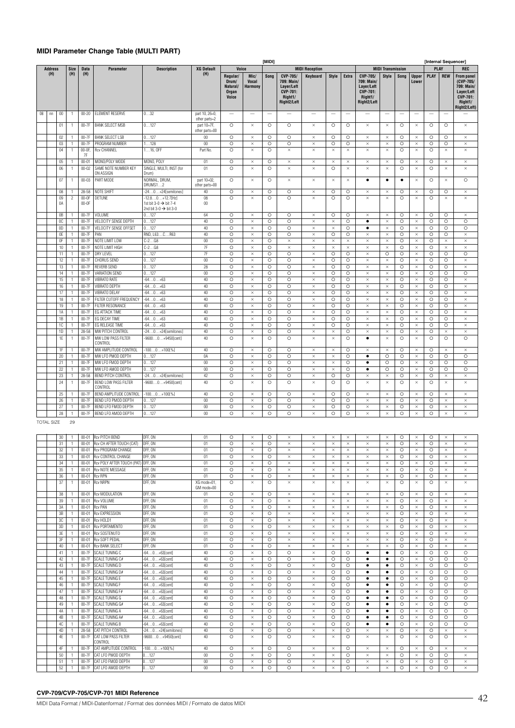### **MIDI Parameter Change Table (MULTI PART)**

|        |                   |          |                     |                    |                                                   |                                                                                              |                                 |                                                                                           |                                 | [MIDI]                   |                                                                                   |                          |                          |                          |                                                                                   |                          |                          |                          |                          | [Internal Sequencer]     |                                                                                                          |
|--------|-------------------|----------|---------------------|--------------------|---------------------------------------------------|----------------------------------------------------------------------------------------------|---------------------------------|-------------------------------------------------------------------------------------------|---------------------------------|--------------------------|-----------------------------------------------------------------------------------|--------------------------|--------------------------|--------------------------|-----------------------------------------------------------------------------------|--------------------------|--------------------------|--------------------------|--------------------------|--------------------------|----------------------------------------------------------------------------------------------------------|
|        | <b>Address</b>    |          | <b>Size</b>         | Data               | Parameter                                         | <b>Description</b>                                                                           | <b>XG Default</b>               | Voice                                                                                     |                                 |                          |                                                                                   | <b>MIDI Reception</b>    |                          |                          |                                                                                   | <b>MIDI Transmission</b> |                          |                          | PLAY                     |                          | <b>REC</b>                                                                                               |
|        | (H)               |          | (H)                 | (H)                |                                                   |                                                                                              | (H)                             | Regular/<br>Drum/<br>Natural/<br><b>Organ</b><br><b>Voice</b><br>$\overline{\phantom{0}}$ | Mic/<br>Vocal<br><b>Harmony</b> | Song                     | CVP-705/<br>709: Main/<br>Laver/Left<br><b>CVP-701:</b><br>Right1/<br>Right2/Left | Keyboard                 | <b>Style</b>             | <b>Extra</b>             | CVP-705/<br>709: Main/<br>Layer/Left<br><b>CVP-701:</b><br>Right1/<br>Right2/Left | Style                    | Song                     | <b>Upper</b><br>Lower    | <b>PLAY</b>              | <b>REW</b>               | <b>From panel</b><br>(CVP-705/<br>709: Main/<br>Layer/Left<br><b>CVP-701:</b><br>Right1/<br>Right2/Left) |
| $08\,$ | $\mathsf{nn}$     | $00\,$   | $\overline{1}$      | $00 - 20$          | <b>ELEMENT RESERVE</b>                            | 032                                                                                          | part 10, 26=0,<br>other parts=2 |                                                                                           | $\overline{\phantom{0}}$        | $\overline{\phantom{0}}$ |                                                                                   | $\overline{\phantom{a}}$ | $\overline{\phantom{0}}$ | $\overline{\phantom{a}}$ |                                                                                   |                          | $\overline{\phantom{a}}$ | $\overline{\phantom{0}}$ | $\overline{\phantom{0}}$ | $\overline{\phantom{0}}$ |                                                                                                          |
|        |                   | 01       | 1                   | 00-7F              | <b>BANK SELECT MSB</b>                            | 0127                                                                                         | part 10=7F,<br>other parts=00   | O                                                                                         | $\times$                        | O                        | O                                                                                 | $\times$                 | O                        | O                        | $\times$                                                                          | $\times$                 | $\circ$                  | $\times$                 | $\circ$                  | O                        | $\times$                                                                                                 |
|        |                   | 02       | 1                   | 00-7F              | <b>BANK SELECT LSB</b>                            | 0127                                                                                         | $00\,$                          | $\circ$                                                                                   | $\times$                        | $\circ$                  | O                                                                                 | $\times$                 | O                        | O                        | $\times$                                                                          | $\times$                 | $\circ$                  | $\times$                 | $\circ$                  | O                        | $\times$                                                                                                 |
|        |                   | 03       | $\mathbf{1}$        | $00-7F$            | PROGRAM NUMBER                                    | 1128                                                                                         | 00                              | $\circ$                                                                                   | $\times$                        | $\circ$                  | O                                                                                 | $\times$                 | $\circ$                  | $\circ$                  | $\times$                                                                          | $\times$                 | $\circ$                  | $\times$                 | $\circ$                  | $\circ$                  | $\times$                                                                                                 |
|        |                   | 04       | 1                   | $00-0F$<br>7F      | Rcv CHANNEL                                       | $116,$ OFF                                                                                   | Part No.                        | $\circ$                                                                                   | $\times$                        | $\circ$                  | ×                                                                                 | $\times$                 | $\times$                 | $\times$                 | $\times$                                                                          | $\times$                 | $\circ$                  | $\times$                 | $\circ$                  | $\times$                 | $\times$                                                                                                 |
|        |                   | 05       | 1                   | $00 - 01$          | MONO/POLY MODE                                    | MONO, POLY                                                                                   | 01                              | $\circ$                                                                                   | $\times$                        | O                        | $\times$                                                                          | $\times$                 | ×                        | $\times$                 | $\times$                                                                          | $\times$                 | O                        | $\times$                 | O                        | $\times$                 | $\times$                                                                                                 |
|        |                   | 06       | $\overline{1}$      | $00 - 02$          | SAME NOTE NUMBER KEY<br>ON ASSIGN                 | SINGLE, MULTI, INST (for<br>Drum)                                                            | 01                              | $\circ$                                                                                   | $\times$                        | $\circ$                  | $\times$                                                                          | $\times$                 | $\circ$                  | $\times$                 | $\times$                                                                          | $\times$                 | $\circ$                  | $\times$                 | $\circ$                  | $\times$                 | $\times$                                                                                                 |
|        |                   | 07       | $\overline{1}$      | $00 - 03$          | PART MODE                                         | NORMAL, DRUM.<br>DRUMS12                                                                     | part 10=02<br>other parts=00    | $\circ$                                                                                   | $\times$                        | $\circ$                  | $\times$                                                                          | $\times$                 | $\times$                 | $\times$                 | $\bullet$                                                                         | $\bullet$                | $\bullet$                | $\times$                 | $\circ$                  | $\times$                 | $\circ$                                                                                                  |
|        |                   | 08       | 1                   | $28 - 58$          | NOTE SHIFT                                        | $-240+24$ [semitones]                                                                        | 40                              | $\circ$                                                                                   | $\times$                        | $\circ$                  | O                                                                                 | $\times$                 | $\circ$                  | $\circ$                  | $\times$                                                                          | $\times$                 | $\circ$                  | $\times$                 | $\circ$                  | O                        | $\times$                                                                                                 |
|        |                   | 09<br>0A | $\overline{c}$      | $00-0F$<br>$00-0F$ | DETUNE                                            | $-12.80+12.7$ [Hz]<br>1st bit 3-0 $\rightarrow$ bit 7-4<br>2nd bit 3-0 $\rightarrow$ bit 3-0 | 08<br>00                        | $\circ$                                                                                   | $\times$                        | $\circ$                  | $\circ$                                                                           | $\times$                 | $\circ$                  | $\circ$                  | $\times$                                                                          | $\times$                 | $\circ$                  | $\times$                 | $\circ$                  | $\times$                 | $\times$                                                                                                 |
|        |                   | 0B       | 1                   | $00-7F$            | VOLUME                                            | 0127                                                                                         | 64                              | $\circ$                                                                                   | $\times$                        | $\circ$                  | $\circ$                                                                           | $\times$                 | $\circ$                  | $\circ$                  | $\times$                                                                          | $\times$                 | $\circ$                  | $\times$                 | $\circ$                  | $\circ$                  | $\times$                                                                                                 |
|        |                   | OC       | 1                   | 00-7F              | VELOCITY SENSE DEPTH                              | 0127                                                                                         | 40                              | $\circ$                                                                                   | $\times$                        | $\circ$                  | $\circ$                                                                           | $\times$                 | $\times$                 | $\circ$                  | $\bullet$                                                                         | $\times$                 | $\circ$                  | $\times$                 | $\circ$                  | $\circ$                  | $\circ$                                                                                                  |
|        |                   | 0D       | 1                   | $00-7F$            | VELOCITY SENSE OFFSET                             | 0127                                                                                         | 40                              | $\circ$                                                                                   | $\times$                        | $\circ$                  | $\circ$                                                                           | $\times$                 | $\times$                 | $\circ$                  | $\bullet$                                                                         | $\times$                 | $\circ$                  | $\times$                 | $\circ$                  | $\circ$                  | $\circ$                                                                                                  |
|        |                   | 0E       | 1                   | $00-7F$            | PAN                                               | RND, L63CR63                                                                                 | 40                              | $\circ$                                                                                   | $\times$                        | $\circ$                  | $\circ$                                                                           | $\times$                 | $\circ$                  | $\circ$                  | $\times$                                                                          | $\times$                 | $\circ$                  | $\times$                 | $\circ$                  | $\circ$                  | $\times$                                                                                                 |
|        |                   | 0F       | 1                   | $00-7F$            | NOTE LIMIT LOW                                    | $C-2G8$                                                                                      | 00                              | $\circ$                                                                                   | $\times$                        | $\circ$                  | $\times$                                                                          | $\times$                 | $\times$                 | $\times$                 | $\times$                                                                          | $\times$                 | $\circ$                  | $\times$                 | $\circ$                  | $\times$                 | $\times$                                                                                                 |
|        |                   | 10       | $\mathbf{1}$        | 00-7F              | NOTE LIMIT HIGH                                   | $C-2G8$                                                                                      | 7F                              | $\circ$                                                                                   | $\times$                        | $\circ$                  | $\times$                                                                          | $\times$                 | $\times$                 | $\times$                 | $\times$                                                                          | $\times$                 | $\circ$                  | $\times$                 | $\circ$                  | $\times$                 | $\times$                                                                                                 |
|        |                   | 11       | 1                   | $00-7F$            | <b>DRY LEVEL</b>                                  | 0127                                                                                         | 7F                              | O                                                                                         | $\times$                        | O                        | $\overline{\circ}$                                                                | $\times$                 | $\overline{\circ}$       | O                        | $\times$                                                                          | $\circ$                  | $\circ$                  | $\times$                 | $\circ$                  | $\circ$                  | $\overline{\circ}$                                                                                       |
|        |                   | 12       | 1                   | 00-7F              | CHORUS SEND                                       | 0127                                                                                         | 00                              | O                                                                                         | $\times$                        | O                        | $\circ$                                                                           | $\times$                 | O                        | O                        | $\times$                                                                          | $\times$                 | $\circ$                  | $\times$                 | $\circ$                  | O                        | $\times$                                                                                                 |
|        |                   | 13       | 1                   | $00-7F$            | <b>REVERB SEND</b>                                | 0127                                                                                         | 28                              | $\circ$                                                                                   | $\times$                        | $\Omega$                 | $\circ$                                                                           | $\times$                 | $\circ$                  | $\circ$                  | $\times$                                                                          | $\times$                 | $\circ$                  | $\times$                 | $\circ$                  | $\circ$                  | $\times$                                                                                                 |
|        |                   | 14       | 1                   | 00-7F              | VARIATION SEND                                    | 0127                                                                                         | 00                              | $\circ$                                                                                   | $\times$                        | $\circ$                  | $\circ$                                                                           | $\times$                 | $\circ$                  | $\circ$                  | $\times$                                                                          | $\times$                 | $\circ$                  | $\times$                 | $\circ$                  | $\circ$                  | $\circ$                                                                                                  |
|        |                   | 15       | 1                   | 00-7F              | <b>VIBRATO RATE</b>                               | $-640+63$                                                                                    | 40                              | $\circ$                                                                                   | $\times$                        | O                        | $\circ$                                                                           | $\times$                 | $\circ$                  | $\circ$                  | $\times$                                                                          | $\times$                 | $\circ$                  | $\times$                 | $\circ$                  | $\circ$                  | $\times$                                                                                                 |
|        |                   | 16       | 1                   | 00-7F              | <b>VIBRATO DEPTH</b>                              | $-640+63$                                                                                    | 40                              | $\overline{\circ}$                                                                        | $\times$                        | $\circ$                  | $\circ$                                                                           | $\times$                 | $\overline{\circ}$       | ō                        | $\times$                                                                          | $\times$                 | $\circ$                  | $\times$                 | $\circ$                  | $\overline{\circ}$       | $\times$                                                                                                 |
|        |                   | 17       | 1                   | $00-7F$            | VIBRATO DELAY                                     | $-640+63$                                                                                    | 40                              | O                                                                                         | $\times$                        | O                        | $\circ$                                                                           | $\times$                 | $\circ$                  | O                        | $\times$                                                                          | $\times$                 | $\circ$                  | $\times$                 | $\circ$                  | O                        | $\times$                                                                                                 |
|        |                   | 18       | 1                   | $00-7F$            | FILTER CUTOFF FREQUENCY                           | $-640+63$                                                                                    | 40                              | Ō                                                                                         | $\times$                        | $\circ$                  | $\overline{\circ}$                                                                | $\times$                 | $\circ$                  | $\circ$                  | $\times$                                                                          | $\times$                 | $\circ$                  | $\times$                 | $\circ$                  | $\circ$                  | $\times$                                                                                                 |
|        |                   | 19       | 1                   | 00-7F              | FILTER RESONANCE                                  | $-640+63$                                                                                    | 40                              | $\circ$                                                                                   | $\times$                        | O                        | $\circ$                                                                           | $\times$                 | $\circ$                  | $\circ$                  | $\times$                                                                          | $\times$                 | $\circ$                  | $\times$                 | $\circ$                  | $\circ$                  | $\times$                                                                                                 |
|        |                   | 1A       | 1                   | 00-7F              | EG ATTACK TIME                                    | $-640+63$                                                                                    | 40                              | $\circ$                                                                                   | $\times$                        | $\circ$                  | $\circ$                                                                           | $\times$                 | $\circ$                  | O                        | $\times$                                                                          | $\times$                 | $\circ$                  | $\times$                 | $\circ$                  | O                        | $\times$                                                                                                 |
|        |                   | 1B       | 1                   | $00-7F$            | EG DECAY TIME                                     | $-640+63$                                                                                    | 40                              | $\circ$                                                                                   | $\times$                        | $\circ$                  | $\circ$                                                                           | $\times$                 | $\circ$                  | $\circ$                  | $\times$                                                                          | $\times$                 | $\circ$                  | $\times$                 | $\circ$                  | $\circ$                  | $\times$                                                                                                 |
|        |                   | 1C       | 1                   | 00-7F              | EG RELEASE TIME                                   | $-640+63$                                                                                    | 40                              | O                                                                                         | $\times$                        | $\circ$                  | $\circ$                                                                           | $\times$                 | O                        | O                        | $\times$                                                                          | $\times$                 | $\circ$                  | $\times$                 | $\circ$                  | O                        | $\times$                                                                                                 |
|        |                   | 1D       | 1                   | 28-58              | MW PITCH CONTROL                                  | $-240+24$ [semitones]                                                                        | 40                              | $\circ$                                                                                   | $\times$                        | $\circ$                  | $\circ$                                                                           | $\times$                 | $\times$                 | $\circ$                  | $\times$                                                                          | $\times$                 | $\circ$                  | $\times$                 | $\circ$                  | $\times$                 | $\times$                                                                                                 |
|        |                   | 1E       | $\mathbf{1}$        | 00-7F              | MW LOW PASS FILTER<br>CONTROL                     | $-96000+9450[cent]$                                                                          | 40                              | $\circ$                                                                                   | $\times$                        | $\circ$                  | $\circ$                                                                           | $\times$                 | $\times$                 | $\circ$                  | $\bullet$                                                                         | $\times$                 | $\circ$                  | $\times$                 | $\circ$                  | $\circ$                  | $\circ$                                                                                                  |
|        |                   | 1F       | 1                   | $00-7F$            | MW AMPLITUDE CONTROL                              | $-1000+100[\%]$                                                                              | 40                              | $\overline{\circ}$                                                                        | $\times$                        | O                        | $\circ$                                                                           | $\times$                 | ×                        | O                        | $\times$                                                                          | $\times$                 | $\circ$                  | $\times$                 | $\circ$                  | $\times$                 | $\times$                                                                                                 |
|        |                   | 20       | 1                   | 00-7F              | MW LFO PMOD DEPTH                                 | 0127                                                                                         | 0A                              | $\circ$                                                                                   | $\times$                        | $\circ$                  | $\circ$                                                                           | $\times$                 | $\times$                 | $\circ$                  | $\bullet$                                                                         | $\circ$                  | $\circ$                  | $\times$                 | $\circ$                  | $\circ$                  | $\circ$                                                                                                  |
|        |                   | 21       | 1                   | 00-7F              | MW LFO FMOD DEPTH                                 | 0127                                                                                         | 00                              | $\circ$                                                                                   | $\times$                        | O                        | $\circ$                                                                           | $\times$                 | $\times$                 | $\circ$                  | $\bullet$                                                                         | $\circ$                  | $\circ$                  | $\times$                 | $\circ$                  | $\circ$                  | $\circ$                                                                                                  |
|        |                   | 22       | 1                   | $00-7F$            | MW LFO AMOD DEPTH                                 | 0127                                                                                         | 00                              | $\circ$                                                                                   | $\times$                        | $\circ$                  | $\overline{\circ}$                                                                | $\times$                 | $\times$                 | $\circ$                  | $\bullet$                                                                         | $\circ$                  | $\circ$                  | $\times$                 | $\circ$                  | $\circ$                  | $\circ$                                                                                                  |
|        |                   | 23<br>24 | 1<br>$\overline{1}$ | 28-58<br>00-7F     | BEND PITCH CONTROL<br><b>BEND LOW PASS FILTER</b> | $-240+24$ [semitones]<br>$-96000+9450[cent]$                                                 | 42<br>40                        | O<br>$\circ$                                                                              | $\times$<br>$\times$            | O<br>$\overline{\circ}$  | $\circ$<br>$\circ$                                                                | $\times$<br>$\times$     | O<br>$\circ$             | O<br>$\circ$             | $\times$<br>$\times$                                                              | $\times$<br>$\times$     | $\circ$<br>$\circ$       | $\times$<br>$\times$     | $\circ$<br>$\circ$       | $\times$<br>$\times$     | $\times$<br>$\times$                                                                                     |
|        |                   | 25       | 1                   | $00-7F$            | CONTROL<br>BEND AMPLITUDE CONTROL                 | $-1000+100[\%]$                                                                              | 40                              | $\circ$                                                                                   | $\times$                        | $\circ$                  | $\circ$                                                                           | $\times$                 | O                        | O                        | $\times$                                                                          | $\times$                 | $\circ$                  | $\times$                 | $\circ$                  | $\times$                 | $\times$                                                                                                 |
|        |                   | 26       | 1                   | $00-7F$            | BEND LFO PMOD DEPTH                               | 0127                                                                                         | 00                              | $\circ$                                                                                   | $\times$                        | $\circ$                  | $\circ$                                                                           | $\times$                 | $\circ$                  | $\circ$                  | $\times$                                                                          | $\times$                 | $\circ$                  | $\times$                 | $\circ$                  | $\times$                 | $\times$                                                                                                 |
|        |                   | 27       | 1                   | 00-7F              | BEND LFO FMOD DEPTH                               | 0127                                                                                         | 00                              | $\circ$                                                                                   | $\times$                        | $\circ$                  | $\circ$                                                                           | $\times$                 | $\circ$                  | $\circ$                  | $\times$                                                                          | $\times$                 | $\circ$                  | $\times$                 | $\circ$                  | $\times$                 | $\times$                                                                                                 |
|        |                   | 28       | 1                   | 00-7F              | BEND LFO AMOD DEPTH                               | 0127                                                                                         | 00                              | $\circ$                                                                                   | $\times$                        | $\circ$                  | $\circ$                                                                           | $\times$                 | $\circ$                  | $\circ$                  | $\times$                                                                          | $\times$                 | $\circ$                  | $\times$                 | $\circ$                  | $\times$                 | $\times$                                                                                                 |
|        | <b>TOTAL SIZE</b> |          | 29                  |                    |                                                   |                                                                                              |                                 |                                                                                           |                                 |                          |                                                                                   |                          |                          |                          |                                                                                   |                          |                          |                          |                          |                          |                                                                                                          |
|        |                   | 30       | 1                   | $00 - 01$          | <b>Rcv PITCH BEND</b>                             | OFF, ON                                                                                      | 01                              | $\circ$                                                                                   | $\times$                        | $\circ$                  | $\times$                                                                          | $\times$                 | $\times$                 | $\times$                 | $\times$                                                                          | $\times$                 | $\circ$                  | $\times$                 | $\circ$                  | $\times$                 | $\times$                                                                                                 |
|        |                   | 31       | 1                   | $00 - 01$          | Rcv CH AFTER TOUCH (CAT)                          | OFF, ON                                                                                      | 01                              | $\circ$                                                                                   | $\times$                        | $\circ$                  | $\times$                                                                          | $\times$                 | $\times$                 | $\times$                 | $\times$                                                                          | $\times$                 | $\circ$                  | $\times$                 | $\circ$                  | $\times$                 | $\times$                                                                                                 |
|        |                   | 32       | 1                   | $00 - 01$          | Rcv PROGRAM CHANGE                                | OFF, ON                                                                                      | 01                              | $\circ$                                                                                   | $\times$                        | O                        | $\times$                                                                          | $\times$                 | $\times$                 | $\times$                 | $\times$                                                                          | $\times$                 | $\circ$                  | $\times$                 | $\circ$                  | $\times$                 | ×                                                                                                        |
|        |                   | 33       | 1                   | $00 - 01$          | Rcv CONTROL CHANGE                                | OFF, ON                                                                                      | 01                              | $\circ$                                                                                   | $\times$                        | O                        | $\times$                                                                          | $\times$                 | $\times$                 | $\times$                 | $\times$                                                                          | $\times$                 | $\circ$                  | $\times$                 | $\circ$                  | $\times$                 | $\times$                                                                                                 |
|        |                   | 34       | 1                   | $00 - 01$          | Rcv POLY AFTER TOUCH (PAT                         | OFF, ON                                                                                      | 01                              | $\circ$                                                                                   | $\times$                        | O                        | $\times$                                                                          | $\times$                 | $\times$                 | $\times$                 | $\times$                                                                          | $\times$                 | $\circ$                  | $\times$                 | $\circ$                  | $\times$                 | $\times$                                                                                                 |
|        |                   | 35       | 1                   | $00 - 01$          | Rcv NOTE MESSAGE                                  | OFF, ON                                                                                      | 01                              | $\circ$                                                                                   | $\times$                        | O                        | $\times$                                                                          | $\times$                 | $\times$                 | $\times$                 | $\times$                                                                          | $\times$                 | $\circ$                  | $\times$                 | $\circ$                  | $\times$                 | $\times$                                                                                                 |
|        |                   | 36       | 1                   | $00 - 01$          | <b>Rcv RPN</b>                                    | OFF, ON                                                                                      | 01                              | $\circ$                                                                                   | $\times$                        | $\circ$                  | ×                                                                                 | $\times$                 | $\times$                 | $\times$                 | $\times$                                                                          | $\times$                 | $\circ$                  | $\times$                 | $\circ$                  | $\times$                 | $\times$                                                                                                 |

| 35 | $00 - 01$ | <b>Rcv NOTE MESSAGE</b>        | OFF. ON               | 01                        | $\circ$ | $\times$ | $\circ$  | $\times$ | $\times$ | $\times$ | $\times$ | $\times$  | $\times$  | $\Omega$ | $\times$ | $\circ$  | $\times$ | $\times$ |
|----|-----------|--------------------------------|-----------------------|---------------------------|---------|----------|----------|----------|----------|----------|----------|-----------|-----------|----------|----------|----------|----------|----------|
| 36 | $00 - 01$ | <b>Rcv RPN</b>                 | OFF. ON               | 01                        | $\circ$ | $\times$ | $\circ$  | $\times$ | $\times$ | $\times$ | $\times$ | $\times$  | $\times$  | $\circ$  | $\times$ | $\circ$  | $\times$ | $\times$ |
| 37 | $00 - 01$ | <b>Rcv NRPN</b>                | OFF. ON               | XG mode=01,<br>GM mode=00 | $\circ$ | $\times$ | $\circ$  | $\times$ | $\times$ | $\times$ | $\times$ | $\times$  | $\times$  | $\circ$  | $\times$ | $\Omega$ | $\times$ | $\times$ |
| 38 | $00 - 01$ | <b>Rcv MODULATION</b>          | OFF. ON               | 01                        | $\circ$ | $\times$ | $\circ$  | $\times$ | $\times$ | $\times$ | $\times$ | $\times$  | $\times$  | $\circ$  | $\times$ | $\circ$  | $\times$ | $\times$ |
| 39 | $00 - 01$ | Rcv VOLUME                     | OFF, ON               | 01                        | $\circ$ | $\times$ | $\circ$  | $\times$ | $\times$ | $\times$ | $\times$ | $\times$  | $\times$  | $\circ$  | $\times$ | $\circ$  | $\times$ | $\times$ |
| 3A | $00 - 01$ | <b>Rcv PAN</b>                 | OFF. ON               | 01                        | $\circ$ | $\times$ | $\circ$  | $\times$ | $\times$ | $\times$ | $\times$ | $\times$  | $\times$  | $\circ$  | $\times$ | $\circ$  | $\times$ | $\times$ |
| 3B | $00 - 01$ | <b>Rcv EXPRESSION</b>          | OFF, ON               | 01                        | $\circ$ | $\times$ | $\circ$  | $\times$ | $\times$ | $\times$ | $\times$ | $\times$  | $\times$  | $\circ$  | $\times$ | $\circ$  | $\times$ | $\times$ |
| 3C | $00 - 01$ | Rcv HOLD1                      | OFF, ON               | 01                        | $\circ$ | $\times$ | $\Omega$ | $\times$ | $\times$ | $\times$ | $\times$ | $\times$  | $\times$  | $\circ$  | $\times$ | $\circ$  | $\times$ | $\times$ |
| 3D | $00 - 01$ | <b>Rcv PORTAMENTO</b>          | OFF, ON               | 01                        | $\circ$ | $\times$ | $\circ$  | $\times$ | $\times$ | $\times$ | $\times$ | $\times$  | $\times$  | $\circ$  | $\times$ | $\circ$  | $\times$ | $\times$ |
| 3E | $00 - 01$ | <b>Rcv SOSTENUTO</b>           | OFF, ON               | 01                        | $\circ$ | $\times$ | $\circ$  | $\times$ | $\times$ | $\times$ | $\times$ | $\times$  | $\times$  | $\circ$  | $\times$ | $\circ$  | $\times$ | $\times$ |
| 3F | $00 - 01$ | <b>Rcv SOFT PEDAL</b>          | OFF. ON               | 01                        | $\circ$ | $\times$ | $\circ$  | $\times$ | $\times$ | $\times$ | $\times$ | $\times$  | $\times$  | $\circ$  | $\times$ | $\circ$  | $\times$ | $\times$ |
| 40 | $00 - 01$ | <b>Rcv BANK SELECT</b>         | OFF. ON               | 01                        | $\circ$ | $\times$ | $\circ$  | $\times$ | $\times$ | $\times$ | $\times$ | $\times$  | $\times$  | $\circ$  | $\times$ | $\circ$  | $\times$ | $\times$ |
| 41 | 00-7F     | <b>SCALE TUNING C</b>          | $-640+63[cent]$       | 40                        | $\circ$ | $\times$ | $\circ$  | $\circ$  | $\times$ | $\circ$  | $\circ$  | ٠         | $\bullet$ | $\circ$  | $\times$ | $\circ$  | $\circ$  | $\circ$  |
| 42 | 00-7F     | SCALE TUNING C#                | $-640+63[cent]$       | 40                        | $\circ$ | $\times$ | $\circ$  | $\Omega$ | $\times$ | $\circ$  | $\circ$  | ٠         | $\bullet$ | $\circ$  | $\times$ | $\circ$  | $\circ$  | $\circ$  |
| 43 | 00-7F     | <b>SCALE TUNING D</b>          | $-640+63[cent]$       | 40                        | $\circ$ | $\times$ | $\circ$  | $\circ$  | $\times$ | $\circ$  | $\circ$  | ٠         | $\bullet$ | $\circ$  | $\times$ | $\circ$  | $\circ$  | $\circ$  |
| 44 | 00-7F     | SCALE TUNING D#                | $-640+63$ [cent]      | 40                        | $\circ$ | $\times$ | $\circ$  | $\circ$  | $\times$ | $\circ$  | $\circ$  | $\bullet$ | $\bullet$ | $\circ$  | $\times$ | $\circ$  | $\circ$  | $\circ$  |
| 45 | 00-7F     | <b>SCALE TUNING E</b>          | $-640+63$ [cent]      | 40                        | $\circ$ | $\times$ | $\circ$  | $\circ$  | $\times$ | $\circ$  | $\circ$  | ٠         | ٠         | $\circ$  | $\times$ | $\circ$  | $\circ$  | $\Omega$ |
| 46 | $00-7F$   | <b>SCALE TUNING F</b>          | $-640+63[cent]$       | 40                        | $\circ$ | $\times$ | $\circ$  | $\circ$  | $\times$ | $\circ$  | $\circ$  | ٠         | $\bullet$ | $\circ$  | $\times$ | $\circ$  | $\circ$  | $\circ$  |
| 47 | 00-7F     | SCALE TUNING F#                | $-640+63$ [cent]      | 40                        | $\circ$ | $\times$ | $\circ$  | $\circ$  | $\times$ | $\circ$  | $\circ$  | ٠         | $\bullet$ | $\circ$  | $\times$ | $\circ$  | $\circ$  | $\circ$  |
| 48 | $00-7F$   | <b>SCALE TUNING G</b>          | $-640+63[cent]$       | 40                        | $\circ$ | $\times$ | $\circ$  | $\circ$  | $\times$ | $\circ$  | $\circ$  |           | $\bullet$ | $\circ$  | $\times$ | $\circ$  | $\circ$  | $\circ$  |
| 49 | $00-7F$   | SCALE TUNING G#                | $-640+63$ [cent]      | 40                        | $\circ$ | $\times$ | $\circ$  | $\circ$  | $\times$ | $\circ$  | $\circ$  |           | $\bullet$ | $\circ$  | $\times$ | $\circ$  | $\circ$  | $\circ$  |
| 4A | 00-7F     | <b>SCALE TUNING A</b>          | $-640+63$ [cent]      | 40                        | $\circ$ | $\times$ | $\circ$  | $\circ$  | $\times$ | $\circ$  | $\circ$  | ٠         | $\bullet$ | $\circ$  | $\times$ | $\circ$  | $\circ$  | $\circ$  |
| 4B | $00-7F$   | SCALE TUNING A#                | $-640+63$ [cent]      | 40                        | $\circ$ | $\times$ | $\circ$  | $\Omega$ | $\times$ | $\circ$  | $\circ$  | ٠         | $\bullet$ | $\circ$  | $\times$ | $\circ$  | $\circ$  | $\Omega$ |
| 4C | 00-7F     | <b>SCALE TUNING B</b>          | $-640+63$ [cent]      | 40                        | $\circ$ | $\times$ | $\circ$  | $\circ$  | $\times$ | $\circ$  | $\circ$  | $\bullet$ | $\bullet$ | $\circ$  | $\times$ | $\circ$  | $\circ$  | $\circ$  |
| 4D | 28-58     | CAT PITCH CONTROL              | $-240+24$ [semitones] | 40                        | $\circ$ | $\times$ | $\circ$  | $\Omega$ | $\times$ | $\times$ | $\circ$  | $\times$  | $\times$  | $\circ$  | $\times$ | $\circ$  | $\times$ | $\times$ |
| 4E | 00-7F     | CAT LOW PASS FILTER<br>CONTROL | $-96000+9450[cent]$   | 40                        | $\circ$ | $\times$ | $\circ$  | $\circ$  | $\times$ | $\times$ | $\circ$  | $\times$  | $\times$  | $\circ$  | $\times$ | $\circ$  | $\circ$  | $\times$ |
| 4F | 00-7F     | CAT AMPLITUDE CONTROL          | $-1000+1001\%$        | 40                        | $\circ$ | $\times$ | $\circ$  | $\circ$  | $\times$ | $\times$ | $\circ$  | $\times$  | $\times$  | $\circ$  | $\times$ | $\circ$  | $\times$ | $\times$ |
| 50 | 00-7F     | CAT LFO PMOD DEPTH             | 0127                  | 00                        | $\circ$ | $\times$ | $\Omega$ | $\circ$  | $\times$ | $\times$ | $\circ$  | $\times$  | $\times$  | $\circ$  | $\times$ | $\circ$  | $\circ$  | $\times$ |
| 51 | 00-7F     | CAT LFO FMOD DEPTH             | 0127                  | 00                        | $\circ$ | $\times$ | $\circ$  | $\circ$  | $\times$ | $\times$ | $\circ$  | $\times$  | $\times$  | $\circ$  | $\times$ | $\circ$  | $\circ$  | $\times$ |
| 52 | 00-7F     | CAT LFO AMOD DEPTH             | 0127                  | 00                        | $\circ$ | $\times$ | $\circ$  | $\circ$  | $\times$ | $\times$ | $\circ$  | $\times$  | $\times$  | $\circ$  | $\times$ | $\circ$  | $\circ$  | $\times$ |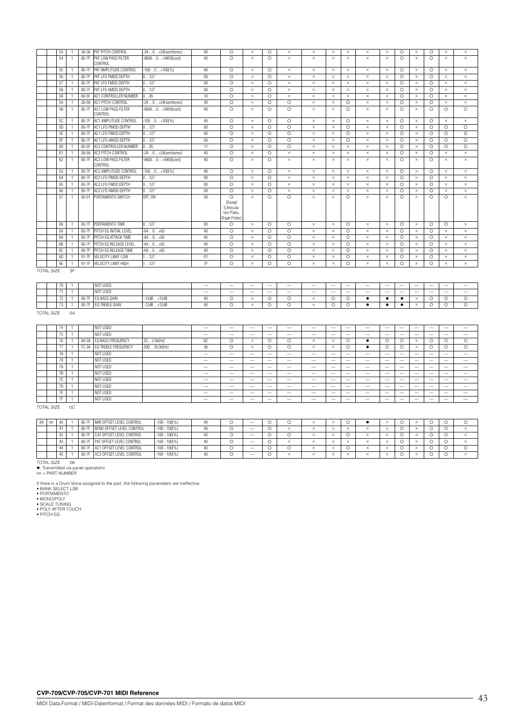|                   | 53 | 28-58     | PAT PITCH CONTROL                    | $-240+24$ [semitones] | 40     | $\circ$                                                           | $\times$ | $\Omega$ | $\times$ | $\times$ | $\times$ | $\times$ | $\times$ | $\times$ | $\circ$ | $\times$ | $\circ$ | $\times$ | $\times$ |
|-------------------|----|-----------|--------------------------------------|-----------------------|--------|-------------------------------------------------------------------|----------|----------|----------|----------|----------|----------|----------|----------|---------|----------|---------|----------|----------|
|                   | 54 | $00-7F$   | PAT LOW PASS FILTER<br>CONTROL       | $-96000+9450$ [cent]  | 40     | $\circ$                                                           | $\times$ | $\Omega$ | $\times$ | $\times$ | $\times$ | $\times$ | $\times$ | $\times$ | $\circ$ | $\times$ | $\circ$ | $\times$ | $\times$ |
|                   | 55 | $00-7F$   | PAT AMPLITUDE CONTROL                | $-1000+1001%$         | 40     | $\circ$                                                           | $\times$ | $\Omega$ | $\times$ | $\times$ | $\times$ | $\times$ | $\times$ | $\times$ | $\circ$ | $\times$ | $\circ$ | $\times$ | $\times$ |
|                   | 56 | 00-7F     | PAT LFO PMOD DEPTH                   | 0127                  | $00\,$ | $\circ$                                                           | $\times$ | $\Omega$ | $\times$ | $\times$ | $\times$ | $\times$ | $\times$ | $\times$ | $\circ$ | $\times$ | $\circ$ | $\times$ | $\times$ |
|                   | 57 | 00-7F     | PAT LFO FMOD DEPTH                   | 0127                  | $00\,$ | $\circ$                                                           | $\times$ | $\circ$  | $\times$ | $\times$ | $\times$ | $\times$ | $\times$ | $\times$ | $\circ$ | $\times$ | $\circ$ | $\times$ | $\times$ |
|                   | 58 | $00-7F$   | PAT LFO AMOD DEPTH                   | 0127                  | $00\,$ | $\circ$                                                           | $\times$ | $\circ$  | $\times$ | $\times$ | $\times$ | $\times$ | $\times$ | $\times$ | $\circ$ | $\times$ | $\circ$ | $\times$ | $\times$ |
|                   | 59 | 00-5F     | AC1 CONTROLLER NUMBER                | 095                   | 10     | $\circ$                                                           | $\times$ | $\Omega$ | $\times$ | $\times$ | $\times$ | $\times$ | $\times$ | $\times$ | $\circ$ | $\times$ | $\circ$ | $\times$ | $\times$ |
|                   | 5A | 28-58     | AC1 PITCH CONTROL                    | $-240+24$ [semitones] | 40     | $\circ$                                                           | $\times$ | $\circ$  | $\circ$  | $\times$ | $\times$ | $\circ$  | $\times$ | $\times$ | $\circ$ | $\times$ | $\circ$ | $\times$ | $\times$ |
|                   | 5B | $00-7F$   | AC1 LOW PASS FILTER<br>CONTROL       | $-96000+9450$ [cent]  | 40     | $\circ$                                                           | $\times$ | $\Omega$ | $\circ$  | $\times$ | $\times$ | $\circ$  | $\times$ | $\times$ | $\circ$ | $\times$ | $\circ$ | $\circ$  | $\circ$  |
|                   | 5C | $00-7F$   | AC1 AMPLITUDE CONTROL                | $-1000+100[\%]$       | 40     | $\circ$                                                           | $\times$ | $\circ$  | $\circ$  | $\times$ | $\times$ | $\circ$  | $\times$ | $\times$ | $\circ$ | $\times$ | $\circ$ | $\times$ | $\times$ |
|                   | 5D | $00-7F$   | AC1 LFO PMOD DEPTH                   | 0127                  | $00\,$ | $\circ$                                                           | $\times$ | $\circ$  | $\circ$  | $\times$ | $\times$ | $\circ$  | $\times$ | $\times$ | $\circ$ | $\times$ | $\circ$ | $\circ$  | $\circ$  |
|                   | 5E | 00-7F     | AC1 LFO FMOD DEPTH                   | 0127                  | $00\,$ | $\circ$                                                           | $\times$ | $\circ$  | $\circ$  | $\times$ | $\times$ | $\circ$  | $\times$ | $\times$ | $\circ$ | $\times$ | $\circ$ | $\circ$  | $\circ$  |
|                   | 5F | 00-7F     | AC1 LFO AMOD DEPTH                   | 0127                  | $00\,$ | $\circ$                                                           | $\times$ | $\circ$  | $\circ$  | $\times$ | $\times$ | $\circ$  | $\times$ | $\times$ | $\circ$ | $\times$ | $\circ$ | $\circ$  | $\circ$  |
|                   | 60 | $00-5F$   | AC2 CONTROLLER NUMBER                | 095                   | 11     | $\circ$                                                           | $\times$ | $\circ$  | $\circ$  | $\times$ | $\times$ | $\times$ | $\times$ | $\times$ | $\circ$ | $\times$ | $\circ$ | $\circ$  | $\circ$  |
|                   | 61 |           | 28-58 AC2 PITCH CONTROL              | $-240+24$ [semitones] | 40     | $\circ$                                                           | $\times$ | $\Omega$ | $\times$ | $\times$ | $\times$ | $\times$ | $\times$ | $\times$ | $\circ$ | $\times$ | $\circ$ | $\times$ | $\times$ |
|                   | 62 |           | 00-7F AC2 LOW PASS FILTER<br>CONTROL | $-96000+9450$ [cent]  | 40     | $\circ$                                                           | $\times$ | $\Omega$ | $\times$ | $\times$ | $\times$ | $\times$ | $\times$ | $\times$ | $\circ$ | $\times$ | $\circ$ | $\times$ | $\times$ |
|                   | 63 | 00-7F     | AC2 AMPLITUDE CONTROL                | $-1000+100[\%]$       | 40     | $\circ$                                                           | $\times$ | $\Omega$ | $\times$ | $\times$ | $\times$ | $\times$ | $\times$ | $\times$ | $\circ$ | $\times$ | $\circ$ | $\times$ | $\times$ |
|                   | 64 |           | 00-7F AC2 LFO PMOD DEPTH             | 0127                  | $00\,$ | $\circ$                                                           | $\times$ | $\circ$  | $\times$ | $\times$ | $\times$ | $\times$ | $\times$ | $\times$ | $\circ$ | $\times$ | $\circ$ | $\times$ | $\times$ |
|                   | 65 | 00-7F     | AC2 LFO FMOD DEPTH                   | 0127                  | $00\,$ | $\circ$                                                           | $\times$ | $\circ$  | $\times$ | $\times$ | $\times$ | $\times$ | $\times$ | $\times$ | $\circ$ | $\times$ | $\circ$ | $\times$ | $\times$ |
|                   | 66 | 00-7F     | AC2 LFO AMOD DEPTH                   | 0127                  | $00\,$ | $\circ$                                                           | $\times$ | $\Omega$ | $\times$ | $\times$ | $\times$ | $\times$ | $\times$ | $\times$ | $\circ$ | $\times$ | $\circ$ | $\times$ | $\times$ |
|                   | 67 | $00 - 01$ | PORTAMENTO SWITCH                    | OFF. ON               | $00\,$ | $\circ$<br>(Except<br>S.Articula-<br>tion Piano.<br>Organ Flutes) | $\times$ | $\Omega$ | $\Omega$ | $\times$ | $\times$ | $\circ$  | $\times$ | $\times$ | $\circ$ | $\times$ | $\circ$ | $\circ$  | $\times$ |
|                   | 68 |           | 00-7F PORTAMENTO TIME                | 0127                  | $00\,$ | $\circ$                                                           | $\times$ | $\circ$  | $\circ$  | $\times$ | $\times$ | $\circ$  | $\times$ | $\times$ | $\circ$ | $\times$ | $\circ$ | $\circ$  | $\times$ |
|                   | 69 | 00-7F     | PITCH EG INITIAL LEVEL               | $-640+63$             | 40     | $\circ$                                                           | $\times$ | $\circ$  | $\circ$  | $\times$ | $\times$ | $\circ$  | $\times$ | $\times$ | $\circ$ | $\times$ | $\circ$ | $\times$ | $\times$ |
|                   | 6A | $00-7F$   | PITCH EG ATTACK TIME                 | $-640+63$             | 40     | $\circ$                                                           | $\times$ | $\Omega$ | $\circ$  | $\times$ | $\times$ | $\circ$  | $\times$ | $\times$ | $\circ$ | $\times$ | $\circ$ | $\times$ | $\times$ |
|                   | 6B | $00-7F$   | PITCH EG RELEASE LEVEL               | $-640+63$             | 40     | $\circ$                                                           | $\times$ | $\circ$  | $\circ$  | $\times$ | $\times$ | $\circ$  | $\times$ | $\times$ | $\circ$ | $\times$ | $\circ$ | $\times$ | $\times$ |
|                   | 6C | 00-7F     | PITCH EG RELEASE TIME                | $-640+63$             | 40     | $\circ$                                                           | $\times$ | $\circ$  | $\circ$  | $\times$ | $\times$ | $\circ$  | $\times$ | $\times$ | $\circ$ | $\times$ | $\circ$ | $\times$ | $\times$ |
|                   | 6D | $01 - 7F$ | VELOCITY LIMIT LOW                   | 1127                  | 01     | $\circ$                                                           | $\times$ | $\circ$  | $\circ$  | $\times$ | $\times$ | $\circ$  | $\times$ | $\times$ | $\circ$ | $\times$ | $\circ$ | $\times$ | $\times$ |
|                   | 6E | $01-7F$   | VELOCITY LIMIT HIGH                  | 127                   | 7F     | $\Omega$                                                          | $\times$ | $\circ$  | $\circ$  | $\times$ | $\times$ | $\circ$  | $\times$ | $\times$ | $\circ$ | $\times$ | $\circ$ | $\times$ | $\times$ |
| <b>TOTAL SIZE</b> |    | 3F        |                                      |                       |        |                                                                   |          |          |          |          |          |          |          |          |         |          |         |          |          |

|  | $\overline{1}$ |                      | NOT USED       |              | $\sim$       | - | -             | $\sim$ | $\sim$ | $\sim$ | $\hspace{0.1mm}-\hspace{0.1mm}$ | $\sim$ | $\sim$ | $\overline{\phantom{a}}$ | $\sim$ | -             | $\sim$ | $\sim$ | $\sim$ |
|--|----------------|----------------------|----------------|--------------|--------------|---|---------------|--------|--------|--------|---------------------------------|--------|--------|--------------------------|--------|---------------|--------|--------|--------|
|  |                |                      | NOT USED       |              | $\sim$       | - | -             | $\sim$ | -      | $\sim$ | -                               | $\sim$ | $\sim$ | $\overline{\phantom{a}}$ | $\sim$ | -             | $\sim$ | $\sim$ | $\sim$ |
|  | $- -$<br>. .   | 00. TE<br>$00 - 7 +$ | EQ BASS GAIN   | $-12dB+12dB$ | $40^{\circ}$ |   | $\sim$ $\sim$ |        |        |        | ∽<br>◡                          |        |        |                          |        | $\sim$ $\sim$ |        |        |        |
|  | $- -$<br>1.1   | 0.0.77<br>$UU-T$     | EQ TREBLE GAIN | $-12dB+12dB$ | $40^{\circ}$ |   |               |        |        |        | -<br>$\sim$                     |        |        |                          |        |               |        |        |        |

TOTAL SIZE 04

|                   | 74 |    |           | NOT USED            |              | $\sim$ | $\sim$  | $\sim$                   | -                             | $\sim$   | $\sim$   | $\sim$   | $\sim$ | $-$                      | $\sim$                   | $-$    | $\sim$   | $\overline{\phantom{a}}$ | $\sim$   | $\sim$                   |
|-------------------|----|----|-----------|---------------------|--------------|--------|---------|--------------------------|-------------------------------|----------|----------|----------|--------|--------------------------|--------------------------|--------|----------|--------------------------|----------|--------------------------|
|                   | 75 |    |           | NOT USED            |              | $\sim$ | $\sim$  | $\sim$                   | -                             | $\sim$   | $\sim$   | -        | $\sim$ | $-$                      | $\overline{\phantom{a}}$ | $-$    | $\sim$   | $\overline{\phantom{a}}$ | $\sim$   | $\overline{\phantom{a}}$ |
|                   | 76 |    | $04 - 28$ | EQ BASS FREQUENCY   | 322.0k[Hz]   | 0C     | $\circ$ | $\times$                 | $\overline{\phantom{0}}$<br>0 | $\Omega$ | $\times$ | $\times$ | $\sim$ |                          | $\circ$                  | $\sim$ | $\times$ | $\sim$<br>ι.             | $\Omega$ | $\circ$                  |
|                   | 77 |    | $1C-3A$   | EQ TREBLE FREQUENCY | 50016.0k[Hz] | 36     | O       | $\times$                 | O                             |          | $\times$ | $\times$ |        |                          |                          |        | $\times$ |                          | O        | O                        |
|                   | 78 |    |           | NOT USED            |              | $\sim$ | $\sim$  | $\sim$                   | -                             | $\sim$   | $\sim$   | -        | $\sim$ | $-$                      | $\overline{\phantom{a}}$ | $-$    | $\sim$   | $\overline{\phantom{a}}$ | $\sim$   | $\overline{\phantom{a}}$ |
|                   | 79 |    |           | NOT USED            |              | $\sim$ | $\sim$  | $\sim$                   | -                             | $\sim$   | $\sim$   | -        | $\sim$ | $-$                      | $\sim$                   | $-$    | $\sim$   | $\overline{\phantom{a}}$ | $\sim$   | $\overline{\phantom{a}}$ |
|                   | 7A |    |           | NOT USED            |              | $\sim$ | $\sim$  | $\sim$                   | -                             | $\sim$   | $\sim$   | -        | $\sim$ | $-$                      | $\overline{\phantom{a}}$ | $-$    | $\sim$   | $\overline{\phantom{a}}$ | $\sim$   | $\overline{\phantom{a}}$ |
|                   | 7B |    |           | NOT USED            |              | $\sim$ | $\sim$  | $\sim$                   | -                             | $\sim$   | $\sim$   | -        | $\sim$ | $-$                      | $\overline{\phantom{a}}$ | $-$    | -        | $\overline{\phantom{a}}$ | $\sim$   | $\overline{\phantom{a}}$ |
|                   | 7C |    |           | NOT USED            |              | $\sim$ | $\sim$  | $\sim$                   | -                             | $\sim$   | $\sim$   | -        | $\sim$ | $-$                      | $\sim$                   | $-$    | -        | $\overline{\phantom{a}}$ | $\sim$   | $\overline{\phantom{a}}$ |
|                   | 7D |    |           | NOT USED            |              | $\sim$ | $-$     | $\overline{\phantom{a}}$ | -                             | $\sim$   | $\sim$   | $\sim$   | $\sim$ | $\overline{\phantom{a}}$ | $\sim$                   | $-$    | $\sim$   | $\sim$                   | $\sim$   | $\sim$                   |
|                   | 7E |    |           | NOT USED            |              | $\sim$ | $\sim$  | $\sim$                   | -                             | $\sim$   | $\sim$   | -        | $\sim$ | $-$                      | $\overline{\phantom{a}}$ | $-$    | -        | $\overline{\phantom{a}}$ | $\sim$   | $\overline{\phantom{a}}$ |
|                   | 7F |    |           | NOT USED            |              | $\sim$ | $\sim$  | $\overline{\phantom{a}}$ | -                             | $\sim$   | $\sim$   | -        | $\sim$ | -                        | $\sim$                   | $-$    | $\sim$   | $\overline{\phantom{a}}$ | $\sim$   | $\sim$                   |
| <b>TOTAL SIZE</b> |    | 0C |           |                     |              |        |         |                          |                               |          |          |          |        |                          |                          |        |          |                          |          |                          |

0A | m | 40 | 1 | 00-7F | MW OFFSET LEVEL CONTROL | -100 - 100(%) | 40 | O | - | O | O | × | × | O | ● | × | O | × | O | O 41 1 00-7F BEND OFFSET LEVEL CONTROL -100 - 100[%] 40 — 42 1 00-7F CAT OFFSET LEVEL CONTROL -100 -100[%] 40 0 - 0 0 x x 0 x 0 x 0 0<br>43 1 00-7F PAT OFFSET LEVEL CONTROL -100 -100[%] 40 0 - 0 x x x x x x x x 0 x 0 0 43 1 00-7F PAT OFFSET LEVEL CONTROL<br>44 1 00-7F AC1 OFFSET LEVEL CONTROL 44 1 00-7F AC1 OFFSET LEVEL CONTROL -100 - 100[%] 40 — 45 1 00-7F AC2 OFFSET LEVEL CONTROL -100 -100(%) 40 0 - 0 × × × × × × × × 0 × 0 0  $\sim$  1

TOTAL SIZE 06<br>●: Transmitted via panel operations<br>nn = PART NUMBER

If there is a Drum Voice assigned to the part, the following parameters are ineffective.<br>• BANK SELECT LSB<br>• PORTAMENTO<br>• MONO/POLY<br>• POLY AFTER TOUCH<br>• POLY AFTER TOUCH<br>• PITCH EG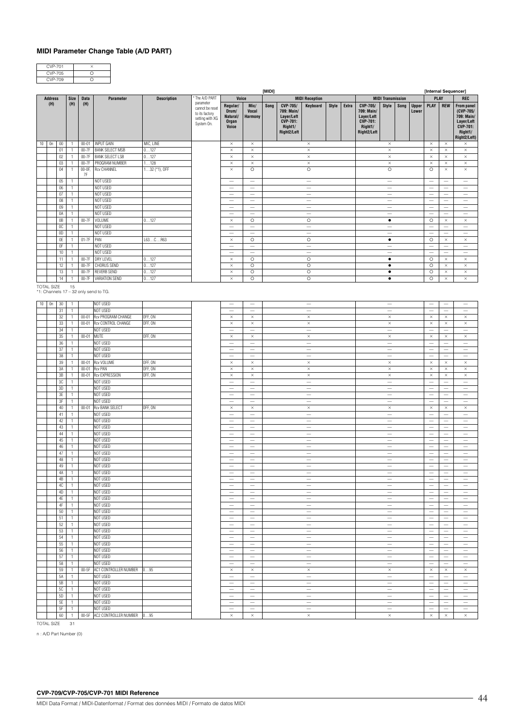### **MIDI Parameter Change Table (A/D PART)**

| <b>CVP-701</b> |  |
|----------------|--|
| CVP-705        |  |
| CVP-709        |  |

|                                                     | The A/D PART<br>Voice<br><b>Size</b> |                                |                    |                                   |                    |                                                                    | [MIDI]                                                      |                                                             |      |                                                                                   |                                                              |              |       |                                                                                   |                                                      | [Internal Sequencer] |                       |                                                      |                                                            |                                                                                                                      |
|-----------------------------------------------------|--------------------------------------|--------------------------------|--------------------|-----------------------------------|--------------------|--------------------------------------------------------------------|-------------------------------------------------------------|-------------------------------------------------------------|------|-----------------------------------------------------------------------------------|--------------------------------------------------------------|--------------|-------|-----------------------------------------------------------------------------------|------------------------------------------------------|----------------------|-----------------------|------------------------------------------------------|------------------------------------------------------------|----------------------------------------------------------------------------------------------------------------------|
| <b>Address</b><br>(H)                               |                                      | (H)                            | <b>Data</b><br>(H) | Parameter                         | <b>Description</b> | parameter                                                          |                                                             |                                                             |      |                                                                                   | <b>MIDI Reception</b>                                        |              |       |                                                                                   | <b>MIDI Transmission</b>                             |                      |                       | <b>PLAY</b>                                          |                                                            | <b>REC</b>                                                                                                           |
| On<br>$10-10$<br>$00\,$                             |                                      | 1                              | $00 - 01$          | <b>INPUT GAIN</b>                 | MIC, LINE          | cannot be reset<br>to its factory<br>setting with XG<br>System On. | Regular/<br>Drum/<br>Natural/<br>Organ<br>Voice<br>$\times$ | Mic/<br>Vocal<br><b>Harmony</b><br>$\times$                 | Song | CVP-705/<br>709: Main/<br>Layer/Left<br><b>CVP-701:</b><br>Right1/<br>Right2/Left | Keyboard<br>$\times$                                         | <b>Style</b> | Extra | CVP-705/<br>709: Main/<br>Layer/Left<br><b>CVP-701:</b><br>Right1/<br>Right2/Left | <b>Style</b><br>$\times$                             | Song                 | <b>Upper</b><br>Lower | PLAY<br>$\times$                                     | <b>REW</b><br>$\times$                                     | <b>From panel</b><br>(CVP-705/<br>709: Main/<br>Layer/Left<br><b>CVP-701:</b><br>Right1/<br>Right2/Left)<br>$\times$ |
| 01                                                  |                                      | $\overline{1}$                 | $00-7F$            | <b>BANK SELECT MSB</b>            | 0127               |                                                                    | $\times$                                                    | $\times$                                                    |      |                                                                                   | $\times$                                                     |              |       |                                                                                   | $\times$                                             |                      |                       | $\times$                                             | $\times$                                                   | $\times$                                                                                                             |
|                                                     | 02                                   | $\mathbf{1}$                   | $00-7F$            | <b>BANK SELECT LSB</b>            | 0127               |                                                                    | $\times$                                                    | $\times$                                                    |      |                                                                                   | $\times$                                                     |              |       |                                                                                   | $\times$                                             |                      |                       | $\times$                                             | $\times$                                                   | $\times$                                                                                                             |
| 03                                                  |                                      | $\mathbf{1}$                   | $00-7F$            | PROGRAM NUMBER                    | 1128               |                                                                    | $\times$                                                    | $\times$                                                    |      |                                                                                   | $\times$                                                     |              |       |                                                                                   | $\times$                                             |                      |                       | $\times$                                             | $\times$                                                   | $\times$                                                                                                             |
| 04                                                  |                                      | $\mathbf{1}$                   | 00-0F,<br>7F       | Rcv CHANNEL                       | $132$ (*1), OFF    |                                                                    | $\times$                                                    | $\circ$                                                     |      |                                                                                   | $\circ$                                                      |              |       |                                                                                   | $\circ$                                              |                      |                       | $\circ$                                              | $\times$                                                   | $\times$                                                                                                             |
| 05                                                  |                                      | $\mathbf{1}$                   |                    | NOT USED                          |                    |                                                                    |                                                             | $\overline{\phantom{0}}$                                    |      |                                                                                   |                                                              |              |       |                                                                                   | $\overline{\phantom{0}}$                             |                      |                       |                                                      | $\overline{\phantom{0}}$                                   |                                                                                                                      |
| 07                                                  | $06\,$                               | 1<br>$\mathbf{1}$              |                    | NOT USED<br>NOT USED              |                    |                                                                    |                                                             | $\overline{\phantom{m}}$<br>$\overbrace{\phantom{1232211}}$ |      |                                                                                   | $\overline{\phantom{m}}$<br>$\overbrace{\phantom{12322111}}$ |              |       |                                                                                   | $\overline{\phantom{a}}$<br>$\overline{\phantom{0}}$ |                      |                       | $\overline{\phantom{0}}$<br>$\overline{\phantom{a}}$ | -<br>$\overline{\phantom{0}}$                              | $\overline{\phantom{0}}$<br>$\overline{\phantom{a}}$                                                                 |
|                                                     | 08                                   | 1                              |                    | NOT USED                          |                    |                                                                    | $\overline{\phantom{0}}$                                    | $\overline{\phantom{0}}$                                    |      |                                                                                   | $\overbrace{\qquad \qquad }^{}$                              |              |       |                                                                                   | $\overline{\phantom{a}}$                             |                      |                       | -                                                    | -                                                          | $\overline{\phantom{0}}$                                                                                             |
| 09                                                  |                                      | $\mathbf{1}$                   |                    | NOT USED                          |                    |                                                                    |                                                             |                                                             |      |                                                                                   |                                                              |              |       |                                                                                   | $\overline{\phantom{0}}$                             |                      |                       | $\overline{\phantom{a}}$                             | $\overline{\phantom{0}}$                                   | $\overline{\phantom{0}}$                                                                                             |
|                                                     | 0A                                   | 1                              |                    | NOT USED                          |                    |                                                                    | -                                                           | $\overline{\phantom{0}}$                                    |      |                                                                                   | $\overline{\phantom{0}}$                                     |              |       |                                                                                   | $\overline{\phantom{a}}$                             |                      |                       |                                                      | -                                                          | $\overline{\phantom{0}}$                                                                                             |
| 0B                                                  |                                      | $\mathbf{1}$                   | $00-7F$            | VOLUME                            | 0127               |                                                                    | $\times$                                                    | $\circ$                                                     |      |                                                                                   | $\circ$                                                      |              |       |                                                                                   | $\bullet$                                            |                      |                       | $\circ$                                              | $\times$                                                   | $\times$                                                                                                             |
| 0 <sup>C</sup>                                      |                                      | 1                              |                    | NOT USED                          |                    |                                                                    | $\overline{\phantom{0}}$                                    | $\overline{\phantom{0}}$                                    |      |                                                                                   | $\qquad \qquad -$                                            |              |       |                                                                                   |                                                      |                      |                       |                                                      | -<br>$\overline{\phantom{0}}$                              | -                                                                                                                    |
| 0D                                                  | 0E                                   | $\mathbf{1}$<br>$\mathbf{1}$   | $01-7F$            | NOT USED<br>PAN                   | L63CR63            |                                                                    | $\times$                                                    | $\overline{\phantom{0}}$<br>$\circ$                         |      |                                                                                   | $\overline{\phantom{0}}$<br>$\circ$                          |              |       |                                                                                   | $\overline{\phantom{a}}$<br>$\bullet$                |                      |                       | $\circ$                                              | $\times$                                                   | $\overline{\phantom{0}}$<br>$\times$                                                                                 |
| 0F                                                  |                                      | $\mathbf{1}$                   |                    | NOT USED                          |                    |                                                                    |                                                             | $\overline{\phantom{0}}$                                    |      |                                                                                   | $\overbrace{\phantom{12322111}}$                             |              |       |                                                                                   |                                                      |                      |                       |                                                      | $\overline{\phantom{0}}$                                   | $\overline{\phantom{0}}$                                                                                             |
|                                                     | 10                                   | 1                              |                    | NOT USED                          |                    |                                                                    | -                                                           | -                                                           |      |                                                                                   | -                                                            |              |       |                                                                                   | -                                                    |                      |                       |                                                      | -                                                          | -                                                                                                                    |
|                                                     | 11                                   | $\mathbf{1}$                   | $00-7F$            | DRY LEVEL                         | 0127               |                                                                    | $\times$                                                    | $\circ$                                                     |      |                                                                                   | $\circ$                                                      |              |       |                                                                                   | $\bullet$                                            |                      |                       | $\circ$                                              | $\times$                                                   | $\times$                                                                                                             |
|                                                     | 12                                   | 1                              | $00-7F$            | CHORUS SEND                       | 0127               |                                                                    | $\times$                                                    | $\circ$                                                     |      |                                                                                   | $\circ$                                                      |              |       |                                                                                   | $\bullet$                                            |                      |                       | $\circ$                                              | $\times$                                                   | $\times$                                                                                                             |
|                                                     | 13                                   | $\mathbf{1}$                   | $00-7F$            | <b>REVERB SEND</b>                | 0127               |                                                                    | $\times$                                                    | $\circ$                                                     |      |                                                                                   | $\circ$                                                      |              |       |                                                                                   | $\bullet$                                            |                      |                       | $\circ$                                              | $\times$                                                   | $\times$                                                                                                             |
|                                                     | 14                                   |                                | $00-7F$            | VARIATION SEND                    | 0127               |                                                                    | $\times$                                                    | $\circ$                                                     |      |                                                                                   | $\circ$                                                      |              |       |                                                                                   | $\bullet$                                            |                      |                       | $\circ$                                              | $\times$                                                   | $\times$                                                                                                             |
| TOTAL SIZE<br>*1: Channels 17 - 32 only send to TG. |                                      | 15                             |                    |                                   |                    |                                                                    |                                                             |                                                             |      |                                                                                   |                                                              |              |       |                                                                                   |                                                      |                      |                       |                                                      |                                                            |                                                                                                                      |
| $10$ 0n                                             | 30                                   | $\mathbf{1}$                   |                    | NOT USED                          |                    |                                                                    | $\qquad \qquad -$                                           | $\overbrace{\phantom{1232211}}$                             |      |                                                                                   | $\overline{\phantom{m}}$                                     |              |       |                                                                                   | $\overline{\phantom{m}}$                             |                      |                       |                                                      | $\overline{\phantom{0}}$                                   | -                                                                                                                    |
| 31                                                  |                                      | $\mathbf{1}$                   |                    | NOT USED                          |                    |                                                                    | $\qquad \qquad -$                                           |                                                             |      |                                                                                   | $\overbrace{\phantom{12322111}}$                             |              |       |                                                                                   | $\overline{\phantom{m}}$                             |                      |                       | $\overline{\phantom{0}}$                             | $\overline{\phantom{0}}$                                   |                                                                                                                      |
|                                                     | 32                                   | $\mathbf{1}$                   | $00 - 01$          | Rcv PROGRAM CHANGE                | OFF, ON            |                                                                    | $\times$                                                    | $\times$                                                    |      |                                                                                   | $\times$                                                     |              |       |                                                                                   | $\times$                                             |                      |                       | $\times$                                             | $\times$                                                   | $\times$                                                                                                             |
| 33                                                  | 34                                   | $\mathbf{1}$<br>$\mathbf{1}$   | $00 - 01$          | Rcv CONTROL CHANGE<br>NOT USED    | OFF, ON            |                                                                    | $\times$                                                    | $\times$<br>$\overline{\phantom{0}}$                        |      |                                                                                   | $\times$<br>$\overline{\phantom{0}}$                         |              |       |                                                                                   | $\times$<br>$\qquad \qquad -$                        |                      |                       | $\times$                                             | $\times$                                                   | $\times$                                                                                                             |
| 35                                                  |                                      | $\mathbf{1}$                   | $00 - 01$          | MUTE                              | OFF, ON            |                                                                    | $\times$                                                    | $\times$                                                    |      |                                                                                   | $\times$                                                     |              |       |                                                                                   | $\times$                                             |                      |                       | $\times$                                             | $\times$                                                   | $\times$                                                                                                             |
|                                                     | 36                                   | $\mathbf{1}$                   |                    | NOT USED                          |                    |                                                                    | $\overline{\phantom{0}}$                                    |                                                             |      |                                                                                   | $\overline{\phantom{0}}$                                     |              |       |                                                                                   | $\overline{\phantom{m}}$                             |                      |                       | $\overline{\phantom{0}}$                             |                                                            | $\overline{\phantom{0}}$                                                                                             |
| 37                                                  |                                      | $\mathbf{1}$                   |                    | NOT USED                          |                    |                                                                    | $\qquad \qquad -$                                           |                                                             |      |                                                                                   | $\qquad \qquad -$                                            |              |       |                                                                                   | $\overline{\phantom{m}}$                             |                      |                       | $\overline{\phantom{0}}$                             | $\overline{\phantom{0}}$                                   |                                                                                                                      |
|                                                     | 38                                   | $\mathbf{1}$                   |                    | NOT USED                          |                    |                                                                    |                                                             | $\overline{\phantom{0}}$                                    |      |                                                                                   | $\overline{\phantom{0}}$                                     |              |       |                                                                                   |                                                      |                      |                       |                                                      |                                                            |                                                                                                                      |
| 39                                                  |                                      | $\mathbf{1}$                   | $00 - 01$          | <b>Rcv VOLUME</b>                 | OFF, ON            |                                                                    | $\times$                                                    | $\times$                                                    |      |                                                                                   | $\times$                                                     |              |       |                                                                                   | $\times$                                             |                      |                       | $\times$                                             | $\times$                                                   | $\times$                                                                                                             |
| 3A                                                  |                                      | $\mathbf{1}$                   | $00 - 01$          | <b>Rcv PAN</b>                    | OFF, ON            |                                                                    | $\times$                                                    | $\times$                                                    |      |                                                                                   | $\times$                                                     |              |       |                                                                                   | $\times$                                             |                      |                       | $\times$                                             | $\times$                                                   | $\times$                                                                                                             |
| 3B<br>3C                                            |                                      | $\mathbf{1}$<br>$\mathbf{1}$   | $00 - 01$          | <b>Rcv EXPRESSION</b><br>NOT USED | OFF, ON            |                                                                    | $\times$<br>$\overline{\phantom{0}}$                        | $\times$<br>$\overline{\phantom{0}}$                        |      |                                                                                   | $\times$<br>$\overline{\phantom{0}}$                         |              |       |                                                                                   | $\times$<br>$\overline{\phantom{m}}$                 |                      |                       | $\times$<br>$\overline{\phantom{0}}$                 | $\times$                                                   | $\times$<br>$\overline{\phantom{0}}$                                                                                 |
| 3D                                                  |                                      | $\mathbf{1}$                   |                    | NOT USED                          |                    |                                                                    | $\qquad \qquad -$                                           |                                                             |      |                                                                                   | $\qquad \qquad -$                                            |              |       |                                                                                   | $\overline{\phantom{m}}$                             |                      |                       | $\overline{\phantom{0}}$                             | $\overline{\phantom{0}}$                                   |                                                                                                                      |
|                                                     | 3E                                   | $\mathbf{1}$                   |                    | NOT USED                          |                    |                                                                    | $\overline{\phantom{0}}$                                    | $\qquad \qquad -$                                           |      |                                                                                   | $\overline{\phantom{0}}$                                     |              |       |                                                                                   | $\overline{\phantom{m}}$                             |                      |                       | $\overline{\phantom{0}}$                             | $\overline{\phantom{0}}$                                   | $\overline{\phantom{0}}$                                                                                             |
| 3F                                                  |                                      | $\mathbf{1}$                   |                    | NOT USED                          |                    |                                                                    | $\overline{\phantom{0}}$                                    | $\overbrace{\phantom{12322111}}$                            |      |                                                                                   | $\qquad \qquad -$                                            |              |       |                                                                                   | $\overline{\phantom{m}}$                             |                      |                       | $\overline{\phantom{0}}$                             | $\overline{\phantom{0}}$                                   |                                                                                                                      |
|                                                     | 40                                   | $\mathbf{1}$                   | $00 - 01$          | <b>Rcv BANK SELECT</b>            | OFF, ON            |                                                                    | $\times$                                                    | $\times$                                                    |      |                                                                                   | $\times$                                                     |              |       |                                                                                   | $\times$                                             |                      |                       | $\times$                                             | $\times$                                                   | $\times$                                                                                                             |
| 41                                                  | 42                                   | $\mathbf{1}$<br>$\mathbf{1}$   |                    | NOT USED<br>NOT USED              |                    |                                                                    | $\qquad \qquad -$<br>$\overline{\phantom{0}}$               |                                                             |      |                                                                                   | $\qquad \qquad -$                                            |              |       |                                                                                   | $\overline{\phantom{m}}$<br>$\overline{\phantom{m}}$ |                      |                       | $\overline{\phantom{0}}$<br>$\overline{\phantom{0}}$ | $\overline{\phantom{0}}$<br>$\overline{\phantom{0}}$       |                                                                                                                      |
|                                                     | 43                                   | $\mathbf{1}$                   |                    | NOT USED                          |                    |                                                                    | $\overline{\phantom{0}}$                                    | $\qquad \qquad -$<br>$\overline{\phantom{m}}$               |      |                                                                                   | $\overline{\phantom{m}}$<br>$\qquad \qquad -$                |              |       |                                                                                   | $\overline{\phantom{m}}$                             |                      |                       | $\overline{\phantom{0}}$                             | $\overline{\phantom{0}}$                                   | $\overline{\phantom{0}}$<br>$\overbrace{\qquad \qquad }^{}$                                                          |
|                                                     | 44                                   | $\mathbf{1}$                   |                    | NOT USED                          |                    |                                                                    |                                                             | -                                                           |      |                                                                                   | $\overline{\phantom{0}}$                                     |              |       |                                                                                   |                                                      |                      |                       | -                                                    | $\overline{\phantom{0}}$                                   | -                                                                                                                    |
|                                                     | 45                                   | $\mathbf{1}$                   |                    | NOT USED                          |                    |                                                                    | $\overline{\phantom{0}}$                                    |                                                             |      |                                                                                   | $\overline{\phantom{a}}$                                     |              |       |                                                                                   | $\overline{\phantom{0}}$                             |                      |                       | $\overline{\phantom{m}}$                             | $\overline{\phantom{0}}$                                   | $\overline{\phantom{0}}$                                                                                             |
|                                                     | 46                                   | 1                              |                    | NOT USED                          |                    |                                                                    | -                                                           |                                                             |      |                                                                                   | $\overline{\phantom{0}}$                                     |              |       |                                                                                   | $\overline{\phantom{a}}$                             |                      |                       | -                                                    |                                                            | -                                                                                                                    |
|                                                     | 47                                   | 1                              |                    | NOT USED                          |                    |                                                                    | $\overline{\phantom{0}}$                                    | $\overbrace{\phantom{1232211}}$                             |      |                                                                                   | $\overbrace{\phantom{1232211}}$                              |              |       |                                                                                   | $\overline{\phantom{m}}$                             |                      |                       | $\overline{\phantom{a}}$                             | $\overline{\phantom{0}}$                                   | $\overline{\phantom{0}}$                                                                                             |
|                                                     | 48<br>49                             | 1<br>$\mathbf{1}$              |                    | NOT USED<br>NOT USED              |                    |                                                                    | -<br>$\overline{\phantom{0}}$                               | $\overline{\phantom{0}}$<br>$\overbrace{\phantom{1232211}}$ |      |                                                                                   | $\overline{\phantom{0}}$<br>$\overline{\phantom{0}}$         |              |       |                                                                                   | $\overline{\phantom{m}}$                             |                      |                       | $\overline{\phantom{0}}$                             | -<br>$\overline{\phantom{0}}$                              | -                                                                                                                    |
|                                                     | 4A                                   | $\overline{1}$                 |                    | NOT USED                          |                    |                                                                    | -                                                           | $\overline{\phantom{0}}$                                    |      |                                                                                   | -                                                            |              |       |                                                                                   |                                                      |                      |                       | $\qquad \qquad -$                                    | $\qquad \qquad -$                                          | -                                                                                                                    |
|                                                     | 4Β                                   | -1                             |                    | NOT USED                          |                    |                                                                    |                                                             | $\overbrace{\phantom{1232211}}$                             |      |                                                                                   | $\overline{\phantom{0}}$                                     |              |       |                                                                                   | $\overline{\phantom{m}}$                             |                      |                       | $\overline{\phantom{0}}$                             | $\overline{\phantom{0}}$                                   | $\overline{\phantom{0}}$                                                                                             |
|                                                     | 4C                                   | $\mathbf{1}$                   |                    | NOT USED                          |                    |                                                                    | $\qquad \qquad$                                             | $\overline{\phantom{m}}$                                    |      |                                                                                   | $\overline{\phantom{m}}$                                     |              |       |                                                                                   | $\overline{\phantom{m}}$                             |                      |                       | $\overline{\phantom{m}}$                             | $\overline{\phantom{m}}$                                   | $\overline{\phantom{0}}$                                                                                             |
|                                                     | 4D                                   | $\overline{1}$                 |                    | NOT USED                          |                    |                                                                    | $\overline{\phantom{0}}$                                    | $\overline{\phantom{m}}$                                    |      |                                                                                   | $\overbrace{\phantom{1232211}}$                              |              |       |                                                                                   | $\overline{\phantom{m}}$                             |                      |                       | $\overline{\phantom{m}}$                             | $\overline{\phantom{m}}$                                   | $\overbrace{\qquad \qquad }^{}$                                                                                      |
|                                                     | 4E                                   | $\mathbf{1}$                   |                    | NOT USED                          |                    |                                                                    | $\qquad \qquad$                                             | $\overline{\phantom{m}}$                                    |      |                                                                                   | $\overline{\phantom{m}}$                                     |              |       |                                                                                   | $\overline{\phantom{m}}$                             |                      |                       | $\overline{\phantom{m}}$                             | $\overline{\phantom{0}}$                                   | $\qquad \qquad -$                                                                                                    |
|                                                     | 4F<br>50                             | $\overline{1}$<br>$\mathbf{1}$ |                    | NOT USED<br>NOT USED              |                    |                                                                    | $\overline{\phantom{0}}$<br>$\qquad \qquad -$               | $\overline{\phantom{m}}$<br>$\overline{\phantom{m}}$        |      |                                                                                   | $\overline{\phantom{0}}$<br>$\overline{\phantom{m}}$         |              |       |                                                                                   | $\overline{\phantom{m}}$<br>$\overline{\phantom{m}}$ |                      |                       | $\overline{\phantom{m}}$<br>$\overline{\phantom{m}}$ | $\overbrace{\phantom{123221}}$<br>$\overline{\phantom{a}}$ | $\overbrace{\qquad \qquad }^{}$                                                                                      |
| 51                                                  |                                      | $\overline{1}$                 |                    | NOT USED                          |                    |                                                                    | $\overline{\phantom{0}}$                                    | $\overline{\phantom{m}}$                                    |      |                                                                                   | $\overbrace{\phantom{1232211}}$                              |              |       |                                                                                   | $\overline{\phantom{m}}$                             |                      |                       | $\overline{\phantom{m}}$                             | $\overline{\phantom{0}}$                                   | $\overbrace{\qquad \qquad }^{}$                                                                                      |
|                                                     | 52                                   | $\mathbf{1}$                   |                    | NOT USED                          |                    |                                                                    | $\qquad \qquad -$                                           | $\overline{\phantom{m}}$                                    |      |                                                                                   | $\overline{\phantom{m}}$                                     |              |       |                                                                                   | $\overline{\phantom{m}}$                             |                      |                       | $\overline{\phantom{m}}$                             | $\overbrace{\phantom{123221}}$                             |                                                                                                                      |
| 53                                                  |                                      | $\overline{1}$                 |                    | NOT USED                          |                    |                                                                    | $\overline{\phantom{0}}$                                    | $\overline{\phantom{m}}$                                    |      |                                                                                   | $\overline{\phantom{0}}$                                     |              |       |                                                                                   | $\overline{\phantom{m}}$                             |                      |                       | $\overline{\phantom{m}}$                             | $\overbrace{\phantom{123221}}$                             | $\overbrace{\qquad \qquad }^{}$                                                                                      |
| 54                                                  |                                      | $\mathbf{1}$                   |                    | NOT USED                          |                    |                                                                    | $\overline{\phantom{0}}$                                    | $\overline{\phantom{m}}$                                    |      |                                                                                   | $\overbrace{\phantom{1232211}}$                              |              |       |                                                                                   | $\overline{\phantom{m}}$                             |                      |                       | $\overline{\phantom{0}}$                             | $\overline{\phantom{a}}$                                   |                                                                                                                      |
| 55                                                  |                                      | $\mathbf{1}$                   |                    | NOT USED                          |                    |                                                                    | $\overline{\phantom{0}}$                                    | $\overline{\phantom{m}}$                                    |      |                                                                                   | $\overbrace{\phantom{1232211}}$                              |              |       |                                                                                   | $\overline{\phantom{m}}$                             |                      |                       | $\overline{\phantom{m}}$                             | $\overline{\phantom{0}}$                                   | $\overbrace{\qquad \qquad }^{}$                                                                                      |
| 57                                                  | 56                                   | $\mathbf{1}$<br>$\overline{1}$ |                    | NOT USED<br>NOT USED              |                    |                                                                    | $\overline{\phantom{0}}$<br>$\overline{\phantom{m}}$        | $\overline{\phantom{m}}$<br>$\overline{\phantom{m}}$        |      |                                                                                   | $\overline{\phantom{m}}$<br>$\overline{\phantom{0}}$         |              |       |                                                                                   | $\overline{\phantom{m}}$<br>$\overline{\phantom{m}}$ |                      |                       | $\overline{\phantom{m}}$<br>$\overline{\phantom{m}}$ | $\overline{\phantom{0}}$<br>$\overbrace{\phantom{123221}}$ | $\overline{\phantom{m}}$                                                                                             |
|                                                     | 58                                   | $\mathbf{1}$                   |                    | NOT USED                          |                    |                                                                    | $\overline{\phantom{0}}$                                    | $\overline{\phantom{m}}$                                    |      |                                                                                   | $\overbrace{\phantom{1232211}}$                              |              |       |                                                                                   | $\overline{\phantom{m}}$                             |                      |                       | $\overline{\phantom{m}}$                             | $\overline{\phantom{m}}$                                   | $\overbrace{\qquad \qquad }^{}$                                                                                      |
| 59                                                  |                                      | $\mathbf{1}$                   | $00-5F$            | AC1 CONTROLLER NUMBER             | 095                |                                                                    | $\times$                                                    | $\times$                                                    |      |                                                                                   | $\times$                                                     |              |       |                                                                                   | ×                                                    |                      |                       | $\times$                                             | $\times$                                                   | $\times$                                                                                                             |
|                                                     | 5A                                   | $\mathbf{1}$                   |                    | NOT USED                          |                    |                                                                    | $\qquad \qquad -$                                           | $\overline{\phantom{m}}$                                    |      |                                                                                   | $\overline{\phantom{m}}$                                     |              |       |                                                                                   | $\overline{\phantom{m}}$                             |                      |                       | $\overline{\phantom{m}}$                             | $\overline{\phantom{0}}$                                   |                                                                                                                      |
|                                                     | 5B                                   | $\mathbf{1}$                   |                    | NOT USED                          |                    |                                                                    | $\overline{\phantom{m}}$                                    | $\overline{\phantom{m}}$                                    |      |                                                                                   | $\overline{\phantom{0}}$                                     |              |       |                                                                                   | $\overline{\phantom{m}}$                             |                      |                       | $\overline{\phantom{m}}$                             | $\overbrace{\phantom{123221}}$                             | $\overbrace{\qquad \qquad }^{}$                                                                                      |
|                                                     | 5C                                   | $\mathbf{1}$                   |                    | NOT USED                          |                    |                                                                    | $\overline{\phantom{0}}$                                    | $\overline{\phantom{m}}$                                    |      |                                                                                   | $\overbrace{\phantom{1232211}}$                              |              |       |                                                                                   | $\overline{\phantom{m}}$                             |                      |                       | $\overline{\phantom{m}}$                             | $\overline{\phantom{m}}$                                   | $\overbrace{\qquad \qquad }^{}$                                                                                      |
| 5D                                                  |                                      | $\mathbf{1}$                   |                    | NOT USED                          |                    |                                                                    | $\overline{\phantom{0}}$                                    | $\overline{\phantom{m}}$                                    |      |                                                                                   | $\overbrace{\phantom{1232211}}$                              |              |       |                                                                                   | $\overline{\phantom{m}}$                             |                      |                       | $\overline{\phantom{m}}$                             | $\overbrace{\phantom{123221}}$                             | $\overline{\phantom{0}}$                                                                                             |
| 5F                                                  | 5E                                   | 1<br>$\overline{1}$            |                    | NOT USED<br>NOT USED              |                    |                                                                    | $\overline{\phantom{0}}$<br>$\overline{\phantom{m}}$        | $\overline{\phantom{m}}$<br>$\overline{\phantom{m}}$        |      |                                                                                   | $\overline{\phantom{m}}$<br>$\overline{\phantom{0}}$         |              |       |                                                                                   | $\overline{\phantom{m}}$<br>$\overline{\phantom{m}}$ |                      |                       | $\overline{\phantom{m}}$<br>$\overline{\phantom{0}}$ | $\overline{\phantom{0}}$<br>$\overbrace{\phantom{123221}}$ | $\overline{\phantom{m}}$                                                                                             |
|                                                     | 60                                   | $\mathbf{1}$                   | $00-5F$            | AC2 CONTROLLER NUMBER 095         |                    |                                                                    | $\times$                                                    | $\times$                                                    |      |                                                                                   | $\times$                                                     |              |       |                                                                                   | ×                                                    |                      |                       | $\times$                                             | $\times$                                                   | $\times$                                                                                                             |
| TOTAL SIZE                                          |                                      | 31                             |                    |                                   |                    |                                                                    |                                                             |                                                             |      |                                                                                   |                                                              |              |       |                                                                                   |                                                      |                      |                       |                                                      |                                                            |                                                                                                                      |

n : A/D Part Number (0)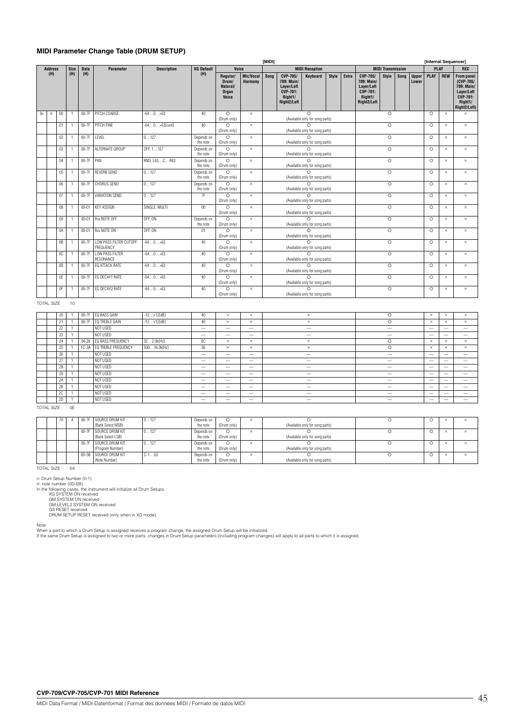### **MIDI Parameter Change Table (DRUM SETUP)**

|    |                        |        |             |                    |                                            |                    |                        |                                                 |                             |                                                                                                     |                                                                                   |                                                        | [Internal Sequencer] |         |                                                                                   |                          |         |                       |             |            |                                                                                                          |
|----|------------------------|--------|-------------|--------------------|--------------------------------------------|--------------------|------------------------|-------------------------------------------------|-----------------------------|-----------------------------------------------------------------------------------------------------|-----------------------------------------------------------------------------------|--------------------------------------------------------|----------------------|---------|-----------------------------------------------------------------------------------|--------------------------|---------|-----------------------|-------------|------------|----------------------------------------------------------------------------------------------------------|
|    | <b>Address</b>         |        | <b>Size</b> | <b>Data</b>        | <b>Parameter</b>                           | <b>Description</b> | <b>XG Default</b>      | Voice                                           |                             |                                                                                                     |                                                                                   | <b>MIDI Reception</b>                                  |                      |         |                                                                                   | <b>MIDI Transmission</b> |         |                       | <b>PLAY</b> |            | <b>REC</b>                                                                                               |
|    | (H)                    |        | (H)         | (H)                |                                            |                    | (H)                    | Regular/<br>Drum/<br>Natural/<br>Organ<br>Voice | Mic/Vocal<br><b>Harmony</b> | Song                                                                                                | CVP-705/<br>709: Main/<br>Layer/Left<br><b>CVP-701:</b><br>Right1/<br>Right2/Left | Keyboard                                               | Style                | Extra   | CVP-705/<br>709: Main/<br>Layer/Left<br><b>CVP-701:</b><br>Right1/<br>Right2/Left | Style                    | Song    | <b>Upper</b><br>Lower | <b>PLAY</b> | <b>REW</b> | <b>From panel</b><br>(CVP-705/<br>709: Main/<br>Layer/Left<br><b>CVP-701:</b><br>Right1/<br>Right2/Left) |
| 3n | $\mathsf{f}\mathsf{f}$ | $00\,$ |             | $00-7F$            | PITCH COARSE                               | $-640+63$          | 40                     | $\circ$<br>(Drum only)                          | $\times$                    |                                                                                                     |                                                                                   | ∩<br>(Available only for song parts)                   |                      |         |                                                                                   | $\circ$                  |         |                       | $\circ$     | $\times$   | $\times$                                                                                                 |
|    |                        | 01     |             | $00-7\overline{F}$ | PITCH FINE                                 | $-640+63[cent]$    | 40                     | $\circ$<br>(Drum only)                          | $\times$                    |                                                                                                     |                                                                                   | (Available only for song parts)                        |                      |         |                                                                                   | $\circ$                  |         |                       | $\Omega$    | $\times$   | $\times$                                                                                                 |
|    |                        | 02     |             | $00-7F$            | LEVEL                                      | 0127               | Depends on<br>the note | $\circ$<br>(Drum only)                          | $\times$                    |                                                                                                     | (Available only for song parts)                                                   |                                                        |                      | $\circ$ |                                                                                   |                          | $\circ$ | $\times$              | $\times$    |            |                                                                                                          |
|    |                        | 03     |             | $00-7F$            | ALTERNATE GROUP                            | OFF, 1127          | Depends on<br>the note | $\circ$<br>(Drum only)                          | $\times$                    |                                                                                                     |                                                                                   |                                                        |                      | $\circ$ |                                                                                   |                          | $\circ$ | $\times$              | $\times$    |            |                                                                                                          |
|    |                        | 04     |             | $00-7F$            | PAN                                        | RND, L63CR63       | Depends on<br>the note | $\circ$<br>(Drum only)                          | $\times$                    | $\circ$<br>(Available only for song parts)<br>$\Omega$<br>(Available only for song parts)<br>$\cap$ |                                                                                   |                                                        |                      |         |                                                                                   | $\circ$                  |         |                       | $\circ$     | $\times$   | $\times$                                                                                                 |
|    |                        | 05     |             | $00-7F$            | <b>REVERB SEND</b>                         | 0127               | Depends on<br>the note | $\circ$<br>(Drum only)                          | $\times$                    | (Available only for song parts)<br>$\cap$                                                           |                                                                                   |                                                        |                      |         |                                                                                   | $\circ$                  |         |                       | $\circ$     | $\times$   | $\times$                                                                                                 |
|    |                        | 06     |             | 00-7F              | CHORUS SEND                                | 0127               | Depends on<br>the note | $\circ$<br>(Drum only)                          | $\times$                    | (Available only for song parts)                                                                     |                                                                                   |                                                        |                      |         |                                                                                   | $\circ$                  |         |                       | $\circ$     | $\times$   | $\times$                                                                                                 |
|    |                        | 07     |             | $00-7F$            | VARIATION SEND                             | 0127               | 7F                     | $\circ$<br>(Drum only)                          | $\times$                    |                                                                                                     |                                                                                   | $\cap$<br>(Available only for song parts)              |                      |         |                                                                                   | $\circ$                  |         |                       | $\circ$     | $\times$   | $\times$                                                                                                 |
|    |                        | 08     |             | $00 - 01$          | <b>KEY ASSIGN</b>                          | SINGLE, MULTI      | $00\,$                 | $\circ$<br>(Drum only)                          | $\times$                    |                                                                                                     |                                                                                   | $\circ$<br>(Available only for song parts)             |                      |         |                                                                                   | $\circ$                  |         |                       | $\circ$     | $\times$   | $\times$                                                                                                 |
|    |                        | 09     |             | $00 - 01$          | Rcv NOTE OFF                               | OFF. ON            | Depends on<br>the note | $\circ$<br>(Drum only)                          | $\times$                    |                                                                                                     |                                                                                   | $\bigcap$<br>(Available only for song parts)           |                      |         |                                                                                   | $\circ$                  |         |                       | $\circ$     | $\times$   | $\times$                                                                                                 |
|    |                        | 0A     |             | $00 - 01$          | <b>Rcv NOTE ON</b>                         | OFF. ON            | 01                     | $\circ$<br>(Drum only)                          | $\times$                    |                                                                                                     |                                                                                   | $\overline{\Omega}$<br>(Available only for song parts) |                      |         |                                                                                   | $\overline{\circ}$       |         |                       | $\circ$     | $\times$   | $\times$                                                                                                 |
|    |                        | 0B     |             | $00-7F$            | <b>LOW PASS FILTER CUTOFF</b><br>FREQUENCY | $-640+63$          | 40                     | $\circ$<br>(Drum only)                          | $\times$                    |                                                                                                     |                                                                                   | $\cap$<br>(Available only for song parts)              |                      |         |                                                                                   | $\circ$                  |         |                       | $\circ$     | $\times$   | $\times$                                                                                                 |
|    |                        | 0C     |             | $00-7F$            | <b>LOW PASS FILTER</b><br><b>RESONANCE</b> | $-640+63$          | 40                     | $\circ$<br>(Drum only)                          | $\times$                    |                                                                                                     |                                                                                   |                                                        |                      | $\circ$ |                                                                                   |                          | $\circ$ | $\times$              | $\times$    |            |                                                                                                          |
|    |                        | 0D     |             | $00-7F$            | EG ATTACK RATE                             | $-640+63$          | 40                     | $\circ$<br>(Drum only)                          | $\times$                    | (Available only for song parts)<br>$\bigcap$<br>(Available only for song parts)<br>$\overline{O}$   |                                                                                   |                                                        |                      |         |                                                                                   | $\circ$                  |         |                       | $\circ$     | $\times$   | $\times$                                                                                                 |
|    |                        | 0E     |             | $00-7F$            | EG DECAY1 RATE                             | $-640+63$          | 40                     | $\circ$<br>(Drum only)                          | $\times$                    |                                                                                                     | (Available only for song parts)                                                   |                                                        |                      | $\circ$ |                                                                                   |                          | $\circ$ | $\times$              | $\times$    |            |                                                                                                          |
|    |                        | 0F     |             | $00-7F$            | EG DECAY2 RATE                             | $-640+63$          | 40 <sup>°</sup>        | $\circ$<br>(Drum only)                          | $\times$                    |                                                                                                     |                                                                                   | $\circ$<br>(Available only for song parts)             |                      |         |                                                                                   | $\circ$                  |         |                       | $\Omega$    | $\times$   | $\times$                                                                                                 |

### TOTAL SIZE 10

| 20 | $00-7F$   | EQ BASS GAIN        | $-12+12[dB]$ | 40                              | $\times$ | $\times$                 | $\times$                 | $\circ$ | $\times$                 | $\times$                 | $\times$                 |
|----|-----------|---------------------|--------------|---------------------------------|----------|--------------------------|--------------------------|---------|--------------------------|--------------------------|--------------------------|
| 21 | 00-7F     | EQ TREBLE GAIN      | $-12+12[dB]$ | 40                              | $\times$ | $\times$                 | $\times$                 | $\circ$ | $\times$                 | $\times$                 | $\times$                 |
| 22 |           | NOT USED            |              | $\hspace{0.1mm}-\hspace{0.1mm}$ | $\sim$   | $\sim$                   | $\overline{\phantom{a}}$ | $\sim$  | $\sim$                   | $\overline{\phantom{a}}$ | $\overline{\phantom{a}}$ |
| 23 |           | NOT USED            |              | $\sim$                          | $\sim$   | $\sim$                   | $\sim$                   | $\sim$  | $\overline{\phantom{a}}$ | $-$                      | $\overline{\phantom{a}}$ |
| 24 | $04 - 28$ | EQ BASS FREQUENCY   | 322.0k[Hz]   | 0C                              | $\times$ | $\times$                 | $\times$                 | $\circ$ | $\times$                 | $\times$                 | $\times$                 |
| 25 | $1C-3A$   | EQ TREBLE FREQUENCY | 50016.0k[Hz] | 36                              | $\times$ | $\times$                 | $\times$                 | $\circ$ | $\times$                 | $\times$                 | $\times$                 |
| 26 |           | NOT USED            |              | $\overline{\phantom{a}}$        | $\sim$   | $\overline{\phantom{a}}$ |                          | $\sim$  | $\overline{\phantom{a}}$ | $\sim$                   | $\sim$                   |
| 27 |           | NOT USED            |              | $\sim$                          | $\sim$   | $\sim$                   | $\overline{\phantom{a}}$ | $\sim$  | $\sim$                   | $\sim$                   | $\overline{\phantom{a}}$ |
| 28 |           | NOT USED            |              | $\sim$                          | $\sim$   | $\overline{\phantom{a}}$ |                          | $\sim$  | $\overline{\phantom{a}}$ | $\sim$                   | $\sim$                   |
| 29 |           | NOT USED            |              | $\sim$                          | $\sim$   | $\sim$                   | $\overline{\phantom{a}}$ | $-$     | $\overline{\phantom{a}}$ | $-$                      |                          |
| 2A |           | NOT USED            |              | $\sim$                          | $\sim$   | $\overline{\phantom{a}}$ | $\overline{\phantom{a}}$ | -       | $\overline{\phantom{a}}$ | $\sim$                   | $\sim$                   |
| 2B |           | NOT USED            |              | $\sim$                          | $\sim$   | $\sim$                   | $\overline{\phantom{a}}$ | $\sim$  | $\overline{\phantom{a}}$ | $\sim$                   | $\overline{\phantom{a}}$ |
| 2C |           | NOT USED            |              | $\sim$                          | $\sim$   | $\sim$                   | $\overline{\phantom{a}}$ | $\sim$  | $\overline{\phantom{a}}$ | $\sim$                   | $\sim$                   |
| 2D |           | NOT USED            |              | $\overline{\phantom{a}}$        | $\sim$   | $\sim$                   |                          | $\sim$  | $\overline{\phantom{a}}$ | $\sim$                   | $\overline{\phantom{a}}$ |

### TOTAL SIZE 0E

|  | 70 |  | 00-7F SOURCE DRUM KIT<br>(Bank Select MSB) | 0127    | Depends on<br>the note | (Drum only) | $\times$ | (Available only for song parts) |  | ×        | $\sim$ |
|--|----|--|--------------------------------------------|---------|------------------------|-------------|----------|---------------------------------|--|----------|--------|
|  |    |  | 00-7F SOURCE DRUM KIT<br>(Bank Select LSB) | 0127    | Depends on<br>the note | (Drum only) | $\times$ | (Available only for song parts) |  | ×        |        |
|  |    |  | 00-7F SOURCE DRUM KIT<br>(Program Number)  | 0127    | Depends on<br>the note | (Drum only) | $\times$ | (Available only for song parts) |  | $\times$ | $\sim$ |
|  |    |  | 0D-5B SOURCE DRUM KIT<br>(Note Number)     | $C-1G5$ | Depends on<br>the note | (Drum only) | $\times$ | (Available only for song parts) |  | $\times$ | $\sim$ |

TOTAL SIZE 04

n: Drum Setup Number (0-1)<br>
r: note number (0D-5B)<br>
In the following cases, the instrument will initialize all Drum Setups.<br>
XG SYSTEM ON received<br>
GM LEVEL2 SYSTEM ON received<br>
GS RESET received<br>
GS RESET received<br>
DRUM S

Note<br>When a part to which a Drum Setup is assigned receives a program change, the assigned Drum Setup will be initialized.<br>If the same Drum Setup is assigned to two or more parts, changes in Drum Setup parameters (includin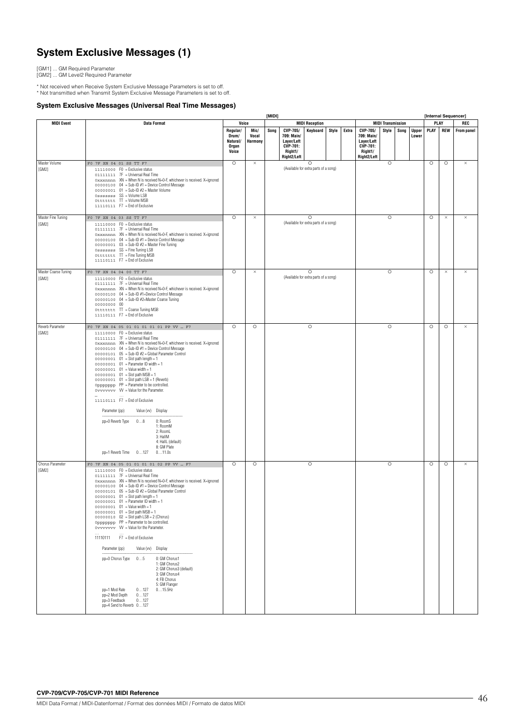# **System Exclusive Messages (1)**

[GM1] ... GM Required Parameter [GM2] ... GM Level2 Required Parameter

\* Not received when Receive System Exclusive Message Parameters is set to off. \* Not transmitted when Transmit System Exclusive Message Parameters is set to off.

### **System Exclusive Messages (Universal Real Time Messages)**

|                               |                                                                                                                                                                                                                                                                                                                                                                                                                                                                                                                                                                                                                                                                                                                                                                                                                                                                                                                                              |                                                 |                                 |                    |                                                                                          |                                                  |         |         |                                                                                   |                          |          |                       | [Internal Sequencer] |            |                   |
|-------------------------------|----------------------------------------------------------------------------------------------------------------------------------------------------------------------------------------------------------------------------------------------------------------------------------------------------------------------------------------------------------------------------------------------------------------------------------------------------------------------------------------------------------------------------------------------------------------------------------------------------------------------------------------------------------------------------------------------------------------------------------------------------------------------------------------------------------------------------------------------------------------------------------------------------------------------------------------------|-------------------------------------------------|---------------------------------|--------------------|------------------------------------------------------------------------------------------|--------------------------------------------------|---------|---------|-----------------------------------------------------------------------------------|--------------------------|----------|-----------------------|----------------------|------------|-------------------|
| <b>MIDI Event</b>             | <b>Data Format</b>                                                                                                                                                                                                                                                                                                                                                                                                                                                                                                                                                                                                                                                                                                                                                                                                                                                                                                                           |                                                 | Voice                           |                    |                                                                                          | <b>MIDI Reception</b>                            |         |         |                                                                                   | <b>MIDI Transmission</b> |          |                       | PLAY                 |            | REC               |
|                               |                                                                                                                                                                                                                                                                                                                                                                                                                                                                                                                                                                                                                                                                                                                                                                                                                                                                                                                                              | Regular/<br>Drum/<br>Natural/<br>Organ<br>Voice | Mic/<br>Vocal<br><b>Harmony</b> | Song               | <b>CVP-705/</b><br>709: Main/<br>Layer/Left<br><b>CVP-701:</b><br>Right1/<br>Right2/Left | Keyboard                                         | Style   | Extra   | CVP-705/<br>709: Main/<br>Layer/Left<br><b>CVP-701:</b><br>Right1/<br>Right2/Left | Style                    | Song     | <b>Upper</b><br>Lower | PLAY                 | <b>REW</b> | <b>From panel</b> |
| Master Volume<br>[GM2]        | F0 7F XN 04 01 SS TT F7<br>11110000 F0 = Exclusive status<br>01111111 7F = Universal Real Time<br>Oxxxnnnn XN = When N is received N=0-F, whichever is received. X=ignored<br>00000100 04 = Sub-ID #1 = Device Control Message<br>$00000001$ 01 = Sub-ID #2 = Master Volume<br>Osssssss SS = Volume LSB<br>Ottttttt TT = Volume MSB<br>11110111 F7 = End of Exclusive                                                                                                                                                                                                                                                                                                                                                                                                                                                                                                                                                                        | $\circ$                                         | $\times$                        |                    |                                                                                          | $\circ$<br>(Available for extra parts of a song) |         |         |                                                                                   | $\circ$                  |          |                       | $\circ$              | $\circ$    | $\times$          |
| Master Fine Tuning<br>[GM2]   | F0 7F XN 04 03 SS TT F7<br>11110000 F0 = Exclusive status<br>01111111 7F = Universal Real Time<br>Oxxxnnnn XN = When N is received N=0-F, whichever is received. X=ignored<br>00000100 04 = Sub-ID #1 = Device Control Message<br>$00000001$ $03 = Sub-ID #2 = Master Fine Tuning$<br>Osssssss SS = Fine Tuning LSB<br>Ottttttt TT = Fine Tuning MSB<br>11110111 F7 = End of Exclusive                                                                                                                                                                                                                                                                                                                                                                                                                                                                                                                                                       | $\circ$                                         | $\times$                        |                    | (Available for extra parts of a song)                                                    |                                                  |         | $\circ$ |                                                                                   |                          | $\circ$  | $\times$              | $\times$             |            |                   |
| Master Coarse Tuning<br>[GM2] | F0 7F XN 04 04 00 TT F7<br>11110000 F0 = Exclusive status<br>01111111 7F = Universal Real Time<br>Oxxxnnnn XN = When N is received N=0-F, whichever is received. X=ignored<br>00000100 04 = Sub-ID #1=Device Control Message<br>00000100 04 = Sub-ID #2=Master Coarse Tuning<br>00000000 00<br>Ottttttt TT = Coarse Tuning MSB<br>11110111 F7 = End of Exclusive                                                                                                                                                                                                                                                                                                                                                                                                                                                                                                                                                                             | $\circ$                                         | $\times$                        |                    | (Available for extra parts of a song)                                                    |                                                  | $\circ$ |         |                                                                                   | $\circ$                  | $\times$ | $\times$              |                      |            |                   |
| Reverb Parameter<br>[GM2]     | FO 7F XN 04 05 01 01 01 01 01 PP VV  F7<br>11110000 FO = Exclusive status<br>01111111 7F = Universal Real Time<br>Oxxxnnnn XN = When N is received N=0-F, whichever is received. X=ignored<br>$00000100$ $04 = Sub-ID #1 = Device Control Message$<br>00000101 05 = Sub-ID #2 = Global Parameter Control<br>$00000001$ $01 =$ Slot path length = 1<br>$00000001$ $01$ = Parameter ID width = 1<br>$00000001$ $01$ = Value width = 1<br>$00000001$ $01 =$ Slot path MSB = 1<br>$00000001$ $01 =$ Slot path LSB = 1 (Reverb)<br>Oppppppp PP = Parameter to be controlled.<br>ovvvvvvv VV = Value for the Parameter.<br>11110111 F7 = End of Exclusive<br>Parameter (pp)<br>Value (vv) Display<br>pp=0 Reverb Type<br>08<br>0: RoomS<br>1: RoomM<br>2: RoomL<br>3: HallM<br>4: HallL (default)<br>8: GM Plate<br>pp=1 Reverb Time 0127<br>011.0s                                                                                                | $\circ$                                         | $\circ$                         | $\circ$<br>$\circ$ |                                                                                          |                                                  |         |         |                                                                                   | $\circ$                  |          |                       | $\circ$              | $\circ$    | $\times$          |
| Chorus Parameter<br>[GM2]     | F0 7F XN 04 05 01 01 01 01 02 PP VV  F7<br>11110000 F0 = Exclusive status<br>01111111 7F = Universal Real Time<br>Oxxxnnnn XN = When N is received N=0-F, whichever is received. X=ignored<br>00000100 04 = Sub-ID #1 = Device Control Message<br>00000101 05 = Sub-ID #2 = Global Parameter Control<br>$00000001$ $01 =$ Slot path length = 1<br>$00000001$ $01$ = Parameter ID width = 1<br>$00000001$ $01$ = Value width = 1<br>$00000001$ $01 =$ Slot path MSB = 1<br>$00000010$ $02$ = Slot path LSB = 2 (Chorus)<br>Oppppppp PP = Parameter to be controlled.<br>ovvvvvvv W = Value for the Parameter.<br>11110111 F7 = End of Exclusive<br>Parameter (pp)<br>Value (vv) Display<br>0: GM Chorus1<br>pp=0 Chorus Type 05<br>1: GM Chorus2<br>2: GM Chorus3 (default)<br>3: GM Chorus4<br>4: FB Chorus<br>5: GM Flanger<br>0127<br>015.5Hz<br>pp=1 Mod Rate<br>pp=2 Mod Depth 0127<br>pp=3 Feedback<br>0127<br>pp=4 Send to Reverb 0127 | $\circ$                                         | $\circ$                         |                    |                                                                                          |                                                  |         |         |                                                                                   | $\circ$                  |          |                       | $\circ$              | $\circ$    | $\times$          |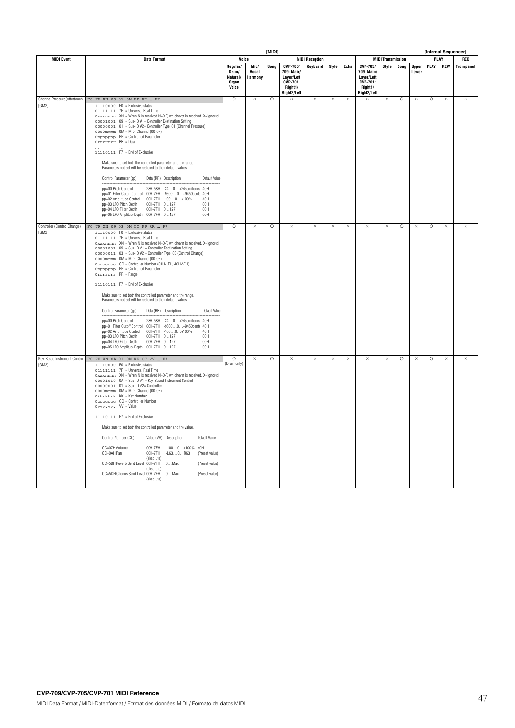|                                      |                                                                                                                                                                                                                                                                                                                                                                                                                                                                                                                                                                                                                                                                                                                                                                                                                                                                                                                                                                                                                                             | [MIDI]                                          |                          |         |                                                                            |                       |          |          |                                                                            |                          |         |                       | [Internal Sequencer] |            |                   |
|--------------------------------------|---------------------------------------------------------------------------------------------------------------------------------------------------------------------------------------------------------------------------------------------------------------------------------------------------------------------------------------------------------------------------------------------------------------------------------------------------------------------------------------------------------------------------------------------------------------------------------------------------------------------------------------------------------------------------------------------------------------------------------------------------------------------------------------------------------------------------------------------------------------------------------------------------------------------------------------------------------------------------------------------------------------------------------------------|-------------------------------------------------|--------------------------|---------|----------------------------------------------------------------------------|-----------------------|----------|----------|----------------------------------------------------------------------------|--------------------------|---------|-----------------------|----------------------|------------|-------------------|
| <b>MIDI Event</b>                    | <b>Data Format</b>                                                                                                                                                                                                                                                                                                                                                                                                                                                                                                                                                                                                                                                                                                                                                                                                                                                                                                                                                                                                                          | Voice                                           |                          |         |                                                                            | <b>MIDI Reception</b> |          |          |                                                                            | <b>MIDI Transmission</b> |         |                       | PLAY                 |            | REC               |
|                                      |                                                                                                                                                                                                                                                                                                                                                                                                                                                                                                                                                                                                                                                                                                                                                                                                                                                                                                                                                                                                                                             | Regular/<br>Drum/<br>Natural/<br>Organ<br>Voice | Mic/<br>Vocal<br>Harmony | Song    | CVP-705/<br>709: Main/<br>Layer/Left<br>CVP-701:<br>Right1/<br>Right2/Left | Keyboard              | Style    | Extra    | CVP-705/<br>709: Main/<br>Layer/Left<br>CVP-701:<br>Right1/<br>Right2/Left | Style                    | Song    | <b>Upper</b><br>Lower | PLAY                 | <b>REW</b> | <b>From panel</b> |
| [GM2]                                | Channel Pressure (Aftertouch) FO 7F XN 09 01 OM PP RR  F7<br>11110000 FO = Exclusive status<br>01111111 7F = Universal Real Time<br>Oxxxnnnn XN = When N is received N=0-F, whichever is received. X=ignored<br>00001001 09 = Sub-ID #1= Controller Destination Setting<br>00000001 01 = Sub-ID #2= Controller Type: 01 (Channel Pressure)<br>0000mmmm OM = MIDI Channel (00-0F)<br>Oppppppp PP = Controlled Parameter<br>Orrrrrr RR = Data<br>11110111 F7 = End of Exclusive<br>Make sure to set both the controlled parameter and the range.<br>Parameters not set will be restored to their default values.<br>Control Parameter (pp)<br>Data (RR) Description<br>Default Value<br>pp=00 Pitch Control<br>28H-58H -240+24semitones 40H<br>00H-7FH -96000+9450cents 40H<br>pp=01 Filter Cutoff Control<br>00H-7FH -1000+100%<br>40H<br>pp=02 Amplitude Control<br>00H<br>pp=03 LFO Pitch Depth<br>00H-7FH 0127<br>00H-7FH 0127<br>00H<br>pp=04 LFO Filter Depth<br>00H                                                                    | $\circ$                                         | $\times$                 | $\circ$ | $\times$                                                                   | $\times$              | $\times$ | $\times$ | $\times$                                                                   | $\times$                 | $\circ$ | $\times$              | $\circ$              | $\times$   | $\times$          |
| Controller (Control Change)<br>[GM2] | FO 7F XN 09 03 OM CC PP RR  F7<br>11110000 F0 = Exclusive status<br>01111111 7F = Universal Real Time<br>Oxxxnnnn XN = When N is received N=0-F, whichever is received. X=ignored<br>00001001 09 = Sub-ID #1 = Controller Destination Setting<br>00000011 03 = Sub-ID #2 = Controller Type: 03 (Control Change)<br>0000mmmm OM = MIDI Channel (00-0F)<br>Occccccc CC = Controller Number (01H-1FH, 40H-5FH)<br>Oppppppp PP = Controlled Parameter<br>Orrrrrrr RR = Range<br>11110111 F7 = End of Exclusive<br>Make sure to set both the controlled parameter and the range.<br>Parameters not set will be restored to their default values.<br>Control Parameter (pp)<br>Data (RR) Description<br>Default Value<br>28H-58H -240+24semitones 40H<br>pp=00 Pitch Control<br>pp=01 Filter Cutoff Control 00H-7FH -96000+9450cents 40H<br>pp=02 Amplitude Control 00H-7FH -1000+100%<br>40H<br>pp=03 LFO Pitch Depth<br>00H-7FH 0127<br>00H<br>00H-7FH 0127<br>pp=04 LFO Filter Depth<br>00H<br>pp=05 LFO Amplitude Depth  00H-7FH  0127<br>00H | $\circ$                                         | $\times$                 | $\circ$ | $\times$                                                                   | $\times$              | $\times$ | $\times$ | $\times$                                                                   | $\times$                 | $\circ$ | $\times$              | $\circ$              | $\times$   | $\times$          |
| [GM2]                                | Key-Based Instrument Control Fo 7F XN 0A 01 OM KK CC VV  F7<br>11110000 F0 = Exclusive status<br>01111111 7F = Universal Real Time<br>Oxxxnnnn XN = When N is received N=0-F, whichever is received. X=ignored<br>00000001 01 = Sub-ID #2= Controller<br>Okkkkkkk KK = Key Number<br>Occccccc CC = Controller Number<br>0vvvvvvv W = Value<br>11110111 F7 = End of Exclusive<br>Make sure to set both the controlled parameter and the value.<br>Control Number (CC)<br>Value (VV) Description<br>Default Value<br>CC=07H Volume<br>OOH-7FH<br>$-1000+100\%$ 40H<br>CC=0AH Pan<br>OOH-7FH<br>$-L63CR63$<br>(Preset value)<br>(absolute)<br>CC=5BH Reverb Send Level<br>OOH-7FH<br>$0$ Max<br>(Preset value)<br>(absolute)<br>CC=5DH Chorus Send Level 00H-7FH<br>$0$ Max<br>(Preset value)<br>(absolute)                                                                                                                                                                                                                                    | $\circ$<br>(Drum only)                          | $\times$                 | $\circ$ | $\times$                                                                   | $\times$              | $\times$ | $\times$ | $\times$                                                                   | $\times$                 | $\circ$ | $\times$              | $\circ$              | $\times$   | $\times$          |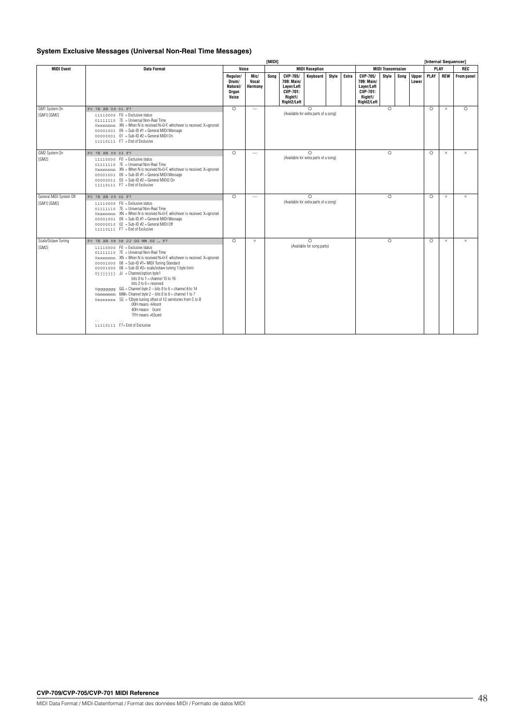### **System Exclusive Messages (Universal Non-Real Time Messages)**

|                                        |                   |                                                                                                                                                                                                                                                                                                                                                                                                                                                                                                                                                                                                                                                                                                                    | [MIDI]                                          |                                 |                                                   |                                                                            |                                                    |       |       |                                                                            |                          | [Internal Sequencer] |                       |           |            |            |
|----------------------------------------|-------------------|--------------------------------------------------------------------------------------------------------------------------------------------------------------------------------------------------------------------------------------------------------------------------------------------------------------------------------------------------------------------------------------------------------------------------------------------------------------------------------------------------------------------------------------------------------------------------------------------------------------------------------------------------------------------------------------------------------------------|-------------------------------------------------|---------------------------------|---------------------------------------------------|----------------------------------------------------------------------------|----------------------------------------------------|-------|-------|----------------------------------------------------------------------------|--------------------------|----------------------|-----------------------|-----------|------------|------------|
| <b>MIDI Event</b>                      |                   | Data Format                                                                                                                                                                                                                                                                                                                                                                                                                                                                                                                                                                                                                                                                                                        | Voice                                           |                                 |                                                   |                                                                            | <b>MIDI Reception</b>                              |       |       |                                                                            | <b>MIDI Transmission</b> |                      |                       | PLAY      |            | <b>REC</b> |
|                                        |                   |                                                                                                                                                                                                                                                                                                                                                                                                                                                                                                                                                                                                                                                                                                                    | Regular/<br>Drum/<br>Natural/<br>Oraan<br>Voice | Mic/<br>Vocal<br><b>Harmony</b> | Sona                                              | CVP-705/<br>709: Main/<br>Layer/Left<br>CVP-701:<br>Right1/<br>Right2/Left | Keyboard                                           | Style | Extra | CVP-705/<br>709: Main/<br>Layer/Left<br>CVP-701:<br>Right1/<br>Right2/Left | Style                    | Song                 | <b>Upper</b><br>Lower | PLAY      | <b>REW</b> | From panel |
| GM1 System On<br>[GM1] [GM2]           | F0 7E XN 09 01 F7 | 11110000 F0 = Exclusive status<br>01111110 7E = Universal Non-Real Time<br>Oxxxnnnn XN = When N is received N=0-F, whichever is received. X=ignored<br>$00001001$ $09$ = Sub-ID $#1$ = General MIDI Message<br>$00000001$ 01 = Sub-ID #2 = General MIDI On<br>$11110111$ F7 = Fnd of Exclusive                                                                                                                                                                                                                                                                                                                                                                                                                     | $\Omega$                                        |                                 |                                                   |                                                                            | $\bigcap$<br>(Available for extra parts of a song) |       |       |                                                                            | $\Omega$                 |                      |                       | $\bigcap$ | $\times$   | $\bigcap$  |
| GM2 System On<br>[GM2]                 | FO 7E XN 09 03 F7 | 11110000 F0 = Exclusive status<br>01111110 7E = Universal Non-Real Time<br>Oxxxnnnn XN = When N is received N=0-F, whichever is received. X=ignored<br>$00001001$ $09$ = Sub-ID $#1$ = General MIDI Message<br>$00000011$ $03 = Sub-ID #2 = General MID12 On$<br>11110111 F7 = End of Exclusive                                                                                                                                                                                                                                                                                                                                                                                                                    | $\Omega$                                        | $\sim$                          |                                                   |                                                                            | $\bigcap$<br>(Available for extra parts of a song) |       |       |                                                                            | $\bigcap$                |                      |                       | $\bigcap$ | $\times$   | $\times$   |
| General MIDI System Off<br>[GM1] [GM2] | F0 7E XN 09 02 F7 | 11110000 F0 = Exclusive status<br>01111110 7E = Universal Non-Real Time<br>Oxxxnnnn XN = When N is received N=0-F, whichever is received. X=ignored<br>$00001001$ $09$ = Sub-ID $#1$ = General MIDI Message<br>$00000010$ 02 = Sub-ID #2 = General MIDI Off<br>$11110111$ F7 = Fnd of Exclusive                                                                                                                                                                                                                                                                                                                                                                                                                    | $\circ$                                         | $\overline{\phantom{a}}$        | $\Omega$<br>(Available for extra parts of a song) |                                                                            |                                                    |       |       |                                                                            | $\bigcap$                |                      |                       | $\bigcap$ | $\times$   | $\times$   |
| Scale/Octave Tuning<br>[GM2]           |                   | FO 7E XN 08 08 JJ GG MM SS  F7<br>11110000 F0 = Exclusive status<br>01111110 7E = Universal Non-Real Time<br>Oxxxnnnn XN = When N is received N=0-F, whichever is received. X=ignored<br>00001000 08 = Sub-ID #1= MIDI Tuning Standard<br>$00001000$ 08 = Sub-ID #2= scale/octave tuning 1 byte form<br>Oiiiiii JJ = Channel/option byte1<br>bits 0 to $1$ = channel 15 to 16<br>bits $2$ to $6 =$ reserved<br>0gggggggg $GG =$ Channel byte $2 -$ bits 0 to $6 =$ channel 8 to 14<br>ommmmmmm MM= Channel byte $2 - bits 0 to 6 = channel 1 to 7$<br>Osssssss SS = 12byte tuning offset of 12 semitones from C to B<br>OOH means -64cent<br>40H means Ocent<br>7FH means +63cent<br>11110111 F7= End of Exclusive | $\circ$                                         | $\times$                        |                                                   |                                                                            | $\circ$<br>(Available for song parts)              |       |       |                                                                            | $\circ$                  |                      |                       | $\circ$   | $\times$   | $\times$   |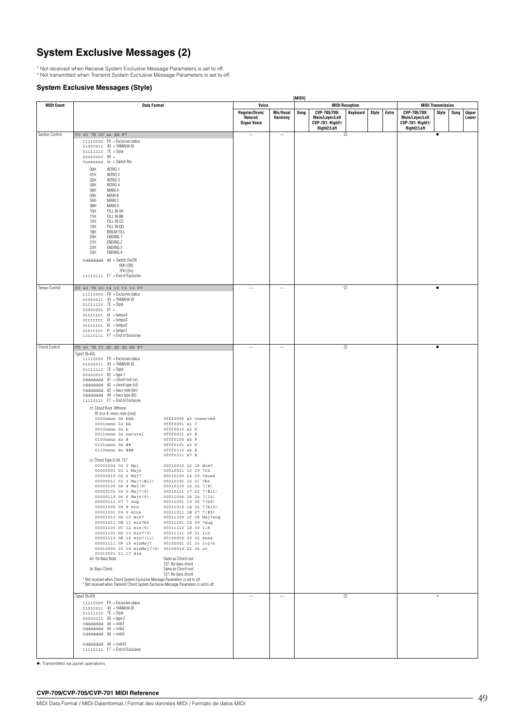# **System Exclusive Messages (2)**

\* Not received when Receive System Exclusive Message Parameters is set to off. \* Not transmitted when Transmit System Exclusive Message Parameters is set to off.

### **System Exclusive Messages (Style)**

|                   |                                                                                                                                                                                                                                                                                                                                                                                                                                                                                                                                                                                                                                                                                                                                                                                                                                                                                                                                                                                                                                                                                                                                                                                                                                                                                                                                                                                                                                                                                                                                                                                  |                                                          |                          | [MIDI] |                                                                           |                                   |       |       |                                                                           |                                   |      |                       |
|-------------------|----------------------------------------------------------------------------------------------------------------------------------------------------------------------------------------------------------------------------------------------------------------------------------------------------------------------------------------------------------------------------------------------------------------------------------------------------------------------------------------------------------------------------------------------------------------------------------------------------------------------------------------------------------------------------------------------------------------------------------------------------------------------------------------------------------------------------------------------------------------------------------------------------------------------------------------------------------------------------------------------------------------------------------------------------------------------------------------------------------------------------------------------------------------------------------------------------------------------------------------------------------------------------------------------------------------------------------------------------------------------------------------------------------------------------------------------------------------------------------------------------------------------------------------------------------------------------------|----------------------------------------------------------|--------------------------|--------|---------------------------------------------------------------------------|-----------------------------------|-------|-------|---------------------------------------------------------------------------|-----------------------------------|------|-----------------------|
| <b>MIDI Event</b> | <b>Data Format</b>                                                                                                                                                                                                                                                                                                                                                                                                                                                                                                                                                                                                                                                                                                                                                                                                                                                                                                                                                                                                                                                                                                                                                                                                                                                                                                                                                                                                                                                                                                                                                               | Voice<br>Regular/Drum/<br>Natural/<br><b>Organ Voice</b> | Mic/Vocal<br>Harmony     | Song   | CVP-705/709:<br>Main/Layer/Left<br><b>CVP-701: Right1/</b><br>Right2/Left | <b>MIDI Reception</b><br>Keyboard | Style | Extra | CVP-705/709:<br>Main/Layer/Left<br><b>CVP-701: Right1/</b><br>Right2/Left | <b>MIDI Transmission</b><br>Style | Song | <b>Upper</b><br>Lower |
| Section Control   | F0 43 7E 00 ss dd F7<br>$11110000$ FO = Exclusive status<br>01000011 43 = YAMAHA ID<br>01111110 7E = Style<br>$000000000000 =$<br>$0$ sssssss SS = Switch No.<br>00H<br>INTRO 1<br>01H<br>INTRO <sub>2</sub><br>02H<br>INTRO 3<br>03H<br>INTRO 4<br>08H<br>MAIN A<br>MAIN B<br>09H<br>0AH<br>MAIN C<br>0BH<br>MAIN D<br>10H<br>FILL IN AA<br>11H<br>FILL IN BB<br>12H<br>FILL IN CC<br>13H<br>FILL IN DD<br>18H<br><b>BREAK FILL</b><br>20H<br>ENDING 1<br>21H<br>ENDING <sub>2</sub><br>22H<br>ENDING 3<br>23H<br>ENDING 4<br>odddddd dd = Switch On/Off<br>00H (Off)<br>7FH (0n)<br>$11110111$ F7 = End of Exclusive                                                                                                                                                                                                                                                                                                                                                                                                                                                                                                                                                                                                                                                                                                                                                                                                                                                                                                                                                           |                                                          | $\overline{\phantom{a}}$ |        |                                                                           | $\circ$                           |       |       |                                                                           | $\bullet$                         |      |                       |
| Tempo Control     | F0 43 7E 01 t4 t3 t2 t1 F7                                                                                                                                                                                                                                                                                                                                                                                                                                                                                                                                                                                                                                                                                                                                                                                                                                                                                                                                                                                                                                                                                                                                                                                                                                                                                                                                                                                                                                                                                                                                                       |                                                          | $\overline{\phantom{a}}$ |        |                                                                           | $\circ$                           |       |       |                                                                           | $\bullet$                         |      |                       |
| Chord Control     | 11110000 FO = Exclusive status<br>01000011 43 = YAMAHA ID<br>$01111110$ $7E = Slyle$<br>$00000001$ 01 =<br>$0$ tttttt $14$ = tempo4<br>$0$ tttttt $13$ = tempo3<br>$0$ tttttt 12 = tempo2<br>Ottttttt f1 = tempo1<br>11110111 F7 = End of Exclusive<br>F0 43 7E tt d1 d2 d3 d4 F7<br>Type1 $(tt=02)$<br>11110000 FO = Exclusive status<br>01000011 43 = YAMAHA ID<br>01111110 7E = Style<br>00000010 02 = type 1<br>odddddd d1 = chord root (cr)                                                                                                                                                                                                                                                                                                                                                                                                                                                                                                                                                                                                                                                                                                                                                                                                                                                                                                                                                                                                                                                                                                                                 |                                                          | $\overline{\phantom{a}}$ |        |                                                                           | $\circ$                           |       |       |                                                                           | $\bullet$                         |      |                       |
|                   | odddddd d2 = chord type (ct)<br>odddddd d3 = bass note (bn)<br>odddddd d4 = bass type (bt)<br>11110111 F7 = End of Exclusive<br>cr: Chord Root Offfnnnn<br>fff: b or #, nnnn: note (root)<br>0000nnnn 0n bbb<br>Offf0000 x0 reserved<br>$0001$ nnnn 1n bb<br>0fff0001 x1 C<br>0010nnnn 2n b<br>0fff0010 x2 D<br>0011nnnn 3n natural<br>0fff0011 x3 E<br>0100nnnn 4n #<br>0fff0100 x4 F<br>0101nnnn 5n ##<br>0fff0101 x5 G<br>0110nnnn 6n ###<br>0fff0110 x6 A<br>Offf0111 x7 B<br>ct: Chord Type 0-34, 127<br>00000000 00 0 Maj<br>00010010 12 18 dim7<br>00000001 01 1 Maj6<br>00010011 13 19 7th<br>00010100 14 20 7sus4<br>00000010 02 2 Maj7<br>00000011 03 3 Maj7(#11)<br>00010101 15 21 7b5<br>00000100 04 4 Maj (9)<br>00010110 16 22 7 (9)<br>00000101 05 5 Maj7(9)<br>00010111 17 23 7 (#11)<br>00000110 06 6 Maj6 (9)<br>00011000 18 24 7 (13)<br>00000111 07 7 aug<br>00011001 19 25 7(b9)<br>00001011 0B 11 min7b5 00011101 1D 29 7aug<br>00001100 0C 12 min(9) 00011110 1E 30 1+8<br>00001101 0D 13 min7(9)<br>00011111 1F 31 1+5<br>00001110 0E 14 min7(11) 00100000 20 32 sus4<br>00001111 OF 15 minMaj7<br>00100001 21 33 1+2+5<br>00010000 10 16 minMaj7(9) 00100010 22 34 cc<br>00010001 11 17 dim<br>bn: On Bass Note<br>Same as Chord root<br>127: No bass chord<br>bt: Bass Chord<br>Same as Chord root<br>127: No bass chord<br>* Not received when Chord System Exclusive Message Parameters is set to off.<br>* Not received when Transmit Chord System Exclusive Message Parameters is set to off.<br>Type2 $(tt=03)$<br>11110000 FO = Exclusive status |                                                          | $\overline{\phantom{a}}$ |        |                                                                           | $\circ$                           |       |       |                                                                           | $\times$                          |      |                       |
|                   | 01000011 43 = YAMAHA ID<br>01111110 7E = Style<br>$00000011$ $03 = type2$<br>0dddddd dd = note1<br>0dddddd dd = note2<br>0ddddddd dd = note3<br>car controlled<br>0dddddd dd = note10<br>11110111 F7 = End of Exclusive                                                                                                                                                                                                                                                                                                                                                                                                                                                                                                                                                                                                                                                                                                                                                                                                                                                                                                                                                                                                                                                                                                                                                                                                                                                                                                                                                          |                                                          |                          |        |                                                                           |                                   |       |       |                                                                           |                                   |      |                       |

: Transmitted via panel operations.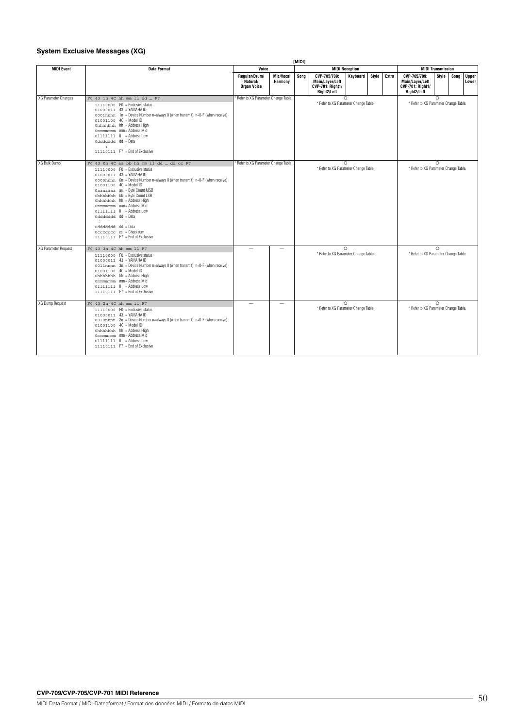### **System Exclusive Messages (XG)**

|                      |                                                                                                                                                                                                                                                                                                                                                                                                                                                                                                                                                   |  |                                                 |                                       | <b>IMIDII</b> |                                                                           |          |       |       |                                                                           |                          |      |                       |
|----------------------|---------------------------------------------------------------------------------------------------------------------------------------------------------------------------------------------------------------------------------------------------------------------------------------------------------------------------------------------------------------------------------------------------------------------------------------------------------------------------------------------------------------------------------------------------|--|-------------------------------------------------|---------------------------------------|---------------|---------------------------------------------------------------------------|----------|-------|-------|---------------------------------------------------------------------------|--------------------------|------|-----------------------|
| <b>MIDI Event</b>    | Data Format                                                                                                                                                                                                                                                                                                                                                                                                                                                                                                                                       |  | Voice                                           |                                       |               | <b>MIDI Reception</b>                                                     |          |       |       |                                                                           | <b>MIDI Transmission</b> |      |                       |
|                      |                                                                                                                                                                                                                                                                                                                                                                                                                                                                                                                                                   |  | Regular/Drum/<br>Natural/<br><b>Organ Voice</b> | Mic/Vocal<br><b>Harmony</b>           | Sona          | CVP-705/709:<br>Main/Laver/Left<br><b>CVP-701: Right1/</b><br>Right2/Left | Keyboard | Style | Extra | CVP-705/709:<br>Main/Layer/Left<br><b>CVP-701: Right1/</b><br>Right2/Left | Style                    | Song | <b>Upper</b><br>Lower |
| XG Parameter Changes | F0 43 1n 4C hh mm 11 dd  F7<br>$11110000$ FO = Exclusive status<br>01000011 43 = YAMAHA ID<br>0001nnnn 1n = Device Number n=always 0 (when transmit), n=0-F (when receive)<br>$01001100$ $4C = Model ID$<br>Ohhhhhhh hh = Address High<br>Ommmmmmm mm = Address Mid<br>olititi II = Address Low<br>oddddddd dd = Data<br><b>SECTION</b><br>11110111 F7 = End of Exclusive                                                                                                                                                                         |  | * Refer to XG Parameter Change Table.           |                                       |               | $\circ$<br>* Refer to XG Parameter Change Table.                          |          |       |       | * Refer to XG Parameter Change Table.                                     | $\circ$                  |      |                       |
| XG Bulk Dump         | F0 43 On 4C aa bb hh mm 11 dd  dd cc F7<br>$11110000$ FO = Exclusive status<br>$01000011$ 43 = YAMAHA ID<br>0000mmm On = Device Number n=always 0 (when transmit), n=0-F (when receive)<br>01001100 4C = Model ID<br>Oaaaaaaa aa = Byte Count MSB<br>Obbbbbbb bb = Byte Count LSB<br>Ohhhhhhh hh = Address High<br>Ommmmmmm mm = Address Mid<br>olititi II = Address Low<br>oddddddd dd = Data<br>$\sim 10^{-11}$<br>$\sim 100$<br>oddddddd dd = Data<br>$0$ ccccccc $oc =$ Checksum<br>11110111 F7 = End of Exclusive<br>F0 43 3n 4C hh mm 11 F7 |  |                                                 | * Refer to XG Parameter Change Table. |               | $\Omega$<br>* Refer to XG Parameter Change Table.                         |          |       |       | * Refer to XG Parameter Change Table.                                     | $\Omega$                 |      |                       |
| XG Parameter Request | 11110000 FO = Exclusive status<br>01000011 43 = YAMAHA ID<br>0011nnnn 3n = Device Number n=always 0 (when transmit), n=0-F (when receive)<br>$01001100$ $4C = Model ID$<br>Ohhhhhhh hh = Address High<br>Ommmmmmm mm = Address Mid<br>Olllllll H = Address Low<br>11110111 F7 = End of Exclusive                                                                                                                                                                                                                                                  |  |                                                 |                                       |               | $\Omega$<br>* Refer to XG Parameter Change Table.                         |          |       |       | * Refer to XG Parameter Change Table.                                     | $\Omega$                 |      |                       |
| XG Dump Request      | F0 43 2n 4C hh mm 11 F7<br>11110000 F0 = Exclusive status<br>01000011 43 = YAMAHA ID<br>0010nnnn 2n = Device Number n=always 0 (when transmit), n=0-F (when receive)<br>01001100 4C = Model ID<br>Ohhhhhhh hh = Address High<br>Ommmmmmm mm = Address Mid<br>Olllllll H = Address Low<br>11110111 F7 = Fnd of Exclusive                                                                                                                                                                                                                           |  | -                                               | $\sim$                                |               | $\Omega$<br>* Refer to XG Parameter Change Table.                         |          |       |       | * Refer to XG Parameter Change Table.                                     | $\circ$                  |      |                       |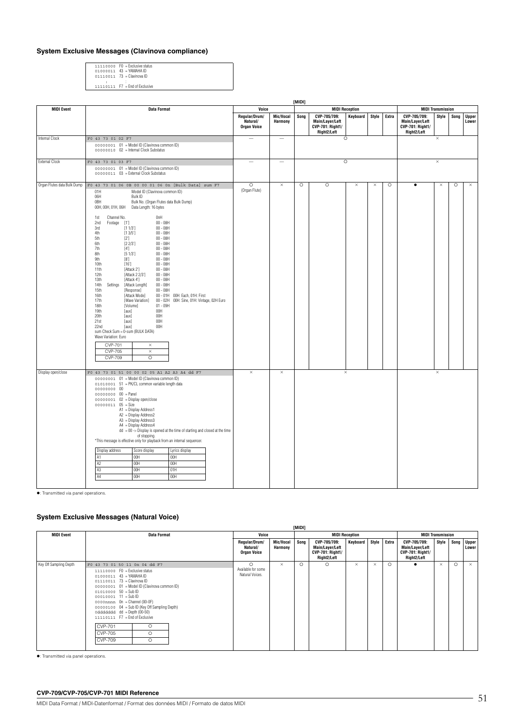### **System Exclusive Messages (Clavinova compliance)**

11110000 F0 = Exclusive status 01000011 43 = YAMAHA ID 01110011 73 = Clavinova ID

: : 11110111 F7 = End of Exclusive

|                             |                                                                                                                                                                                                                                                                                                                                                                                                                                                                                                                                                                                                                                                                                                                                                                                                                                                                                                                                                                                                                                                                                                                                                                                               |                                                 |                          | [MIDI]  |                                                                    |                       |          |         | <b>MIDI Transmission</b>                                           |          |      |                       |
|-----------------------------|-----------------------------------------------------------------------------------------------------------------------------------------------------------------------------------------------------------------------------------------------------------------------------------------------------------------------------------------------------------------------------------------------------------------------------------------------------------------------------------------------------------------------------------------------------------------------------------------------------------------------------------------------------------------------------------------------------------------------------------------------------------------------------------------------------------------------------------------------------------------------------------------------------------------------------------------------------------------------------------------------------------------------------------------------------------------------------------------------------------------------------------------------------------------------------------------------|-------------------------------------------------|--------------------------|---------|--------------------------------------------------------------------|-----------------------|----------|---------|--------------------------------------------------------------------|----------|------|-----------------------|
| <b>MIDI Event</b>           | <b>Data Format</b>                                                                                                                                                                                                                                                                                                                                                                                                                                                                                                                                                                                                                                                                                                                                                                                                                                                                                                                                                                                                                                                                                                                                                                            | Voice                                           |                          |         |                                                                    | <b>MIDI Reception</b> |          |         |                                                                    |          |      |                       |
|                             |                                                                                                                                                                                                                                                                                                                                                                                                                                                                                                                                                                                                                                                                                                                                                                                                                                                                                                                                                                                                                                                                                                                                                                                               | Regular/Drum/<br>Natural/<br><b>Organ Voice</b> | Mic/Vocal<br>Harmony     | Song    | CVP-705/709:<br>Main/Layer/Left<br>CVP-701: Right1/<br>Right2/Left | Keyboard              | Style    | Extra   | CVP-705/709:<br>Main/Layer/Left<br>CVP-701: Right1/<br>Right2/Left | Style    | Song | <b>Upper</b><br>Lower |
| <b>Internal Clock</b>       | F0 43 73 01 02 F7<br>00000001 01 = Model ID (Clavinova common ID)<br>00000010 02 = Internal Clock Substatus                                                                                                                                                                                                                                                                                                                                                                                                                                                                                                                                                                                                                                                                                                                                                                                                                                                                                                                                                                                                                                                                                   | $\overline{\phantom{0}}$                        | $\overline{\phantom{m}}$ |         |                                                                    | $\circ$               |          |         |                                                                    | $\times$ |      |                       |
| <b>External Clock</b>       | F0 43 73 01 03 F7<br>00000001 01 = Model ID (Clavinova common ID)<br>00000011 03 = External Clock Substatus                                                                                                                                                                                                                                                                                                                                                                                                                                                                                                                                                                                                                                                                                                                                                                                                                                                                                                                                                                                                                                                                                   |                                                 | $\overline{\phantom{0}}$ |         |                                                                    | $\circ$               |          |         |                                                                    | $\times$ |      |                       |
| Organ Flutes data Bulk Dump | F0 43 73 01 06 0B 00 00 01 06 0n [Bulk Data] sum F7<br>Model ID (Clavinova common ID)<br>01H<br>06H<br>Bulk ID<br>0BH<br>Bulk No. (Organ Flutes data Bulk Dump)<br>00H, 00H, 01H, 06H<br>Data Length: 16 bytes<br>Channel No.<br>0nH<br>1st<br>$00 - 08H$<br>2nd<br>Footage<br>$[1']$<br>[1 1/3]<br>$00 - 08H$<br>3rd<br>4th<br>[13/5]<br>$00 - 08H$<br>$[2^{\prime}]$<br>5th<br>$00 - 08H$<br>6th<br>[2 2/3]<br>$00 - 08H$<br>$00 - 08H$<br>7th<br>$[4^{\circ}]$<br>8th<br>[5 1/3]<br>$00 - 08H$<br>9th<br>[8]<br>$00 - 08H$<br>[16]<br>10th<br>$00 - 08H$<br>11th<br>[Attack 2"]<br>$00 - 08H$<br>12th<br>[Attack 2 2/3']<br>$00 - 08H$<br>13th<br>[Attack 4']<br>$00 - 08H$<br>14th<br>[Attack Length]<br>$00 - 08H$<br>Settings<br>15th<br>[Response]<br>$00 - 08H$<br>16th<br>[Attack Mode]<br>00 - 01H 00H: Each, 01H: First<br>00 - 02H 00H: Sine, 01H: Vintage, 02H Euro<br>17th<br>[Wave Variation]<br>18th<br>[Volume]<br>$01 - 09H$<br>19th<br>00H<br>[aux]<br>20th<br>00H<br>[aux]<br>21st<br>00H<br>[aux]<br>00H<br>22nd<br>[aux]<br>sum Check Sum = 0-sum (BULK DATA)<br>Wave Variation: Euro<br>CVP-701<br>$\times$<br><b>CVP-705</b><br>$\times$<br><b>CVP-709</b><br>$\circ$ | $\circ$<br>(Organ Flute)                        | $\times$                 | $\circ$ | $\circ$                                                            | $\times$              | $\times$ | $\circ$ | $\bullet$                                                          | $\times$ | O    | $\times$              |
| Display open/close          | F0 43 73 01 51 00 00 02 05 A1 A2 A3 A4 dd F7<br>00000001 01 = Model ID (Clavinova common ID)<br>01010001 51 = PK/CL common variable length data<br>00000000 00<br>00000000 00 = Panel<br>$00000001$ $02$ = Display open/close<br>$00000011$ $05 = Size$<br>A1 = Display Address1<br>A2 = Display Address2<br>A3 = Display Address3<br>A4 = Display Address4<br>$dd = 00$ -> Display is opened at the time of starting and closed at the time<br>of stopping.<br>*This message is effective only for playback from an internal sequencer.<br>Display address<br>Score display<br>Lyrics display<br>A1<br>00H<br>00H<br>A2<br>00H<br>00H<br>A <sup>3</sup><br>00H<br>01H<br>A4<br>00H<br>00H                                                                                                                                                                                                                                                                                                                                                                                                                                                                                                    | ×                                               | $\times$                 |         |                                                                    | $\times$              |          |         |                                                                    | $\times$ |      |                       |

: Transmitted via panel operations.

### **System Exclusive Messages (Natural Voice)**

|                        |                                                                                                                                                                                                                                                                                                                                                                                                                                                                              |                                                   |                             | [MIDI]  |                                                                           |                       |          |         |                                                                           |                          |          |                       |
|------------------------|------------------------------------------------------------------------------------------------------------------------------------------------------------------------------------------------------------------------------------------------------------------------------------------------------------------------------------------------------------------------------------------------------------------------------------------------------------------------------|---------------------------------------------------|-----------------------------|---------|---------------------------------------------------------------------------|-----------------------|----------|---------|---------------------------------------------------------------------------|--------------------------|----------|-----------------------|
| <b>MIDI Event</b>      | <b>Data Format</b>                                                                                                                                                                                                                                                                                                                                                                                                                                                           | Voice                                             |                             |         |                                                                           | <b>MIDI Reception</b> |          |         |                                                                           | <b>MIDI Transmission</b> |          |                       |
|                        |                                                                                                                                                                                                                                                                                                                                                                                                                                                                              | Regular/Drum/<br>Natural/<br>Organ Voice          | <b>Mic/Vocal</b><br>Harmony | Song    | CVP-705/709:<br>Main/Layer/Left<br><b>CVP-701: Right1/</b><br>Right2/Left | Keyboard              | Style    | Extra   | CVP-705/709:<br>Main/Layer/Left<br><b>CVP-701: Right1/</b><br>Right2/Left | Style                    | Song     | <b>Upper</b><br>Lower |
| Key Off Sampling Depth | F0 43 73 01 50 11 0n 04 dd F7<br>11110000 FO = Exclusive status<br>01000011 43 = YAMAHA ID<br>01110011 73 = Clavinova ID<br>00000001 01 = Model ID (Clavinova common ID)<br>$01010000 50 = SubID$<br>$00010001$ 11 = Sub ID<br>$0000$ nnnn $0n =$ Channel (00-0F)<br>00000100 04 = Sub ID (Key Off Sampling Depth)<br>odddddd dd = Depth (00-50)<br>11110111 F7 = End of Exclusive<br><b>CVP-701</b><br>$\Omega$<br>$\Omega$<br><b>CVP-705</b><br>$\Omega$<br><b>CVP-709</b> | $\Omega$<br>Available for some<br>Natural Voices. | $\times$                    | $\circ$ | $\circ$                                                                   | $\times$              | $\times$ | $\circ$ |                                                                           | $\times$                 | $\Omega$ | $\times$              |

: Transmitted via panel operations.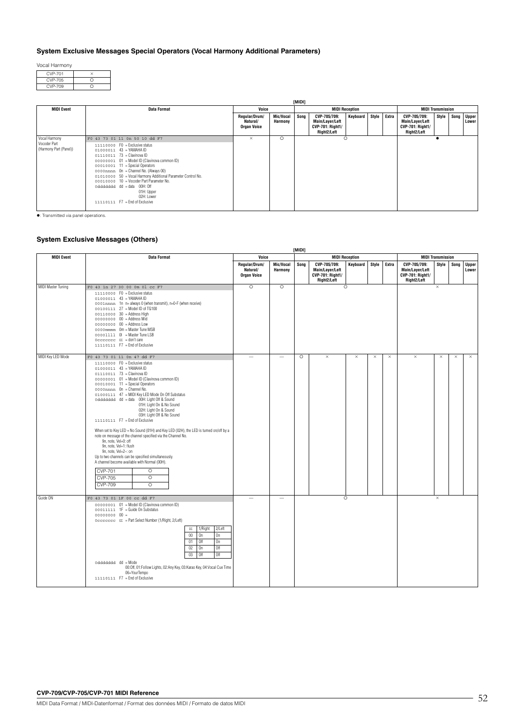### **System Exclusive Messages Special Operators (Vocal Harmony Additional Parameters)**

Vocal Harmony

| ∩ |
|---|
| c |
|   |

|                                                         |                                                                                                                                                                                                                                                                                                                                                                                                                                                                  |                                                 |                      | [MIDI] |                                                                           |                       |       |       |                                                                           |       |      |                       |
|---------------------------------------------------------|------------------------------------------------------------------------------------------------------------------------------------------------------------------------------------------------------------------------------------------------------------------------------------------------------------------------------------------------------------------------------------------------------------------------------------------------------------------|-------------------------------------------------|----------------------|--------|---------------------------------------------------------------------------|-----------------------|-------|-------|---------------------------------------------------------------------------|-------|------|-----------------------|
| <b>MIDI Event</b>                                       | <b>Data Format</b>                                                                                                                                                                                                                                                                                                                                                                                                                                               | Voice                                           |                      |        |                                                                           | <b>MIDI Reception</b> |       |       | <b>MIDI Transmission</b>                                                  |       |      |                       |
|                                                         |                                                                                                                                                                                                                                                                                                                                                                                                                                                                  | Regular/Drum/<br>Natural/<br><b>Organ Voice</b> | Mic/Vocal<br>Harmony | Song   | CVP-705/709:<br>Main/Layer/Left<br><b>CVP-701: Right1/</b><br>Right2/Left | <b>Keyboard</b>       | Style | Extra | CVP-705/709:<br>Main/Layer/Left<br><b>CVP-701: Right1/</b><br>Right2/Left | Style | Song | <b>Upper</b><br>Lower |
| Vocal Harmony<br>Vocoder Part<br>(Harmony Part (Panel)) | F0 43 73 01 11 0n 50 10 dd F7<br>11110000 FO = Exclusive status<br>01000011 43 = YAMAHA ID<br>$01110011$ $73$ = Clavinova ID<br>00000001 01 = Model ID (Clavinova common ID)<br>00010001 11 = Special Operators<br>0000mmm On = Channel No. (Always 00)<br>01010000 50 = Vocal Harmony Additional Parameter Control No.<br>00010000 10 = Vocoder Part Parameter No.<br>0ddddddd dd = data 00H: Off<br>01H: Upper<br>02H: Lower<br>11110111 F7 = End of Exclusive | $\times$                                        | $\circ$              |        |                                                                           | $\circ$               |       |       |                                                                           |       |      |                       |

: Transmitted via panel operations.

### **System Exclusive Messages (Others)**

|                    |                                                                                                                                                                                                                                                                                                                                                                                                                                                                                                                                                                                                                                                                                                                                                                                                                                                                                              |                                                 |                             | [MIDI]  |                                                                           |                       |          |          | <b>MIDI Transmission</b>                                                  |          |      |                       |  |  |  |
|--------------------|----------------------------------------------------------------------------------------------------------------------------------------------------------------------------------------------------------------------------------------------------------------------------------------------------------------------------------------------------------------------------------------------------------------------------------------------------------------------------------------------------------------------------------------------------------------------------------------------------------------------------------------------------------------------------------------------------------------------------------------------------------------------------------------------------------------------------------------------------------------------------------------------|-------------------------------------------------|-----------------------------|---------|---------------------------------------------------------------------------|-----------------------|----------|----------|---------------------------------------------------------------------------|----------|------|-----------------------|--|--|--|
| <b>MIDI Event</b>  | <b>Data Format</b>                                                                                                                                                                                                                                                                                                                                                                                                                                                                                                                                                                                                                                                                                                                                                                                                                                                                           | Voice                                           |                             |         |                                                                           | <b>MIDI Reception</b> |          |          |                                                                           |          |      |                       |  |  |  |
|                    |                                                                                                                                                                                                                                                                                                                                                                                                                                                                                                                                                                                                                                                                                                                                                                                                                                                                                              | Regular/Drum/<br>Natural/<br><b>Organ Voice</b> | Mic/Vocal<br><b>Harmony</b> | Song    | CVP-705/709:<br>Main/Layer/Left<br><b>CVP-701: Right1/</b><br>Right2/Left | Keyboard              | Style    | Extra    | CVP-705/709:<br>Main/Layer/Left<br><b>CVP-701: Right1/</b><br>Right2/Left | Style    | Song | <b>Upper</b><br>Lower |  |  |  |
| MIDI Master Tuning | F0 43 1n 27 30 00 0m 0l cc F7<br>11110000 F0 = Exclusive status<br>01000011 43 = YAMAHA ID<br>0001nmm 1n n= always 0 (when transmit), n=0-F (when receive)<br>00100111 27 = Model ID of TG100<br>00110000 30 = Address High<br>00000000 00 = Address Mid<br>$00000000000 = Address Low$<br>0000mmmm Om = Master Tune MSB<br>00001111 0 = Master Tune LSB<br>$0$ cccccccc $0$ = don't care<br>11110111 F7 = End of Exclusive                                                                                                                                                                                                                                                                                                                                                                                                                                                                  | $\circ$                                         | $\circ$                     |         |                                                                           | $\circ$               |          |          |                                                                           | $\times$ |      |                       |  |  |  |
| MIDI Key LED Mode  | F0 43 73 01 11 0n 47 dd F7<br>11110000 FO = Exclusive status<br>01000011 43 = YAMAHA ID<br>01110011 73 = Clavinova ID<br>00000001 01 = Model ID (Clavinova common ID)<br>00010001 11 = Special Operators<br>0000nnnn On = Channel No.<br>01000111 47 = MIDI Key LED Mode On Off Substatus<br>oddddddd dd = data 00H: Light Off & Sound<br>01H: Light On & No Sound<br>02H: Light On & Sound<br>03H: Light Off & No Sound<br>11110111 F7 = End of Exclusive<br>When set to Key LED + No Sound (01H) and Key LED (02H), the LED is turned on/off by a<br>note on message of the channel specified via the Channel No.<br>9n. note. Vel=0: off<br>9n. note. Vel=1: flush<br>9n, note, Vel=2~: on<br>Up to two channels can be specified simultaneously.<br>A channel become available with Normal (00H).<br><b>CVP-701</b><br>$\circ$<br><b>CVP-705</b><br>$\circ$<br><b>CVP-709</b><br>$\circ$ |                                                 |                             | $\circ$ | $\times$                                                                  | ×                     | $\times$ | $\times$ | $\times$                                                                  | $\times$ | ×    | $\times$              |  |  |  |
| Guide ON           | F0 43 73 01 1F 00 cc dd F7<br>00000001 01 = Model ID (Clavinova common ID)<br>00011111 1F = Guide On Substatus<br>$00000000000 =$<br>0ccccccc cc = Part Select Number (1/Right, 2/Left)<br>2/Left<br>1/Right<br>cc<br>$00\,$<br>On<br>On<br>0n<br>Off<br>01<br>0ff<br>02<br>On<br>Off<br>03<br>Off<br>0dddddd dd = Mode<br>00:Off, 01:Follow Lights, 02:Any Key, 03:Karao Key, 04:Vocal Cue Time<br>06=YourTempo<br>11110111 F7 = End of Exclusive                                                                                                                                                                                                                                                                                                                                                                                                                                           |                                                 |                             |         |                                                                           | $\circ$               |          |          |                                                                           | $\times$ |      |                       |  |  |  |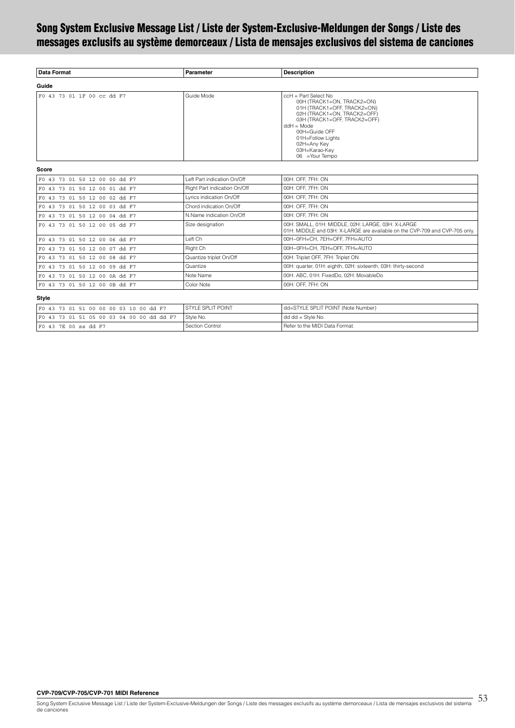# <span id="page-52-0"></span>**Song System Exclusive Message List / Liste der System-Exclusive-Meldungen der Songs / Liste des messages exclusifs au système demorceaux / Lista de mensajes exclusivos del sistema de canciones**

| Data Format                | Parameter  | <b>Description</b>                                                                                                                                                                                                                                          |  |
|----------------------------|------------|-------------------------------------------------------------------------------------------------------------------------------------------------------------------------------------------------------------------------------------------------------------|--|
| Guide                      |            |                                                                                                                                                                                                                                                             |  |
| F0 43 73 01 1F 00 cc dd F7 | Guide Mode | $cch = Part Select No$<br>00H (TRACK1=ON, TRACK2=ON)<br>01H (TRACK1=OFF, TRACK2=ON)<br>02H (TRACK1=ON, TRACK2=OFF)<br>03H (TRACK1=OFF, TRACK2=OFF)<br>$ddH = Mode$<br>00H=Guide OFF<br>01H=Follow Lights<br>02H=Any Key<br>03H=Karao-Key<br>06 = Your Tempo |  |

### **Score**

| F0 43 73 01 50 12 00 00 dd F7 | Left Part indication On/Off  | 00H: OFF. 7FH: ON                                                                                                                |  |
|-------------------------------|------------------------------|----------------------------------------------------------------------------------------------------------------------------------|--|
| F0 43 73 01 50 12 00 01 dd F7 | Right Part indication On/Off | 00H: OFF. 7FH: ON                                                                                                                |  |
| F0 43 73 01 50 12 00 02 dd F7 | Lyrics indication On/Off     | 00H: OFF. 7FH: ON                                                                                                                |  |
| F0 43 73 01 50 12 00 03 dd F7 | Chord indication On/Off      | 00H: OFF. 7FH: ON                                                                                                                |  |
| F0 43 73 01 50 12 00 04 dd F7 | N.Name indication On/Off     | 00H: OFF, 7FH: ON                                                                                                                |  |
| F0 43 73 01 50 12 00 05 dd F7 | Size designation             | 00H: SMALL, 01H: MIDDLE, 02H: LARGE, 03H: X-LARGE<br>01H: MIDDLE and 03H: X-LARGE are available on the CVP-709 and CVP-705 only. |  |
| F0 43 73 01 50 12 00 06 dd F7 | Left Ch                      | 00H~0FH=CH, 7EH=OFF, 7FH=AUTO                                                                                                    |  |
| F0 43 73 01 50 12 00 07 dd F7 | Right Ch                     | 00H~0FH=CH, 7EH=OFF, 7FH=AUTO                                                                                                    |  |
| F0 43 73 01 50 12 00 08 dd F7 | Quantize triplet On/Off      | 00H: Triplet OFF, 7FH: Triplet ON                                                                                                |  |
| F0 43 73 01 50 12 00 09 dd F7 | Quantize                     | 00H: quarter, 01H: eighth, 02H: sixteenth, 03H: thirty-second                                                                    |  |
| F0 43 73 01 50 12 00 0A dd F7 | Note Name                    | 00H: ABC, 01H: FixedDo, 02H: MovableDo                                                                                           |  |
| F0 43 73 01 50 12 00 0B dd F7 | Color Note                   | 00H: OFF, 7FH: ON                                                                                                                |  |

### **Style**

| F0 43 73 01 51 00 00 00 03 10 00 dd F7    | <b>ISTYLE SPLIT POINT</b> | dd=STYLE SPLIT POINT (Note Number) |
|-------------------------------------------|---------------------------|------------------------------------|
| F0 43 73 01 51 05 00 03 04 00 00 dd dd F7 | Style No.                 | dd dd = Style No.                  |
| $F0$ 43 7E 00 ss dd F7                    | Section Control           | Refer to the MIDI Data Format.     |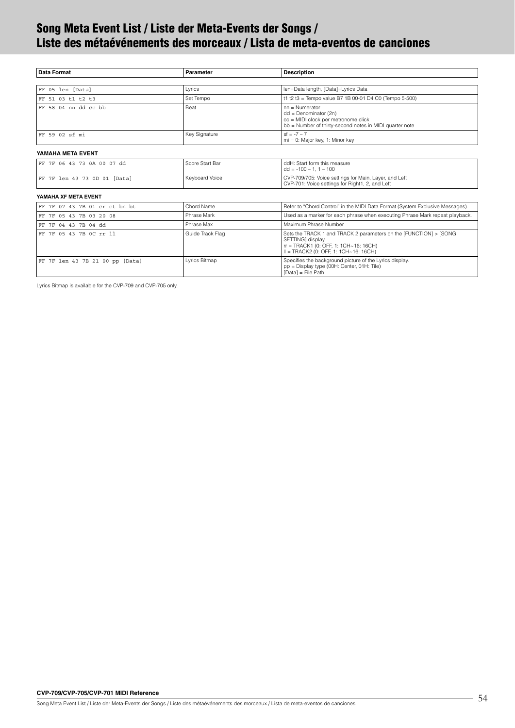# <span id="page-53-0"></span>**Song Meta Event List / Liste der Meta-Events der Songs / Liste des métaévénements des morceaux / Lista de meta-eventos de canciones**

| <b>Data Format</b>              | Parameter        | <b>Description</b>                                                                                                                                                           |  |
|---------------------------------|------------------|------------------------------------------------------------------------------------------------------------------------------------------------------------------------------|--|
|                                 |                  |                                                                                                                                                                              |  |
| FF 05 len [Data]                | Lyrics           | len=Data length, [Data]=Lyrics Data                                                                                                                                          |  |
| FF 51 03 t1 t2 t3               | Set Tempo        | t1 t2 t3 = Tempo value B7 1B 00-01 D4 C0 (Tempo 5-500)                                                                                                                       |  |
| FF 58 04 nn dd cc bb            | <b>Beat</b>      | $nn =$ Numerator<br>$dd = Denominator (2n)$<br>cc = MIDI clock per metronome click<br>bb = Number of thirty-second notes in MIDI quarter note                                |  |
| FF 59 02 sf mi                  | Key Signature    | $sf = -7 - 7$<br>$mi = 0$ : Major key, 1: Minor key                                                                                                                          |  |
| YAMAHA META EVENT               |                  |                                                                                                                                                                              |  |
| FF 7F 06 43 73 0A 00 07 dd      | Score Start Bar  | ddH: Start form this measure<br>$dd = -100 - 1, 1 - 100$                                                                                                                     |  |
| FF 7F len 43 73 0D 01 [Data]    | Keyboard Voice   | CVP-709/705: Voice settings for Main, Layer, and Left<br>CVP-701: Voice settings for Right1, 2, and Left                                                                     |  |
| YAMAHA XF META EVENT            |                  |                                                                                                                                                                              |  |
| FF 7F 07 43 7B 01 cr ct bn bt   | Chord Name       | Refer to "Chord Control" in the MIDI Data Format (System Exclusive Messages).                                                                                                |  |
| FF 7F 05 43 7B 03 20 08         | Phrase Mark      | Used as a marker for each phrase when executing Phrase Mark repeat playback.                                                                                                 |  |
| FF 7F 04 43 7B 04 dd            | Phrase Max       | Maximum Phrase Number                                                                                                                                                        |  |
| FF 7F 05 43 7B 0C rr 11         | Guide Track Flag | Sets the TRACK 1 and TRACK 2 parameters on the [FUNCTION] > [SONG<br>SETTING] display.<br>$rr = TRACK1$ (0: OFF, 1: 1CH~16: 16CH)<br>$II = TRACK2 (0: OFF. 1: 1CH~16: 16CH)$ |  |
| FF 7F len 43 7B 21 00 pp [Data] | Lyrics Bitmap    | Specifies the background picture of the Lyrics display.<br>pp = Display type (00H: Center, 01H: Tile)<br>[Data] = File Path                                                  |  |

Lyrics Bitmap is available for the CVP-709 and CVP-705 only.